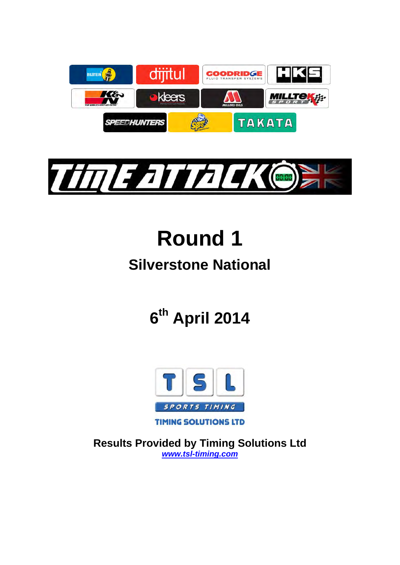



# **Round 1**

# **Silverstone National**

# **6th April 2014**



**Results Provided by Timing Solutions Ltd**  *www.tsl-timing.com*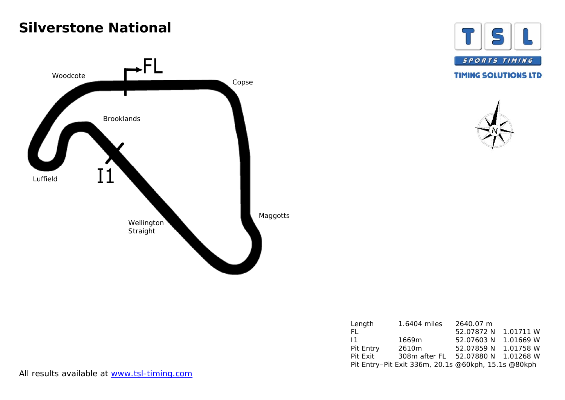# **Silverstone National**







| Length    | 1.6404 miles                                        | 2640.07 m            |           |
|-----------|-----------------------------------------------------|----------------------|-----------|
| FL.       |                                                     | 52.07872 N           | 1.01711 W |
| 11        | 1669m                                               | 52.07603 N           | 1.01669 W |
| Pit Entry | 2610m                                               | 52.07859 N           | 1.01758 W |
| Pit Exit  | 308m after FL                                       | 52.07880 N 1.01268 W |           |
|           | Pit Entry-Pit Exit 336m, 20.1s @60kph, 15.1s @80kph |                      |           |

All results available at www.tsl-timing.com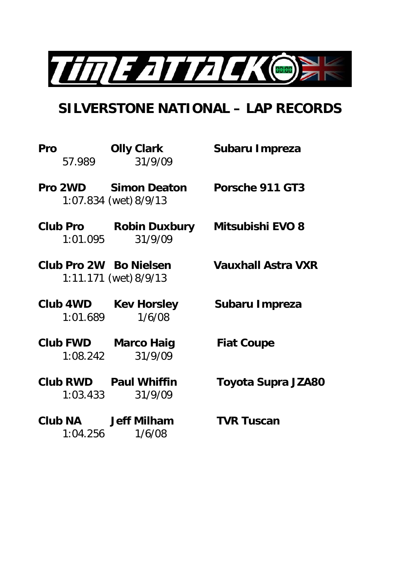

# **SILVERSTONE NATIONAL – LAP RECORDS**

| Pro | 57.989   | <b>Olly Clark</b><br>31/9/09                         | Subaru Impreza            |
|-----|----------|------------------------------------------------------|---------------------------|
|     |          | <b>Pro 2WD</b> Simon Deaton<br>1:07.834 (wet) 8/9/13 | Porsche 911 GT3           |
|     | 1:01.095 | Club Pro Robin Duxbury Mitsubishi EVO 8<br>31/9/09   |                           |
|     |          | Club Pro 2W Bo Nielsen<br>1:11.171 (wet) 8/9/13      | <b>Vauxhall Astra VXR</b> |
|     | 1:01.689 | Club 4WD Kev Horsley<br>1/6/08                       | Subaru Impreza            |
|     | 1:08.242 | <b>Club FWD</b> Marco Haig<br>31/9/09                | <b>Fiat Coupe</b>         |
|     | 1:03.433 | <b>Club RWD</b> Paul Whiffin<br>31/9/09              | Toyota Supra JZA80        |
|     | 1:04.256 | Club NA Jeff Milham<br>1/6/08                        | <b>TVR Tuscan</b>         |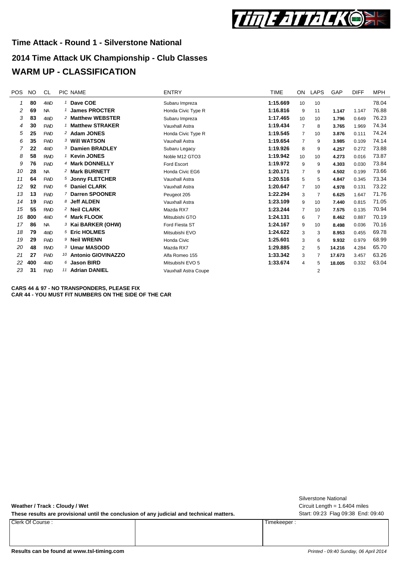

## **2014 Time Attack UK Championship - Club Classes WARM UP - CLASSIFICATION**

| <b>POS</b> | <b>NO</b> | CL         | PIC NAME                      | <b>ENTRY</b>          | <b>TIME</b> | ON.             | <b>LAPS</b>    | GAP    | <b>DIFF</b> | MPH   |
|------------|-----------|------------|-------------------------------|-----------------------|-------------|-----------------|----------------|--------|-------------|-------|
| 1          | 80        | 4WD        | <sup>1</sup> Dave COE         | Subaru Impreza        | 1:15.669    | 10              | 10             |        |             | 78.04 |
| 2          | 69        | <b>NA</b>  | <b>James PROCTER</b>          | Honda Civic Type R    | 1:16.816    | 9               | 11             | 1.147  | 1.147       | 76.88 |
| 3          | 83        | 4WD        | <sup>2</sup> Matthew WEBSTER  | Subaru Impreza        | 1:17.465    | 10 <sup>1</sup> | 10             | 1.796  | 0.649       | 76.23 |
| 4          | 30        | <b>FWD</b> | 1 Matthew STRAKER             | <b>Vauxhall Astra</b> | 1:19.434    | $\overline{7}$  | 8              | 3.765  | 1.969       | 74.34 |
| 5          | 25        | <b>FWD</b> | 2 Adam JONES                  | Honda Civic Type R    | 1:19.545    | $\overline{7}$  | 10             | 3.876  | 0.111       | 74.24 |
| 6          | 35        | <b>FWD</b> | <b>3 Will WATSON</b>          | <b>Vauxhall Astra</b> | 1:19.654    | $\overline{7}$  | 9              | 3.985  | 0.109       | 74.14 |
| 7          | 22        | 4WD        | 3 Damien BRADLEY              | Subaru Legacy         | 1:19.926    | 8               | 9              | 4.257  | 0.272       | 73.88 |
| 8          | 58        | <b>RWD</b> | <sup>1</sup> Kevin JONES      | Noble M12 GTO3        | 1:19.942    | 10              | 10             | 4.273  | 0.016       | 73.87 |
| 9          | 76        | <b>FWD</b> | 4 Mark DONNELLY               | Ford Escort           | 1:19.972    | 9               | 9              | 4.303  | 0.030       | 73.84 |
| 10         | 28        | <b>NA</b>  | <sup>2</sup> Mark BURNETT     | Honda Civic EG6       | 1:20.171    | $\overline{7}$  | 9              | 4.502  | 0.199       | 73.66 |
| 11         | 64        | <b>FWD</b> | 5 Jonny FLETCHER              | Vauxhall Astra        | 1:20.516    | 5               | 5              | 4.847  | 0.345       | 73.34 |
| 12         | 92        | <b>FWD</b> | 6 Daniel CLARK                | <b>Vauxhall Astra</b> | 1:20.647    | $\overline{7}$  | 10             | 4.978  | 0.131       | 73.22 |
| 13         | 13        | <b>FWD</b> | 7 Darren SPOONER              | Peugeot 205           | 1:22.294    | 3               | $\overline{7}$ | 6.625  | 1.647       | 71.76 |
| 14         | 19        | <b>FWD</b> | 8 Jeff ALDEN                  | <b>Vauxhall Astra</b> | 1:23.109    | 9               | 10             | 7.440  | 0.815       | 71.05 |
| 15         | 55        | <b>RWD</b> | <sup>2</sup> Neil CLARK       | Mazda RX7             | 1:23.244    | $\overline{7}$  | 10             | 7.575  | 0.135       | 70.94 |
| 16         | 800       | 4WD        | 4 Mark FLOOK                  | Mitsubishi GTO        | 1:24.131    | 6               | $\overline{7}$ | 8.462  | 0.887       | 70.19 |
| 17         | 86        | <b>NA</b>  | <sup>3</sup> Kai BARKER (OHW) | Ford Fiesta ST        | 1:24.167    | 9               | 10             | 8.498  | 0.036       | 70.16 |
| 18         | 79        | 4WD        | 5 Eric HOLMES                 | Mitsubishi EVO        | 1:24.622    | 3               | 3              | 8.953  | 0.455       | 69.78 |
| 19         | 29        | <b>FWD</b> | <sup>9</sup> Neil WRENN       | Honda Civic           | 1:25.601    | 3               | 6              | 9.932  | 0.979       | 68.99 |
| 20         | 48        | <b>RWD</b> | 3 Umar MASOOD                 | Mazda RX7             | 1:29.885    | 2               | 5              | 14.216 | 4.284       | 65.70 |
| 21         | 27        | <b>FWD</b> | 10 Antonio GIOVINAZZO         | Alfa Romeo 155        | 1:33.342    | 3               |                | 17.673 | 3.457       | 63.26 |
| 22         | 400       | 4WD        | <b>Jason BIRD</b>             | Mitsubishi EVO 5      | 1:33.674    | 4               | 5              | 18.005 | 0.332       | 63.04 |
| 23         | 31        | <b>FWD</b> | 11 Adrian DANIEL              | Vauxhall Astra Coupe  |             |                 | $\overline{2}$ |        |             |       |

**CARS 44 & 97 - NO TRANSPONDERS, PLEASE FIX CAR 44 - YOU MUST FIT NUMBERS ON THE SIDE OF THE CAR**

**Weather / Track : Cloudy / Wet**

These results are provisional until the conclusion of any judicial and technical matters. Start: 09:23 Flag 09:38 End: 09:40

Clerk Of Course : Timekeeper :

Circuit Length = 1.6404 miles Silverstone National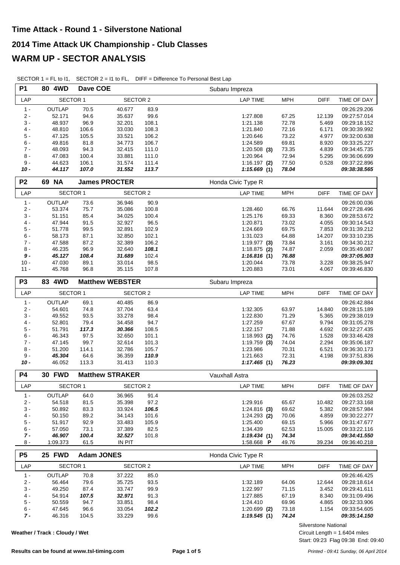| <b>P1</b>      | 80 4WD          | Dave COE |                        |       | Subaru Impreza                               |              |
|----------------|-----------------|----------|------------------------|-------|----------------------------------------------|--------------|
| LAP            | <b>SECTOR 1</b> |          | <b>SECTOR 2</b>        |       | <b>MPH</b><br><b>LAP TIME</b><br><b>DIFF</b> | TIME OF DAY  |
| $1 -$          | <b>OUTLAP</b>   | 70.5     | 40.677                 | 83.9  |                                              | 09:26:29.206 |
| $2 -$          | 52.171          | 94.6     | 35.637                 | 99.6  | 1:27.808<br>67.25<br>12.139                  | 09:27:57.014 |
| $3 -$          | 48.937          | 96.9     | 32.201                 | 108.1 | 72.78<br>1:21.138<br>5.469                   | 09:29:18.152 |
| $4 -$          | 48.810          | 106.6    | 33.030                 | 108.3 | 72.16<br>1:21.840<br>6.171                   | 09:30:39.992 |
| $5 -$          | 47.125          | 105.5    | 33.521                 | 106.2 | 73.22<br>4.977<br>1:20.646                   | 09:32:00.638 |
| $6 -$          | 49.816          | 81.8     | 34.773                 | 106.7 | 69.81<br>8.920<br>1:24.589                   | 09:33:25.227 |
| $7 -$          | 48.093          | 94.3     | 32.415                 | 111.0 | 73.35<br>$1:20.508$ (3)<br>4.839             | 09:34:45.735 |
| $8 -$          | 47.083          | 100.4    | 33.881                 | 111.0 | 72.94<br>5.295<br>1:20.964                   | 09:36:06.699 |
| $9 -$          | 44.623          | 106.1    | 31.574                 | 111.4 | 77.50<br>$1:16.197$ (2)<br>0.528             | 09:37:22.896 |
| $10 -$         | 44.117          | 107.0    | 31.552                 | 113.7 | 78.04<br>1:15.669(1)                         | 09:38:38.565 |
| P <sub>2</sub> | 69 NA           |          | <b>James PROCTER</b>   |       | Honda Civic Type R                           |              |
| LAP            | <b>SECTOR 1</b> |          | SECTOR 2               |       | <b>MPH</b><br><b>DIFF</b><br><b>LAP TIME</b> | TIME OF DAY  |
| $1 -$          | OUTLAP          | 73.6     | 36.946                 | 90.9  |                                              | 09:26:00.036 |
| $2 -$          | 53.374          | 75.7     | 35.086                 | 100.8 | 1:28.460<br>66.76<br>11.644                  | 09:27:28.496 |
| $3 -$          | 51.151          | 85.4     | 34.025                 | 100.4 | 1:25.176<br>69.33<br>8.360                   | 09:28:53.672 |
| $4 -$          | 47.944          | 91.5     | 32.927                 | 96.5  | 1:20.871<br>73.02<br>4.055                   | 09:30:14.543 |
| $5-$           | 51.778          | 99.5     | 32.891                 | 102.9 | 69.75<br>1:24.669<br>7.853                   | 09:31:39.212 |
| $6 -$          | 58.173          | 87.1     | 32.850                 | 102.1 | 64.88<br>1:31.023<br>14.207                  | 09:33:10.235 |
| $7 -$          | 47.588          | 87.2     | 32.389                 | 106.2 | 73.84<br>3.161<br>1:19.977(3)                | 09:34:30.212 |
| $8 -$          | 46.235          | 96.9     | 32.640                 | 108.1 | 74.87<br>2.059<br>$1:18.875$ (2)             | 09:35:49.087 |
| $9 -$          | 45.127          | 108.4    | 31.689                 | 102.4 | 1:16.816(1)<br>76.88                         | 09:37:05.903 |
| $10 -$         | 47.030          | 89.1     | 33.014                 | 98.5  | 73.78<br>1:20.044<br>3.228                   | 09:38:25.947 |
| $11 -$         | 45.768          | 96.8     | 35.115                 | 107.8 | 1:20.883<br>73.01<br>4.067                   | 09:39:46.830 |
| P <sub>3</sub> | 83 4WD          |          | <b>Matthew WEBSTER</b> |       | Subaru Impreza                               |              |
| LAP            | <b>SECTOR 1</b> |          | <b>SECTOR 2</b>        |       | <b>MPH</b><br><b>LAP TIME</b><br><b>DIFF</b> | TIME OF DAY  |
| $1 -$          | OUTLAP          | 69.1     | 40.485                 | 86.9  |                                              | 09:26:42.884 |
| $2 -$          | 54.601          | 74.8     | 37.704                 | 63.4  | 1:32.305<br>63.97<br>14.840                  | 09:28:15.189 |
| $3 -$          | 49.552          | 93.5     | 33.278                 | 98.4  | 1:22.830<br>71.29<br>5.365                   | 09:29:38.019 |
| $4 -$          | 52.801          | 79.4     | 34.458                 | 94.7  | 67.67<br>9.794<br>1:27.259                   | 09:31:05.278 |
| $5-$           | 51.791          | 117.3    | 30.366                 | 108.5 | 71.88<br>1:22.157<br>4.692                   | 09:32:27.435 |
| $6 -$          | 46.343          | 97.5     | 32.650                 | 101.1 | 74.76<br>$1:18.993$ (2)<br>1.528             | 09:33:46.428 |
| $7 -$          | 47.145          | 99.7     | 32.614                 | 101.3 | 74.04<br>2.294<br>$1:19.759$ (3)             | 09:35:06.187 |
| $8 -$          | 51.200          | 114.1    | 32.786                 | 105.7 | 1:23.986<br>70.31<br>6.521                   | 09:36:30.173 |
| $9 -$          | 45.304          | 64.6     | 36.359                 | 110.9 | 1:21.663<br>72.31<br>4.198                   | 09:37:51.836 |
| $10 -$         | 46.052          | 113.3    | 31.413                 | 110.3 | 76.23<br>1:17.465(1)                         | 09:39:09.301 |
| <b>P4</b>      | <b>30 FWD</b>   |          | <b>Matthew STRAKER</b> |       | Vauxhall Astra                               |              |
| LAP            | SECTOR 1        |          | SECTOR 2               |       | <b>LAP TIME</b><br><b>MPH</b><br><b>DIFF</b> | TIME OF DAY  |
| $1 -$          | OUTLAP          | 64.0     | 36.965                 | 91.4  |                                              | 09:26:03.252 |
| $2 -$          | 54.518          | 81.5     | 35.398                 | 97.2  | 1:29.916<br>10.482<br>65.67                  | 09:27:33.168 |
| $3 -$          | 50.892          | 83.3     | 33.924                 | 106.5 | 69.62<br>$1:24.816$ (3)<br>5.382             | 09:28:57.984 |
| 4 -            | 50.150          | 89.2     | 34.143                 | 101.6 | $1:24.293$ (2)<br>70.06<br>4.859             | 09:30:22.277 |
| $5 -$          | 51.917          | 92.9     | 33.483                 | 105.9 | 1:25.400<br>69.15<br>5.966                   | 09:31:47.677 |
| 6 -            | 57.050          | 73.1     | 37.389                 | 82.5  | 1:34.439<br>62.53<br>15.005                  | 09:33:22.116 |
| 7 -            |                 |          |                        |       | 74.34<br>1:19.434(1)                         | 09:34:41.550 |
|                | 46.907          | 100.4    | 32.527                 | 101.8 |                                              |              |
| $8 -$          | 1:09.373        | 61.5     | IN PIT                 |       | 39.234<br>1:58.668 P<br>49.76                | 09:36:40.218 |

SECTOR 1 = FL to I1, SECTOR 2 = I1 to FL, DIFF = Difference To Personal Best Lap

| P <sub>5</sub> | <b>25 FWD</b>   |       | <b>Adam JONES</b> |       | Honda Civic Type R |            |             |              |
|----------------|-----------------|-------|-------------------|-------|--------------------|------------|-------------|--------------|
| LAP            | <b>SECTOR 1</b> |       | SECTOR 2          |       | LAP TIME           | <b>MPH</b> | <b>DIFF</b> | TIME OF DAY  |
| $1 -$          | OUTLAP          | 70.8  | 37.222            | 85.0  |                    |            |             | 09:26:46.425 |
| $2 -$          | 56.464          | 79.6  | 35.725            | 93.5  | 1:32.189           | 64.06      | 12.644      | 09:28:18.614 |
| $3 -$          | 49.250          | 87.4  | 33.747            | 99.9  | 1:22.997           | 71.15      | 3.452       | 09:29:41.611 |
| $4 -$          | 54.914          | 107.5 | 32.971            | 91.3  | 1:27.885           | 67.19      | 8.340       | 09:31:09.496 |
| $5 -$          | 50.559          | 94.7  | 33.851            | 98.4  | 1:24.410           | 69.96      | 4.865       | 09:32:33.906 |
| $6 -$          | 47.645          | 96.6  | 33.054            | 102.2 | $1:20.699$ (2)     | 73.18      | 1.154       | 09:33:54.605 |
| $7 -$          | 46.316          | 104.5 | 33.229            | 99.6  | 1:19.545(1)        | 74.24      |             | 09:35:14.150 |

**Weather / Track : Cloudy / Wet**

Silverstone National

Start: 09:23 Flag 09:38 End: 09:40 Circuit Length = 1.6404 miles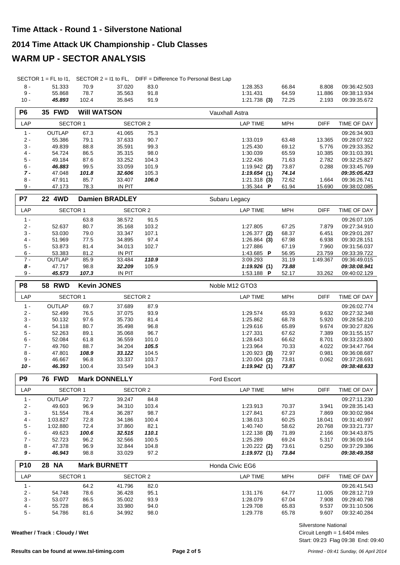#### **2014 Time Attack UK Championship - Club Classes**

#### **WARM UP - SECTOR ANALYSIS**

| 8 -  | 51.333 | 70.9  | 37.020 | 83.0 | 1:28.353       | 66.84 | 8.808  | 09:36:42.503 |
|------|--------|-------|--------|------|----------------|-------|--------|--------------|
| 9 -  | 55.868 | 78.7  | 35.563 | 91.8 | 1:31.431       | 64.59 | 11.886 | 09:38:13.934 |
| 10 - | 45.893 | 102.4 | 35.845 | 91.9 | $1:21.738$ (3) | 72.25 | 2.193  | 09:39:35.672 |

| P <sub>6</sub> | <b>35 FWD</b> | <b>WIII WATSON</b> |               |       | Vauxhall Astra    |            |             |              |
|----------------|---------------|--------------------|---------------|-------|-------------------|------------|-------------|--------------|
| <b>LAP</b>     | SECTOR 1      |                    | SECTOR 2      |       | LAP TIME          | <b>MPH</b> | <b>DIFF</b> | TIME OF DAY  |
| $1 -$          | <b>OUTLAP</b> | 67.3               | 41.065        | 75.3  |                   |            |             | 09:26:34.903 |
| $2 -$          | 55.386        | 79.1               | 37.633        | 90.7  | 1:33.019          | 63.48      | 13.365      | 09:28:07.922 |
| $3 -$          | 49.839        | 88.8               | 35.591        | 99.3  | 1.25.430          | 69.12      | 5.776       | 09:29:33.352 |
| $4 -$          | 54.724        | 86.5               | 35.315        | 98.0  | 1:30.039          | 65.59      | 10.385      | 09:31:03.391 |
| $5 -$          | 49.184        | 87.6               | 33.252        | 104.3 | 1.22.436          | 71.63      | 2.782       | 09:32:25.827 |
| $6 -$          | 46.883        | 99.5               | 33.059        | 101.9 | $1:19.942$ (2)    | 73.87      | 0.288       | 09:33:45.769 |
| $7 -$          | 47.048        | 101.8              | 32.606        | 105.3 | 1:19.654(1)       | 74.14      |             | 09:35:05.423 |
| $8 -$          | 47.911        | 85.7               | 33.407        | 106.0 | $1:21.318$ (3)    | 72.62      | 1.664       | 09:36:26.741 |
| $9 -$          | 47.173        | 78.3               | <b>IN PIT</b> |       | 1:35.344 <b>P</b> | 61.94      | 15.690      | 09:38:02.085 |

| P7    | <b>22 4WD</b> |       | <b>Damien BRADLEY</b> |       | Subaru Legacy           |            |             |              |
|-------|---------------|-------|-----------------------|-------|-------------------------|------------|-------------|--------------|
| LAP.  | SECTOR 1      |       | SECTOR 2              |       | LAP TIME                | <b>MPH</b> | <b>DIFF</b> | TIME OF DAY  |
| $1 -$ |               | 63.8  | 38.572                | 91.5  |                         |            |             | 09:26:07.105 |
| $2 -$ | 52.637        | 80.7  | 35.168                | 103.2 | 1:27.805                | 67.25      | 7.879       | 09:27:34.910 |
| $3 -$ | 53.030        | 79.0  | 33.347                | 107.1 | $1:26.377$ (2)          | 68.37      | 6.451       | 09:29:01.287 |
| $4 -$ | 51.969        | 77.5  | 34.895                | 97.4  | $1:26.864$ (3)          | 67.98      | 6.938       | 09:30:28.151 |
| $5 -$ | 53.873        | 81.4  | 34.013                | 102.7 | 1:27.886                | 67.19      | 7.960       | 09:31:56.037 |
| 6 -   | 53.383        | 81.2  | IN PIT                |       | 1:43.685 $\blacksquare$ | 56.95      | 23.759      | 09:33:39.722 |
| $7 -$ | <b>OUTLAP</b> | 85.9  | 33.484                | 110.9 | 3:09.293                | 31.19      | 1:49.367    | 09:36:49.015 |
| 8 -   | 47.717        | 98.8  | 32.209                | 105.9 | 1:19.926(1)             | 73.88      |             | 09:38:08.941 |
| $9 -$ | 45.573        | 107.3 | <b>IN PIT</b>         |       | 1:53.188 $\overline{P}$ | 52.17      | 33.262      | 09:40:02.129 |

| P <sub>8</sub> | <b>58 RWD</b> | <b>Kevin JONES</b> |        |          | Noble M12 GTO3  |            |             |              |
|----------------|---------------|--------------------|--------|----------|-----------------|------------|-------------|--------------|
| LAP            |               | <b>SECTOR 1</b>    |        | SECTOR 2 | <b>LAP TIME</b> | <b>MPH</b> | <b>DIFF</b> | TIME OF DAY  |
| $1 -$          | <b>OUTLAP</b> | 69.7               | 37.689 | 87.9     |                 |            |             | 09:26:02.774 |
| $2 -$          | 52.499        | 76.5               | 37.075 | 93.9     | 1:29.574        | 65.93      | 9.632       | 09:27:32.348 |
| $3 -$          | 50.132        | 97.6               | 35.730 | 81.4     | 1:25.862        | 68.78      | 5.920       | 09:28:58.210 |
| $4 -$          | 54.118        | 80.7               | 35.498 | 96.8     | 1:29.616        | 65.89      | 9.674       | 09:30:27.826 |
| $5 -$          | 52.263        | 89.1               | 35.068 | 96.7     | 1:27.331        | 67.62      | 7.389       | 09:31:55.157 |
| $6 -$          | 52.084        | 61.8               | 36.559 | 101.0    | 1:28.643        | 66.62      | 8.701       | 09:33:23.800 |
| $7 -$          | 49.760        | 88.7               | 34.204 | 105.5    | 1:23.964        | 70.33      | 4.022       | 09:34:47.764 |
| $8 -$          | 47.801        | 108.9              | 33.122 | 104.5    | $1:20.923$ (3)  | 72.97      | 0.981       | 09:36:08.687 |
| 9 -            | 46.667        | 96.8               | 33.337 | 103.7    | $1:20.004$ (2)  | 73.81      | 0.062       | 09:37:28.691 |
| 10 -           | 46.393        | 100.4              | 33.549 | 104.3    | 1:19.942(1)     | 73.87      |             | 09:38:48.633 |

| P <sub>9</sub> | <b>76 FWD</b>   |       | <b>Mark DONNELLY</b> |       | <b>Ford Escort</b> |            |             |              |
|----------------|-----------------|-------|----------------------|-------|--------------------|------------|-------------|--------------|
| LAP            | <b>SECTOR 1</b> |       | SECTOR 2             |       | LAP TIME           | <b>MPH</b> | <b>DIFF</b> | TIME OF DAY  |
| 1 -            | <b>OUTLAP</b>   | 72.7  | 39.247               | 84.8  |                    |            |             | 09:27:11.230 |
| $2 -$          | 49.603          | 96.9  | 34.310               | 103.4 | 1:23.913           | 70.37      | 3.941       | 09:28:35.143 |
| $3 -$          | 51.554          | 78.4  | 36.287               | 98.7  | 1:27.841           | 67.23      | 7.869       | 09:30:02.984 |
| $4 -$          | 1:03.827        | 72.8  | 34.186               | 100.4 | 1:38.013           | 60.25      | 18.041      | 09:31:40.997 |
| $5 -$          | 1:02.880        | 72.4  | 37.860               | 82.1  | 1:40.740           | 58.62      | 20.768      | 09:33:21.737 |
| $6 -$          | 49.623          | 100.6 | 32.515               | 110.1 | $1:22.138$ (3)     | 71.89      | 2.166       | 09:34:43.875 |
| $7 -$          | 52.723          | 96.2  | 32.566               | 100.5 | 1:25.289           | 69.24      | 5.317       | 09:36:09.164 |
| $8 -$          | 47.378          | 96.9  | 32.844               | 104.8 | $1:20.222$ (2)     | 73.61      | 0.250       | 09:37:29.386 |
| 9 -            | 46.943          | 98.8  | 33.029               | 97.2  | 1:19.972(1)        | 73.84      |             | 09:38:49.358 |

| <b>P10</b> | <b>28 NA</b>    | <b>Mark BURNETT</b> |          |      | Honda Civic EG6 |            |             |                    |
|------------|-----------------|---------------------|----------|------|-----------------|------------|-------------|--------------------|
| LAP        | <b>SECTOR 1</b> |                     | SECTOR 2 |      | _AP TIME        | <b>MPH</b> | <b>DIFF</b> | <b>TIME OF DAY</b> |
| $1 -$      |                 | 64.2                | 41.796   | 82.0 |                 |            |             | 09:26:41.543       |
| $2 -$      | 54.748          | 78.6                | 36.428   | 95.1 | 1:31.176        | 64.77      | 11.005      | 09:28:12.719       |
| $3 -$      | 53.077          | 86.5                | 35.002   | 93.9 | 1:28.079        | 67.04      | 7.908       | 09:29:40.798       |
| $4 -$      | 55.728          | 86.4                | 33.980   | 94.0 | 1:29.708        | 65.83      | 9.537       | 09:31:10.506       |
| $5 -$      | 54.786          | 81.6                | 34.992   | 98.0 | 1:29.778        | 65.78      | 9.607       | 09:32:40.284       |

**Weather / Track : Cloudy / Wet**

Start: 09:23 Flag 09:38 End: 09:40 Circuit Length = 1.6404 miles Silverstone National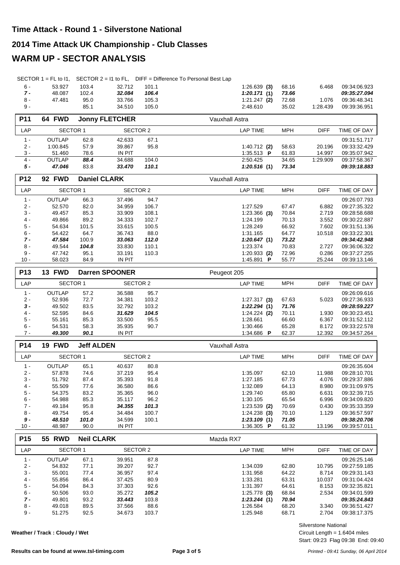## **2014 Time Attack UK Championship - Club Classes**

## **WARM UP - SECTOR ANALYSIS**

| $6 -$ | 53.927 | 103.4 | 32.712 | 101.1 | $1:26.639$ (3) 68.16 |       | 6.468    | 09:34:06.923 |
|-------|--------|-------|--------|-------|----------------------|-------|----------|--------------|
| $7 -$ | 48.087 | 102.4 | 32.084 | 106.4 | 1:20.171(1)          | 73.66 |          | 09:35:27.094 |
| $8 -$ | 47.481 | 95.0  | 33.766 | 105.3 | 1:21.247 (2)         | 72.68 | 1.076    | 09:36:48.341 |
| - 9   |        | 85.1  | 34.510 | 105.0 | 2:48.610             | 35.02 | 1.28.439 | 09:39:36.951 |
|       |        |       |        |       |                      |       |          |              |

| <b>P11</b>    | 64 FWD        |      | <b>Jonny FLETCHER</b> |       | Vauxhall Astra          |            |             |              |
|---------------|---------------|------|-----------------------|-------|-------------------------|------------|-------------|--------------|
| LAP           | SECTOR 1      |      | SECTOR 2              |       | LAP TIME                | <b>MPH</b> | <b>DIFF</b> | TIME OF DAY  |
| 1 -           | <b>OUTLAP</b> | 62.8 | 42.633                | 67.1  |                         |            |             | 09:31:51.717 |
| $2 -$         | 1:00.845      | 57.9 | 39.867                | 95.8  | $1:40.712$ (2)          | 58.63      | 20.196      | 09:33:32.429 |
| $\frac{3}{4}$ | 51.460        | 78.6 | <b>IN PIT</b>         |       | 1:35.513 $\overline{P}$ | 61.83      | 14.997      | 09:35:07.942 |
|               | <b>OUTLAP</b> | 88.4 | 34.688                | 104.0 | 2:50.425                | 34.65      | 1:29.909    | 09:37:58.367 |
| 5 -           | 47.046        | 83.8 | 33.470                | 110.1 | 1:20.516(1)             | 73.34      |             | 09:39:18.883 |

| <b>P12</b> | <b>92 FWD</b> |       | <b>Daniel CLARK</b> |       | Vauxhall Astra  |            |             |              |
|------------|---------------|-------|---------------------|-------|-----------------|------------|-------------|--------------|
| LAP        | SECTOR 1      |       | SECTOR 2            |       | <b>LAP TIME</b> | <b>MPH</b> | <b>DIFF</b> | TIME OF DAY  |
| $1 -$      | <b>OUTLAP</b> | 66.3  | 37.496              | 94.7  |                 |            |             | 09:26:07.793 |
| $2 -$      | 52.570        | 82.0  | 34.959              | 106.7 | 1:27.529        | 67.47      | 6.882       | 09:27:35.322 |
| $3 -$      | 49.457        | 85.3  | 33.909              | 108.1 | $1:23.366$ (3)  | 70.84      | 2.719       | 09:28:58.688 |
| $4 -$      | 49.866        | 89.2  | 34.333              | 102.7 | 1:24.199        | 70.13      | 3.552       | 09:30:22.887 |
| $5 -$      | 54.634        | 101.5 | 33.615              | 100.5 | 1:28.249        | 66.92      | 7.602       | 09:31:51.136 |
| $6 -$      | 54.422        | 64.7  | 36.743              | 88.0  | 1:31.165        | 64.77      | 10.518      | 09:33:22.301 |
| $7 -$      | 47.584        | 100.9 | 33.063              | 112.0 | 1:20.647(1)     | 73.22      |             | 09:34:42.948 |
| 8 -        | 49.544        | 104.8 | 33.830              | 110.1 | 1:23.374        | 70.83      | 2.727       | 09:36:06.322 |
| 9 -        | 47.742        | 95.1  | 33.191              | 110.3 | $1:20.933$ (2)  | 72.96      | 0.286       | 09:37:27.255 |
| $10 -$     | 58.023        | 84.9  | <b>IN PIT</b>       |       | 1:45.891<br>P   | 55.77      | 25.244      | 09:39:13.146 |

| P <sub>13</sub> | <b>FWD</b><br>13 |      | <b>Darren SPOONER</b> |       | Peugeot 205    |            |             |              |
|-----------------|------------------|------|-----------------------|-------|----------------|------------|-------------|--------------|
| LAP             | SECTOR 1         |      | SECTOR 2              |       | LAP TIME       | <b>MPH</b> | <b>DIFF</b> | TIME OF DAY  |
| $1 -$           | OUTLAP           | 57.2 | 36.588                | 95.7  |                |            |             | 09:26:09.616 |
| $2 -$           | 52.936           | 72.7 | 34.381                | 103.2 | $1:27.317$ (3) | 67.63      | 5.023       | 09:27:36.933 |
| $3 -$           | 49.502           | 83.5 | 32.792                | 103.2 | 1:22.294(1)    | 71.76      |             | 09:28:59.227 |
| 4 -             | 52.595           | 84.6 | 31.629                | 104.5 | $1:24.224$ (2) | 70.11      | 1.930       | 09:30:23.451 |
| $5 -$           | 55.161           | 85.3 | 33.500                | 95.5  | 1:28.661       | 66.60      | 6.367       | 09:31:52.112 |
| $6 -$           | 54.531           | 58.3 | 35.935                | 90.7  | 1:30.466       | 65.28      | 8.172       | 09:33:22.578 |
| 7 -             | 49.300           | 90.1 | <b>IN PIT</b>         |       | 1:34.686<br>P  | 62.37      | 12.392      | 09:34:57.264 |

| <b>P14</b> | <b>FWD</b><br>19 | <b>Jeff ALDEN</b> |          |       | Vauxhall Astra  |            |             |              |
|------------|------------------|-------------------|----------|-------|-----------------|------------|-------------|--------------|
| LAP        | <b>SECTOR 1</b>  |                   | SECTOR 2 |       | <b>LAP TIME</b> | <b>MPH</b> | <b>DIFF</b> | TIME OF DAY  |
| $1 -$      | <b>OUTLAP</b>    | 65.1              | 40.637   | 80.8  |                 |            |             | 09:26:35.604 |
| $2 -$      | 57.878           | 74.6              | 37.219   | 95.4  | 1:35.097        | 62.10      | 11.988      | 09:28:10.701 |
| $3 -$      | 51.792           | 87.4              | 35.393   | 91.8  | 1:27.185        | 67.73      | 4.076       | 09:29:37.886 |
| 4 -        | 55.509           | 77.6              | 36.580   | 86.6  | 1:32.089        | 64.13      | 8.980       | 09:31:09.975 |
| $5 -$      | 54.375           | 83.2              | 35.365   | 96.0  | 1:29.740        | 65.80      | 6.631       | 09:32:39.715 |
| $6 -$      | 54.988           | 85.3              | 35.117   | 96.2  | 1:30.105        | 65.54      | 6.996       | 09:34:09.820 |
| $7 -$      | 49.184           | 95.8              | 34.355   | 101.3 | $1:23.539$ (2)  | 70.69      | 0.430       | 09:35:33.359 |
| $8 -$      | 49.754           | 95.4              | 34.484   | 100.7 | $1:24.238$ (3)  | 70.10      | 1.129       | 09:36:57.597 |
| 9 -        | 48.510           | 101.0             | 34.599   | 100.1 | 1:23.109(1)     | 71.05      |             | 09:38:20.706 |
| $10 -$     | 48.987           | 90.0              | IN PIT   |       | 1:36.305 P      | 61.32      | 13.196      | 09:39:57.011 |

| P <sub>15</sub> | <b>55 RWD</b>   | <b>Neil CLARK</b> |          |       | Mazda RX7      |            |             |              |
|-----------------|-----------------|-------------------|----------|-------|----------------|------------|-------------|--------------|
| LAP             | <b>SECTOR 1</b> |                   | SECTOR 2 |       | LAP TIME       | <b>MPH</b> | <b>DIFF</b> | TIME OF DAY  |
| $1 -$           | <b>OUTLAP</b>   | 67.1              | 39.951   | 87.8  |                |            |             | 09:26:25.146 |
| $2 -$           | 54.832          | 77.1              | 39.207   | 92.7  | 1:34.039       | 62.80      | 10.795      | 09:27:59.185 |
| $3 -$           | 55.001          | 77.4              | 36.957   | 97.4  | 1:31.958       | 64.22      | 8.714       | 09:29:31.143 |
| $4 -$           | 55.856          | 86.4              | 37.425   | 80.9  | 1:33.281       | 63.31      | 10.037      | 09:31:04.424 |
| $5 -$           | 54.094          | 84.3              | 37.303   | 92.6  | 1:31.397       | 64.61      | 8.153       | 09:32:35.821 |
| $6 -$           | 50.506          | 93.0              | 35.272   | 105.2 | $1:25.778$ (3) | 68.84      | 2.534       | 09:34:01.599 |
| $7 -$           | 49.801          | 93.2              | 33.443   | 103.8 | 1:23.244(1)    | 70.94      |             | 09:35:24.843 |
| $8 -$           | 49.018          | 89.5              | 37.566   | 88.6  | 1:26.584       | 68.20      | 3.340       | 09:36:51.427 |
| $9 -$           | 51.275          | 92.5              | 34.673   | 103.7 | 1:25.948       | 68.71      | 2.704       | 09:38:17.375 |

**Weather / Track : Cloudy / Wet**

Start: 09:23 Flag 09:38 End: 09:40 Circuit Length = 1.6404 miles Silverstone National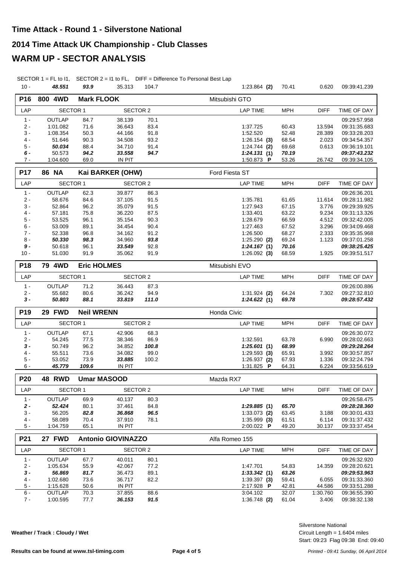#### **2014 Time Attack UK Championship - Club Classes**

#### **WARM UP - SECTOR ANALYSIS**

SECTOR 1 = FL to I1, SECTOR 2 = I1 to FL, DIFF = Difference To Personal Best Lap

| $10 -$          | 48.551                    | 93.9               | 35.313                    | 104.7        | $1:23.864$ (2)             | 70.41          | 0.620             | 09:39:41.239                 |
|-----------------|---------------------------|--------------------|---------------------------|--------------|----------------------------|----------------|-------------------|------------------------------|
| P <sub>16</sub> | 800 4WD                   | <b>Mark FLOOK</b>  |                           |              | Mitsubishi GTO             |                |                   |                              |
| LAP             | <b>SECTOR 1</b>           |                    | <b>SECTOR 2</b>           |              | <b>LAP TIME</b>            | <b>MPH</b>     | <b>DIFF</b>       | TIME OF DAY                  |
| $1 -$           | OUTLAP                    | 84.7               | 38.139                    | 70.1         |                            |                |                   | 09:29:57.958                 |
| $2 -$           | 1:01.082                  | 71.6               | 36.643                    | 83.4         | 1:37.725                   | 60.43          | 13.594            | 09:31:35.683                 |
| 3 -             | 1:08.354                  | 50.3               | 44.166                    | 91.8         | 1:52.520                   | 52.48          | 28.389            | 09:33:28.203                 |
| 4 -             | 51.646                    | 90.3               | 34.508                    | 93.2         | $1:26.154$ (3)             | 68.54          | 2.023             | 09:34:54.357                 |
| $5 -$           | 50.034                    | 88.4               | 34.710                    | 91.4         | $1:24.744$ (2)             | 69.68          | 0.613             | 09:36:19.101                 |
| 6 -             | 50.573                    | 94.2               | 33.558                    | 94.7         | 1:24.131(1)                | 70.19          |                   | 09:37:43.232                 |
| $7 -$           | 1:04.600                  | 69.0               | IN PIT                    |              | 1:50.873 P                 | 53.26          | 26.742            | 09:39:34.105                 |
| <b>P17</b>      | <b>86 NA</b>              |                    | Kai BARKER (OHW)          |              | Ford Fiesta ST             |                |                   |                              |
| LAP             | SECTOR 1                  |                    | <b>SECTOR 2</b>           |              | <b>LAP TIME</b>            | <b>MPH</b>     | <b>DIFF</b>       | TIME OF DAY                  |
| $1 -$           | <b>OUTLAP</b>             | 62.3               | 39.877                    | 86.3         |                            |                |                   | 09:26:36.201                 |
| $2 -$           | 58.676                    | 84.6               | 37.105                    | 91.5         | 1:35.781                   | 61.65          | 11.614            | 09:28:11.982                 |
| $3 -$           | 52.864                    | 96.2               | 35.079                    | 91.5         | 1:27.943                   | 67.15          | 3.776             | 09:29:39.925                 |
| $4 -$<br>5 -    | 57.181<br>53.525          | 75.8<br>96.1       | 36.220<br>35.154          | 87.5<br>90.3 | 1:33.401<br>1:28.679       | 63.22<br>66.59 | 9.234<br>4.512    | 09:31:13.326<br>09:32:42.005 |
| 6 -             | 53.009                    | 89.1               | 34.454                    | 90.4         | 1:27.463                   | 67.52          | 3.296             | 09:34:09.468                 |
| $7 -$           | 52.338                    | 96.8               | 34.162                    | 91.2         | 1:26.500                   | 68.27          | 2.333             | 09:35:35.968                 |
| 8 -             | 50.330                    | 98.3               | 34.960                    | 93.8         | $1:25.290$ (2)             | 69.24          | 1.123             | 09:37:01.258                 |
| 9 -             | 50.618                    | 96.1               | 33.549                    | 92.8         | 1:24.167(1)                | 70.16          |                   | 09:38:25.425                 |
| $10 -$          | 51.030                    | 91.9               | 35.062                    | 91.9         | 1:26.092(3)                | 68.59          | 1.925             | 09:39:51.517                 |
| P18             | 79 4WD                    | <b>Eric HOLMES</b> |                           |              | Mitsubishi EVO             |                |                   |                              |
| LAP             | <b>SECTOR 1</b>           |                    | <b>SECTOR 2</b>           |              | <b>LAP TIME</b>            | <b>MPH</b>     | <b>DIFF</b>       | TIME OF DAY                  |
| $1 -$           | OUTLAP                    | 71.2               | 36.443                    | 87.3         |                            |                |                   | 09:26:00.886                 |
| $2 -$           | 55.682                    | 80.6               | 36.242                    | 94.9         | $1:31.924$ (2)             | 64.24          | 7.302             | 09:27:32.810                 |
| $3 -$           | 50.803                    | 88.1               | 33.819                    | 111.0        | 1:24.622(1)                | 69.78          |                   | 09:28:57.432                 |
|                 | <b>Neil WRENN</b>         |                    |                           |              |                            |                |                   |                              |
| P <sub>19</sub> | 29 FWD                    |                    |                           |              | Honda Civic                |                |                   |                              |
| LAP             | <b>SECTOR 1</b>           |                    | <b>SECTOR 2</b>           |              | <b>LAP TIME</b>            | <b>MPH</b>     | <b>DIFF</b>       | TIME OF DAY                  |
| $1 -$           | OUTLAP                    | 67.1               | 42.906                    | 68.3         |                            |                |                   | 09:26:30.072                 |
| $2 -$           | 54.245                    | 77.5               | 38.346                    | 86.9         | 1:32.591                   | 63.78          | 6.990             | 09:28:02.663                 |
| 3 -             | 50.749                    | 96.2               | 34.852                    | 100.8        | 1:25.601(1)                | 68.99          |                   | 09:29:28.264                 |
| 4 -             | 55.511                    | 73.6               | 34.082                    | 99.0         | 1:29.593(3)                | 65.91          | 3.992             | 09:30:57.857                 |
| 5 -             | 53.052                    | 73.9               | 33.885                    | 100.2        | 1:26.937 (2)               | 67.93          | 1.336             | 09:32:24.794                 |
| 6 -             | 45.779                    | 109.6              | IN PIT                    |              | 1:31.825 P                 | 64.31          | 6.224             | 09:33:56.619                 |
| P <sub>20</sub> | <b>48 RWD</b>             |                    | <b>Umar MASOOD</b>        |              | Mazda RX7                  |                |                   |                              |
| LAP             | <b>SECTOR 1</b>           |                    | <b>SECTOR 2</b>           |              | <b>LAP TIME</b>            | <b>MPH</b>     | <b>DIFF</b>       | TIME OF DAY                  |
| $1 -$           | OUTLAP                    | 69.9               | 40.137                    | 80.3         |                            |                |                   | 09:26:58.475                 |
| $2 -$           | 52.424                    | 80.1               | 37.461                    | 84.8         | 1:29.885(1)                | 65.70          |                   | 09:28:28.360                 |
| 3 -             | 56.205                    | 82.8               | 36.868                    | 96.5         | $1:33.073$ (2)             | 63.45          | 3.188             | 09:30:01.433                 |
| $4 -$           | 58.089                    | 70.4               | 37.910                    | 78.1         | $1:35.999$ (3)             | 61.51          | 6.114             | 09:31:37.432                 |
| 5 -             | 1:04.759                  | 65.1               | IN PIT                    |              | 2:00.022 P                 | 49.20          | 30.137            | 09:33:37.454                 |
| P21             | 27 FWD                    |                    | <b>Antonio GIOVINAZZO</b> |              | Alfa Romeo 155             |                |                   |                              |
| LAP             | <b>SECTOR 1</b>           |                    | <b>SECTOR 2</b>           |              | <b>LAP TIME</b>            | <b>MPH</b>     | <b>DIFF</b>       | TIME OF DAY                  |
| $1 -$           | OUTLAP                    | 67.7               | 40.011                    | 80.1         |                            |                |                   | 09:26:32.920                 |
| 2 -             | 1:05.634                  | 55.9               | 42.067                    | 77.2         | 1:47.701                   | 54.83          | 14.359            | 09:28:20.621                 |
| 3 -             | 56.869                    | 81.7               | 36.473                    | 89.1         | 1:33.342(1)                | 63.26          |                   | 09:29:53.963                 |
| 4 -             | 1:02.680                  | 73.6               | 36.717                    | 82.2         | $1:39.397$ (3)             | 59.41          | 6.055             | 09:31:33.360                 |
| 5 -             | 1:15.628                  | 50.6               | IN PIT                    |              | 2:17.928 P                 | 42.81          | 44.586            | 09:33:51.288                 |
| $6 -$<br>$7 -$  | <b>OUTLAP</b><br>1:00.595 | 70.3<br>77.7       | 37.855<br>36.153          | 88.6<br>91.5 | 3:04.102<br>$1:36.748$ (2) | 32.07<br>61.04 | 1:30.760<br>3.406 | 09:36:55.390<br>09:38:32.138 |

**Weather / Track : Cloudy / Wet**

Start: 09:23 Flag 09:38 End: 09:40 Circuit Length = 1.6404 miles Silverstone National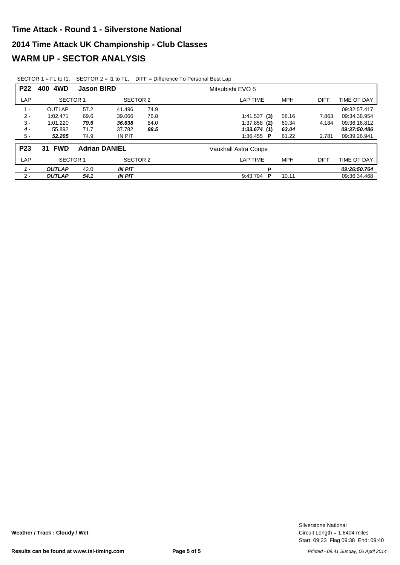| <b>P22</b>      | 4WD<br>400            | <b>Jason BIRD</b> |                      |      | Mitsubishi EVO 5        |            |             |              |
|-----------------|-----------------------|-------------------|----------------------|------|-------------------------|------------|-------------|--------------|
| LAP             | <b>SECTOR 1</b>       |                   | SECTOR 2             |      | LAP TIME                | <b>MPH</b> | <b>DIFF</b> | TIME OF DAY  |
| 1 -             | <b>OUTLAP</b>         | 57.2              | 41.496               | 74.9 |                         |            |             | 09:32:57.417 |
| $2 -$           | 1:02.471              | 69.6              | 39.066               | 76.8 | 1:41.537(3)             | 58.16      | 7.863       | 09:34:38.954 |
| $3 -$           | 1:01.220              | 79.6              | 36.638               | 84.0 | $1:37.858$ (2)          | 60.34      | 4.184       | 09:36:16.812 |
| $4 -$           | 55.892                | 71.7              | 37.782               | 88.5 | 1:33.674(1)             | 63.04      |             | 09:37:50.486 |
| $5 -$           | 52.205                | 74.9              | IN PIT               |      | 1:36.455 $\blacksquare$ | 61.22      | 2.781       | 09:39:26.941 |
| P <sub>23</sub> | <b>FWD</b><br>31      |                   | <b>Adrian DANIEL</b> |      | Vauxhall Astra Coupe    |            |             |              |
| LAP             | <b>SECTOR 1</b>       |                   | SECTOR 2             |      | LAP TIME                | <b>MPH</b> | <b>DIFF</b> | TIME OF DAY  |
| $1 -$           | <b>OUTLAP</b><br>42.0 |                   | <b>IN PIT</b>        |      | P                       |            |             | 09:26:50.764 |
| $2 -$           | <b>OUTLAP</b><br>54.1 |                   | <b>IN PIT</b>        |      | P<br>9:43.704           | 10.11      |             | 09:36:34.468 |

SECTOR 1 = FL to I1, SECTOR 2 = I1 to FL, DIFF = Difference To Personal Best Lap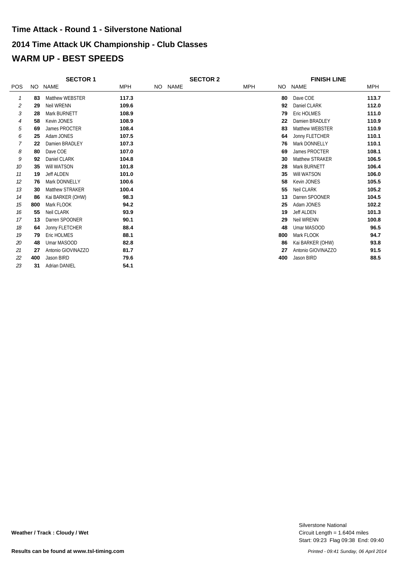## **2014 Time Attack UK Championship - Club Classes WARM UP - BEST SPEEDS Time Attack - Round 1 - Silverstone National**

|                |     | <b>SECTOR 1</b>      |            | <b>SECTOR 2</b> |             |  |            | <b>FINISH LINE</b> |                    |            |
|----------------|-----|----------------------|------------|-----------------|-------------|--|------------|--------------------|--------------------|------------|
| <b>POS</b>     | NO. | <b>NAME</b>          | <b>MPH</b> | NO .            | <b>NAME</b> |  | <b>MPH</b> | NO.                | <b>NAME</b>        | <b>MPH</b> |
| 1              | 83  | Matthew WEBSTER      | 117.3      |                 |             |  |            | 80                 | Dave COE           | 113.7      |
| $\overline{2}$ | 29  | <b>Neil WRENN</b>    | 109.6      |                 |             |  |            | 92                 | Daniel CLARK       | 112.0      |
| 3              | 28  | Mark BURNETT         | 108.9      |                 |             |  |            | 79                 | Eric HOLMES        | 111.0      |
| 4              | 58  | Kevin JONES          | 108.9      |                 |             |  |            | 22                 | Damien BRADLEY     | 110.9      |
| 5              | 69  | James PROCTER        | 108.4      |                 |             |  |            | 83                 | Matthew WEBSTER    | 110.9      |
| 6              | 25  | Adam JONES           | 107.5      |                 |             |  |            | 64                 | Jonny FLETCHER     | 110.1      |
| 7              | 22  | Damien BRADLEY       | 107.3      |                 |             |  |            | 76                 | Mark DONNELLY      | 110.1      |
| 8              | 80  | Dave COE             | 107.0      |                 |             |  |            | 69                 | James PROCTER      | 108.1      |
| 9              | 92  | Daniel CLARK         | 104.8      |                 |             |  |            | 30                 | Matthew STRAKER    | 106.5      |
| 10             | 35  | Will WATSON          | 101.8      |                 |             |  |            | 28                 | Mark BURNETT       | 106.4      |
| 11             | 19  | <b>Jeff ALDEN</b>    | 101.0      |                 |             |  |            | 35                 | Will WATSON        | 106.0      |
| 12             | 76  | Mark DONNELLY        | 100.6      |                 |             |  |            | 58                 | Kevin JONES        | 105.5      |
| 13             | 30  | Matthew STRAKER      | 100.4      |                 |             |  |            | 55                 | Neil CLARK         | 105.2      |
| 14             | 86  | Kai BARKER (OHW)     | 98.3       |                 |             |  |            | 13                 | Darren SPOONER     | 104.5      |
| 15             | 800 | Mark FLOOK           | 94.2       |                 |             |  |            | 25                 | Adam JONES         | 102.2      |
| 16             | 55  | Neil CLARK           | 93.9       |                 |             |  |            | 19                 | <b>Jeff ALDEN</b>  | 101.3      |
| 17             | 13  | Darren SPOONER       | 90.1       |                 |             |  |            | 29                 | <b>Neil WRENN</b>  | 100.8      |
| 18             | 64  | Jonny FLETCHER       | 88.4       |                 |             |  |            | 48                 | Umar MASOOD        | 96.5       |
| 19             | 79  | Eric HOLMES          | 88.1       |                 |             |  |            | 800                | Mark FLOOK         | 94.7       |
| 20             | 48  | Umar MASOOD          | 82.8       |                 |             |  |            | 86                 | Kai BARKER (OHW)   | 93.8       |
| 21             | 27  | Antonio GIOVINAZZO   | 81.7       |                 |             |  |            | 27                 | Antonio GIOVINAZZO | 91.5       |
| 22             | 400 | Jason BIRD           | 79.6       |                 |             |  |            | 400                | Jason BIRD         | 88.5       |
| 23             | 31  | <b>Adrian DANIEL</b> | 54.1       |                 |             |  |            |                    |                    |            |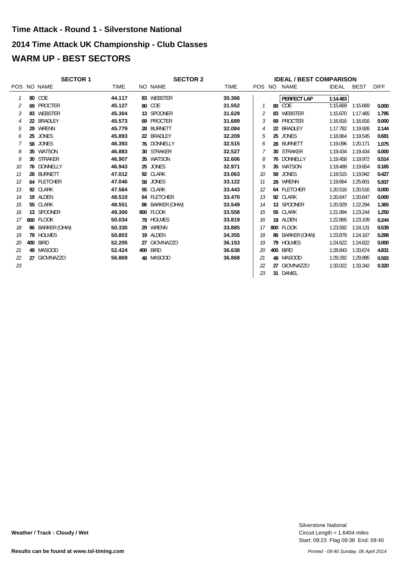#### **2014 Time Attack UK Championship - Club Classes**

## **WARM UP - BEST SECTORS**

|                |     | <b>SECTOR 1</b> |             | <b>SECTOR 2</b> |             |    |    | <b>IDEAL / BEST COMPARISON</b> |              |             |             |
|----------------|-----|-----------------|-------------|-----------------|-------------|----|----|--------------------------------|--------------|-------------|-------------|
|                |     | POS NO NAME     | <b>TIME</b> | NO NAME         | <b>TIME</b> |    |    | POS NO NAME                    | <b>IDEAL</b> | <b>BEST</b> | <b>DIFF</b> |
|                |     | <b>80 COE</b>   | 44.117      | 83 WEBSTER      | 30.366      |    |    | <b>PERFECT LAP</b>             | 1:14.483     |             |             |
| 2              |     | 69 PROCTER      | 45.127      | 80 COE          | 31.552      |    |    | 80 COE                         | 1:15.669     | 1:15.669    | 0.000       |
| 3              |     | 83 WEBSTER      | 45.304      | 13 SPOONER      | 31.629      |    |    | 83 WEBSTER                     | 1:15.670     | 1:17.465    | 1.795       |
| $\overline{4}$ |     | 22 BRADLEY      | 45.573      | 69 PROCTER      | 31.689      | 3  |    | 69 PROCTER                     | 1:16.816     | 1:16.816    | 0.000       |
| 5              | 29  | WRENN           | 45.779      | 28 BURNETT      | 32.084      | 4  |    | 22 BRADLEY                     | 1:17.782     | 1:19.926    | 2.144       |
| 6              | 25  | JONES           | 45.893      | 22 BRADLEY      | 32.209      | 5  |    | 25 JONES                       | 1:18.864     | 1:19.545    | 0.681       |
|                |     | 58 JONES        | 46.393      | 76 DONNELLY     | 32.515      | 6  |    | 28 BURNETT                     | 1:19.096     | 1:20.171    | 1.075       |
| 8              |     | 35 WATSON       | 46.883      | 30 STRAKER      | 32.527      |    |    | 30 STRAKER                     | 1:19.434     | 1:19.434    | 0.000       |
| 9              |     | 30 STRAKER      | 46.907      | 35 WATSON       | 32.606      | 8  |    | 76 DONNELLY                    | 1:19.458     | 1:19.972    | 0.514       |
| 10             |     | 76 DONNELLY     | 46.943      | 25 JONES        | 32.971      | 9  |    | 35 WATSON                      | 1:19.489     | 1:19.654    | 0.165       |
| 11             |     | 28 BURNETT      | 47.012      | 92 CLARK        | 33.063      | 10 | 58 | <b>JONES</b>                   | 1:19.515     | 1:19.942    | 0.427       |
| 12             |     | 64 FLETCHER     | 47.046      | 58 JONES        | 33.122      | 11 |    | 29 WRENN                       | 1:19.664     | 1:25.601    | 5.937       |
| 13             |     | 92 CLARK        | 47.584      | 55 CLARK        | 33.443      | 12 |    | 64 FLETCHER                    | 1:20.516     | 1:20.516    | 0.000       |
| 14             |     | 19 ALDEN        | 48.510      | 64 FLETCHER     | 33.470      | 13 |    | 92 CLARK                       | 1:20.647     | 1:20.647    | 0.000       |
| 15             |     | 55 CLARK        | 48.551      | 86 BARKER (OHW) | 33.549      | 14 |    | 13 SPOONER                     | 1:20.929     | 1:22.294    | 1.365       |
| 16             |     | 13 SPOONER      | 49.300      | 800 FLOOK       | 33.558      | 15 |    | 55 CLARK                       | 1:21.994     | 1:23.244    | 1.250       |
| 17             |     | 800 FLOOK       | 50.034      | 79 HOLMES       | 33.819      | 16 |    | 19 ALDEN                       | 1:22.865     | 1:23.109    | 0.244       |
| 18             |     | 86 BARKER (OHW) | 50.330      | 29 WRENN        | 33.885      | 17 |    | 800 FLOOK                      | 1:23.592     | 1:24.131    | 0.539       |
| 19             |     | 79 HOLMES       | 50.803      | 19 ALDEN        | 34.355      | 18 |    | 86 BARKER (OHW)                | 1:23.879     | 1:24.167    | 0.288       |
| 20             | 400 | <b>BIRD</b>     | 52.205      | 27 GIOVINAZZO   | 36.153      | 19 |    | 79 HOLMES                      | 1:24.622     | 1:24.622    | 0.000       |
| 21             |     | 48 MASOOD       | 52.424      | <b>400 BIRD</b> | 36.638      | 20 |    | 400 BIRD                       | 1:28.843     | 1:33.674    | 4.831       |
| 22             |     | 27 GIOVINAZZO   | 56.869      | 48 MASOOD       | 36.868      | 21 |    | 48 MASOOD                      | 1:29.292     | 1:29.885    | 0.593       |
| 23             |     |                 |             |                 |             | 22 |    | 27 GIOVINAZZO                  | 1:33.022     | 1:33.342    | 0.320       |
|                |     |                 |             |                 |             | 23 |    | 31 DANIEL                      |              |             |             |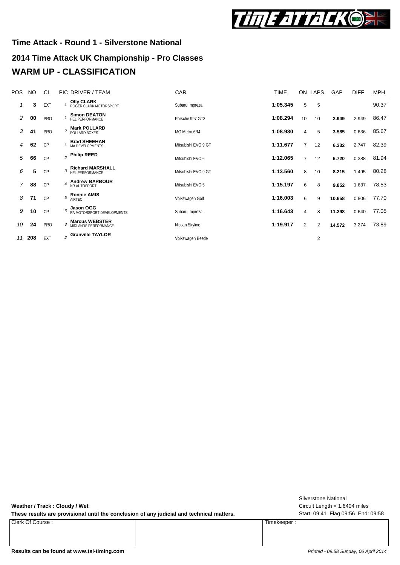

# **2014 Time Attack UK Championship - Pro Classes Time Attack - Round 1 - Silverstone National WARM UP - CLASSIFICATION**

| <b>POS</b> | NO. | <b>CL</b> |                | PIC DRIVER / TEAM                           | CAR                 | <b>TIME</b> |                | ON LAPS        | GAP    | <b>DIFF</b> | <b>MPH</b> |
|------------|-----|-----------|----------------|---------------------------------------------|---------------------|-------------|----------------|----------------|--------|-------------|------------|
| 1          | 3   | EXT       |                | <b>Olly CLARK</b><br>ROGER CLARK MOTORSPORT | Subaru Impreza      | 1:05.345    | 5              | 5              |        |             | 90.37      |
| 2          | 00  | PRO       |                | <b>Simon DEATON</b><br>HEL PERFORMANCE      | Porsche 997 GT3     | 1:08.294    | 10             | 10             | 2.949  | 2.949       | 86.47      |
| 3          | 41  | PRO       | $\overline{c}$ | <b>Mark POLLARD</b><br>POLLARD BOXES        | MG Metro 6R4        | 1:08.930    | 4              | 5              | 3.585  | 0.636       | 85.67      |
| 4          | 62  | <b>CP</b> |                | <b>Brad SHEEHAN</b><br>MA DEVELOPMENTS      | Mitsubishi EVO 9 GT | 1:11.677    | $\overline{7}$ | 12             | 6.332  | 2.747       | 82.39      |
| 5          | 66  | CP        |                | $_2$ Philip REED                            | Mitsubishi EVO 6    | 1:12.065    | $\overline{7}$ | 12             | 6.720  | 0.388       | 81.94      |
| 6          | 5   | CP        | 3              | <b>Richard MARSHALL</b><br>HEL PERFORMANCE  | Mitsubishi EVO 9 GT | 1:13.560    | 8              | 10             | 8.215  | 1.495       | 80.28      |
| 7          | 88  | CP        | 4              | <b>Andrew BARBOUR</b><br>NR AUTOSPORT       | Mitsubishi EVO 5    | 1:15.197    | 6              | 8              | 9.852  | 1.637       | 78.53      |
| 8          | 71  | CP        | 5              | <b>Ronnie AMIS</b><br>AIRTEC                | Volkswagen Golf     | 1:16.003    | 6              | 9              | 10.658 | 0.806       | 77.70      |
| 9          | 10  | CP        |                | 6 Jason OGG<br>6 RA MOTORSPORT DEVELOPMENTS | Subaru Impreza      | 1:16.643    | 4              | 8              | 11.298 | 0.640       | 77.05      |
| 10         | 24  | PRO       |                | 3 Marcus WEBSTER<br>MIDLANDS PERFORMANCE    | Nissan Skyline      | 1:19.917    | $\overline{2}$ | $\overline{2}$ | 14.572 | 3.274       | 73.89      |
| 11         | 208 | EXT       |                | $_2$ Granville TAYLOR                       | Volkswagen Beetle   |             |                | 2              |        |             |            |

**Weather / Track : Cloudy / Wet**

These results are provisional until the conclusion of any judicial and technical matters. Start: 09:41 Flag 09:56 End: 09:58

Clerk Of Course : Timekeeper :

Circuit Length = 1.6404 miles Silverstone National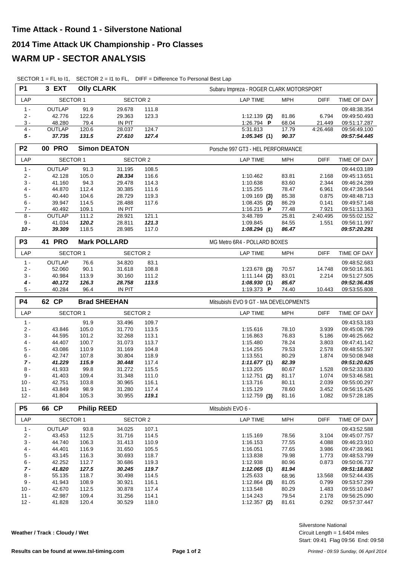| <b>P1</b>        | 3 EXT            | <b>Olly CLARK</b>  |                     |                | Subaru Impreza - ROGER CLARK MOTORSPORT      |                |                              |
|------------------|------------------|--------------------|---------------------|----------------|----------------------------------------------|----------------|------------------------------|
| LAP              | <b>SECTOR 1</b>  |                    | <b>SECTOR 2</b>     |                | <b>LAP TIME</b><br><b>MPH</b>                | <b>DIFF</b>    | TIME OF DAY                  |
| $1 -$            | <b>OUTLAP</b>    | 91.9               | 29.678              | 111.8          |                                              |                | 09:48:38.354                 |
| $2 -$            | 42.776           | 122.6              | 29.363              | 123.3          | 81.86<br>$1:12.139$ (2)                      | 6.794          | 09:49:50.493                 |
| $3 -$            | 48.280           | 79.4               | <b>IN PIT</b>       |                | 68.04<br>1:26.794 P                          | 21.449         | 09:51:17.287                 |
| 4 -              | <b>OUTLAP</b>    | 120.6              | 28.037              | 124.7          | 5:31.813<br>17.79                            | 4:26.468       | 09:56:49.100                 |
| $5 -$            | 37.735           | 131.5              | 27.610              | 127.4          | 1:05.345(1)<br>90.37                         |                | 09:57:54.445                 |
| P <sub>2</sub>   | <b>00 PRO</b>    |                    | <b>Simon DEATON</b> |                | Porsche 997 GT3 - HEL PERFORMANCE            |                |                              |
| LAP              | <b>SECTOR 1</b>  |                    | SECTOR 2            |                | <b>LAP TIME</b><br>MPH                       | <b>DIFF</b>    | TIME OF DAY                  |
| $1 -$            | OUTLAP           | 91.3               | 31.195              | 108.5          |                                              |                | 09:44:03.189                 |
| $2 -$            | 42.128           | 105.0              | 28.334              | 116.6          | 1:10.462<br>83.81                            | 2.168          | 09:45:13.651                 |
| $3 -$            | 41.160           | 94.3               | 29.478              | 114.3          | 83.60<br>1:10.638                            | 2.344          | 09:46:24.289                 |
| 4 -              | 44.870           | 112.4              | 30.385              | 111.6          | 1:15.255<br>78.47                            | 6.961          | 09:47:39.544                 |
| 5 -              | 40.440           | 104.6              | 28.729              | 119.3          | $1:09.169$ (3)<br>85.38                      | 0.875          | 09:48:48.713                 |
| $6 -$            | 39.947           | 114.5              | 28.488              | 117.6          | 86.29<br>$1:08.435$ (2)                      | 0.141          | 09:49:57.148                 |
| 7 -              | 40.492           | 109.1              | <b>IN PIT</b>       |                | 1:16.215 $P$<br>77.48                        | 7.921          | 09:51:13.363                 |
| $8 -$            | <b>OUTLAP</b>    | 111.2              | 28.921              | 121.1          | 25.81<br>3:48.789                            | 2:40.495       | 09:55:02.152                 |
| $9 -$            | 41.034           | 120.2              | 28.811              | 121.3          | 84.55<br>1:09.845                            | 1.551          | 09:56:11.997                 |
| $10 -$           | 39.309           | 118.5              | 28.985              | 117.0          | 1:08.294(1)<br>86.47                         |                | 09:57:20.291                 |
| P <sub>3</sub>   | 41 PRO           |                    | <b>Mark POLLARD</b> |                | MG Metro 6R4 - POLLARD BOXES                 |                |                              |
| LAP              | <b>SECTOR 1</b>  |                    | <b>SECTOR 2</b>     |                | <b>LAP TIME</b><br><b>MPH</b>                | <b>DIFF</b>    | TIME OF DAY                  |
| $1 -$            | <b>OUTLAP</b>    | 76.6               | 34.820              | 83.1           |                                              |                | 09:48:52.683                 |
| 2 -              | 52.060           | 90.1               | 31.618              | 108.8          | $1:23.678$ (3)<br>70.57                      | 14.748         | 09:50:16.361                 |
| $3 -$            | 40.984           | 113.9              | 30.160              | 111.2          | 83.01<br>$1:11.144$ (2)                      | 2.214          | 09:51:27.505                 |
| 4 -              | 40.172           | 126.3              | 28.758              | 113.5          | 85.67<br>1:08.930(1)                         |                | 09:52:36.435                 |
| 5 -              | 40.284           | 96.4               | <b>IN PIT</b>       |                | 1:19.373 P<br>74.40                          | 10.443         | 09:53:55.808                 |
|                  |                  |                    |                     |                |                                              |                |                              |
| <b>P4</b>        | 62 CP            |                    | <b>Brad SHEEHAN</b> |                | Mitsubishi EVO 9 GT - MA DEVELOPMENTS        |                |                              |
| LAP              | <b>SECTOR 1</b>  |                    | <b>SECTOR 2</b>     |                | <b>LAP TIME</b><br><b>MPH</b>                | <b>DIFF</b>    | TIME OF DAY                  |
| $1 -$            |                  | 91.9               | 33.496              | 109.7          |                                              |                | 09:43:53.183                 |
| $2 -$            | 43.846           | 105.0              | 31.770              | 113.5          | 1:15.616<br>78.10                            | 3.939          | 09:45:08.799                 |
| $3 -$            | 44.595           | 101.2              | 32.268              | 113.1          | 76.83<br>1:16.863                            | 5.186          | 09:46:25.662                 |
| 4 -              | 44.407           | 100.7              | 31.073              | 113.7          | 78.24<br>1:15.480                            | 3.803          | 09:47:41.142                 |
| 5 -              | 43.086           | 110.9              | 31.169              | 104.8          | 79.53<br>1:14.255                            | 2.578          | 09:48:55.397                 |
| 6 -              | 42.747           | 107.8              | 30.804              | 118.9          | 80.29<br>1:13.551                            | 1.874          | 09:50:08.948                 |
| $7 -$            | 41.229           | 115.9              | 30.448              | 117.4          | 82.39<br>1:11.677(1)                         |                | 09:51:20.625                 |
| 8 -              | 41.933           | 99.8               | 31.272              | 115.5          | 1:13.205<br>80.67                            | 1.528          | 09:52:33.830                 |
| 9 -              | 41.403           | 109.4              | 31.348              | 111.0          | 81.17<br>$1:12.751$ (2)                      | 1.074          | 09:53:46.581                 |
| $10 -$           | 42.751           | 103.8              | 30.965              | 116.1          | 1:13.716<br>80.11                            | 2.039          | 09:55:00.297                 |
| $11 -$           | 43.849           | 98.9               | 31.280              | 117.4          | 1:15.129<br>78.60                            | 3.452          | 09:56:15.426                 |
| $12 -$           | 41.804           | 105.3              | 30.955              | 119.1          | $1:12.759$ (3)<br>81.16                      | 1.082          | 09:57:28.185                 |
| <b>P5</b>        | 66 CP            | <b>Philip REED</b> |                     |                | Mitsubishi EVO 6 -                           |                |                              |
| LAP              | <b>SECTOR 1</b>  |                    | <b>SECTOR 2</b>     |                | <b>LAP TIME</b><br><b>MPH</b>                | <b>DIFF</b>    | TIME OF DAY                  |
| $1 -$            | OUTLAP           | 93.8               | 34.025              | 107.1          |                                              |                | 09:43:52.588                 |
| $2 -$            | 43.453           | 112.5              | 31.716              | 114.5          | 1:15.169<br>78.56                            | 3.104          | 09:45:07.757                 |
| 3 -              | 44.740           | 106.3              | 31.413              | 110.9          | 77.55<br>1:16.153                            | 4.088          | 09:46:23.910                 |
| $4 -$            | 44.401           | 116.9              | 31.650              | 105.5          | 1:16.051<br>77.65                            | 3.986          | 09:47:39.961                 |
| $5 -$            | 43.145           | 116.3              | 30.693              | 118.7          | 79.98<br>1:13.838                            | 1.773          | 09:48:53.799                 |
| $6 -$            | 42.252           | 112.7              | 30.686              | 119.3          | 1:12.938<br>80.96                            | 0.873          | 09:50:06.737                 |
| $7 -$            | 41.820           | 127.5              | 30.245              | 119.7          | 81.94<br>1:12.065(1)                         |                | <i><b>09:51:18.802</b></i>   |
| 8 -              | 55.135           | 118.7              | 30.498              | 114.5          | 1:25.633<br>68.96                            | 13.568         | 09:52:44.435                 |
| 9 -              | 41.943           | 108.9              | 30.921              | 116.1          | 81.05<br>$1:12.864$ (3)                      | 0.799          | 09:53:57.299                 |
| $10 -$           | 42.670           | 112.5              | 30.878              | 117.4          | 80.29<br>1:13.548                            | 1.483          | 09:55:10.847                 |
| $11 -$<br>$12 -$ | 42.987<br>41.828 | 109.4<br>120.4     | 31.256<br>30.529    | 114.1<br>118.0 | 1:14.243<br>79.54<br>$1:12.357$ (2)<br>81.61 | 2.178<br>0.292 | 09:56:25.090<br>09:57:37.447 |

SECTOR 1 = FL to I1, SECTOR 2 = I1 to FL, DIFF = Difference To Personal Best Lap

**Weather / Track : Cloudy / Wet**

Start: 09:41 Flag 09:56 End: 09:58 Circuit Length = 1.6404 miles Silverstone National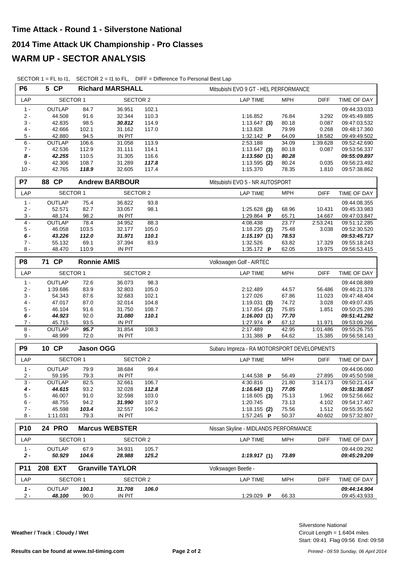|  |  |  | SECTOR 1 = FL to I1, SECTOR $2 = 11$ to FL, DIFF = Difference To Personal Best Lap |
|--|--|--|------------------------------------------------------------------------------------|
|--|--|--|------------------------------------------------------------------------------------|

| <b>P6</b>      | 5 CP            |                    | <b>Richard MARSHALL</b> |       | Mitsubishi EVO 9 GT - HEL PERFORMANCE |                                             |             |              |  |
|----------------|-----------------|--------------------|-------------------------|-------|---------------------------------------|---------------------------------------------|-------------|--------------|--|
| LAP            | <b>SECTOR 1</b> |                    | <b>SECTOR 2</b>         |       | <b>LAP TIME</b>                       | <b>MPH</b>                                  | <b>DIFF</b> | TIME OF DAY  |  |
| $1 -$          | <b>OUTLAP</b>   | 84.7               | 36.951                  | 102.1 |                                       |                                             |             | 09:44:33.033 |  |
| $2 -$          | 44.508          | 91.6               | 32.344                  | 110.3 | 1:16.852                              | 76.84                                       | 3.292       | 09:45:49.885 |  |
| $3 -$          | 42.835          | 98.5               | 30.812                  | 114.9 | $1:13.647$ (3)                        | 80.18                                       | 0.087       | 09:47:03.532 |  |
| $4 -$          | 42.666          | 102.1              | 31.162                  | 117.0 | 1:13.828                              | 79.99                                       | 0.268       | 09:48:17.360 |  |
| 5 -            | 42.880          | 94.5               | IN PIT                  |       | 1:32.142 $\blacksquare$               | 64.09                                       | 18.582      | 09:49:49.502 |  |
| 6 -            | OUTLAP          | 106.6              | 31.058                  | 113.9 | 2:53.188                              | 34.09                                       | 1:39.628    | 09:52:42.690 |  |
| $7 -$          | 42.536          | 112.9              | 31.111                  | 114.1 | $1:13.647$ (3)                        | 80.18                                       | 0.087       | 09:53:56.337 |  |
| $8 -$          | 42.255          | 110.5              | 31.305                  | 116.6 | 1:13.560(1)                           | 80.28                                       |             | 09:55:09.897 |  |
| $9 -$          | 42.306          | 108.7              | 31.289                  | 117.8 | $1:13.595$ (2)                        | 80.24                                       | 0.035       | 09:56:23.492 |  |
| $10 -$         | 42.765          | 118.9              | 32.605                  | 117.4 | 1:15.370                              | 78.35                                       | 1.810       | 09:57:38.862 |  |
| P7             | 88 CP           |                    | <b>Andrew BARBOUR</b>   |       | Mitsubishi EVO 5 - NR AUTOSPORT       |                                             |             |              |  |
| LAP            | <b>SECTOR 1</b> |                    | SECTOR 2                |       | LAP TIME                              | <b>MPH</b>                                  | <b>DIFF</b> | TIME OF DAY  |  |
| $1 -$          | OUTLAP          | 75.4               | 36.822                  | 93.8  |                                       |                                             |             | 09:44:08.355 |  |
| $2 -$          | 52.571          | 82.7               | 33.057                  | 98.1  | $1:25.628$ (3)                        | 68.96                                       | 10.431      | 09:45:33.983 |  |
| 3 -            | 48.174          | 98.2               | IN PIT                  |       | 1:29.864 P                            | 65.71                                       | 14.667      | 09:47:03.847 |  |
| $4 -$          | OUTLAP          | 78.4               | 34.952                  | 88.3  | 4:08.438                              | 23.77                                       | 2:53.241    | 09:51:12.285 |  |
| $5 -$          | 46.058          | 103.5              | 32.177                  | 105.0 | $1:18.235$ (2)                        | 75.48                                       | 3.038       | 09:52:30.520 |  |
| $6 -$          | 43.226          | 112.0              | 31.971                  | 110.1 | 1:15.197(1)                           | 78.53                                       |             | 09:53:45.717 |  |
| $7 -$          | 55.132          | 69.1               | 37.394                  | 83.9  | 1:32.526                              | 63.82                                       | 17.329      | 09:55:18.243 |  |
| $8 -$          | 48.470          | 110.9              | <b>IN PIT</b>           |       | 1:35.172 P                            | 62.05                                       | 19.975      | 09:56:53.415 |  |
| P <sub>8</sub> | 71 CP           | <b>Ronnie AMIS</b> |                         |       | Volkswagen Golf - AIRTEC              |                                             |             |              |  |
| LAP            | <b>SECTOR 1</b> |                    | <b>SECTOR 2</b>         |       | <b>LAP TIME</b>                       | <b>MPH</b>                                  | <b>DIFF</b> | TIME OF DAY  |  |
| $1 -$          | OUTLAP          | 72.6               | 36.073                  | 98.3  |                                       |                                             |             | 09:44:08.889 |  |
| $2 -$          | 1:39.686        | 83.9               | 32.803                  | 105.0 | 2:12.489                              | 44.57                                       | 56.486      | 09:46:21.378 |  |
| $3 -$          | 54.343          | 87.6               | 32.683                  | 102.1 | 1:27.026                              | 67.86                                       | 11.023      | 09:47:48.404 |  |
| $4 -$          | 47.017          | 87.0               | 32.014                  | 104.8 | $1:19.031$ (3)                        | 74.72                                       | 3.028       | 09:49:07.435 |  |
| $5 -$          | 46.104          | 91.6               | 31.750                  | 108.7 | $1:17.854$ (2)                        | 75.85                                       | 1.851       | 09:50:25.289 |  |
| $6 -$          | 44.923          | 92.0               | 31.080                  | 110.1 | 1:16.003(1)                           | 77.70                                       |             | 09:51:41.292 |  |
| $7 -$          | 45.715          | 93.5               | <b>IN PIT</b>           |       | 1:27.974 P                            | 67.12                                       | 11.971      | 09:53:09.266 |  |
| $8 -$          | <b>OUTLAP</b>   | 95.7               | 31.854                  | 108.3 | 2:17.489                              | 42.95                                       | 1:01.486    | 09:55:26.755 |  |
| $9 -$          | 48.999          | 72.0               | IN PIT                  |       | 1:31.388 P                            | 64.62                                       | 15.385      | 09:56:58.143 |  |
| P <sub>9</sub> | 10 CP           | <b>Jason OGG</b>   |                         |       |                                       | Subaru Impreza - RA MOTORSPORT DEVELOPMENTS |             |              |  |
| LAP            | <b>SECTOR 1</b> |                    | <b>SECTOR 2</b>         |       | <b>LAP TIME</b>                       | <b>MPH</b>                                  | <b>DIFF</b> | TIME OF DAY  |  |
| $1 -$          | <b>OUTLAP</b>   | 79.9               | 38.684                  | 99.4  |                                       |                                             |             | 09:44:06.060 |  |
| $2 -$          | 59.195          | 79.3               | <b>IN PIT</b>           |       | 1:44.538 P                            | 56.49                                       | 27.895      | 09:45:50.598 |  |
| $\overline{3}$ | <b>OUTLAP</b>   | 82.5               | 32.661                  | 106.7 | 4:30.816                              | 21.80                                       | 3:14.173    | 09:50:21.414 |  |
| 4 -            | 44.615          | 93.2               | 32.028                  | 112.8 | 1:16.643(1)                           | 77.05                                       |             | 09:51:38.057 |  |
| 5 -            | 46.007          | 91.0               | 32.598                  | 103.0 | $1:18.605$ (3)                        | 75.13                                       | 1.962       | 09:52:56.662 |  |
| 6 -            | 48.755          | 94.2               | 31.990                  | 107.9 | 1:20.745                              | 73.13                                       | 4.102       | 09:54:17.407 |  |
| $7 -$          | 45.598          | 103.4              | 32.557                  | 106.2 | $1:18.155$ (2)                        | 75.56                                       | 1.512       | 09:55:35.562 |  |
| 8 -            | 1:11.031        | 79.3               | IN PIT                  |       | 1:57.245 <b>P</b>                     | 50.37                                       | 40.602      | 09:57:32.807 |  |
| <b>P10</b>     | <b>24 PRO</b>   |                    | <b>Marcus WEBSTER</b>   |       | Nissan Skyline - MIDLANDS PERFORMANCE |                                             |             |              |  |
| LAP            | <b>SECTOR 1</b> |                    | <b>SECTOR 2</b>         |       | <b>LAP TIME</b>                       | <b>MPH</b>                                  | <b>DIFF</b> | TIME OF DAY  |  |
| $1 -$          | <b>OUTLAP</b>   | 67.9               | 34.931                  | 105.7 |                                       |                                             |             | 09:44:09.292 |  |
| $2 -$          | 50.929          | 104.6              | 28.988                  | 125.2 | 1:19.917(1)                           | 73.89                                       |             | 09:45:29.209 |  |
| P11            | 208 EXT         |                    | <b>Granville TAYLOR</b> |       | Volkswagen Beetle -                   |                                             |             |              |  |
| LAP            | <b>SECTOR 1</b> |                    | <b>SECTOR 2</b>         |       | <b>LAP TIME</b>                       | <b>MPH</b>                                  | <b>DIFF</b> | TIME OF DAY  |  |
| $1 -$          | <b>OUTLAP</b>   | 100.1              | 31.708                  | 106.0 |                                       |                                             |             | 09:44:14.904 |  |
| $2 -$          | 48.100          | 90.0               | IN PIT                  |       | 1:29.029 P                            | 66.33                                       |             | 09:45:43.933 |  |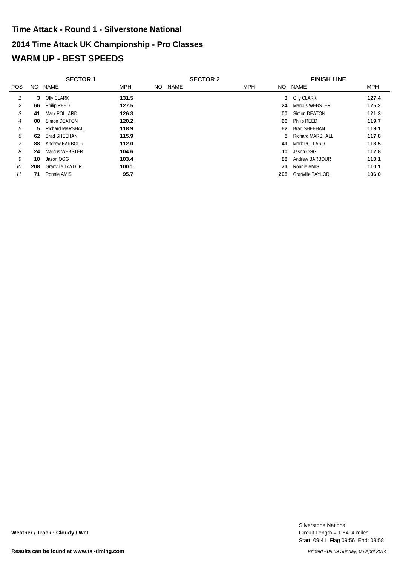# **2014 Time Attack UK Championship - Pro Classes WARM UP - BEST SPEEDS Time Attack - Round 1 - Silverstone National**

|                | <b>SECTOR 1</b> |                         |            |     |      | <b>SECTOR 2</b> |            |     | <b>FINISH LINE</b>      |            |  |
|----------------|-----------------|-------------------------|------------|-----|------|-----------------|------------|-----|-------------------------|------------|--|
| <b>POS</b>     | NO.             | NAME                    | <b>MPH</b> | NO. | NAME |                 | <b>MPH</b> |     | NO NAME                 | <b>MPH</b> |  |
|                | 3               | Olly CLARK              | 131.5      |     |      |                 |            |     | 3 Olly CLARK            | 127.4      |  |
| 2              | 66              | Philip REED             | 127.5      |     |      |                 |            | 24  | Marcus WEBSTER          | 125.2      |  |
| 3              | 41              | Mark POLLARD            | 126.3      |     |      |                 |            | 00  | Simon DEATON            | 121.3      |  |
| $\overline{4}$ | 00              | Simon DEATON            | 120.2      |     |      |                 |            | 66  | Philip REED             | 119.7      |  |
| 5              | 5.              | <b>Richard MARSHALL</b> | 118.9      |     |      |                 |            | 62  | <b>Brad SHEEHAN</b>     | 119.1      |  |
| 6              | 62              | Brad SHEEHAN            | 115.9      |     |      |                 |            | 5.  | <b>Richard MARSHALL</b> | 117.8      |  |
|                | 88              | Andrew BARBOUR          | 112.0      |     |      |                 |            | 41  | Mark POLLARD            | 113.5      |  |
| 8              | 24              | Marcus WEBSTER          | 104.6      |     |      |                 |            | 10  | Jason OGG               | 112.8      |  |
| 9              | 10              | Jason OGG               | 103.4      |     |      |                 |            | 88  | Andrew BARBOUR          | 110.1      |  |
| 10             | 208             | Granville TAYLOR        | 100.1      |     |      |                 |            | 71  | Ronnie AMIS             | 110.1      |  |
| 11             | 71              | Ronnie AMIS             | 95.7       |     |      |                 |            | 208 | <b>Granville TAYLOR</b> | 106.0      |  |

Start: 09:41 Flag 09:56 End: 09:58 Circuit Length = 1.6404 miles Silverstone National

**Weather / Track : Cloudy / Wet**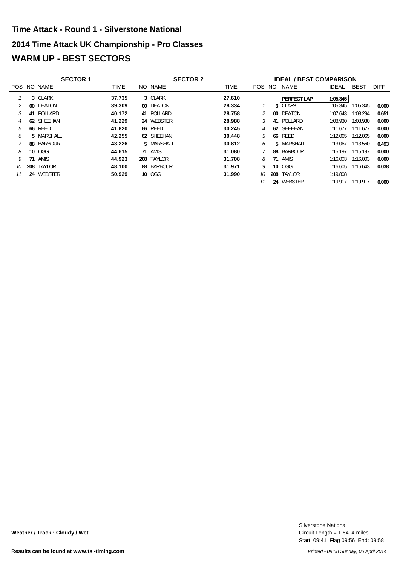# **2014 Time Attack UK Championship - Pro Classes WARM UP - BEST SECTORS Time Attack - Round 1 - Silverstone National**

|    |    | <b>SECTOR 1</b> |        | <b>SECTOR 2</b> |  |             |        | <b>IDEAL / BEST COMPARISON</b> |                |              |             |             |
|----|----|-----------------|--------|-----------------|--|-------------|--------|--------------------------------|----------------|--------------|-------------|-------------|
|    |    | POS NO NAME     | TIME   | NO NAME         |  | <b>TIME</b> | POS NO |                                | NAME           | <b>IDEAL</b> | <b>BEST</b> | <b>DIFF</b> |
|    |    | 3 CLARK         | 37.735 | 3 CLARK         |  | 27.610      |        |                                | PERFECT LAP    | 1:05.345     |             |             |
|    |    | 00 DEATON       | 39.309 | 00 DEATON       |  | 28.334      |        |                                | 3 CLARK        | 1:05.345     | 1:05.345    | 0.000       |
|    |    | 41 POLLARD      | 40.172 | 41 POLLARD      |  | 28.758      |        |                                | 00 DEATON      | 1:07.643     | 1:08.294    | 0.651       |
|    |    | 62 SHEEHAN      | 41.229 | 24 WEBSTER      |  | 28.988      |        |                                | 41 POLLARD     | 1:08.930     | 1:08.930    | 0.000       |
| 5  |    | <b>66 REED</b>  | 41.820 | <b>66 REED</b>  |  | 30.245      |        |                                | 62 SHEEHAN     | 1:11.677     | 1:11.677    | 0.000       |
| h  |    | 5 MARSHALL      | 42.255 | 62 SHEEHAN      |  | 30.448      |        |                                | <b>66 REED</b> | 1:12.065     | 1:12.065    | 0.000       |
|    |    | 88 BARBOUR      | 43.226 | 5 MARSHALL      |  | 30.812      | 6      |                                | 5 MARSHALL     | 1:13.067     | 1:13.560    | 0.493       |
| 8  |    | 10 OGG          | 44.615 | 71 AMIS         |  | 31.080      |        |                                | 88 BARBOUR     | 1:15.197     | 1:15.197    | 0.000       |
|    | 71 | AMIS            | 44.923 | 208 TAYLOR      |  | 31.708      | 8      |                                | 71 AMIS        | 1:16.003     | 1:16.003    | 0.000       |
| 10 |    | 208 TAYLOR      | 48.100 | 88 BARBOUR      |  | 31.971      |        |                                | 10 OGG         | 1:16.605     | 1:16.643    | 0.038       |
| 11 |    | 24 WEBSTER      | 50.929 | 10 OGG          |  | 31.990      | 10     | 208                            | TAYLOR         | 1:19.808     |             |             |
|    |    |                 |        |                 |  |             |        |                                | 24 WEBSTER     | 1:19.917     | 1:19.917    | 0.000       |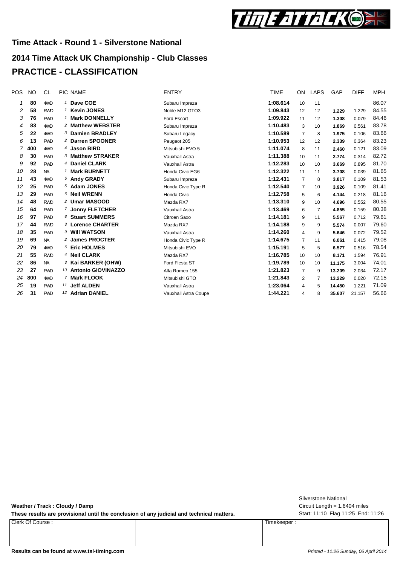

## **2014 Time Attack UK Championship - Club Classes PRACTICE - CLASSIFICATION**

| POS | <b>NO</b> | CL.        | PIC NAME                      | <b>ENTRY</b>         | <b>TIME</b> | ON             | <b>LAPS</b> | GAP    | <b>DIFF</b> | MPH   |
|-----|-----------|------------|-------------------------------|----------------------|-------------|----------------|-------------|--------|-------------|-------|
| 1   | 80        | 4WD        | <sup>1</sup> Dave COE         | Subaru Impreza       | 1:08.614    | 10             | 11          |        |             | 86.07 |
| 2   | 58        | <b>RWD</b> | <sup>1</sup> Kevin JONES      | Noble M12 GTO3       | 1:09.843    | 12             | 12          | 1.229  | 1.229       | 84.55 |
| 3   | 76        | <b>FWD</b> | 1 Mark DONNELLY               | Ford Escort          | 1:09.922    | 11             | 12          | 1.308  | 0.079       | 84.46 |
| 4   | 83        | 4WD        | 2 Matthew WEBSTER             | Subaru Impreza       | 1:10.483    | 3              | 10          | 1.869  | 0.561       | 83.78 |
| 5   | 22        | 4WD        | 3 Damien BRADLEY              | Subaru Legacy        | 1:10.589    | 7              | 8           | 1.975  | 0.106       | 83.66 |
| 6   | 13        | <b>FWD</b> | <sup>2</sup> Darren SPOONER   | Peugeot 205          | 1:10.953    | 12             | 12          | 2.339  | 0.364       | 83.23 |
| 7   | 400       | 4WD        | 4 Jason BIRD                  | Mitsubishi EVO 5     | 1:11.074    | 8              | 11          | 2.460  | 0.121       | 83.09 |
| 8   | 30        | <b>FWD</b> | 3 Matthew STRAKER             | Vauxhall Astra       | 1:11.388    | 10             | 11          | 2.774  | 0.314       | 82.72 |
| 9   | 92        | <b>FWD</b> | 4 Daniel CLARK                | Vauxhall Astra       | 1:12.283    | 10             | 10          | 3.669  | 0.895       | 81.70 |
| 10  | 28        | <b>NA</b>  | 1 Mark BURNETT                | Honda Civic EG6      | 1:12.322    | 11             | 11          | 3.708  | 0.039       | 81.65 |
| 11  | 43        | 4WD        | 5 Andy GRADY                  | Subaru Impreza       | 1:12.431    | $\overline{7}$ | 8           | 3.817  | 0.109       | 81.53 |
| 12  | 25        | <b>FWD</b> | 5 Adam JONES                  | Honda Civic Type R   | 1:12.540    | $\overline{7}$ | 10          | 3.926  | 0.109       | 81.41 |
| 13  | 29        | <b>FWD</b> | 6 Neil WRENN                  | Honda Civic          | 1:12.758    | 5              | 6           | 4.144  | 0.218       | 81.16 |
| 14  | 48        | <b>RWD</b> | 2 Umar MASOOD                 | Mazda RX7            | 1:13.310    | 9              | 10          | 4.696  | 0.552       | 80.55 |
| 15  | 64        | <b>FWD</b> | 7 Jonny FLETCHER              | Vauxhall Astra       | 1:13.469    | 6              | 7           | 4.855  | 0.159       | 80.38 |
| 16  | 97        | <b>FWD</b> | 8 Stuart SUMMERS              | Citroen Saxo         | 1:14.181    | 9              | 11          | 5.567  | 0.712       | 79.61 |
| 17  | 44        | <b>RWD</b> | 3 Lorence CHARTER             | Mazda RX7            | 1:14.188    | 9              | 9           | 5.574  | 0.007       | 79.60 |
| 18  | 35        | <b>FWD</b> | 9 Will WATSON                 | Vauxhall Astra       | 1:14.260    | 4              | 9           | 5.646  | 0.072       | 79.52 |
| 19  | 69        | <b>NA</b>  | 2 James PROCTER               | Honda Civic Type R   | 1:14.675    | $\overline{7}$ | 11          | 6.061  | 0.415       | 79.08 |
| 20  | 79        | 4WD        | 6 Eric HOLMES                 | Mitsubishi EVO       | 1:15.191    | 5              | 5           | 6.577  | 0.516       | 78.54 |
| 21  | 55        | <b>RWD</b> | <sup>4</sup> Neil CLARK       | Mazda RX7            | 1:16.785    | 10             | 10          | 8.171  | 1.594       | 76.91 |
| 22  | 86        | <b>NA</b>  | <sup>3</sup> Kai BARKER (OHW) | Ford Fiesta ST       | 1:19.789    | 10             | 10          | 11.175 | 3.004       | 74.01 |
| 23  | 27        | <b>FWD</b> | 10 Antonio GIOVINAZZO         | Alfa Romeo 155       | 1:21.823    | $\overline{7}$ | 9           | 13.209 | 2.034       | 72.17 |
| 24  | 800       | 4WD        | 7 Mark FLOOK                  | Mitsubishi GTO       | 1:21.843    | $\overline{2}$ | 7           | 13.229 | 0.020       | 72.15 |
| 25  | 19        | <b>FWD</b> | 11 Jeff ALDEN                 | Vauxhall Astra       | 1:23.064    | 4              | 5           | 14.450 | 1.221       | 71.09 |
| 26  | 31        | <b>FWD</b> | 12 Adrian DANIEL              | Vauxhall Astra Coupe | 1:44.221    | 4              | 8           | 35.607 | 21.157      | 56.66 |

**Weather / Track : Cloudy / Damp**

These results are provisional until the conclusion of any judicial and technical matters. Start: 11:10 Flag 11:25 End: 11:26

Clerk Of Course : Timekeeper :

Circuit Length = 1.6404 miles Silverstone National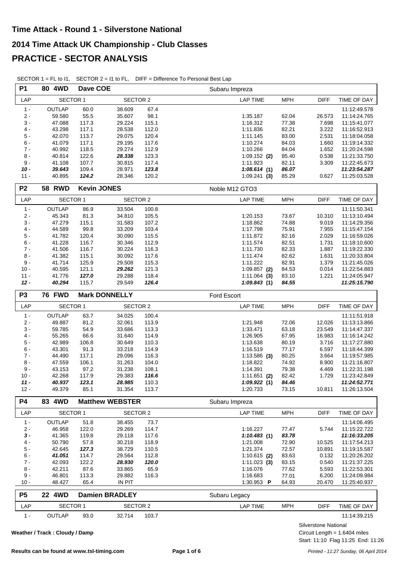| LAP<br><b>SECTOR 1</b><br><b>SECTOR 2</b><br><b>LAP TIME</b><br><b>MPH</b><br><b>DIFF</b><br>TIME OF DAY<br>$1 -$<br>OUTLAP<br>60.0<br>67.4<br>38.609<br>11:12:49.578<br>$2 -$<br>59.580<br>55.5<br>35.607<br>98.1<br>1:35.187<br>62.04<br>26.573<br>11:14:24.765<br>$3 -$<br>117.3<br>115.1<br>77.38<br>47.088<br>29.224<br>1:16.312<br>7.698<br>11:15:41.077<br>$4 -$<br>43.298<br>112.0<br>117.1<br>28.538<br>1:11.836<br>82.21<br>3.222<br>11:16:52.913<br>$5 -$<br>113.7<br>83.00<br>2.531<br>42.070<br>29.075<br>120.4<br>1:11.145<br>11:18:04.058<br>$6 -$<br>41.079<br>117.1<br>117.6<br>84.03<br>29.195<br>1:10.274<br>1.660<br>11:19:14.332<br>$7 -$<br>40.992<br>118.5<br>29.274<br>112.9<br>84.04<br>1.652<br>1:10.266<br>11:20:24.598<br>$8 -$<br>40.814<br>122.6<br>28.338<br>123.3<br>85.40<br>0.538<br>$1:09.152$ (2)<br>11:21:33.750<br>$9 -$<br>107.7<br>117.4<br>82.11<br>3.309<br>41.108<br>30.815<br>1:11.923<br>11:22:45.673<br>$10 -$<br>109.4<br>123.8<br>86.07<br>39.643<br>28.971<br>1:08.614(1)<br>11:23:54.287<br>$11 -$<br>40.895<br>124.2<br>120.2<br>85.29<br>11:25:03.528<br>28.346<br>1:09.241(3)<br>0.627<br><b>Kevin JONES</b><br>P <sub>2</sub><br><b>58 RWD</b><br>Noble M12 GTO3<br>LAP<br><b>SECTOR 1</b><br><b>SECTOR 2</b><br><b>LAP TIME</b><br><b>MPH</b><br><b>DIFF</b><br>TIME OF DAY<br>$1 -$<br><b>OUTLAP</b><br>33.504<br>86.9<br>100.8<br>11:11:50.341<br>$2 -$<br>81.3<br>105.5<br>45.343<br>34.810<br>1:20.153<br>73.67<br>10.310<br>11:13:10.494<br>$3 -$<br>115.1<br>107.2<br>9.019<br>47.279<br>31.583<br>1:18.862<br>74.88<br>11:14:29.356<br>$4 -$<br>44.589<br>99.8<br>33.209<br>103.4<br>75.91<br>1:17.798<br>7.955<br>11:15:47.154<br>$5 -$<br>41.782<br>120.4<br>30.090<br>115.5<br>1:11.872<br>82.16<br>2.029<br>11:16:59.026<br>$6 -$<br>112.9<br>41.228<br>116.7<br>30.346<br>82.51<br>1.731<br>1:11.574<br>11:18:10.600<br>$7 -$<br>116.3<br>82.33<br>41.506<br>116.7<br>30.224<br>1:11.730<br>1.887<br>11:19:22.330<br>$8 -$<br>117.6<br>82.62<br>41.382<br>115.1<br>30.092<br>1:11.474<br>1.631<br>11:20:33.804<br>$9 -$<br>82.91<br>41.714<br>125.9<br>29.508<br>115.3<br>1:11.222<br>1.379<br>11:21:45.026<br>121.1<br>121.3<br>$10 -$<br>40.595<br>29.262<br>$1:09.857$ (2)<br>84.53<br>0.014<br>11:22:54.883<br>$11 -$<br>41.776<br>127.0<br>29.288<br>118.4<br>83.10<br>1.221<br>$1:11.064$ (3)<br>11:24:05.947<br>$12 -$<br>40.294<br>126.4<br>115.7<br>29.549<br>1:09.843(1)<br>84.55<br>11:25:15.790<br><b>76 FWD</b><br>P <sub>3</sub><br><b>Mark DONNELLY</b><br>Ford Escort<br><b>SECTOR 1</b><br><b>SECTOR 2</b><br><b>MPH</b><br>LAP<br><b>LAP TIME</b><br><b>DIFF</b><br>TIME OF DAY<br>$1 -$<br>OUTLAP<br>63.7<br>100.4<br>34.025<br>11:11:51.918<br>$2 -$<br>81.2<br>32.061<br>113.9<br>49.887<br>1:21.948<br>72.06<br>12.026<br>11:13:13.866<br>$3 -$<br>59.785<br>54.9<br>113.3<br>1:33.471<br>63.18<br>23.549<br>33.686<br>11:14:47.337<br>$4 -$<br>66.6<br>31.640<br>114.9<br>1:26.905<br>67.95<br>16.983<br>55.265<br>11:16:14.242<br>$5-$<br>106.8<br>3.716<br>42.989<br>30.649<br>110.3<br>1:13.638<br>80.19<br>11:17:27.880<br>$6 -$<br>43.301<br>91.3<br>33.218<br>114.9<br>77.17<br>6.597<br>1:16.519<br>11:18:44.399<br>$7 -$<br>44.490<br>117.1<br>29.096<br>116.3<br>$1:13.586$ (3)<br>80.25<br>3.664<br>11:19:57.985<br>$8 -$<br>74.92<br>47.559<br>106.1<br>31.263<br>104.0<br>1:18.822<br>8.900<br>11:21:16.807<br>$9 -$<br>43.153<br>97.2<br>31.238<br>108.1<br>1:14.391<br>79.38<br>4.469<br>11:22:31.198<br>42.268<br>117.9<br>29.383<br>116.6<br>82.42<br>$10 -$<br>$1:11.651$ (2)<br>1.729<br>11:23:42.849<br>40.937<br>123.1<br>28.985<br>110.3<br>1:09.922(1)<br>84.46<br>$11 -$<br>11:24:52.771<br>$12 -$<br>49.379<br>85.1<br>31.354<br>1:20.733<br>11:26:13.504<br>113.7<br>73.15<br>10.811<br><b>P4</b><br>83 4WD<br><b>Matthew WEBSTER</b><br>Subaru Impreza<br><b>SECTOR 1</b><br><b>LAP TIME</b><br><b>MPH</b><br><b>DIFF</b><br>LAP<br><b>SECTOR 2</b><br>TIME OF DAY<br>$1 -$<br>OUTLAP<br>51.8<br>73.7<br>11:14:06.495<br>38.455<br>$2 -$<br>46.958<br>122.0<br>29.269<br>114.7<br>1:16.227<br>77.47<br>5.744<br>11:15:22.722<br>$3 -$<br>29.118<br>117.6<br>83.78<br>41.365<br>119.8<br>1:10.483(1)<br>11:16:33.205<br>4 -<br>50.790<br>57.8<br>30.218<br>118.9<br>1:21.008<br>72.90<br>10.525<br>11:17:54.213<br>5 -<br>42.645<br>38.729<br>110.5<br>1:21.374<br>72.57<br>127.3<br>10.891<br>11:19:15.587<br>$6 -$<br>41.051<br>114.7<br>29.564<br>112.8<br>$1:10.615$ (2)<br>83.63<br>0.132<br>11:20:26.202<br>7 -<br>42.093<br>122.2<br>28.930<br>120.0<br>83.15<br>0.540<br>11:21:37.225<br>1:11.023(3)<br>42.211<br>87.6<br>33.865<br>65.9<br>1:16.076<br>77.62<br>5.593<br>8 -<br>11:22:53.301<br>9 -<br>46.801<br>113.3<br>29.882<br>116.3<br>1:16.683<br>6.200<br>77.01<br>11:24:09.984<br>65.4<br>IN PIT<br>$10 -$<br>48.427<br>1:30.953 <b>P</b><br>64.93<br>20.470<br>11:25:40.937<br>P <sub>5</sub><br>22 4WD<br><b>Damien BRADLEY</b><br>Subaru Legacy<br><b>SECTOR 1</b><br><b>SECTOR 2</b><br>LAP<br><b>LAP TIME</b><br><b>MPH</b><br><b>DIFF</b><br>TIME OF DAY<br>$1 -$<br>OUTLAP<br>93.0<br>32.714<br>103.7<br>11:14:39.215 | <b>P1</b> | 80 4WD | Dave COE |  | Subaru Impreza |  |
|-------------------------------------------------------------------------------------------------------------------------------------------------------------------------------------------------------------------------------------------------------------------------------------------------------------------------------------------------------------------------------------------------------------------------------------------------------------------------------------------------------------------------------------------------------------------------------------------------------------------------------------------------------------------------------------------------------------------------------------------------------------------------------------------------------------------------------------------------------------------------------------------------------------------------------------------------------------------------------------------------------------------------------------------------------------------------------------------------------------------------------------------------------------------------------------------------------------------------------------------------------------------------------------------------------------------------------------------------------------------------------------------------------------------------------------------------------------------------------------------------------------------------------------------------------------------------------------------------------------------------------------------------------------------------------------------------------------------------------------------------------------------------------------------------------------------------------------------------------------------------------------------------------------------------------------------------------------------------------------------------------------------------------------------------------------------------------------------------------------------------------------------------------------------------------------------------------------------------------------------------------------------------------------------------------------------------------------------------------------------------------------------------------------------------------------------------------------------------------------------------------------------------------------------------------------------------------------------------------------------------------------------------------------------------------------------------------------------------------------------------------------------------------------------------------------------------------------------------------------------------------------------------------------------------------------------------------------------------------------------------------------------------------------------------------------------------------------------------------------------------------------------------------------------------------------------------------------------------------------------------------------------------------------------------------------------------------------------------------------------------------------------------------------------------------------------------------------------------------------------------------------------------------------------------------------------------------------------------------------------------------------------------------------------------------------------------------------------------------------------------------------------------------------------------------------------------------------------------------------------------------------------------------------------------------------------------------------------------------------------------------------------------------------------------------------------------------------------------------------------------------------------------------------------------------------------------------------------------------------------------------------------------------------------------------------------------------------------------------------------------------------------------------------------------------------------------------------------------------------------------------------------------------------------------------------------------------------------------------------------------------------------------------------------------------------------------------------------------------------------------------------------------------------------------------------------------------------------------------------------------------------------------------------------------------------------------------------------------------------------------------------------------------------------------------------------------------------------------------------------------------------------------------------------|-----------|--------|----------|--|----------------|--|
|                                                                                                                                                                                                                                                                                                                                                                                                                                                                                                                                                                                                                                                                                                                                                                                                                                                                                                                                                                                                                                                                                                                                                                                                                                                                                                                                                                                                                                                                                                                                                                                                                                                                                                                                                                                                                                                                                                                                                                                                                                                                                                                                                                                                                                                                                                                                                                                                                                                                                                                                                                                                                                                                                                                                                                                                                                                                                                                                                                                                                                                                                                                                                                                                                                                                                                                                                                                                                                                                                                                                                                                                                                                                                                                                                                                                                                                                                                                                                                                                                                                                                                                                                                                                                                                                                                                                                                                                                                                                                                                                                                                                                                                                                                                                                                                                                                                                                                                                                                                                                                                                                                                                                                   |           |        |          |  |                |  |
|                                                                                                                                                                                                                                                                                                                                                                                                                                                                                                                                                                                                                                                                                                                                                                                                                                                                                                                                                                                                                                                                                                                                                                                                                                                                                                                                                                                                                                                                                                                                                                                                                                                                                                                                                                                                                                                                                                                                                                                                                                                                                                                                                                                                                                                                                                                                                                                                                                                                                                                                                                                                                                                                                                                                                                                                                                                                                                                                                                                                                                                                                                                                                                                                                                                                                                                                                                                                                                                                                                                                                                                                                                                                                                                                                                                                                                                                                                                                                                                                                                                                                                                                                                                                                                                                                                                                                                                                                                                                                                                                                                                                                                                                                                                                                                                                                                                                                                                                                                                                                                                                                                                                                                   |           |        |          |  |                |  |
|                                                                                                                                                                                                                                                                                                                                                                                                                                                                                                                                                                                                                                                                                                                                                                                                                                                                                                                                                                                                                                                                                                                                                                                                                                                                                                                                                                                                                                                                                                                                                                                                                                                                                                                                                                                                                                                                                                                                                                                                                                                                                                                                                                                                                                                                                                                                                                                                                                                                                                                                                                                                                                                                                                                                                                                                                                                                                                                                                                                                                                                                                                                                                                                                                                                                                                                                                                                                                                                                                                                                                                                                                                                                                                                                                                                                                                                                                                                                                                                                                                                                                                                                                                                                                                                                                                                                                                                                                                                                                                                                                                                                                                                                                                                                                                                                                                                                                                                                                                                                                                                                                                                                                                   |           |        |          |  |                |  |
|                                                                                                                                                                                                                                                                                                                                                                                                                                                                                                                                                                                                                                                                                                                                                                                                                                                                                                                                                                                                                                                                                                                                                                                                                                                                                                                                                                                                                                                                                                                                                                                                                                                                                                                                                                                                                                                                                                                                                                                                                                                                                                                                                                                                                                                                                                                                                                                                                                                                                                                                                                                                                                                                                                                                                                                                                                                                                                                                                                                                                                                                                                                                                                                                                                                                                                                                                                                                                                                                                                                                                                                                                                                                                                                                                                                                                                                                                                                                                                                                                                                                                                                                                                                                                                                                                                                                                                                                                                                                                                                                                                                                                                                                                                                                                                                                                                                                                                                                                                                                                                                                                                                                                                   |           |        |          |  |                |  |
|                                                                                                                                                                                                                                                                                                                                                                                                                                                                                                                                                                                                                                                                                                                                                                                                                                                                                                                                                                                                                                                                                                                                                                                                                                                                                                                                                                                                                                                                                                                                                                                                                                                                                                                                                                                                                                                                                                                                                                                                                                                                                                                                                                                                                                                                                                                                                                                                                                                                                                                                                                                                                                                                                                                                                                                                                                                                                                                                                                                                                                                                                                                                                                                                                                                                                                                                                                                                                                                                                                                                                                                                                                                                                                                                                                                                                                                                                                                                                                                                                                                                                                                                                                                                                                                                                                                                                                                                                                                                                                                                                                                                                                                                                                                                                                                                                                                                                                                                                                                                                                                                                                                                                                   |           |        |          |  |                |  |
|                                                                                                                                                                                                                                                                                                                                                                                                                                                                                                                                                                                                                                                                                                                                                                                                                                                                                                                                                                                                                                                                                                                                                                                                                                                                                                                                                                                                                                                                                                                                                                                                                                                                                                                                                                                                                                                                                                                                                                                                                                                                                                                                                                                                                                                                                                                                                                                                                                                                                                                                                                                                                                                                                                                                                                                                                                                                                                                                                                                                                                                                                                                                                                                                                                                                                                                                                                                                                                                                                                                                                                                                                                                                                                                                                                                                                                                                                                                                                                                                                                                                                                                                                                                                                                                                                                                                                                                                                                                                                                                                                                                                                                                                                                                                                                                                                                                                                                                                                                                                                                                                                                                                                                   |           |        |          |  |                |  |
|                                                                                                                                                                                                                                                                                                                                                                                                                                                                                                                                                                                                                                                                                                                                                                                                                                                                                                                                                                                                                                                                                                                                                                                                                                                                                                                                                                                                                                                                                                                                                                                                                                                                                                                                                                                                                                                                                                                                                                                                                                                                                                                                                                                                                                                                                                                                                                                                                                                                                                                                                                                                                                                                                                                                                                                                                                                                                                                                                                                                                                                                                                                                                                                                                                                                                                                                                                                                                                                                                                                                                                                                                                                                                                                                                                                                                                                                                                                                                                                                                                                                                                                                                                                                                                                                                                                                                                                                                                                                                                                                                                                                                                                                                                                                                                                                                                                                                                                                                                                                                                                                                                                                                                   |           |        |          |  |                |  |
|                                                                                                                                                                                                                                                                                                                                                                                                                                                                                                                                                                                                                                                                                                                                                                                                                                                                                                                                                                                                                                                                                                                                                                                                                                                                                                                                                                                                                                                                                                                                                                                                                                                                                                                                                                                                                                                                                                                                                                                                                                                                                                                                                                                                                                                                                                                                                                                                                                                                                                                                                                                                                                                                                                                                                                                                                                                                                                                                                                                                                                                                                                                                                                                                                                                                                                                                                                                                                                                                                                                                                                                                                                                                                                                                                                                                                                                                                                                                                                                                                                                                                                                                                                                                                                                                                                                                                                                                                                                                                                                                                                                                                                                                                                                                                                                                                                                                                                                                                                                                                                                                                                                                                                   |           |        |          |  |                |  |
|                                                                                                                                                                                                                                                                                                                                                                                                                                                                                                                                                                                                                                                                                                                                                                                                                                                                                                                                                                                                                                                                                                                                                                                                                                                                                                                                                                                                                                                                                                                                                                                                                                                                                                                                                                                                                                                                                                                                                                                                                                                                                                                                                                                                                                                                                                                                                                                                                                                                                                                                                                                                                                                                                                                                                                                                                                                                                                                                                                                                                                                                                                                                                                                                                                                                                                                                                                                                                                                                                                                                                                                                                                                                                                                                                                                                                                                                                                                                                                                                                                                                                                                                                                                                                                                                                                                                                                                                                                                                                                                                                                                                                                                                                                                                                                                                                                                                                                                                                                                                                                                                                                                                                                   |           |        |          |  |                |  |
|                                                                                                                                                                                                                                                                                                                                                                                                                                                                                                                                                                                                                                                                                                                                                                                                                                                                                                                                                                                                                                                                                                                                                                                                                                                                                                                                                                                                                                                                                                                                                                                                                                                                                                                                                                                                                                                                                                                                                                                                                                                                                                                                                                                                                                                                                                                                                                                                                                                                                                                                                                                                                                                                                                                                                                                                                                                                                                                                                                                                                                                                                                                                                                                                                                                                                                                                                                                                                                                                                                                                                                                                                                                                                                                                                                                                                                                                                                                                                                                                                                                                                                                                                                                                                                                                                                                                                                                                                                                                                                                                                                                                                                                                                                                                                                                                                                                                                                                                                                                                                                                                                                                                                                   |           |        |          |  |                |  |
|                                                                                                                                                                                                                                                                                                                                                                                                                                                                                                                                                                                                                                                                                                                                                                                                                                                                                                                                                                                                                                                                                                                                                                                                                                                                                                                                                                                                                                                                                                                                                                                                                                                                                                                                                                                                                                                                                                                                                                                                                                                                                                                                                                                                                                                                                                                                                                                                                                                                                                                                                                                                                                                                                                                                                                                                                                                                                                                                                                                                                                                                                                                                                                                                                                                                                                                                                                                                                                                                                                                                                                                                                                                                                                                                                                                                                                                                                                                                                                                                                                                                                                                                                                                                                                                                                                                                                                                                                                                                                                                                                                                                                                                                                                                                                                                                                                                                                                                                                                                                                                                                                                                                                                   |           |        |          |  |                |  |
|                                                                                                                                                                                                                                                                                                                                                                                                                                                                                                                                                                                                                                                                                                                                                                                                                                                                                                                                                                                                                                                                                                                                                                                                                                                                                                                                                                                                                                                                                                                                                                                                                                                                                                                                                                                                                                                                                                                                                                                                                                                                                                                                                                                                                                                                                                                                                                                                                                                                                                                                                                                                                                                                                                                                                                                                                                                                                                                                                                                                                                                                                                                                                                                                                                                                                                                                                                                                                                                                                                                                                                                                                                                                                                                                                                                                                                                                                                                                                                                                                                                                                                                                                                                                                                                                                                                                                                                                                                                                                                                                                                                                                                                                                                                                                                                                                                                                                                                                                                                                                                                                                                                                                                   |           |        |          |  |                |  |
|                                                                                                                                                                                                                                                                                                                                                                                                                                                                                                                                                                                                                                                                                                                                                                                                                                                                                                                                                                                                                                                                                                                                                                                                                                                                                                                                                                                                                                                                                                                                                                                                                                                                                                                                                                                                                                                                                                                                                                                                                                                                                                                                                                                                                                                                                                                                                                                                                                                                                                                                                                                                                                                                                                                                                                                                                                                                                                                                                                                                                                                                                                                                                                                                                                                                                                                                                                                                                                                                                                                                                                                                                                                                                                                                                                                                                                                                                                                                                                                                                                                                                                                                                                                                                                                                                                                                                                                                                                                                                                                                                                                                                                                                                                                                                                                                                                                                                                                                                                                                                                                                                                                                                                   |           |        |          |  |                |  |
|                                                                                                                                                                                                                                                                                                                                                                                                                                                                                                                                                                                                                                                                                                                                                                                                                                                                                                                                                                                                                                                                                                                                                                                                                                                                                                                                                                                                                                                                                                                                                                                                                                                                                                                                                                                                                                                                                                                                                                                                                                                                                                                                                                                                                                                                                                                                                                                                                                                                                                                                                                                                                                                                                                                                                                                                                                                                                                                                                                                                                                                                                                                                                                                                                                                                                                                                                                                                                                                                                                                                                                                                                                                                                                                                                                                                                                                                                                                                                                                                                                                                                                                                                                                                                                                                                                                                                                                                                                                                                                                                                                                                                                                                                                                                                                                                                                                                                                                                                                                                                                                                                                                                                                   |           |        |          |  |                |  |
|                                                                                                                                                                                                                                                                                                                                                                                                                                                                                                                                                                                                                                                                                                                                                                                                                                                                                                                                                                                                                                                                                                                                                                                                                                                                                                                                                                                                                                                                                                                                                                                                                                                                                                                                                                                                                                                                                                                                                                                                                                                                                                                                                                                                                                                                                                                                                                                                                                                                                                                                                                                                                                                                                                                                                                                                                                                                                                                                                                                                                                                                                                                                                                                                                                                                                                                                                                                                                                                                                                                                                                                                                                                                                                                                                                                                                                                                                                                                                                                                                                                                                                                                                                                                                                                                                                                                                                                                                                                                                                                                                                                                                                                                                                                                                                                                                                                                                                                                                                                                                                                                                                                                                                   |           |        |          |  |                |  |
|                                                                                                                                                                                                                                                                                                                                                                                                                                                                                                                                                                                                                                                                                                                                                                                                                                                                                                                                                                                                                                                                                                                                                                                                                                                                                                                                                                                                                                                                                                                                                                                                                                                                                                                                                                                                                                                                                                                                                                                                                                                                                                                                                                                                                                                                                                                                                                                                                                                                                                                                                                                                                                                                                                                                                                                                                                                                                                                                                                                                                                                                                                                                                                                                                                                                                                                                                                                                                                                                                                                                                                                                                                                                                                                                                                                                                                                                                                                                                                                                                                                                                                                                                                                                                                                                                                                                                                                                                                                                                                                                                                                                                                                                                                                                                                                                                                                                                                                                                                                                                                                                                                                                                                   |           |        |          |  |                |  |
|                                                                                                                                                                                                                                                                                                                                                                                                                                                                                                                                                                                                                                                                                                                                                                                                                                                                                                                                                                                                                                                                                                                                                                                                                                                                                                                                                                                                                                                                                                                                                                                                                                                                                                                                                                                                                                                                                                                                                                                                                                                                                                                                                                                                                                                                                                                                                                                                                                                                                                                                                                                                                                                                                                                                                                                                                                                                                                                                                                                                                                                                                                                                                                                                                                                                                                                                                                                                                                                                                                                                                                                                                                                                                                                                                                                                                                                                                                                                                                                                                                                                                                                                                                                                                                                                                                                                                                                                                                                                                                                                                                                                                                                                                                                                                                                                                                                                                                                                                                                                                                                                                                                                                                   |           |        |          |  |                |  |
|                                                                                                                                                                                                                                                                                                                                                                                                                                                                                                                                                                                                                                                                                                                                                                                                                                                                                                                                                                                                                                                                                                                                                                                                                                                                                                                                                                                                                                                                                                                                                                                                                                                                                                                                                                                                                                                                                                                                                                                                                                                                                                                                                                                                                                                                                                                                                                                                                                                                                                                                                                                                                                                                                                                                                                                                                                                                                                                                                                                                                                                                                                                                                                                                                                                                                                                                                                                                                                                                                                                                                                                                                                                                                                                                                                                                                                                                                                                                                                                                                                                                                                                                                                                                                                                                                                                                                                                                                                                                                                                                                                                                                                                                                                                                                                                                                                                                                                                                                                                                                                                                                                                                                                   |           |        |          |  |                |  |
|                                                                                                                                                                                                                                                                                                                                                                                                                                                                                                                                                                                                                                                                                                                                                                                                                                                                                                                                                                                                                                                                                                                                                                                                                                                                                                                                                                                                                                                                                                                                                                                                                                                                                                                                                                                                                                                                                                                                                                                                                                                                                                                                                                                                                                                                                                                                                                                                                                                                                                                                                                                                                                                                                                                                                                                                                                                                                                                                                                                                                                                                                                                                                                                                                                                                                                                                                                                                                                                                                                                                                                                                                                                                                                                                                                                                                                                                                                                                                                                                                                                                                                                                                                                                                                                                                                                                                                                                                                                                                                                                                                                                                                                                                                                                                                                                                                                                                                                                                                                                                                                                                                                                                                   |           |        |          |  |                |  |
|                                                                                                                                                                                                                                                                                                                                                                                                                                                                                                                                                                                                                                                                                                                                                                                                                                                                                                                                                                                                                                                                                                                                                                                                                                                                                                                                                                                                                                                                                                                                                                                                                                                                                                                                                                                                                                                                                                                                                                                                                                                                                                                                                                                                                                                                                                                                                                                                                                                                                                                                                                                                                                                                                                                                                                                                                                                                                                                                                                                                                                                                                                                                                                                                                                                                                                                                                                                                                                                                                                                                                                                                                                                                                                                                                                                                                                                                                                                                                                                                                                                                                                                                                                                                                                                                                                                                                                                                                                                                                                                                                                                                                                                                                                                                                                                                                                                                                                                                                                                                                                                                                                                                                                   |           |        |          |  |                |  |
|                                                                                                                                                                                                                                                                                                                                                                                                                                                                                                                                                                                                                                                                                                                                                                                                                                                                                                                                                                                                                                                                                                                                                                                                                                                                                                                                                                                                                                                                                                                                                                                                                                                                                                                                                                                                                                                                                                                                                                                                                                                                                                                                                                                                                                                                                                                                                                                                                                                                                                                                                                                                                                                                                                                                                                                                                                                                                                                                                                                                                                                                                                                                                                                                                                                                                                                                                                                                                                                                                                                                                                                                                                                                                                                                                                                                                                                                                                                                                                                                                                                                                                                                                                                                                                                                                                                                                                                                                                                                                                                                                                                                                                                                                                                                                                                                                                                                                                                                                                                                                                                                                                                                                                   |           |        |          |  |                |  |
|                                                                                                                                                                                                                                                                                                                                                                                                                                                                                                                                                                                                                                                                                                                                                                                                                                                                                                                                                                                                                                                                                                                                                                                                                                                                                                                                                                                                                                                                                                                                                                                                                                                                                                                                                                                                                                                                                                                                                                                                                                                                                                                                                                                                                                                                                                                                                                                                                                                                                                                                                                                                                                                                                                                                                                                                                                                                                                                                                                                                                                                                                                                                                                                                                                                                                                                                                                                                                                                                                                                                                                                                                                                                                                                                                                                                                                                                                                                                                                                                                                                                                                                                                                                                                                                                                                                                                                                                                                                                                                                                                                                                                                                                                                                                                                                                                                                                                                                                                                                                                                                                                                                                                                   |           |        |          |  |                |  |
|                                                                                                                                                                                                                                                                                                                                                                                                                                                                                                                                                                                                                                                                                                                                                                                                                                                                                                                                                                                                                                                                                                                                                                                                                                                                                                                                                                                                                                                                                                                                                                                                                                                                                                                                                                                                                                                                                                                                                                                                                                                                                                                                                                                                                                                                                                                                                                                                                                                                                                                                                                                                                                                                                                                                                                                                                                                                                                                                                                                                                                                                                                                                                                                                                                                                                                                                                                                                                                                                                                                                                                                                                                                                                                                                                                                                                                                                                                                                                                                                                                                                                                                                                                                                                                                                                                                                                                                                                                                                                                                                                                                                                                                                                                                                                                                                                                                                                                                                                                                                                                                                                                                                                                   |           |        |          |  |                |  |
|                                                                                                                                                                                                                                                                                                                                                                                                                                                                                                                                                                                                                                                                                                                                                                                                                                                                                                                                                                                                                                                                                                                                                                                                                                                                                                                                                                                                                                                                                                                                                                                                                                                                                                                                                                                                                                                                                                                                                                                                                                                                                                                                                                                                                                                                                                                                                                                                                                                                                                                                                                                                                                                                                                                                                                                                                                                                                                                                                                                                                                                                                                                                                                                                                                                                                                                                                                                                                                                                                                                                                                                                                                                                                                                                                                                                                                                                                                                                                                                                                                                                                                                                                                                                                                                                                                                                                                                                                                                                                                                                                                                                                                                                                                                                                                                                                                                                                                                                                                                                                                                                                                                                                                   |           |        |          |  |                |  |
|                                                                                                                                                                                                                                                                                                                                                                                                                                                                                                                                                                                                                                                                                                                                                                                                                                                                                                                                                                                                                                                                                                                                                                                                                                                                                                                                                                                                                                                                                                                                                                                                                                                                                                                                                                                                                                                                                                                                                                                                                                                                                                                                                                                                                                                                                                                                                                                                                                                                                                                                                                                                                                                                                                                                                                                                                                                                                                                                                                                                                                                                                                                                                                                                                                                                                                                                                                                                                                                                                                                                                                                                                                                                                                                                                                                                                                                                                                                                                                                                                                                                                                                                                                                                                                                                                                                                                                                                                                                                                                                                                                                                                                                                                                                                                                                                                                                                                                                                                                                                                                                                                                                                                                   |           |        |          |  |                |  |
|                                                                                                                                                                                                                                                                                                                                                                                                                                                                                                                                                                                                                                                                                                                                                                                                                                                                                                                                                                                                                                                                                                                                                                                                                                                                                                                                                                                                                                                                                                                                                                                                                                                                                                                                                                                                                                                                                                                                                                                                                                                                                                                                                                                                                                                                                                                                                                                                                                                                                                                                                                                                                                                                                                                                                                                                                                                                                                                                                                                                                                                                                                                                                                                                                                                                                                                                                                                                                                                                                                                                                                                                                                                                                                                                                                                                                                                                                                                                                                                                                                                                                                                                                                                                                                                                                                                                                                                                                                                                                                                                                                                                                                                                                                                                                                                                                                                                                                                                                                                                                                                                                                                                                                   |           |        |          |  |                |  |
|                                                                                                                                                                                                                                                                                                                                                                                                                                                                                                                                                                                                                                                                                                                                                                                                                                                                                                                                                                                                                                                                                                                                                                                                                                                                                                                                                                                                                                                                                                                                                                                                                                                                                                                                                                                                                                                                                                                                                                                                                                                                                                                                                                                                                                                                                                                                                                                                                                                                                                                                                                                                                                                                                                                                                                                                                                                                                                                                                                                                                                                                                                                                                                                                                                                                                                                                                                                                                                                                                                                                                                                                                                                                                                                                                                                                                                                                                                                                                                                                                                                                                                                                                                                                                                                                                                                                                                                                                                                                                                                                                                                                                                                                                                                                                                                                                                                                                                                                                                                                                                                                                                                                                                   |           |        |          |  |                |  |
|                                                                                                                                                                                                                                                                                                                                                                                                                                                                                                                                                                                                                                                                                                                                                                                                                                                                                                                                                                                                                                                                                                                                                                                                                                                                                                                                                                                                                                                                                                                                                                                                                                                                                                                                                                                                                                                                                                                                                                                                                                                                                                                                                                                                                                                                                                                                                                                                                                                                                                                                                                                                                                                                                                                                                                                                                                                                                                                                                                                                                                                                                                                                                                                                                                                                                                                                                                                                                                                                                                                                                                                                                                                                                                                                                                                                                                                                                                                                                                                                                                                                                                                                                                                                                                                                                                                                                                                                                                                                                                                                                                                                                                                                                                                                                                                                                                                                                                                                                                                                                                                                                                                                                                   |           |        |          |  |                |  |
|                                                                                                                                                                                                                                                                                                                                                                                                                                                                                                                                                                                                                                                                                                                                                                                                                                                                                                                                                                                                                                                                                                                                                                                                                                                                                                                                                                                                                                                                                                                                                                                                                                                                                                                                                                                                                                                                                                                                                                                                                                                                                                                                                                                                                                                                                                                                                                                                                                                                                                                                                                                                                                                                                                                                                                                                                                                                                                                                                                                                                                                                                                                                                                                                                                                                                                                                                                                                                                                                                                                                                                                                                                                                                                                                                                                                                                                                                                                                                                                                                                                                                                                                                                                                                                                                                                                                                                                                                                                                                                                                                                                                                                                                                                                                                                                                                                                                                                                                                                                                                                                                                                                                                                   |           |        |          |  |                |  |
|                                                                                                                                                                                                                                                                                                                                                                                                                                                                                                                                                                                                                                                                                                                                                                                                                                                                                                                                                                                                                                                                                                                                                                                                                                                                                                                                                                                                                                                                                                                                                                                                                                                                                                                                                                                                                                                                                                                                                                                                                                                                                                                                                                                                                                                                                                                                                                                                                                                                                                                                                                                                                                                                                                                                                                                                                                                                                                                                                                                                                                                                                                                                                                                                                                                                                                                                                                                                                                                                                                                                                                                                                                                                                                                                                                                                                                                                                                                                                                                                                                                                                                                                                                                                                                                                                                                                                                                                                                                                                                                                                                                                                                                                                                                                                                                                                                                                                                                                                                                                                                                                                                                                                                   |           |        |          |  |                |  |
|                                                                                                                                                                                                                                                                                                                                                                                                                                                                                                                                                                                                                                                                                                                                                                                                                                                                                                                                                                                                                                                                                                                                                                                                                                                                                                                                                                                                                                                                                                                                                                                                                                                                                                                                                                                                                                                                                                                                                                                                                                                                                                                                                                                                                                                                                                                                                                                                                                                                                                                                                                                                                                                                                                                                                                                                                                                                                                                                                                                                                                                                                                                                                                                                                                                                                                                                                                                                                                                                                                                                                                                                                                                                                                                                                                                                                                                                                                                                                                                                                                                                                                                                                                                                                                                                                                                                                                                                                                                                                                                                                                                                                                                                                                                                                                                                                                                                                                                                                                                                                                                                                                                                                                   |           |        |          |  |                |  |
|                                                                                                                                                                                                                                                                                                                                                                                                                                                                                                                                                                                                                                                                                                                                                                                                                                                                                                                                                                                                                                                                                                                                                                                                                                                                                                                                                                                                                                                                                                                                                                                                                                                                                                                                                                                                                                                                                                                                                                                                                                                                                                                                                                                                                                                                                                                                                                                                                                                                                                                                                                                                                                                                                                                                                                                                                                                                                                                                                                                                                                                                                                                                                                                                                                                                                                                                                                                                                                                                                                                                                                                                                                                                                                                                                                                                                                                                                                                                                                                                                                                                                                                                                                                                                                                                                                                                                                                                                                                                                                                                                                                                                                                                                                                                                                                                                                                                                                                                                                                                                                                                                                                                                                   |           |        |          |  |                |  |
|                                                                                                                                                                                                                                                                                                                                                                                                                                                                                                                                                                                                                                                                                                                                                                                                                                                                                                                                                                                                                                                                                                                                                                                                                                                                                                                                                                                                                                                                                                                                                                                                                                                                                                                                                                                                                                                                                                                                                                                                                                                                                                                                                                                                                                                                                                                                                                                                                                                                                                                                                                                                                                                                                                                                                                                                                                                                                                                                                                                                                                                                                                                                                                                                                                                                                                                                                                                                                                                                                                                                                                                                                                                                                                                                                                                                                                                                                                                                                                                                                                                                                                                                                                                                                                                                                                                                                                                                                                                                                                                                                                                                                                                                                                                                                                                                                                                                                                                                                                                                                                                                                                                                                                   |           |        |          |  |                |  |
|                                                                                                                                                                                                                                                                                                                                                                                                                                                                                                                                                                                                                                                                                                                                                                                                                                                                                                                                                                                                                                                                                                                                                                                                                                                                                                                                                                                                                                                                                                                                                                                                                                                                                                                                                                                                                                                                                                                                                                                                                                                                                                                                                                                                                                                                                                                                                                                                                                                                                                                                                                                                                                                                                                                                                                                                                                                                                                                                                                                                                                                                                                                                                                                                                                                                                                                                                                                                                                                                                                                                                                                                                                                                                                                                                                                                                                                                                                                                                                                                                                                                                                                                                                                                                                                                                                                                                                                                                                                                                                                                                                                                                                                                                                                                                                                                                                                                                                                                                                                                                                                                                                                                                                   |           |        |          |  |                |  |
|                                                                                                                                                                                                                                                                                                                                                                                                                                                                                                                                                                                                                                                                                                                                                                                                                                                                                                                                                                                                                                                                                                                                                                                                                                                                                                                                                                                                                                                                                                                                                                                                                                                                                                                                                                                                                                                                                                                                                                                                                                                                                                                                                                                                                                                                                                                                                                                                                                                                                                                                                                                                                                                                                                                                                                                                                                                                                                                                                                                                                                                                                                                                                                                                                                                                                                                                                                                                                                                                                                                                                                                                                                                                                                                                                                                                                                                                                                                                                                                                                                                                                                                                                                                                                                                                                                                                                                                                                                                                                                                                                                                                                                                                                                                                                                                                                                                                                                                                                                                                                                                                                                                                                                   |           |        |          |  |                |  |
|                                                                                                                                                                                                                                                                                                                                                                                                                                                                                                                                                                                                                                                                                                                                                                                                                                                                                                                                                                                                                                                                                                                                                                                                                                                                                                                                                                                                                                                                                                                                                                                                                                                                                                                                                                                                                                                                                                                                                                                                                                                                                                                                                                                                                                                                                                                                                                                                                                                                                                                                                                                                                                                                                                                                                                                                                                                                                                                                                                                                                                                                                                                                                                                                                                                                                                                                                                                                                                                                                                                                                                                                                                                                                                                                                                                                                                                                                                                                                                                                                                                                                                                                                                                                                                                                                                                                                                                                                                                                                                                                                                                                                                                                                                                                                                                                                                                                                                                                                                                                                                                                                                                                                                   |           |        |          |  |                |  |
|                                                                                                                                                                                                                                                                                                                                                                                                                                                                                                                                                                                                                                                                                                                                                                                                                                                                                                                                                                                                                                                                                                                                                                                                                                                                                                                                                                                                                                                                                                                                                                                                                                                                                                                                                                                                                                                                                                                                                                                                                                                                                                                                                                                                                                                                                                                                                                                                                                                                                                                                                                                                                                                                                                                                                                                                                                                                                                                                                                                                                                                                                                                                                                                                                                                                                                                                                                                                                                                                                                                                                                                                                                                                                                                                                                                                                                                                                                                                                                                                                                                                                                                                                                                                                                                                                                                                                                                                                                                                                                                                                                                                                                                                                                                                                                                                                                                                                                                                                                                                                                                                                                                                                                   |           |        |          |  |                |  |
|                                                                                                                                                                                                                                                                                                                                                                                                                                                                                                                                                                                                                                                                                                                                                                                                                                                                                                                                                                                                                                                                                                                                                                                                                                                                                                                                                                                                                                                                                                                                                                                                                                                                                                                                                                                                                                                                                                                                                                                                                                                                                                                                                                                                                                                                                                                                                                                                                                                                                                                                                                                                                                                                                                                                                                                                                                                                                                                                                                                                                                                                                                                                                                                                                                                                                                                                                                                                                                                                                                                                                                                                                                                                                                                                                                                                                                                                                                                                                                                                                                                                                                                                                                                                                                                                                                                                                                                                                                                                                                                                                                                                                                                                                                                                                                                                                                                                                                                                                                                                                                                                                                                                                                   |           |        |          |  |                |  |
|                                                                                                                                                                                                                                                                                                                                                                                                                                                                                                                                                                                                                                                                                                                                                                                                                                                                                                                                                                                                                                                                                                                                                                                                                                                                                                                                                                                                                                                                                                                                                                                                                                                                                                                                                                                                                                                                                                                                                                                                                                                                                                                                                                                                                                                                                                                                                                                                                                                                                                                                                                                                                                                                                                                                                                                                                                                                                                                                                                                                                                                                                                                                                                                                                                                                                                                                                                                                                                                                                                                                                                                                                                                                                                                                                                                                                                                                                                                                                                                                                                                                                                                                                                                                                                                                                                                                                                                                                                                                                                                                                                                                                                                                                                                                                                                                                                                                                                                                                                                                                                                                                                                                                                   |           |        |          |  |                |  |
|                                                                                                                                                                                                                                                                                                                                                                                                                                                                                                                                                                                                                                                                                                                                                                                                                                                                                                                                                                                                                                                                                                                                                                                                                                                                                                                                                                                                                                                                                                                                                                                                                                                                                                                                                                                                                                                                                                                                                                                                                                                                                                                                                                                                                                                                                                                                                                                                                                                                                                                                                                                                                                                                                                                                                                                                                                                                                                                                                                                                                                                                                                                                                                                                                                                                                                                                                                                                                                                                                                                                                                                                                                                                                                                                                                                                                                                                                                                                                                                                                                                                                                                                                                                                                                                                                                                                                                                                                                                                                                                                                                                                                                                                                                                                                                                                                                                                                                                                                                                                                                                                                                                                                                   |           |        |          |  |                |  |
|                                                                                                                                                                                                                                                                                                                                                                                                                                                                                                                                                                                                                                                                                                                                                                                                                                                                                                                                                                                                                                                                                                                                                                                                                                                                                                                                                                                                                                                                                                                                                                                                                                                                                                                                                                                                                                                                                                                                                                                                                                                                                                                                                                                                                                                                                                                                                                                                                                                                                                                                                                                                                                                                                                                                                                                                                                                                                                                                                                                                                                                                                                                                                                                                                                                                                                                                                                                                                                                                                                                                                                                                                                                                                                                                                                                                                                                                                                                                                                                                                                                                                                                                                                                                                                                                                                                                                                                                                                                                                                                                                                                                                                                                                                                                                                                                                                                                                                                                                                                                                                                                                                                                                                   |           |        |          |  |                |  |
|                                                                                                                                                                                                                                                                                                                                                                                                                                                                                                                                                                                                                                                                                                                                                                                                                                                                                                                                                                                                                                                                                                                                                                                                                                                                                                                                                                                                                                                                                                                                                                                                                                                                                                                                                                                                                                                                                                                                                                                                                                                                                                                                                                                                                                                                                                                                                                                                                                                                                                                                                                                                                                                                                                                                                                                                                                                                                                                                                                                                                                                                                                                                                                                                                                                                                                                                                                                                                                                                                                                                                                                                                                                                                                                                                                                                                                                                                                                                                                                                                                                                                                                                                                                                                                                                                                                                                                                                                                                                                                                                                                                                                                                                                                                                                                                                                                                                                                                                                                                                                                                                                                                                                                   |           |        |          |  |                |  |
|                                                                                                                                                                                                                                                                                                                                                                                                                                                                                                                                                                                                                                                                                                                                                                                                                                                                                                                                                                                                                                                                                                                                                                                                                                                                                                                                                                                                                                                                                                                                                                                                                                                                                                                                                                                                                                                                                                                                                                                                                                                                                                                                                                                                                                                                                                                                                                                                                                                                                                                                                                                                                                                                                                                                                                                                                                                                                                                                                                                                                                                                                                                                                                                                                                                                                                                                                                                                                                                                                                                                                                                                                                                                                                                                                                                                                                                                                                                                                                                                                                                                                                                                                                                                                                                                                                                                                                                                                                                                                                                                                                                                                                                                                                                                                                                                                                                                                                                                                                                                                                                                                                                                                                   |           |        |          |  |                |  |
|                                                                                                                                                                                                                                                                                                                                                                                                                                                                                                                                                                                                                                                                                                                                                                                                                                                                                                                                                                                                                                                                                                                                                                                                                                                                                                                                                                                                                                                                                                                                                                                                                                                                                                                                                                                                                                                                                                                                                                                                                                                                                                                                                                                                                                                                                                                                                                                                                                                                                                                                                                                                                                                                                                                                                                                                                                                                                                                                                                                                                                                                                                                                                                                                                                                                                                                                                                                                                                                                                                                                                                                                                                                                                                                                                                                                                                                                                                                                                                                                                                                                                                                                                                                                                                                                                                                                                                                                                                                                                                                                                                                                                                                                                                                                                                                                                                                                                                                                                                                                                                                                                                                                                                   |           |        |          |  |                |  |
|                                                                                                                                                                                                                                                                                                                                                                                                                                                                                                                                                                                                                                                                                                                                                                                                                                                                                                                                                                                                                                                                                                                                                                                                                                                                                                                                                                                                                                                                                                                                                                                                                                                                                                                                                                                                                                                                                                                                                                                                                                                                                                                                                                                                                                                                                                                                                                                                                                                                                                                                                                                                                                                                                                                                                                                                                                                                                                                                                                                                                                                                                                                                                                                                                                                                                                                                                                                                                                                                                                                                                                                                                                                                                                                                                                                                                                                                                                                                                                                                                                                                                                                                                                                                                                                                                                                                                                                                                                                                                                                                                                                                                                                                                                                                                                                                                                                                                                                                                                                                                                                                                                                                                                   |           |        |          |  |                |  |
|                                                                                                                                                                                                                                                                                                                                                                                                                                                                                                                                                                                                                                                                                                                                                                                                                                                                                                                                                                                                                                                                                                                                                                                                                                                                                                                                                                                                                                                                                                                                                                                                                                                                                                                                                                                                                                                                                                                                                                                                                                                                                                                                                                                                                                                                                                                                                                                                                                                                                                                                                                                                                                                                                                                                                                                                                                                                                                                                                                                                                                                                                                                                                                                                                                                                                                                                                                                                                                                                                                                                                                                                                                                                                                                                                                                                                                                                                                                                                                                                                                                                                                                                                                                                                                                                                                                                                                                                                                                                                                                                                                                                                                                                                                                                                                                                                                                                                                                                                                                                                                                                                                                                                                   |           |        |          |  |                |  |
|                                                                                                                                                                                                                                                                                                                                                                                                                                                                                                                                                                                                                                                                                                                                                                                                                                                                                                                                                                                                                                                                                                                                                                                                                                                                                                                                                                                                                                                                                                                                                                                                                                                                                                                                                                                                                                                                                                                                                                                                                                                                                                                                                                                                                                                                                                                                                                                                                                                                                                                                                                                                                                                                                                                                                                                                                                                                                                                                                                                                                                                                                                                                                                                                                                                                                                                                                                                                                                                                                                                                                                                                                                                                                                                                                                                                                                                                                                                                                                                                                                                                                                                                                                                                                                                                                                                                                                                                                                                                                                                                                                                                                                                                                                                                                                                                                                                                                                                                                                                                                                                                                                                                                                   |           |        |          |  |                |  |
|                                                                                                                                                                                                                                                                                                                                                                                                                                                                                                                                                                                                                                                                                                                                                                                                                                                                                                                                                                                                                                                                                                                                                                                                                                                                                                                                                                                                                                                                                                                                                                                                                                                                                                                                                                                                                                                                                                                                                                                                                                                                                                                                                                                                                                                                                                                                                                                                                                                                                                                                                                                                                                                                                                                                                                                                                                                                                                                                                                                                                                                                                                                                                                                                                                                                                                                                                                                                                                                                                                                                                                                                                                                                                                                                                                                                                                                                                                                                                                                                                                                                                                                                                                                                                                                                                                                                                                                                                                                                                                                                                                                                                                                                                                                                                                                                                                                                                                                                                                                                                                                                                                                                                                   |           |        |          |  |                |  |
|                                                                                                                                                                                                                                                                                                                                                                                                                                                                                                                                                                                                                                                                                                                                                                                                                                                                                                                                                                                                                                                                                                                                                                                                                                                                                                                                                                                                                                                                                                                                                                                                                                                                                                                                                                                                                                                                                                                                                                                                                                                                                                                                                                                                                                                                                                                                                                                                                                                                                                                                                                                                                                                                                                                                                                                                                                                                                                                                                                                                                                                                                                                                                                                                                                                                                                                                                                                                                                                                                                                                                                                                                                                                                                                                                                                                                                                                                                                                                                                                                                                                                                                                                                                                                                                                                                                                                                                                                                                                                                                                                                                                                                                                                                                                                                                                                                                                                                                                                                                                                                                                                                                                                                   |           |        |          |  |                |  |
|                                                                                                                                                                                                                                                                                                                                                                                                                                                                                                                                                                                                                                                                                                                                                                                                                                                                                                                                                                                                                                                                                                                                                                                                                                                                                                                                                                                                                                                                                                                                                                                                                                                                                                                                                                                                                                                                                                                                                                                                                                                                                                                                                                                                                                                                                                                                                                                                                                                                                                                                                                                                                                                                                                                                                                                                                                                                                                                                                                                                                                                                                                                                                                                                                                                                                                                                                                                                                                                                                                                                                                                                                                                                                                                                                                                                                                                                                                                                                                                                                                                                                                                                                                                                                                                                                                                                                                                                                                                                                                                                                                                                                                                                                                                                                                                                                                                                                                                                                                                                                                                                                                                                                                   |           |        |          |  |                |  |
|                                                                                                                                                                                                                                                                                                                                                                                                                                                                                                                                                                                                                                                                                                                                                                                                                                                                                                                                                                                                                                                                                                                                                                                                                                                                                                                                                                                                                                                                                                                                                                                                                                                                                                                                                                                                                                                                                                                                                                                                                                                                                                                                                                                                                                                                                                                                                                                                                                                                                                                                                                                                                                                                                                                                                                                                                                                                                                                                                                                                                                                                                                                                                                                                                                                                                                                                                                                                                                                                                                                                                                                                                                                                                                                                                                                                                                                                                                                                                                                                                                                                                                                                                                                                                                                                                                                                                                                                                                                                                                                                                                                                                                                                                                                                                                                                                                                                                                                                                                                                                                                                                                                                                                   |           |        |          |  |                |  |
|                                                                                                                                                                                                                                                                                                                                                                                                                                                                                                                                                                                                                                                                                                                                                                                                                                                                                                                                                                                                                                                                                                                                                                                                                                                                                                                                                                                                                                                                                                                                                                                                                                                                                                                                                                                                                                                                                                                                                                                                                                                                                                                                                                                                                                                                                                                                                                                                                                                                                                                                                                                                                                                                                                                                                                                                                                                                                                                                                                                                                                                                                                                                                                                                                                                                                                                                                                                                                                                                                                                                                                                                                                                                                                                                                                                                                                                                                                                                                                                                                                                                                                                                                                                                                                                                                                                                                                                                                                                                                                                                                                                                                                                                                                                                                                                                                                                                                                                                                                                                                                                                                                                                                                   |           |        |          |  |                |  |
|                                                                                                                                                                                                                                                                                                                                                                                                                                                                                                                                                                                                                                                                                                                                                                                                                                                                                                                                                                                                                                                                                                                                                                                                                                                                                                                                                                                                                                                                                                                                                                                                                                                                                                                                                                                                                                                                                                                                                                                                                                                                                                                                                                                                                                                                                                                                                                                                                                                                                                                                                                                                                                                                                                                                                                                                                                                                                                                                                                                                                                                                                                                                                                                                                                                                                                                                                                                                                                                                                                                                                                                                                                                                                                                                                                                                                                                                                                                                                                                                                                                                                                                                                                                                                                                                                                                                                                                                                                                                                                                                                                                                                                                                                                                                                                                                                                                                                                                                                                                                                                                                                                                                                                   |           |        |          |  |                |  |
|                                                                                                                                                                                                                                                                                                                                                                                                                                                                                                                                                                                                                                                                                                                                                                                                                                                                                                                                                                                                                                                                                                                                                                                                                                                                                                                                                                                                                                                                                                                                                                                                                                                                                                                                                                                                                                                                                                                                                                                                                                                                                                                                                                                                                                                                                                                                                                                                                                                                                                                                                                                                                                                                                                                                                                                                                                                                                                                                                                                                                                                                                                                                                                                                                                                                                                                                                                                                                                                                                                                                                                                                                                                                                                                                                                                                                                                                                                                                                                                                                                                                                                                                                                                                                                                                                                                                                                                                                                                                                                                                                                                                                                                                                                                                                                                                                                                                                                                                                                                                                                                                                                                                                                   |           |        |          |  |                |  |
|                                                                                                                                                                                                                                                                                                                                                                                                                                                                                                                                                                                                                                                                                                                                                                                                                                                                                                                                                                                                                                                                                                                                                                                                                                                                                                                                                                                                                                                                                                                                                                                                                                                                                                                                                                                                                                                                                                                                                                                                                                                                                                                                                                                                                                                                                                                                                                                                                                                                                                                                                                                                                                                                                                                                                                                                                                                                                                                                                                                                                                                                                                                                                                                                                                                                                                                                                                                                                                                                                                                                                                                                                                                                                                                                                                                                                                                                                                                                                                                                                                                                                                                                                                                                                                                                                                                                                                                                                                                                                                                                                                                                                                                                                                                                                                                                                                                                                                                                                                                                                                                                                                                                                                   |           |        |          |  |                |  |

SECTOR 1 = FL to I1, SECTOR 2 = I1 to FL, DIFF = Difference To Personal Best Lap

**Weather / Track : Cloudy / Damp**

Silverstone National

Start: 11:10 Flag 11:25 End: 11:26 Circuit Length = 1.6404 miles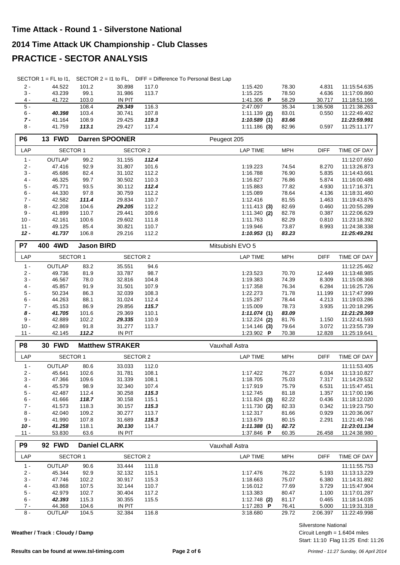## **2014 Time Attack UK Championship - Club Classes**

#### **PRACTICE - SECTOR ANALYSIS**

|  | SECTOR 1 = FL to I1, SECTOR 2 = I1 to FL, DIFF = Difference To Personal Best Lap |
|--|----------------------------------------------------------------------------------|
|  |                                                                                  |

| $2 -$ | 44.522 | 101.2 | 30.898        | 117.0 | 1:15.420       |   | 78.30 | 4.831    | 11:15:54.635 |
|-------|--------|-------|---------------|-------|----------------|---|-------|----------|--------------|
| $3 -$ | 43.239 | 99.1  | 31.986        | 113.7 | 1:15.225       |   | 78.50 | 4.636    | 11:17:09.860 |
| $4 -$ | 41.722 | 103.0 | <b>IN PIT</b> |       | 1:41.306       | P | 58.29 | 30.717   | 11.18.51.166 |
| $5 -$ |        | 108.4 | 29.349        | 116.3 | 2:47.097       |   | 35.34 | 1:36.508 | 11:21:38.263 |
| $6 -$ | 40.398 | 103.4 | 30.741        | 107.8 | $1:11.139$ (2) |   | 83.01 | 0.550    | 11:22:49.402 |
| $7 -$ | 41.164 | 108.9 | 29.425        | 119.3 | 1:10.589(1)    |   | 83.66 |          | 11:23:59.991 |
| $8 -$ | 41.759 | 113.1 | 29.427        | 117.4 | $1:11.186$ (3) |   | 82.96 | 0.597    | 11:25:11.177 |

| P <sub>6</sub> | <b>13 FWD</b>   |       | <b>Darren SPOONER</b> |       | Peugeot 205     |            |             |              |
|----------------|-----------------|-------|-----------------------|-------|-----------------|------------|-------------|--------------|
| LAP            | <b>SECTOR 1</b> |       | SECTOR 2              |       | <b>LAP TIME</b> | <b>MPH</b> | <b>DIFF</b> | TIME OF DAY  |
| $1 -$          | <b>OUTLAP</b>   | 99.2  | 31.155                | 112.4 |                 |            |             | 11:12:07.650 |
| $2 -$          | 47.416          | 92.9  | 31.807                | 101.6 | 1:19.223        | 74.54      | 8.270       | 11:13:26.873 |
| $3 -$          | 45.686          | 82.4  | 31.102                | 112.2 | 1:16.788        | 76.90      | 5.835       | 11:14:43.661 |
| $4 -$          | 46.325          | 99.7  | 30.502                | 110.3 | 1:16.827        | 76.86      | 5.874       | 11:16:00.488 |
| $5 -$          | 45.771          | 93.5  | 30.112                | 112.4 | 1:15.883        | 77.82      | 4.930       | 11:17:16.371 |
| $6 -$          | 44.330          | 97.8  | 30.759                | 112.2 | 1:15.089        | 78.64      | 4.136       | 11:18:31.460 |
| $7 -$          | 42.582          | 111.4 | 29.834                | 110.7 | 1:12.416        | 81.55      | 1.463       | 11:19:43.876 |
| $8 -$          | 42.208          | 104.6 | 29.205                | 112.2 | $1:11.413$ (3)  | 82.69      | 0.460       | 11:20:55.289 |
| $9 -$          | 41.899          | 110.7 | 29.441                | 109.6 | $1:11.340$ (2)  | 82.78      | 0.387       | 11:22:06.629 |
| $10 -$         | 42.161          | 100.6 | 29.602                | 111.8 | 1:11.763        | 82.29      | 0.810       | 11:23:18.392 |
| $11 -$         | 49.125          | 85.4  | 30.821                | 110.7 | 1:19.946        | 73.87      | 8.993       | 11:24:38.338 |
| $12 -$         | 41.737          | 106.8 | 29.216                | 112.2 | 1:10.953(1)     | 83.23      |             | 11:25:49.291 |

| P7     | 4WD<br>400          | <b>Jason BIRD</b> |               |       | Mitsubishi EVO 5        |            |             |              |
|--------|---------------------|-------------------|---------------|-------|-------------------------|------------|-------------|--------------|
| LAP    | SECTOR <sub>1</sub> |                   | SECTOR 2      |       | LAP TIME                | <b>MPH</b> | <b>DIFF</b> | TIME OF DAY  |
| $1 -$  | <b>OUTLAP</b>       | 83.2              | 35.551        | 94.6  |                         |            |             | 11:12:25.462 |
| $2 -$  | 49.736              | 81.9              | 33.787        | 98.7  | 1:23.523                | 70.70      | 12.449      | 11:13:48.985 |
| $3 -$  | 46.567              | 78.0              | 32.816        | 104.8 | 1:19.383                | 74.39      | 8.309       | 11:15:08.368 |
| $4 -$  | 45.857              | 91.9              | 31.501        | 107.9 | 1:17.358                | 76.34      | 6.284       | 11:16:25.726 |
| $5 -$  | 50.234              | 86.3              | 32.039        | 108.3 | 1:22.273                | 71.78      | 11.199      | 11:17:47.999 |
| $6 -$  | 44.263              | 88.1              | 31.024        | 112.4 | 1:15.287                | 78.44      | 4.213       | 11:19:03.286 |
| $7 -$  | 45.153              | 86.9              | 29.856        | 115.7 | 1:15.009                | 78.73      | 3.935       | 11:20:18.295 |
| 8 -    | 41.705              | 101.6             | 29.369        | 110.1 | 1:11.074(1)             | 83.09      |             | 11:21:29.369 |
| $9 -$  | 42.889              | 102.2             | 29.335        | 110.9 | $1:12.224$ (2)          | 81.76      | 1.150       | 11:22:41.593 |
| $10 -$ | 42.869              | 91.8              | 31.277        | 113.7 | $1:14.146$ (3)          | 79.64      | 3.072       | 11:23:55.739 |
| $11 -$ | 42.145              | 112.2             | <b>IN PIT</b> |       | 1:23.902 $\blacksquare$ | 70.38      | 12.828      | 11:25:19.641 |

| P <sub>8</sub> | <b>30 FWD</b>   |       | <b>Matthew STRAKER</b> |       | Vauxhall Astra  |            |             |              |
|----------------|-----------------|-------|------------------------|-------|-----------------|------------|-------------|--------------|
| LAP            | <b>SECTOR 1</b> |       | SECTOR 2               |       | <b>LAP TIME</b> | <b>MPH</b> | <b>DIFF</b> | TIME OF DAY  |
| $1 -$          | <b>OUTLAP</b>   | 80.6  | 33.033                 | 112.0 |                 |            |             | 11:11:53.405 |
| $2 -$          | 45.641          | 102.6 | 31.781                 | 108.1 | 1:17.422        | 76.27      | 6.034       | 11:13:10.827 |
| $3 -$          | 47.366          | 109.6 | 31.339                 | 108.1 | 1:18.705        | 75.03      | 7.317       | 11:14:29.532 |
| $4 -$          | 45.579          | 98.9  | 32.340                 | 107.4 | 1:17.919        | 75.79      | 6.531       | 11:15:47.451 |
| $5 -$          | 42.487          | 112.4 | 30.258                 | 115.3 | 1:12.745        | 81.18      | 1.357       | 11:17:00.196 |
| $6 -$          | 41.666          | 118.7 | 30.158                 | 115.1 | $1:11.824$ (3)  | 82.22      | 0.436       | 11:18:12.020 |
| $7 -$          | 41.573          | 118.3 | 30.157                 | 115.3 | $1:11.730$ (2)  | 82.33      | 0.342       | 11:19:23.750 |
| 8 -            | 42.040          | 109.2 | 30.277                 | 113.7 | 1:12.317        | 81.66      | 0.929       | 11:20:36.067 |
| 9 -            | 41.990          | 107.8 | 31.689                 | 115.3 | 1:13.679        | 80.15      | 2.291       | 11:21:49.746 |
| $10 -$         | 41.258          | 118.1 | 30.130                 | 114.7 | 1:11.388(1)     | 82.72      |             | 11:23:01.134 |
| $11 -$         | 53.830          | 63.6  | IN PIT                 |       | 1:37.846 P      | 60.35      | 26.458      | 11:24:38.980 |

| P <sub>9</sub> | <b>92 FWD</b>   |       | <b>Daniel CLARK</b> |       | Vauxhall Astra |            |             |              |
|----------------|-----------------|-------|---------------------|-------|----------------|------------|-------------|--------------|
| LAP            | <b>SECTOR 1</b> |       | SECTOR 2            |       | LAP TIME       | <b>MPH</b> | <b>DIFF</b> | TIME OF DAY  |
| $1 -$          | <b>OUTLAP</b>   | 90.6  | 33.444              | 111.8 |                |            |             | 11:11:55.753 |
| $2 -$          | 45.344          | 92.9  | 32.132              | 115.1 | 1:17.476       | 76.22      | 5.193       | 11:13:13.229 |
| $3 -$          | 47.746          | 102.2 | 30.917              | 115.3 | 1:18.663       | 75.07      | 6.380       | 11:14:31.892 |
| $4 -$          | 43.868          | 107.5 | 32.144              | 110.7 | 1:16.012       | 77.69      | 3.729       | 11:15:47.904 |
| $5 -$          | 42.979          | 102.7 | 30.404              | 117.2 | 1:13.383       | 80.47      | 1.100       | 11:17:01.287 |
| $6 -$          | 42.393          | 115.3 | 30.355              | 115.5 | $1:12.748$ (2) | 81.17      | 0.465       | 11:18:14.035 |
| $7 -$          | 44.368          | 104.6 | IN PIT              |       | 1:17.283<br>P  | 76.41      | 5.000       | 11:19:31.318 |
| 8 -            | <b>OUTLAP</b>   | 104.5 | 32.384              | 116.8 | 3:18.680       | 29.72      | 2:06.397    | 11:22:49.998 |

**Weather / Track : Cloudy / Damp**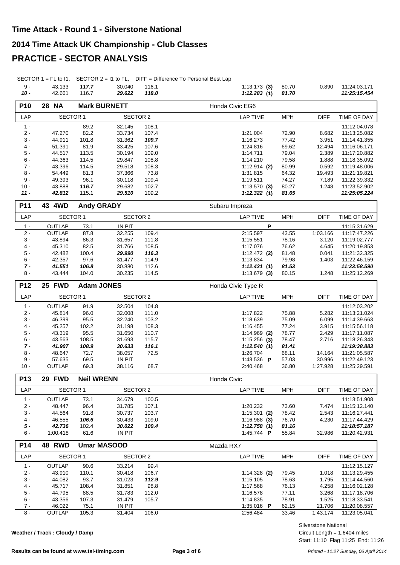#### **2014 Time Attack UK Championship - Club Classes**

## **PRACTICE - SECTOR ANALYSIS**

SECTOR 1 = FL to 11, SECTOR 2 = 11 to FL, DIFF = Difference To Personal Best Lap

|                 | .               | ----              | , _ _ , , , , _,    |               | <b>Pri</b> Fig. 20110101100 TO F Crootidi Boot Eap |            |                 |              |
|-----------------|-----------------|-------------------|---------------------|---------------|----------------------------------------------------|------------|-----------------|--------------|
| $9 -$           | 43.133          | 117.7             | 30.040              | 116.1         | $1:13.173$ (3)                                     | 80.70      | 0.890           | 11:24:03.171 |
| $10 -$          | 42.661          | 116.7             | 29.622              | 118.0         | 1:12.283(1)                                        | 81.70      |                 | 11:25:15.454 |
| P10             | <b>28 NA</b>    |                   | <b>Mark BURNETT</b> |               | Honda Civic EG6                                    |            |                 |              |
| LAP             | <b>SECTOR 1</b> |                   | <b>SECTOR 2</b>     |               | <b>LAP TIME</b>                                    | <b>MPH</b> | <b>DIFF</b>     | TIME OF DAY  |
| $1 -$           |                 | 89.2              | 32.145              | 108.1         |                                                    |            |                 | 11:12:04.078 |
| $2 -$           | 47.270          | 82.2              | 33.734              | 107.4         | 1:21.004                                           | 72.90      | 8.682           | 11:13:25.082 |
| $3 -$           | 44.911          | 101.8             | 31.362              | 109.7         | 1:16.273                                           | 77.42      | 3.951           | 11:14:41.355 |
| $4 -$           | 51.391          | 81.9              | 33.425              | 107.6         | 1:24.816                                           | 69.62      | 12.494          | 11:16:06.171 |
|                 |                 |                   |                     |               |                                                    |            |                 |              |
| $5 -$           | 44.517          | 113.5             | 30.194              | 109.0         | 1:14.711                                           | 79.04      | 2.389           | 11:17:20.882 |
| $6 -$<br>$7 -$  | 44.363          | 114.5             | 29.847              | 108.8         | 1:14.210                                           | 79.58      | 1.888           | 11:18:35.092 |
| $8 -$           | 43.396          | 114.5<br>81.3     | 29.518              | 108.3<br>73.8 | $1:12.914$ (2)<br>1:31.815                         | 80.99      | 0.592<br>19.493 | 11:19:48.006 |
| $9 -$           | 54.449          |                   | 37.366              |               |                                                    | 64.32      | 7.189           | 11:21:19.821 |
|                 | 49.393          | 96.1              | 30.118              | 109.4         | 1:19.511                                           | 74.27      |                 | 11:22:39.332 |
| $10 -$          | 43.888          | 116.7             | 29.682              | 102.7         | $1:13.570$ (3)                                     | 80.27      | 1.248           | 11:23:52.902 |
| $11 -$          | 42.812          | 115.1             | 29.510              | 109.2         | 1:12.322(1)                                        | 81.65      |                 | 11:25:05.224 |
| P11             | 43 4WD          |                   | <b>Andy GRADY</b>   |               | Subaru Impreza                                     |            |                 |              |
| LAP             | <b>SECTOR 1</b> |                   | <b>SECTOR 2</b>     |               | <b>LAP TIME</b>                                    | <b>MPH</b> | <b>DIFF</b>     | TIME OF DAY  |
| $1 -$           | OUTLAP          | 73.1              | <b>IN PIT</b>       |               | P                                                  |            |                 | 11:15:31.629 |
| $2 -$           | OUTLAP          | 87.8              | 32.255              | 109.4         | 2:15.597                                           | 43.55      | 1:03.166        | 11:17:47.226 |
| $3 -$           | 43.894          | 86.3              | 31.657              | 111.8         | 1:15.551                                           | 78.16      | 3.120           | 11:19:02.777 |
| $4 -$           | 45.310          | 82.5              | 31.766              | 108.5         | 1:17.076                                           | 76.62      | 4.645           | 11:20:19.853 |
| $5-$            | 42.482          | 100.4             | 29.990              | 116.3         | $1:12.472$ (2)                                     | 81.48      | 0.041           | 11:21:32.325 |
| $6 -$           | 42.357          | 97.6              | 31.477              | 114.9         | 1:13.834                                           | 79.98      | 1.403           | 11:22:46.159 |
| $7 -$           | 41.551          | 106.8             | 30.880              | 112.6         | 1:12.431(1)                                        | 81.53      |                 | 11:23:58.590 |
| $8 -$           | 43.444          | 104.0             | 30.235              | 114.5         | $1:13.679$ (3)                                     | 80.15      | 1.248           | 11:25:12.269 |
| P12             | 25 FWD          |                   | <b>Adam JONES</b>   |               | Honda Civic Type R                                 |            |                 |              |
| LAP             | <b>SECTOR 1</b> |                   | <b>SECTOR 2</b>     |               | <b>LAP TIME</b>                                    | <b>MPH</b> | <b>DIFF</b>     | TIME OF DAY  |
| $1 -$           | OUTLAP          | 91.9              | 32.504              | 104.8         |                                                    |            |                 | 11:12:03.202 |
| $2 -$           | 45.814          | 96.0              | 32.008              | 111.0         | 1:17.822                                           | 75.88      | 5.282           | 11:13:21.024 |
| $3 -$           | 46.399          | 95.5              | 32.240              | 103.2         | 1:18.639                                           | 75.09      | 6.099           | 11:14:39.663 |
| $4 -$           | 45.257          | 102.2             | 31.198              | 108.3         | 1:16.455                                           | 77.24      | 3.915           | 11:15:56.118 |
| $5 -$           | 43.319          | 95.5              | 31.650              | 110.7         | $1:14.969$ (2)                                     | 78.77      | 2.429           | 11:17:11.087 |
| $6 -$           | 43.563          | 108.5             | 31.693              | 115.7         | $1:15.256$ (3)                                     | 78.47      | 2.716           | 11:18:26.343 |
| $7 -$           | 41.907          | 108.9             | 30.633              | 116.1         | 1:12.540(1)                                        | 81.41      |                 | 11:19:38.883 |
| $8 -$           | 48.647          | 72.7              | 38.057              | 72.5          | 1:26.704                                           | 68.11      | 14.164          | 11:21:05.587 |
| 9 -             | 57.635          | 69.5              | IN PIT              |               | 1:43.536 P                                         | 57.03      | 30.996          | 11:22:49.123 |
| $10 -$          | <b>OUTLAP</b>   | 69.3              | 38.116              | 68.7          | 2:40.468                                           | 36.80      | 1:27.928        | 11:25:29.591 |
| P <sub>13</sub> | 29 FWD          | <b>Neil WRENN</b> |                     |               | Honda Civic                                        |            |                 |              |
| LAP             | <b>SECTOR 1</b> |                   | <b>SECTOR 2</b>     |               | <b>LAP TIME</b>                                    | <b>MPH</b> | <b>DIFF</b>     | TIME OF DAY  |
| $1 -$           | OUTLAP          | 73.1              | 34.679              | 100.5         |                                                    |            |                 | 11:13:51.908 |
| $2 -$           | 48.447          | 96.4              | 31.785              | 107.1         | 1:20.232                                           | 73.60      | 7.474           | 11:15:12.140 |
| $3 -$           | 44.564          | 91.8              | 30.737              | 103.7         | $1:15.301$ (2)                                     | 78.42      | 2.543           | 11:16:27.441 |
| $4 -$           | 46.555          | 106.6             | 30.433              | 109.0         | 1:16.988(3)                                        | 76.70      | 4.230           | 11:17:44.429 |
| 5 -             | 42.736          | 102.4             | 30.022              | 109.4         | 1:12.758(1)                                        | 81.16      |                 | 11:18:57.187 |
| 6 -             | 1:00.418        | 61.6              | IN PIT              |               | 1:45.744 P                                         | 55.84      | 32.986          | 11:20:42.931 |
| P14             | <b>48 RWD</b>   |                   | <b>Umar MASOOD</b>  |               | Mazda RX7                                          |            |                 |              |
| LAP             | <b>SECTOR 1</b> |                   | <b>SECTOR 2</b>     |               | <b>LAP TIME</b>                                    | <b>MPH</b> | <b>DIFF</b>     | TIME OF DAY  |
| $1 -$           | OUTLAP          | 90.6              | 33.214              | 99.4          |                                                    |            |                 | 11:12:15.127 |

| $2 -$ | 43.910        | 110.1 | 30.418        | 106.7 | $1:14.328$ (2)          | 79.45 | 1.018    | 11:13:29.455 |
|-------|---------------|-------|---------------|-------|-------------------------|-------|----------|--------------|
| $3 -$ | 44.082        | 93.7  | 31.023        | 112.9 | 1:15.105                | 78.63 | 1.795    | 11:14:44.560 |
| 4 -   | 45.717        | 108.4 | 31.851        | 98.8  | 1:17.568                | 76.13 | 4.258    | 11:16:02.128 |
| 5 -   | 44.795        | 88.5  | 31.783        | 112.0 | 1:16.578                | 77.11 | 3.268    | 11:17:18.706 |
| 6 -   | 43.356        | 107.3 | 31.479        | 105.7 | 1:14.835                | 78.91 | 1.525    | 11:18:33.541 |
| $7 -$ | 46.022        | 75.1  | <b>IN PIT</b> |       | 1:35.016 $\blacksquare$ | 62.15 | 21.706   | 11:20:08.557 |
| 8 -   | <b>OUTLAP</b> | 105.3 | 31.404        | 106.0 | 2:56.484                | 33.46 | 1:43.174 | 11:23:05.041 |
|       |               |       |               |       |                         |       |          |              |

**Weather / Track : Cloudy / Damp**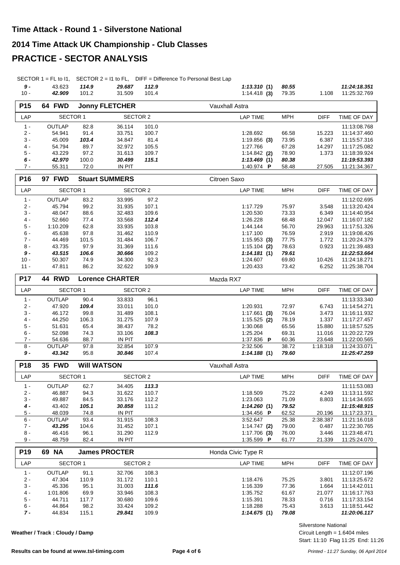#### **2014 Time Attack UK Championship - Club Classes**

## **PRACTICE - SECTOR ANALYSIS**

SECTOR 1 = FL to I1, SECTOR 2 = I1 to FL, DIFF = Difference To Personal Best Lap

| 9 -             | 43.623        | 114.9 | 29.687                | 112.9 | 1:13.310(1)       | 80.55      |             | 11:24:18.351 |
|-----------------|---------------|-------|-----------------------|-------|-------------------|------------|-------------|--------------|
| $10 -$          | 42.909        | 101.2 | 31.509                | 101.4 | $1:14.418$ (3)    | 79.35      | 1.108       | 11:25:32.769 |
| P <sub>15</sub> | 64 FWD        |       | <b>Jonny FLETCHER</b> |       | Vauxhall Astra    |            |             |              |
| LAP             | SECTOR 1      |       | SECTOR 2              |       | LAP TIME          | <b>MPH</b> | <b>DIFF</b> | TIME OF DAY  |
| $1 -$           | <b>OUTLAP</b> | 82.8  | 36.114                | 101.0 |                   |            |             | 11:13:08.768 |
| $2 -$           | 54.941        | 91.4  | 33.751                | 100.7 | 1:28.692          | 66.58      | 15.223      | 11:14:37.460 |
| $3 -$           | 45.009        | 103.4 | 34.847                | 81.4  | $1:19.856$ (3)    | 73.95      | 6.387       | 11:15:57.316 |
| $4 -$           | 54.794        | 89.7  | 32.972                | 105.5 | 1:27.766          | 67.28      | 14.297      | 11:17:25.082 |
| $5 -$           | 43.229        | 97.2  | 31.613                | 109.7 | $1:14.842$ (2)    | 78.90      | 1.373       | 11:18:39.924 |
| $6 -$           | 42.970        | 100.0 | 30.499                | 115.1 | 1:13.469(1)       | 80.38      |             | 11:19:53.393 |
| $7 -$           | 55.311        | 72.0  | <b>IN PIT</b>         |       | 1:40.974 <b>P</b> | 58.48      | 27.505      | 11:21:34.367 |

| P <sub>16</sub> | <b>FWD</b><br>97 |       | <b>Stuart SUMMERS</b> |       | Citroen Saxo    |            |             |              |
|-----------------|------------------|-------|-----------------------|-------|-----------------|------------|-------------|--------------|
| LAP             | <b>SECTOR 1</b>  |       | SECTOR 2              |       | <b>LAP TIME</b> | <b>MPH</b> | <b>DIFF</b> | TIME OF DAY  |
| $1 -$           | <b>OUTLAP</b>    | 83.2  | 33.995                | 97.2  |                 |            |             | 11:12:02.695 |
| $2 -$           | 45.794           | 99.2  | 31.935                | 107.1 | 1:17.729        | 75.97      | 3.548       | 11:13:20.424 |
| $3 -$           | 48.047           | 88.6  | 32.483                | 109.6 | 1:20.530        | 73.33      | 6.349       | 11:14:40.954 |
| $4 -$           | 52.660           | 77.4  | 33.568                | 112.4 | 1:26.228        | 68.48      | 12.047      | 11:16:07.182 |
| $5 -$           | 1:10.209         | 62.8  | 33.935                | 103.8 | 1:44.144        | 56.70      | 29.963      | 11:17:51.326 |
| $6 -$           | 45.638           | 97.8  | 31.462                | 110.9 | 1:17.100        | 76.59      | 2.919       | 11:19:08.426 |
| $7 -$           | 44.469           | 101.5 | 31.484                | 106.7 | $1:15.953$ (3)  | 77.75      | 1.772       | 11:20:24.379 |
| $8 -$           | 43.735           | 97.9  | 31.369                | 111.6 | $1:15.104$ (2)  | 78.63      | 0.923       | 11:21:39.483 |
| 9 -             | 43.515           | 106.6 | 30.666                | 109.2 | 1:14.181(1)     | 79.61      |             | 11:22:53.664 |
| $10 -$          | 50.307           | 74.9  | 34.300                | 92.3  | 1:24.607        | 69.80      | 10.426      | 11:24:18.271 |
| $11 -$          | 47.811           | 86.2  | 32.622                | 109.9 | 1:20.433        | 73.42      | 6.252       | 11:25:38.704 |

| <b>P17</b> | <b>44 RWD</b> |       | <b>Lorence CHARTER</b> |       | Mazda RX7               |            |             |              |
|------------|---------------|-------|------------------------|-------|-------------------------|------------|-------------|--------------|
| <b>LAP</b> | SECTOR 1      |       | SECTOR 2               |       | LAP TIME                | <b>MPH</b> | <b>DIFF</b> | TIME OF DAY  |
| $1 -$      | <b>OUTLAP</b> | 90.4  | 33.833                 | 96.1  |                         |            |             | 11:13:33.340 |
| $2 -$      | 47.920        | 109.4 | 33.011                 | 101.0 | 1:20.931                | 72.97      | 6.743       | 11:14:54.271 |
| $3 -$      | 46.172        | 99.8  | 31.489                 | 108.1 | $1:17.661$ (3)          | 76.04      | 3.473       | 11:16:11.932 |
| $4 -$      | 44.250        | 106.3 | 31.275                 | 107.9 | $1:15.525$ (2)          | 78.19      | 1.337       | 11:17:27.457 |
| $5 -$      | 51.631        | 65.4  | 38.437                 | 78.2  | 1:30.068                | 65.56      | 15.880      | 11:18:57.525 |
| $6 -$      | 52.098        | 74.3  | 33.106                 | 108.3 | 1:25.204                | 69.31      | 11.016      | 11:20:22.729 |
| $7 -$      | 54.636        | 88.7  | IN PIT                 |       | 1:37.836 $\blacksquare$ | 60.36      | 23.648      | 11:22:00.565 |
| 8 -        | <b>OUTLAP</b> | 97.8  | 32.854                 | 107.9 | 2:32.506                | 38.72      | 1:18.318    | 11:24:33.071 |
| 9 -        | 43.342        | 95.8  | 30.846                 | 107.4 | 1:14.188(1)             | 79.60      |             | 11:25:47.259 |

| <b>P18</b> | <b>35 FWD</b>   | <b>WIII WATSON</b> |          |       | Vauxhall Astra |            |             |              |
|------------|-----------------|--------------------|----------|-------|----------------|------------|-------------|--------------|
| LAP        | <b>SECTOR 1</b> |                    | SECTOR 2 |       | LAP TIME       | <b>MPH</b> | <b>DIFF</b> | TIME OF DAY  |
| $1 -$      | <b>OUTLAP</b>   | 62.7               | 34.405   | 113.3 |                |            |             | 11:11:53.083 |
| $2 -$      | 46.887          | 94.3               | 31.622   | 110.7 | 1:18.509       | 75.22      | 4.249       | 11:13:11.592 |
| $3 -$      | 49.887          | 84.5               | 33.176   | 112.2 | 1:23.063       | 71.09      | 8.803       | 11:14:34.655 |
| $4 -$      | 43.402          | 105.1              | 30.858   | 111.2 | 1:14.260(1)    | 79.52      |             | 11:15:48.915 |
| 5 -        | 48.039          | 74.8               | IN PIT   |       | 1:34.456 P     | 62.52      | 20.196      | 11:17:23.371 |
| $6 -$      | <b>OUTLAP</b>   | 93.4               | 31.915   | 108.3 | 3:52.647       | 25.38      | 2:38.387    | 11:21:16.018 |
| $7 -$      | 43.295          | 104.6              | 31.452   | 107.1 | 1:14.747(2)    | 79.00      | 0.487       | 11:22:30.765 |
| $8 -$      | 46.416          | 96.1               | 31.290   | 112.9 | $1:17.706$ (3) | 76.00      | 3.446       | 11:23:48.471 |
| 9 -        | 48.759          | 82.4               | IN PIT   |       | 1:35.599 P     | 61.77      | 21.339      | 11:25:24.070 |

| P <sub>19</sub> | <b>NA</b><br>69 | <b>James PROCTER</b> |          |       | Honda Civic Type R |            |             |              |
|-----------------|-----------------|----------------------|----------|-------|--------------------|------------|-------------|--------------|
| LAP             | SECTOR 1        |                      | SECTOR 2 |       | LAP TIME           | <b>MPH</b> | <b>DIFF</b> | TIME OF DAY  |
| $1 -$           | <b>OUTLAP</b>   | 91.1                 | 32.706   | 108.3 |                    |            |             | 11:12:07.196 |
| $2 -$           | 47.304          | 110.9                | 31.172   | 110.1 | 1:18.476           | 75.25      | 3.801       | 11:13:25.672 |
| $3 -$           | 45.336          | 95.1                 | 31.003   | 111.6 | 1:16.339           | 77.36      | 1.664       | 11:14:42.011 |
| $4 -$           | 1:01.806        | 69.9                 | 33.946   | 108.3 | 1:35.752           | 61.67      | 21.077      | 11:16:17.763 |
| $5 -$           | 44.711          | 117.7                | 30.680   | 109.6 | 1:15.391           | 78.33      | 0.716       | 11:17:33.154 |
| $6 -$           | 44.864          | 98.2                 | 33.424   | 109.2 | 1:18.288           | 75.43      | 3.613       | 11:18:51.442 |
| 7 -             | 44.834          | 115.1                | 29.841   | 109.9 | 1:14.675(1)        | 79.08      |             | 11:20:06.117 |

**Weather / Track : Cloudy / Damp**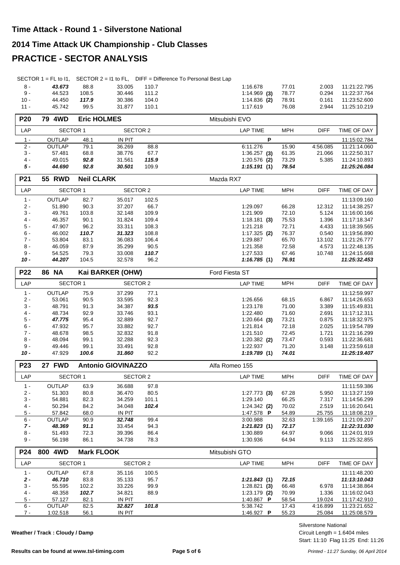#### **2014 Time Attack UK Championship - Club Classes**

#### **PRACTICE - SECTOR ANALYSIS**

|  | SECTOR 1 = FL to I1, SECTOR $2 = 11$ to FL, DIFF = Difference To Personal Best Lap |
|--|------------------------------------------------------------------------------------|
|  |                                                                                    |

| 8 -    | 43.673 | 88.8  | 33.005 | 110.7 | 1:16.678             | 77.01 | 2.003 | 11:21:22.795 |
|--------|--------|-------|--------|-------|----------------------|-------|-------|--------------|
| 9 -    | 44.523 | 108.5 | 30.446 | 111.2 | $1:14.969$ (3) 78.77 |       | 0.294 | 11:22:37.764 |
| $10 -$ | 44.450 | 117.9 | 30.386 | 104.0 | $1:14.836$ (2)       | 78.91 | 0.161 | 11:23:52.600 |
| $11 -$ | 45.742 | 99.5  | 31.877 | 110.1 | 1:17.619             | 76.08 | 2.944 | 11:25:10.219 |

| <b>P20</b> | 4WD<br>79 | <b>Eric HOLMES</b> |               |       | Mitsubishi EVO                        |              |
|------------|-----------|--------------------|---------------|-------|---------------------------------------|--------------|
| LAP        | SECTOR 1  |                    | SECTOR 2      |       | <b>DIFF</b><br>LAP TIME<br><b>MPH</b> | TIME OF DAY  |
| $1 -$      | OUTLAP    | 48.1               | <b>IN PIT</b> |       | D                                     | 11:15:02.784 |
| $2 -$      | OUTLAP    | 79.1               | 36.269        | 88.8  | 15.90<br>6:11.276<br>4:56.085         | 11:21:14.060 |
| $3 -$      | 57.481    | 68.8               | 38.776        | 67.7  | 1:36.257<br>61.35<br>(3)<br>21.066    | 11:22:50.317 |
| $4 -$      | 49.015    | 92.8               | 31.561        | 115.9 | 5.385<br>$1:20.576$ (2)<br>73.29      | 11:24:10.893 |
| 5 -        | 44.690    | 92.8               | 30.501        | 109.9 | 1:15.191(1)<br>78.54                  | 11:25:26.084 |

| <b>P21</b> | <b>55 RWD</b> | <b>Neil CLARK</b> |          |       | Mazda RX7      |            |             |              |
|------------|---------------|-------------------|----------|-------|----------------|------------|-------------|--------------|
| LAP        | SECTOR 1      |                   | SECTOR 2 |       | LAP TIME       | <b>MPH</b> | <b>DIFF</b> | TIME OF DAY  |
| $1 -$      | <b>OUTLAP</b> | 82.7              | 35.017   | 102.5 |                |            |             | 11:13:09.160 |
| $2 -$      | 51.890        | 90.3              | 37.207   | 66.7  | 1:29.097       | 66.28      | 12.312      | 11:14:38.257 |
| $3 -$      | 49.761        | 103.8             | 32.148   | 109.9 | 1:21.909       | 72.10      | 5.124       | 11:16:00.166 |
| $4 -$      | 46.357        | 90.1              | 31.824   | 109.4 | $1:18.181$ (3) | 75.53      | 1.396       | 11:17:18.347 |
| $5 -$      | 47.907        | 96.2              | 33.311   | 108.3 | 1:21.218       | 72.71      | 4.433       | 11:18:39.565 |
| $6 -$      | 46.002        | 110.7             | 31.323   | 108.8 | $1:17.325$ (2) | 76.37      | 0.540       | 11:19:56.890 |
| $7 -$      | 53.804        | 83.1              | 36.083   | 106.4 | 1:29.887       | 65.70      | 13.102      | 11:21:26.777 |
| $8 -$      | 46.059        | 87.9              | 35.299   | 90.5  | 1:21.358       | 72.58      | 4.573       | 11:22:48.135 |
| 9 -        | 54.525        | 79.3              | 33,008   | 110.7 | 1:27.533       | 67.46      | 10.748      | 11:24:15.668 |
| 10 -       | 44.207        | 104.5             | 32.578   | 96.2  | 1:16.785(1)    | 76.91      |             | 11:25:32.453 |

| <b>P22</b> | <b>NA</b><br>86 |          | Kai BARKER (OHW) |      | <b>Ford Fiesta ST</b> |            |             |              |
|------------|-----------------|----------|------------------|------|-----------------------|------------|-------------|--------------|
| LAP        | SECTOR 1        | SECTOR 2 |                  |      | LAP TIME              | <b>MPH</b> | <b>DIFF</b> | TIME OF DAY  |
| 1 -        | <b>OUTLAP</b>   | 75.9     | 37.299           | 77.1 |                       |            |             | 11:12:59.997 |
| $2 -$      | 53.061          | 90.5     | 33.595           | 92.3 | 1:26.656              | 68.15      | 6.867       | 11:14:26.653 |
| $3 -$      | 48.791          | 91.3     | 34.387           | 93.5 | 1:23.178              | 71.00      | 3.389       | 11:15:49.831 |
| $4 -$      | 48.734          | 92.9     | 33.746           | 93.1 | 1:22.480              | 71.60      | 2.691       | 11:17:12.311 |
| $5 -$      | 47.775          | 95.4     | 32.889           | 92.7 | $1:20.664$ (3)        | 73.21      | 0.875       | 11:18:32.975 |
| $6 -$      | 47.932          | 95.7     | 33.882           | 92.7 | 1:21.814              | 72.18      | 2.025       | 11:19:54.789 |
| $7 -$      | 48.678          | 98.5     | 32.832           | 91.8 | 1:21.510              | 72.45      | 1.721       | 11:21:16.299 |
| $8 -$      | 48.094          | 99.1     | 32.288           | 92.3 | $1:20.382$ (2)        | 73.47      | 0.593       | 11:22:36.681 |
| $9 -$      | 49.446          | 99.1     | 33.491           | 92.8 | 1:22.937              | 71.20      | 3.148       | 11:23:59.618 |
| 10 -       | 47.929          | 100.6    | 31.860           | 92.2 | 1:19.789(1)           | 74.01      |             | 11:25:19.407 |

| <b>P23</b> | <b>27 FWD</b> |      | <b>Antonio GIOVINAZZO</b> |       | Alfa Romeo 155    |            |             |              |
|------------|---------------|------|---------------------------|-------|-------------------|------------|-------------|--------------|
| LAP        | SECTOR 1      |      | SECTOR 2                  |       | <b>LAP TIME</b>   | <b>MPH</b> | <b>DIFF</b> | TIME OF DAY  |
| $1 -$      | <b>OUTLAP</b> | 63.9 | 36.688                    | 97.8  |                   |            |             | 11:11:59.386 |
| $2 -$      | 51.303        | 80.8 | 36.470                    | 80.5  | $1:27.773$ (3)    | 67.28      | 5.950       | 11:13:27.159 |
| $3 -$      | 54.881        | 82.3 | 34.259                    | 101.1 | 1:29.140          | 66.25      | 7.317       | 11:14:56.299 |
| $4 -$      | 50.294        | 84.2 | 34.048                    | 102.4 | $1:24.342$ (2)    | 70.02      | 2.519       | 11:16:20.641 |
| 5 -        | 57.842        | 68.0 | IN PIT                    |       | 1:47.578 <b>P</b> | 54.89      | 25.755      | 11:18:08.219 |
| $6 -$      | <b>OUTLAP</b> | 90.9 | 32.748                    | 99.4  | 3:00.988          | 32.63      | 1:39.165    | 11:21:09.207 |
| $7 -$      | 48.369        | 91.1 | 33.454                    | 94.3  | 1:21.823(1)       | 72.17      |             | 11:22:31.030 |
| $8 -$      | 51.493        | 72.3 | 39.396                    | 86.4  | 1:30.889          | 64.97      | 9.066       | 11:24:01.919 |
| $9 -$      | 56.198        | 86.1 | 34.738                    | 78.3  | 1:30.936          | 64.94      | 9.113       | 11:25:32.855 |

| <b>P24</b> | 4WD<br>800    | <b>Mark FLOOK</b> |          |       | Mitsubishi GTO |            |             |              |  |  |  |  |
|------------|---------------|-------------------|----------|-------|----------------|------------|-------------|--------------|--|--|--|--|
| LAP        | SECTOR 1      |                   | SECTOR 2 |       | LAP TIME       | <b>MPH</b> | <b>DIFF</b> | TIME OF DAY  |  |  |  |  |
| $1 -$      | <b>OUTLAP</b> | 67.8              | 35.116   | 100.5 |                |            |             | 11:11:48.200 |  |  |  |  |
| $2 -$      | 46.710        | 83.8              | 35.133   | 95.7  | 1:21.843(1)    | 72.15      |             | 11:13:10.043 |  |  |  |  |
| $3 -$      | 55.595        | 102.2             | 33.226   | 99.9  | $1:28.821$ (3) | 66.48      | 6.978       | 11:14:38.864 |  |  |  |  |
| $4 -$      | 48.358        | 102.7             | 34.821   | 88.9  | $1:23.179$ (2) | 70.99      | 1.336       | 11:16:02.043 |  |  |  |  |
| $5 -$      | 57.127        | 82.1              | IN PIT   |       | 1:40.867<br>P  | 58.54      | 19.024      | 11:17:42.910 |  |  |  |  |
| $6 -$      | <b>OUTLAP</b> | 82.5              | 32.827   | 101.8 | 5:38.742       | 17.43      | 4:16.899    | 11:23:21.652 |  |  |  |  |
| $7 -$      | 1:02.518      | 56.1              | IN PIT   |       | 1:46.927<br>P  | 55.23      | 25.084      | 11:25:08.579 |  |  |  |  |

**Weather / Track : Cloudy / Damp**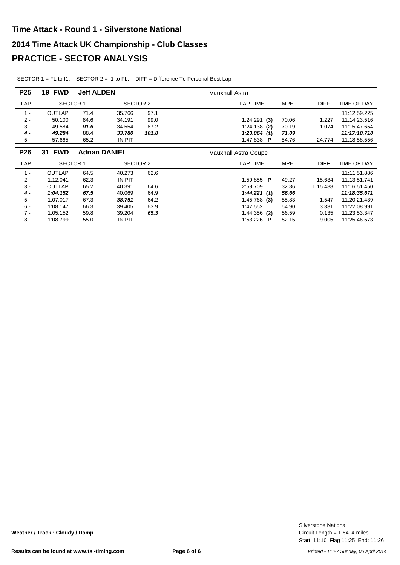| P <sub>25</sub> | <b>FWD</b><br>19 | <b>Jeff ALDEN</b> |                      |       | Vauxhall Astra              |            |             |              |
|-----------------|------------------|-------------------|----------------------|-------|-----------------------------|------------|-------------|--------------|
| LAP             | <b>SECTOR 1</b>  |                   | SECTOR 2             |       | <b>LAP TIME</b>             | MPH        | <b>DIFF</b> | TIME OF DAY  |
| $1 -$           | <b>OUTLAP</b>    | 71.4              | 35.766               | 97.1  |                             |            |             | 11:12:59.225 |
| $2 -$           | 50.100           | 84.6              | 34.191               | 99.0  | $1:24.291$ (3)              | 70.06      | 1.227       | 11:14:23.516 |
| $3 -$           | 49.584           | 91.6              | 34.554               | 87.2  | $1:24.138$ (2)              | 70.19      | 1.074       | 11:15:47.654 |
| 4 -             | 49.284           | 88.4              | 33.780               | 101.8 | 1:23.064(1)                 | 71.09      |             | 11:17:10.718 |
| $5 -$           | 57.665           | 65.2              | IN PIT               |       | 1:47.838 P                  | 54.76      | 24.774      | 11:18:58.556 |
|                 |                  |                   |                      |       |                             |            |             |              |
| P <sub>26</sub> | <b>31 FWD</b>    |                   | <b>Adrian DANIEL</b> |       | <b>Vauxhall Astra Coupe</b> |            |             |              |
| LAP             | <b>SECTOR 1</b>  |                   | SECTOR 2             |       | LAP TIME                    | <b>MPH</b> | <b>DIFF</b> | TIME OF DAY  |
| $1 -$           | <b>OUTLAP</b>    | 64.5              | 40.273               | 62.6  |                             |            |             | 11:11:51.886 |
| $2 -$           | 1:12.041         | 62.3              | IN PIT               |       | 1:59.855 P                  | 49.27      | 15.634      | 11:13:51.741 |
| $3 -$           | <b>OUTLAP</b>    | 65.2              | 40.391               | 64.6  | 2:59.709                    | 32.86      | 1:15.488    | 11:16:51.450 |
| 4 -             | 1:04.152         | 67.5              | 40.069               | 64.9  | 1:44.221(1)                 | 56.66      |             | 11:18:35.671 |
| $5 -$           | 1:07.017         | 67.3              | 38.751               | 64.2  | $1:45.768$ (3)              | 55.83      | 1.547       | 11.20.21.439 |
| $6 -$           | 1:08.147         | 66.3              | 39.405               | 63.9  | 1:47.552                    | 54.90      | 3.331       | 11:22:08.991 |
| $7 -$           | 1:05.152         | 59.8              | 39.204               | 65.3  | $1:44.356$ (2)              | 56.59      | 0.135       | 11:23:53.347 |
| $8 -$           | 1:08.799         | 55.0              | IN PIT               |       | 1:53.226 P                  | 52.15      | 9.005       | 11:25:46.573 |

SECTOR 1 = FL to I1, SECTOR 2 = I1 to FL, DIFF = Difference To Personal Best Lap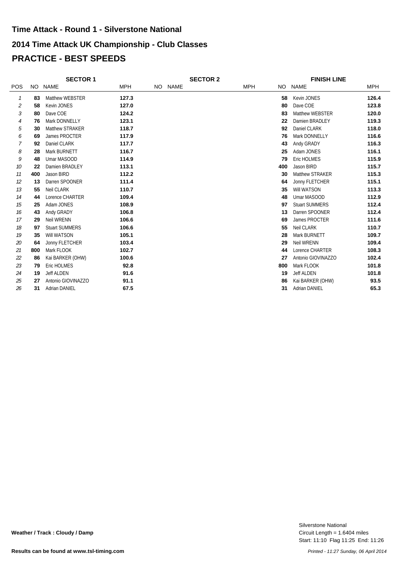## **2014 Time Attack UK Championship - Club Classes PRACTICE - BEST SPEEDS Time Attack - Round 1 - Silverstone National**

|                |     | <b>SECTOR 1</b>       |            |         | <b>SECTOR 2</b> |            |     | <b>FINISH LINE</b>    |            |
|----------------|-----|-----------------------|------------|---------|-----------------|------------|-----|-----------------------|------------|
| <b>POS</b>     |     | NO NAME               | <b>MPH</b> | NO NAME |                 | <b>MPH</b> | NO. | <b>NAME</b>           | <b>MPH</b> |
| 1              | 83  | Matthew WEBSTER       | 127.3      |         |                 |            | 58  | Kevin JONES           | 126.4      |
| 2              | 58  | Kevin JONES           | 127.0      |         |                 |            | 80  | Dave COE              | 123.8      |
| 3              | 80  | Dave COE              | 124.2      |         |                 |            | 83  | Matthew WEBSTER       | 120.0      |
| $\overline{4}$ | 76  | Mark DONNELLY         | 123.1      |         |                 |            | 22  | Damien BRADLEY        | 119.3      |
| 5              | 30  | Matthew STRAKER       | 118.7      |         |                 |            | 92  | Daniel CLARK          | 118.0      |
| 6              | 69  | James PROCTER         | 117.9      |         |                 |            | 76  | Mark DONNELLY         | 116.6      |
| 7              | 92  | Daniel CLARK          | 117.7      |         |                 |            | 43  | Andy GRADY            | 116.3      |
| 8              | 28  | Mark BURNETT          | 116.7      |         |                 |            | 25  | Adam JONES            | 116.1      |
| 9              | 48  | Umar MASOOD           | 114.9      |         |                 |            | 79  | <b>Eric HOLMES</b>    | 115.9      |
| 10             | 22  | Damien BRADLEY        | 113.1      |         |                 |            | 400 | Jason BIRD            | 115.7      |
| 11             | 400 | Jason BIRD            | 112.2      |         |                 |            | 30  | Matthew STRAKER       | 115.3      |
| 12             | 13  | Darren SPOONER        | 111.4      |         |                 |            | 64  | Jonny FLETCHER        | 115.1      |
| 13             | 55  | Neil CLARK            | 110.7      |         |                 |            | 35  | Will WATSON           | 113.3      |
| 14             | 44  | Lorence CHARTER       | 109.4      |         |                 |            | 48  | Umar MASOOD           | 112.9      |
| 15             | 25  | Adam JONES            | 108.9      |         |                 |            | 97  | <b>Stuart SUMMERS</b> | 112.4      |
| 16             | 43  | Andy GRADY            | 106.8      |         |                 |            | 13  | Darren SPOONER        | 112.4      |
| 17             | 29  | <b>Neil WRENN</b>     | 106.6      |         |                 |            | 69  | James PROCTER         | 111.6      |
| 18             | 97  | <b>Stuart SUMMERS</b> | 106.6      |         |                 |            | 55  | Neil CLARK            | 110.7      |
| 19             | 35  | Will WATSON           | 105.1      |         |                 |            | 28  | Mark BURNETT          | 109.7      |
| 20             | 64  | Jonny FLETCHER        | 103.4      |         |                 |            | 29  | Neil WRENN            | 109.4      |
| 21             | 800 | Mark FLOOK            | 102.7      |         |                 |            | 44  | Lorence CHARTER       | 108.3      |
| 22             | 86  | Kai BARKER (OHW)      | 100.6      |         |                 |            | 27  | Antonio GIOVINAZZO    | 102.4      |
| 23             | 79  | Eric HOLMES           | 92.8       |         |                 |            | 800 | Mark FLOOK            | 101.8      |
| 24             | 19  | <b>Jeff ALDEN</b>     | 91.6       |         |                 |            | 19  | <b>Jeff ALDEN</b>     | 101.8      |
| 25             | 27  | Antonio GIOVINAZZO    | 91.1       |         |                 |            | 86  | Kai BARKER (OHW)      | 93.5       |
| 26             | 31  | <b>Adrian DANIEL</b>  | 67.5       |         |                 |            | 31  | <b>Adrian DANIEL</b>  | 65.3       |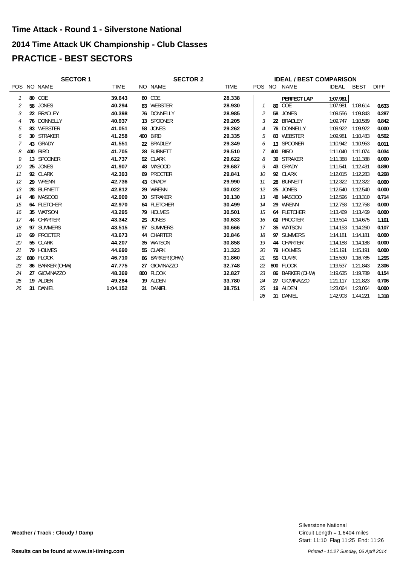# **2014 Time Attack UK Championship - Club Classes PRACTICE - BEST SECTORS Time Attack - Round 1 - Silverstone National**

|    | <b>SECTOR 1</b> |             | <b>SECTOR 2</b> |                 |             |    | <b>IDEAL / BEST COMPARISON</b> |                 |              |             |             |  |  |
|----|-----------------|-------------|-----------------|-----------------|-------------|----|--------------------------------|-----------------|--------------|-------------|-------------|--|--|
|    | POS NO NAME     | <b>TIME</b> |                 | NO NAME         | <b>TIME</b> |    |                                | POS NO NAME     | <b>IDEAL</b> | <b>BEST</b> | <b>DIFF</b> |  |  |
|    | 80 COE          | 39.643      |                 | 80 COE          | 28.338      |    |                                | PERFECT LAP     | 1:07.981     |             |             |  |  |
| 2  | 58 JONES        | 40.294      |                 | 83 WEBSTER      | 28.930      |    |                                | 80 COE          | 1:07.981     | 1:08.614    | 0.633       |  |  |
| 3  | 22 BRADLEY      | 40.398      |                 | 76 DONNELLY     | 28.985      | 2  |                                | 58 JONES        | 1:09.556     | 1:09.843    | 0.287       |  |  |
|    | 76 DONNELLY     | 40.937      |                 | 13 SPOONER      | 29.205      |    |                                | 22 BRADLEY      | 1:09.747     | 1:10.589    | 0.842       |  |  |
| 5  | 83 WEBSTER      | 41.051      |                 | 58 JONES        | 29.262      | 4  |                                | 76 DONNELLY     | 1:09.922     | 1:09.922    | 0.000       |  |  |
| 6  | 30 STRAKER      | 41.258      |                 | <b>400 BIRD</b> | 29.335      | 5  |                                | 83 WEBSTER      | 1:09.981     | 1:10.483    | 0.502       |  |  |
|    | 43 GRADY        | 41.551      |                 | 22 BRADLEY      | 29.349      | 6  |                                | 13 SPOONER      | 1:10.942     | 1:10.953    | 0.011       |  |  |
| 8  | 400 BIRD        | 41.705      |                 | 28 BURNETT      | 29.510      |    |                                | 400 BIRD        | 1:11.040     | 1:11.074    | 0.034       |  |  |
| 9  | 13 SPOONER      | 41.737      |                 | 92 CLARK        | 29.622      | 8  |                                | 30 STRAKER      | 1:11.388     | 1:11.388    | 0.000       |  |  |
| 10 | 25 JONES        | 41.907      |                 | 48 MASOOD       | 29.687      | 9  |                                | 43 GRADY        | 1:11.541     | 1:12.431    | 0.890       |  |  |
| 11 | 92 CLARK        | 42.393      |                 | 69 PROCTER      | 29.841      | 10 |                                | 92 CLARK        | 1:12.015     | 1:12.283    | 0.268       |  |  |
| 12 | 29 WRENN        | 42.736      |                 | 43 GRADY        | 29.990      | 11 |                                | 28 BURNETT      | 1:12.322     | 1:12.322    | 0.000       |  |  |
| 13 | 28 BURNETT      | 42.812      |                 | 29 WRENN        | 30.022      | 12 |                                | 25 JONES        | 1:12.540     | 1:12.540    | 0.000       |  |  |
| 14 | 48 MASOOD       | 42.909      |                 | 30 STRAKER      | 30.130      | 13 |                                | 48 MASOOD       | 1:12.596     | 1:13.310    | 0.714       |  |  |
| 15 | 64 FLETCHER     | 42.970      |                 | 64 FLETCHER     | 30.499      | 14 |                                | 29 WRENN        | 1:12.758     | 1:12.758    | 0.000       |  |  |
| 16 | 35 WATSON       | 43.295      |                 | 79 HOLMES       | 30.501      | 15 |                                | 64 FLETCHER     | 1:13.469     | 1:13.469    | 0.000       |  |  |
| 17 | 44 CHARTER      | 43.342      |                 | 25 JONES        | 30.633      | 16 |                                | 69 PROCTER      | 1:13.514     | 1:14.675    | 1.161       |  |  |
| 18 | 97 SUMMERS      | 43.515      |                 | 97 SUMMERS      | 30.666      | 17 |                                | 35 WATSON       | 1:14.153     | 1:14.260    | 0.107       |  |  |
| 19 | 69 PROCTER      | 43.673      |                 | 44 CHARTER      | 30.846      | 18 |                                | 97 SUMMERS      | 1:14.181     | 1:14.181    | 0.000       |  |  |
| 20 | 55 CLARK        | 44.207      |                 | 35 WATSON       | 30.858      | 19 |                                | 44 CHARTER      | 1:14.188     | 1:14.188    | 0.000       |  |  |
| 21 | 79 HOLMES       | 44.690      |                 | 55 CLARK        | 31.323      | 20 |                                | 79 HOLMES       | 1:15.191     | 1:15.191    | 0.000       |  |  |
| 22 | 800 FLOOK       | 46.710      |                 | 86 BARKER (OHW) | 31.860      | 21 |                                | 55 CLARK        | 1:15.530     | 1:16.785    | 1.255       |  |  |
| 23 | 86 BARKER (OHW) | 47.775      |                 | 27 GIOVINAZZO   | 32.748      | 22 |                                | 800 FLOOK       | 1:19.537     | 1:21.843    | 2.306       |  |  |
| 24 | 27 GIOVINAZZO   | 48.369      |                 | 800 FLOOK       | 32.827      | 23 |                                | 86 BARKER (OHW) | 1:19.635     | 1:19.789    | 0.154       |  |  |
| 25 | 19 ALDEN        | 49.284      |                 | 19 ALDEN        | 33.780      | 24 |                                | 27 GIOVINAZZO   | 1:21.117     | 1:21.823    | 0.706       |  |  |
| 26 | 31 DANIEL       | 1:04.152    |                 | 31 DANIEL       | 38.751      | 25 |                                | 19 ALDEN        | 1:23.064     | 1:23.064    | 0.000       |  |  |
|    |                 |             |                 |                 |             | 26 |                                | 31 DANIEL       | 1:42.903     | 1:44.221    | 1.318       |  |  |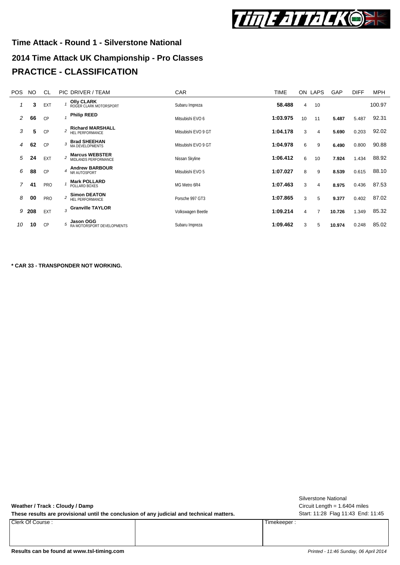

# **2014 Time Attack UK Championship - Pro Classes Time Attack - Round 1 - Silverstone National PRACTICE - CLASSIFICATION**

| <b>POS</b> | NO. | CL         |                         | PIC DRIVER / TEAM                                 | <b>CAR</b>          | <b>TIME</b> |                | ON LAPS | GAP    | <b>DIFF</b> | <b>MPH</b> |
|------------|-----|------------|-------------------------|---------------------------------------------------|---------------------|-------------|----------------|---------|--------|-------------|------------|
|            | 3   | EXT        |                         | <b>Olly CLARK</b><br>ROGER CLARK MOTORSPORT       | Subaru Impreza      | 58.488      | $\overline{4}$ | 10      |        |             | 100.97     |
| 2          | 66  | CP         |                         | <b>Philip REED</b>                                | Mitsubishi EVO 6    | 1:03.975    | 10             | 11      | 5.487  | 5.487       | 92.31      |
| 3          | 5   | CP         | $\overline{a}$          | <b>Richard MARSHALL</b><br><b>HEL PERFORMANCE</b> | Mitsubishi EVO 9 GT | 1:04.178    | 3              | 4       | 5.690  | 0.203       | 92.02      |
| 4          | 62  | CP         | $\overline{\mathbf{3}}$ | <b>Brad SHEEHAN</b><br>MA DEVELOPMENTS            | Mitsubishi EVO 9 GT | 1:04.978    | 6              | 9       | 6.490  | 0.800       | 90.88      |
| 5          | 24  | EXT        | $\overline{c}$          | <b>Marcus WEBSTER</b><br>MIDLANDS PERFORMANCE     | Nissan Skyline      | 1:06.412    | 6              | 10      | 7.924  | 1.434       | 88.92      |
| 6          | 88  | CP         | 4                       | <b>Andrew BARBOUR</b><br>NR AUTOSPORT             | Mitsubishi EVO 5    | 1:07.027    | 8              | 9       | 8.539  | 0.615       | 88.10      |
| 7          | 41  | <b>PRO</b> |                         | <b>Mark POLLARD</b><br>POLLARD BOXES              | MG Metro 6R4        | 1:07.463    | 3              | 4       | 8.975  | 0.436       | 87.53      |
| 8          | 00  | PRO        | $\overline{a}$          | <b>Simon DEATON</b><br>HEL PERFORMANCE            | Porsche 997 GT3     | 1:07.865    | 3              | 5       | 9.377  | 0.402       | 87.02      |
| 9          | 208 | EXT        |                         | $_3$ Granville TAYLOR                             | Volkswagen Beetle   | 1:09.214    | $\overline{4}$ | 7       | 10.726 | 1.349       | 85.32      |
| 10         | 10  | CP         |                         | Jason OGG<br>RA MOTORSPORT DEVELOPMENTS           | Subaru Impreza      | 1:09.462    | 3              | 5       | 10.974 | 0.248       | 85.02      |

**\* CAR 33 - TRANSPONDER NOT WORKING.**

| Weather / Track: Cloudy / Damp<br>These results are provisional until the conclusion of any judicial and technical matters. |             | Silverstone National<br>Circuit Length $= 1.6404$ miles<br>Start: 11:28 Flag 11:43 End: 11:45 |
|-----------------------------------------------------------------------------------------------------------------------------|-------------|-----------------------------------------------------------------------------------------------|
| Clerk Of Course :                                                                                                           | Timekeeper: |                                                                                               |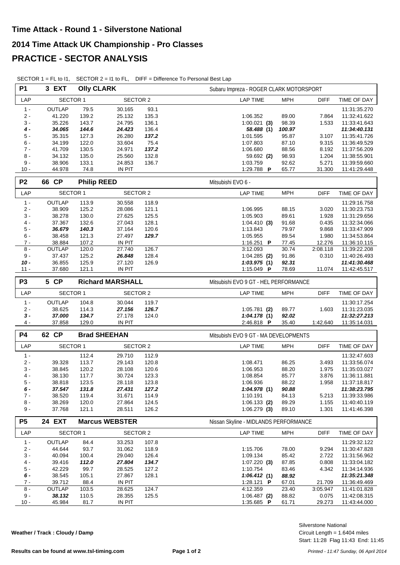| <b>P1</b>      | 3 EXT           | <b>Olly CLARK</b>                  |                       |       | Subaru Impreza - ROGER CLARK MOTORSPORT      |              |
|----------------|-----------------|------------------------------------|-----------------------|-------|----------------------------------------------|--------------|
| LAP            | <b>SECTOR 1</b> |                                    | <b>SECTOR 2</b>       |       | <b>LAP TIME</b><br><b>MPH</b><br><b>DIFF</b> | TIME OF DAY  |
| $1 -$          | <b>OUTLAP</b>   | 79.5                               | 30.165                | 93.1  |                                              | 11:31:35.270 |
| $2 -$          | 41.220          | 139.2                              | 25.132                | 135.3 | 1:06.352<br>89.00<br>7.864                   | 11:32:41.622 |
| $3 -$          | 35.226          | 143.7                              | 24.795                | 136.1 | 98.39<br>$1:00.021$ (3)<br>1.533             | 11:33:41.643 |
| $4 -$          | 34.065          | 144.6                              | 24.423                | 136.4 | 100.97<br>58.488 (1)                         | 11:34:40.131 |
| 5 -            | 35.315          | 127.3                              | 26.280                | 137.2 | 1:01.595<br>95.87<br>3.107                   | 11:35:41.726 |
| 6 -            | 34.199          | 122.0                              | 33.604                | 75.4  | 87.10<br>1:07.803<br>9.315                   | 11:36:49.529 |
| $7 -$          | 41.709          | 130.5                              | 24.971                | 137.2 | 1:06.680<br>88.56<br>8.192                   | 11:37:56.209 |
| 8 -            | 34.132          | 135.0                              | 25.560                | 132.8 | 98.93<br>59.692 (2)<br>1.204                 | 11:38:55.901 |
| $9 -$          | 38.906          | 133.1                              | 24.853                | 136.7 | 1:03.759<br>92.62<br>5.271                   | 11:39:59.660 |
| $10 -$         | 44.978          | 74.8                               | <b>IN PIT</b>         |       | 1:29.788 P<br>65.77<br>31.300                | 11:41:29.448 |
| P <sub>2</sub> | 66 CP           |                                    | <b>Philip REED</b>    |       | Mitsubishi EVO 6 -                           |              |
| LAP            | <b>SECTOR 1</b> |                                    | <b>SECTOR 2</b>       |       | <b>MPH</b><br><b>DIFF</b><br><b>LAP TIME</b> | TIME OF DAY  |
| $1 -$          | OUTLAP          | 113.9                              | 30.558                | 118.9 |                                              | 11:29:16.758 |
| $2 -$          | 38.909          | 125.2                              | 28.086                | 121.1 | 1:06.995<br>88.15<br>3.020                   | 11:30:23.753 |
| $3 -$          | 38.278          | 130.0                              | 27.625                | 125.5 | 1:05.903<br>89.61<br>1.928                   | 11:31:29.656 |
| $4 -$          | 37.367          | 132.6                              | 27.043                | 128.1 | 91.68<br>1:04.410(3)<br>0.435                | 11:32:34.066 |
| $5 -$          | 36.679          | 140.3                              | 37.164                | 120.6 | 1:13.843<br>79.97<br>9.868                   | 11:33:47.909 |
| $6 -$          | 38.458          | 121.3                              | 27.497                | 129.7 | 89.54<br>1.980<br>1:05.955                   | 11:34:53.864 |
| $7 -$          | 38.884          | 107.2                              | <b>IN PIT</b>         |       | 12.276<br>1:16.251 $P$<br>77.45              | 11:36:10.115 |
| $8 -$          | OUTLAP          | 120.0                              | 27.740                | 126.7 | 3:12.093<br>30.74<br>2:08.118                | 11:39:22.208 |
| $9 -$          | 37.437          | 125.2                              | 26.848                | 128.4 | $1:04.285$ (2)<br>91.86<br>0.310             | 11:40:26.493 |
| $10 -$         | 36.855          | 125.9                              | 27.120                | 126.9 | 92.31<br>1:03.975(1)                         | 11:41:30.468 |
| $11 -$         | 37.680          | 121.1                              | <b>IN PIT</b>         |       | 78.69<br>1:15.049 P<br>11.074                | 11:42:45.517 |
| P <sub>3</sub> | 5 CP            | <b>Richard MARSHALL</b>            |                       |       | Mitsubishi EVO 9 GT - HEL PERFORMANCE        |              |
| LAP            |                 | <b>SECTOR 1</b><br><b>SECTOR 2</b> |                       |       | <b>LAP TIME</b><br><b>MPH</b><br><b>DIFF</b> | TIME OF DAY  |
| $1 -$          | OUTLAP          | 104.8                              | 30.044                | 119.7 |                                              | 11:30:17.254 |
| $2 -$          | 38.625          | 114.3                              | 27.156                | 126.7 | $1:05.781$ (2)<br>89.77<br>1.603             | 11:31:23.035 |
| $3 -$          | 37.000          | 134.7                              | 27.178                | 124.0 | 1:04.178(1)<br>92.02                         | 11:32:27.213 |
| $4 -$          | 37.858          | 129.0                              | <b>IN PIT</b>         |       | 2:46.818 P<br>35.40<br>1:42.640              | 11:35:14.031 |
| <b>P4</b>      | 62 CP           |                                    | <b>Brad SHEEHAN</b>   |       | Mitsubishi EVO 9 GT - MA DEVELOPMENTS        |              |
| LAP            | <b>SECTOR 1</b> |                                    | <b>SECTOR 2</b>       |       | <b>LAP TIME</b><br><b>MPH</b><br><b>DIFF</b> | TIME OF DAY  |
| $1 -$          |                 | 112.4                              | 29.710                | 112.9 |                                              | 11:32:47.603 |
| $2 -$          | 39.328          | 113.7                              | 29.143                | 120.8 | 1:08.471<br>86.25<br>3.493                   | 11:33:56.074 |
| $3 -$          | 38.845          | 120.2                              | 28.108                | 120.6 | 88.20<br>1:06.953<br>1.975                   | 11:35:03.027 |
| $4 -$          | 38.130          | 117.7                              | 30.724                | 123.3 | 1:08.854<br>85.77<br>3.876                   | 11:36:11.881 |
| 5 -            | 38.818          | 123.5                              | 28.118                | 123.8 | 1:06.936<br>88.22<br>1.958                   | 11:37:18.817 |
| $6 -$          | 37.547          | 131.8                              | 27.431                | 127.2 | 1:04.978(1)<br>90.88                         | 11:38:23.795 |
| $7 -$          | 38.520          | 119.4                              | 31.671                | 114.9 | 1:10.191<br>84.13<br>5.213                   | 11:39:33.986 |
| $8 -$          | 38.269          | 120.0                              | 27.864                | 124.5 | $1:06.133$ (2)<br>89.29<br>1.155             | 11:40:40.119 |
| $9 -$          | 37.768          | 121.1                              | 28.511                | 126.2 | $1:06.279$ (3)<br>89.10<br>1.301             | 11:41:46.398 |
| P <sub>5</sub> | <b>24 EXT</b>   |                                    | <b>Marcus WEBSTER</b> |       | Nissan Skyline - MIDLANDS PERFORMANCE        |              |
| LAP            | <b>SECTOR 1</b> |                                    | SECTOR 2              |       | <b>LAP TIME</b><br><b>MPH</b><br><b>DIFF</b> | TIME OF DAY  |
| $1 -$          | OUTLAP          | 84.4                               | 33.253                | 107.8 |                                              | 11:29:32.122 |
| $2 -$          | 44.644          | 93.7                               | 31.062                | 118.9 | 1:15.706<br>78.00<br>9.294                   | 11:30:47.828 |
| 3 -            | 40.094          | 100.4                              | 29.040                | 126.4 | 85.42<br>1:09.134<br>2.722                   | 11:31:56.962 |
| $4 -$          | 39.416          | 112.0                              | 27.804                | 134.7 | 87.85<br>0.808<br>$1:07.220$ (3)             | 11:33:04.182 |
| $5 -$          | 42.229          | 99.7                               | 28.525                | 127.2 | 1:10.754<br>83.46<br>4.342                   | 11:34:14.936 |
| 6 -            | 38.545          | 105.1                              | 27.867                | 128.1 | 1:06.412(1)<br>88.92                         | 11:35:21.348 |
| $7 -$          | 39.712          | 88.4                               | IN PIT                |       | 21.709<br>1:28.121 <b>P</b><br>67.01         | 11:36:49.469 |
| $8 -$          | OUTLAP          | 103.5                              | 28.625                | 124.7 | 4:12.359<br>23.40<br>3:05.947                | 11:41:01.828 |
| $9 -$          | 38.132          | 110.5                              | 28.355                | 125.5 | $1:06.487$ (2)<br>88.82<br>0.075             | 11:42:08.315 |

SECTOR 1 = FL to I1, SECTOR 2 = I1 to FL, DIFF = Difference To Personal Best Lap

**Weather / Track : Cloudy / Damp**

Start: 11:28 Flag 11:43 End: 11:45 Circuit Length = 1.6404 miles Silverstone National

10 - 45.984 81.7 IN PIT **1:35.685 P** 61.71 29.273 11:43:44.000

٦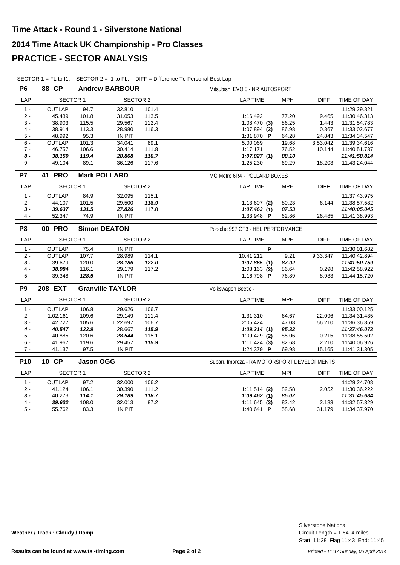| <b>P6</b>      | <b>88 CP</b>    |                             | <b>Andrew BARBOUR</b>   |       | Mitsubishi EVO 5 - NR AUTOSPORT              |              |
|----------------|-----------------|-----------------------------|-------------------------|-------|----------------------------------------------|--------------|
| LAP            | SECTOR 1        |                             | <b>SECTOR 2</b>         |       | <b>DIFF</b><br><b>LAP TIME</b><br><b>MPH</b> | TIME OF DAY  |
| $1 -$          | <b>OUTLAP</b>   | 94.7                        | 32.810                  | 101.4 |                                              | 11:29:29.821 |
| $2 -$          | 45.439          | 101.8                       | 31.053                  | 113.5 | 77.20<br>1:16.492<br>9.465                   | 11:30:46.313 |
| $3 -$          | 38.903          | 115.5                       | 29.567                  | 112.4 | $1:08.470$ (3)<br>86.25<br>1.443             | 11:31:54.783 |
| $4 -$          | 38.914          | 113.3                       | 28.980                  | 116.3 | $1:07.894$ (2)<br>86.98<br>0.867             | 11:33:02.677 |
| $5 -$          | 48.992          | 95.3                        | IN PIT                  |       | 64.28<br>24.843<br>1:31.870 P                | 11:34:34.547 |
| $6 -$          | <b>OUTLAP</b>   | 101.3                       | 34.041                  | 89.1  | 19.68<br>5:00.069<br>3:53.042                | 11:39:34.616 |
| $7 -$          | 46.757          | 106.6                       | 30.414                  | 111.8 | 76.52<br>1:17.171<br>10.144                  | 11:40:51.787 |
| $8-$           | 38.159          | 119.4                       | 28.868                  | 118.7 | 1:07.027(1)<br>88.10                         | 11:41:58.814 |
| $9 -$          | 49.104          | 89.1                        | 36.126                  | 117.6 | 1:25.230<br>69.29<br>18.203                  | 11:43:24.044 |
| <b>P7</b>      | <b>41 PRO</b>   |                             | <b>Mark POLLARD</b>     |       | MG Metro 6R4 - POLLARD BOXES                 |              |
| LAP            | <b>SECTOR 1</b> |                             | <b>SECTOR 2</b>         |       | <b>MPH</b><br><b>LAP TIME</b><br><b>DIFF</b> | TIME OF DAY  |
| $1 -$          | OUTLAP          | 84.9                        | 32.095                  | 115.1 |                                              | 11:37:43.975 |
| $2 -$          | 44.107          | 101.5                       | 29.500                  | 118.9 | 80.23<br>6.144<br>$1:13.607$ (2)             | 11:38:57.582 |
| $3 -$          | 39.637          | 131.5                       | 27.826                  | 117.8 | 1:07.463(1)<br>87.53                         | 11:40:05.045 |
| $4 -$          | 52.347          | 74.9                        | IN PIT                  |       | 1:33.948 P<br>62.86<br>26.485                | 11:41:38.993 |
| P <sub>8</sub> | <b>00 PRO</b>   |                             | <b>Simon DEATON</b>     |       | Porsche 997 GT3 - HEL PERFORMANCE            |              |
| LAP            |                 | SECTOR 1<br><b>SECTOR 2</b> |                         |       | <b>LAP TIME</b><br><b>MPH</b><br><b>DIFF</b> | TIME OF DAY  |
| $1 -$          | OUTLAP          | 75.4                        | IN PIT                  |       | P                                            | 11:30:01.682 |
| $2 -$          | <b>OUTLAP</b>   | 107.7                       | 28.989                  | 114.1 | 10:41.212<br>9.21<br>9:33.347                | 11:40:42.894 |
| $3 -$          | 39.679          | 120.0                       | 28.186                  | 122.0 | 87.02<br>1:07.865(1)                         | 11:41:50.759 |
| $4 -$          | 38.984          | 116.1                       | 29.179                  | 117.2 | $1:08.163$ (2)<br>86.64<br>0.298             | 11:42:58.922 |
| $5 -$          | 39.348          | 128.5                       | IN PIT                  |       | 1:16.798 P<br>76.89<br>8.933                 | 11:44:15.720 |
| P <sub>9</sub> | 208 EXT         |                             | <b>Granville TAYLOR</b> |       | Volkswagen Beetle -                          |              |
| LAP            | <b>SECTOR 1</b> |                             | <b>SECTOR 2</b>         |       | <b>LAP TIME</b><br><b>MPH</b><br><b>DIFF</b> | TIME OF DAY  |
| $1 -$          | OUTLAP          | 106.8                       | 29.626                  | 106.7 |                                              | 11:33:00.125 |
| $2 -$          | 1:02.161        | 109.6                       | 29.149                  | 111.4 | 1:31.310<br>64.67<br>22.096                  | 11:34:31.435 |
| $3 -$          | 42.727          | 105.6                       | 1:22.697                | 106.7 | 47.08<br>2:05.424<br>56.210                  | 11:36:36.859 |
| 4 -            | 40.547          | 122.9                       | 28.667                  | 115.9 | 85.32<br>1:09.214(1)                         | 11:37:46.073 |
| $5 -$          | 40.885          | 120.6                       | 28.544                  | 115.1 | $1:09.429$ (2)<br>85.06<br>0.215             | 11:38:55.502 |
| 6 -            | 41.967          | 119.6                       | 29.457                  | 115.9 | 2.210<br>$1:11.424$ (3)<br>82.68             | 11:40:06.926 |
| $7 -$          | 41.137          | 97.5                        | IN PIT                  |       | 1:24.379 P<br>69.98<br>15.165                | 11:41:31.305 |
| P10            | 10 CP           | <b>Jason OGG</b>            |                         |       | Subaru Impreza - RA MOTORSPORT DEVELOPMENTS  |              |
| LAP            | <b>SECTOR 1</b> |                             | <b>SECTOR 2</b>         |       | <b>MPH</b><br><b>LAP TIME</b><br><b>DIFF</b> | TIME OF DAY  |
| $1 -$          | <b>OUTLAP</b>   | 97.2                        | 32.000                  | 106.2 |                                              | 11:29:24.708 |
| $2 -$          | 41.124          | 106.1                       | 30.390                  | 111.2 | $1:11.514$ (2)<br>82.58<br>2.052             | 11:30:36.222 |
| $3 -$          | 40.273          | 114.1                       | 29.189                  | 118.7 | 85.02<br>1:09.462(1)                         | 11:31:45.684 |
| $4 -$          | 39.632          | 108.0                       | 32.013                  | 87.2  | 82.42<br>2.183<br>$1:11.645$ (3)             | 11:32:57.329 |
| $5 -$          | 55.762          | 83.3                        | IN PIT                  |       | 1:40.641 P<br>58.68<br>31.179                | 11:34:37.970 |
|                |                 |                             |                         |       |                                              |              |

SECTOR 1 = FL to I1, SECTOR 2 = I1 to FL, DIFF = Difference To Personal Best Lap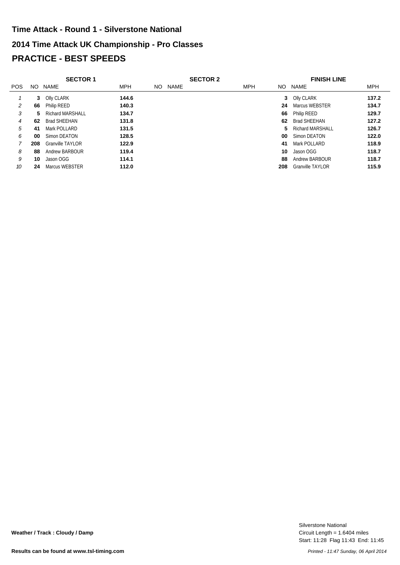# **2014 Time Attack UK Championship - Pro Classes PRACTICE - BEST SPEEDS Time Attack - Round 1 - Silverstone National**

|            |     | <b>SECTOR 1</b>         |            |     |      | <b>SECTOR 2</b> |            |     | <b>FINISH LINE</b>      |            |
|------------|-----|-------------------------|------------|-----|------|-----------------|------------|-----|-------------------------|------------|
| <b>POS</b> | NO. | NAME                    | <b>MPH</b> | NO. | NAME |                 | <b>MPH</b> | NO. | NAME                    | <b>MPH</b> |
|            |     | 3 Olly CLARK            | 144.6      |     |      |                 |            |     | 3 Olly CLARK            | 137.2      |
|            | 66  | <b>Philip REED</b>      | 140.3      |     |      |                 |            | 24  | Marcus WEBSTER          | 134.7      |
| 3          | 5.  | <b>Richard MARSHALL</b> | 134.7      |     |      |                 |            | 66  | Philip REED             | 129.7      |
| 4          | 62  | <b>Brad SHEEHAN</b>     | 131.8      |     |      |                 |            | 62  | <b>Brad SHEEHAN</b>     | 127.2      |
| 5          | 41  | Mark POLLARD            | 131.5      |     |      |                 |            | 5.  | Richard MARSHALL        | 126.7      |
| 6          | 00  | Simon DEATON            | 128.5      |     |      |                 |            | 00  | Simon DEATON            | 122.0      |
|            | 208 | <b>Granville TAYLOR</b> | 122.9      |     |      |                 |            | 41  | Mark POLLARD            | 118.9      |
| 8          | 88  | Andrew BARBOUR          | 119.4      |     |      |                 |            | 10  | Jason OGG               | 118.7      |
| 9          | 10  | Jason OGG               | 114.1      |     |      |                 |            | 88  | Andrew BARBOUR          | 118.7      |
| 10         | 24  | Marcus WEBSTER          | 112.0      |     |      |                 |            | 208 | <b>Granville TAYLOR</b> | 115.9      |

Start: 11:28 Flag 11:43 End: 11:45 Circuit Length = 1.6404 miles Silverstone National

**Weather / Track : Cloudy / Damp**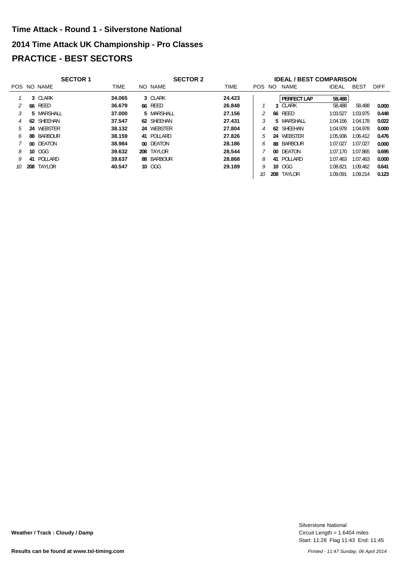# **2014 Time Attack UK Championship - Pro Classes PRACTICE - BEST SECTORS Time Attack - Round 1 - Silverstone National**

|    | <b>SECTOR 1</b><br><b>SECTOR 2</b> |                |             |  |            |  | <b>IDEAL / BEST COMPARISON</b> |            |     |                    |              |             |             |
|----|------------------------------------|----------------|-------------|--|------------|--|--------------------------------|------------|-----|--------------------|--------------|-------------|-------------|
|    |                                    | POS NO NAME    | <b>TIME</b> |  | NO NAME    |  | <b>TIME</b>                    | <b>POS</b> | NO. | NAME               | <b>IDEAL</b> | <b>BEST</b> | <b>DIFF</b> |
|    |                                    | 3 CLARK        | 34.065      |  | 3 CLARK    |  | 24.423                         |            |     | <b>PERFECT LAP</b> | 58.488       |             |             |
|    |                                    | <b>66 REED</b> | 36.679      |  | 66 REED    |  | 26.848                         |            |     | 3 CLARK            | 58.488       | 58.488      | 0.000       |
|    |                                    | 5 MARSHALL     | 37,000      |  | 5 MARSHALL |  | 27.156                         |            |     | <b>66 REED</b>     | 1:03.527     | 1:03.975    | 0.448       |
|    | 62                                 | SHEEHAN        | 37.547      |  | 62 SHEEHAN |  | 27.431                         |            |     | 5 MARSHALL         | 1:04.156     | 1:04.178    | 0.022       |
| 5  | 24                                 | WEBSTER        | 38.132      |  | 24 WEBSTER |  | 27.804                         |            |     | 62 SHEEHAN         | 1:04.978     | 1:04.978    | 0.000       |
| h. |                                    | 88 BARBOUR     | 38.159      |  | 41 POLLARD |  | 27.826                         | 5          |     | 24 WEBSTER         | 1:05.936     | 1:06.412    | 0.476       |
|    |                                    | 00 DEATON      | 38.984      |  | 00 DEATON  |  | 28.186                         | 6          |     | 88 BARBOUR         | 1:07.027     | 1:07.027    | 0.000       |
| 8  |                                    | 10 OGG         | 39.632      |  | 208 TAYLOR |  | 28.544                         |            |     | 00 DEATON          | 1:07.170     | 1:07.865    | 0.695       |
| 9  |                                    | 41 POLLARD     | 39.637      |  | 88 BARBOUR |  | 28,868                         | 8          |     | 41 POLLARD         | 1:07.463     | 1:07.463    | 0.000       |
| 10 |                                    | 208 TAYLOR     | 40.547      |  | 10 OGG     |  | 29.189                         |            |     | 10 OGG             | 1:08.821     | 1:09.462    | 0.641       |
|    |                                    |                |             |  |            |  |                                | 10         |     | 208 TAYLOR         | 1:09.091     | 1:09.214    | 0.123       |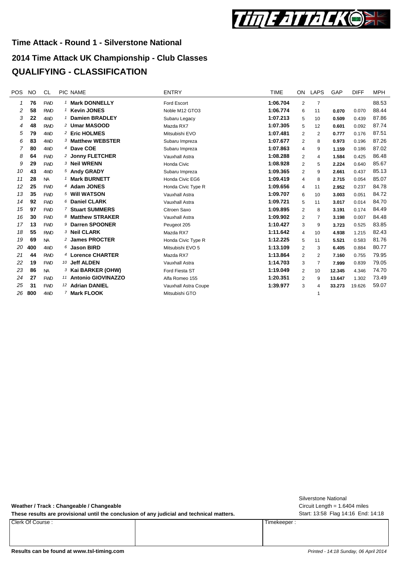

## **2014 Time Attack UK Championship - Club Classes QUALIFYING - CLASSIFICATION**

| <b>POS</b> | <b>NO</b> | CL.        |   | PIC NAME                      | <b>ENTRY</b>         | <b>TIME</b> | <b>ON</b>      | LAPS           | GAP    | <b>DIFF</b> | MPH   |
|------------|-----------|------------|---|-------------------------------|----------------------|-------------|----------------|----------------|--------|-------------|-------|
| 1          | 76        | <b>FWD</b> |   | 1 Mark DONNELLY               | Ford Escort          | 1:06.704    | 2              | $\overline{7}$ |        |             | 88.53 |
| 2          | 58        | <b>RWD</b> |   | <sup>1</sup> Kevin JONES      | Noble M12 GTO3       | 1:06.774    | 6              | 11             | 0.070  | 0.070       | 88.44 |
| 3          | 22        | 4WD        | 1 | <b>Damien BRADLEY</b>         | Subaru Legacy        | 1:07.213    | 5              | 10             | 0.509  | 0.439       | 87.86 |
| 4          | 48        | <b>RWD</b> |   | 2 Umar MASOOD                 | Mazda RX7            | 1:07.305    | 5              | 12             | 0.601  | 0.092       | 87.74 |
| 5          | 79        | 4WD        |   | 2 Eric HOLMES                 | Mitsubishi EVO       | 1:07.481    | $\overline{2}$ | 2              | 0.777  | 0.176       | 87.51 |
| 6          | 83        | 4WD        |   | 3 Matthew WEBSTER             | Subaru Impreza       | 1:07.677    | 2              | 8              | 0.973  | 0.196       | 87.26 |
| 7          | 80        | 4WD        |   | 4 Dave COE                    | Subaru Impreza       | 1:07.863    | 4              | 9              | 1.159  | 0.186       | 87.02 |
| 8          | 64        | <b>FWD</b> |   | 2 Jonny FLETCHER              | Vauxhall Astra       | 1:08.288    | 2              | 4              | 1.584  | 0.425       | 86.48 |
| 9          | 29        | <b>FWD</b> |   | <sup>3</sup> Neil WRENN       | Honda Civic          | 1:08.928    | $\overline{2}$ | 5              | 2.224  | 0.640       | 85.67 |
| 10         | 43        | 4WD        |   | 5 Andy GRADY                  | Subaru Impreza       | 1:09.365    | $\overline{2}$ | 9              | 2.661  | 0.437       | 85.13 |
| 11         | 28        | <b>NA</b>  |   | 1 Mark BURNETT                | Honda Civic EG6      | 1:09.419    | 4              | 8              | 2.715  | 0.054       | 85.07 |
| 12         | 25        | <b>FWD</b> |   | 4 Adam JONES                  | Honda Civic Type R   | 1:09.656    | 4              | 11             | 2.952  | 0.237       | 84.78 |
| 13         | 35        | <b>FWD</b> |   | 5 Will WATSON                 | Vauxhall Astra       | 1:09.707    | 6              | 10             | 3.003  | 0.051       | 84.72 |
| 14         | 92        | <b>FWD</b> |   | 6 Daniel CLARK                | Vauxhall Astra       | 1:09.721    | 5              | 11             | 3.017  | 0.014       | 84.70 |
| 15         | 97        | <b>FWD</b> |   | 7 Stuart SUMMERS              | Citroen Saxo         | 1:09.895    | $\overline{2}$ | 8              | 3.191  | 0.174       | 84.49 |
| 16         | 30        | <b>FWD</b> |   | 8 Matthew STRAKER             | Vauxhall Astra       | 1:09.902    | $\overline{2}$ | 7              | 3.198  | 0.007       | 84.48 |
| 17         | 13        | <b>FWD</b> |   | 9 Darren SPOONER              | Peugeot 205          | 1:10.427    | 3              | 9              | 3.723  | 0.525       | 83.85 |
| 18         | 55        | <b>RWD</b> |   | 3 Neil CLARK                  | Mazda RX7            | 1:11.642    | 4              | 10             | 4.938  | 1.215       | 82.43 |
| 19         | 69        | <b>NA</b>  |   | 2 James PROCTER               | Honda Civic Type R   | 1:12.225    | 5              | 11             | 5.521  | 0.583       | 81.76 |
| 20         | 400       | 4WD        |   | $6$ Jason BIRD                | Mitsubishi EVO 5     | 1:13.109    | $\overline{2}$ | 3              | 6.405  | 0.884       | 80.77 |
| 21         | 44        | <b>RWD</b> |   | 4 Lorence CHARTER             | Mazda RX7            | 1:13.864    | $\overline{2}$ | 2              | 7.160  | 0.755       | 79.95 |
| 22         | 19        | <b>FWD</b> |   | 10 Jeff ALDEN                 | Vauxhall Astra       | 1:14.703    | 3              | $\overline{7}$ | 7.999  | 0.839       | 79.05 |
| 23         | 86        | <b>NA</b>  |   | <sup>3</sup> Kai BARKER (OHW) | Ford Fiesta ST       | 1:19.049    | $\overline{2}$ | 10             | 12.345 | 4.346       | 74.70 |
| 24         | 27        | <b>FWD</b> |   | 11 Antonio GIOVINAZZO         | Alfa Romeo 155       | 1:20.351    | $\overline{2}$ | 9              | 13.647 | 1.302       | 73.49 |
| 25         | 31        | <b>FWD</b> |   | 12 Adrian DANIEL              | Vauxhall Astra Coupe | 1:39.977    | 3              | 4              | 33.273 | 19.626      | 59.07 |
| 26         | 800       | 4WD        |   | 7 Mark FLOOK                  | Mitsubishi GTO       |             |                |                |        |             |       |

**Weather / Track : Changeable / Changeable**

These results are provisional until the conclusion of any judicial and technical matters. Start: 13:58 Flag 14:16 End: 14:18

Clerk Of Course : Timekeeper :

Circuit Length = 1.6404 miles Silverstone National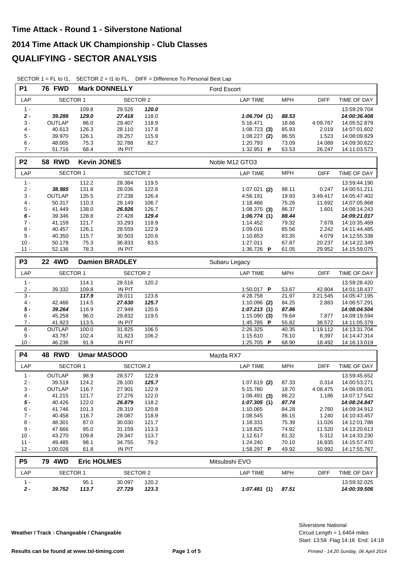|  |  | SECTOR 1 = FL to I1, SECTOR $2 = 11$ to FL, DIFF = Difference To Personal Best Lap |
|--|--|------------------------------------------------------------------------------------|
|--|--|------------------------------------------------------------------------------------|

| <b>P1</b>       | <b>76 FWD</b>    |                    | <b>Mark DONNELLY</b>  |                | <b>Ford Escort</b>      |                |                  |                              |
|-----------------|------------------|--------------------|-----------------------|----------------|-------------------------|----------------|------------------|------------------------------|
| LAP             | <b>SECTOR 1</b>  |                    | SECTOR 2              |                | <b>LAP TIME</b>         | <b>MPH</b>     | <b>DIFF</b>      | TIME OF DAY                  |
| $1 -$           |                  | 109.8              | 29.526                | 120.0          |                         |                |                  | 13:59:29.704                 |
| $2 -$           | 39.286           | 129.0              | 27.418                | 118.0          | 1:06.704(1)             | 88.53          |                  | 14:00:36.408                 |
| $3 -$           | <b>OUTLAP</b>    | 86.0               | 29.407                | 118.9          | 5:16.471                | 18.66          | 4:09.767         | 14:05:52.879                 |
| $4 -$           | 40.613           | 126.3              | 28.110                | 117.8          | $1:08.723$ (3)          | 85.93          | 2.019            | 14:07:01.602                 |
| $5 -$           | 39.970           | 126.1              | 28.257                | 115.9          | $1:08.227$ (2)          | 86.55          | 1.523            | 14:08:09.829                 |
| $6 -$           | 48.005           | 75.3               | 32.788                | 82.7           | 1:20.793                | 73.09          | 14.089           | 14:09:30.622                 |
| $7 -$           | 51.716           | 68.4               | <b>IN PIT</b>         |                | 1:32.951 $\blacksquare$ | 63.53          | 26.247           | 14:11:03.573                 |
| P <sub>2</sub>  | <b>58 RWD</b>    | <b>Kevin JONES</b> |                       |                | Noble M12 GTO3          |                |                  |                              |
| LAP             | <b>SECTOR 1</b>  |                    | <b>SECTOR 2</b>       |                | <b>LAP TIME</b>         | <b>MPH</b>     | <b>DIFF</b>      | TIME OF DAY                  |
| $1 -$           |                  | 112.2              | 28.384                | 119.5          |                         |                |                  | 13:59:44.190                 |
| $2 -$           | 38.985           | 131.8              | 28.036                | 122.6          | $1:07.021$ (2)          | 88.11          | 0.247            | 14:00:51.211                 |
| $3 -$           | <b>OUTLAP</b>    | 135.5              | 27.238                | 126.4          | 4:56.191                | 19.93          | 3:49.417         | 14:05:47.402                 |
| $4 -$           | 50.317           | 110.3              | 28.149                | 106.7          | 1:18.466                | 75.26          | 11.692           | 14:07:05.868                 |
| $5 -$           | 41.449           | 138.0              | 26.926                | 126.7          | $1:08.375$ (3)          | 86.37          | 1.601            | 14:08:14.243                 |
| 6 -             | 39.346           | 128.8              | 27.428                | 129.4          | 1:06.774(1)             | 88.44          |                  | 14:09:21.017                 |
| $7 -$           | 41.159           | 121.7              | 33.293                | 118.9          | 1:14.452                | 79.32          | 7.678            | 14:10:35.469                 |
| $8 -$           | 40.457           | 126.1              | 28.559                | 122.9          | 1:09.016                | 85.56          | 2.242            | 14:11:44.485                 |
| $9 -$           | 40.350           | 115.7              | 30.503                | 120.6          | 1:10.853                | 83.35          | 4.079            | 14:12:55.338                 |
| $10 -$          | 50.178           | 75.3               | 36.833                | 83.5           | 1:27.011                | 67.87          | 20.237           | 14:14:22.349                 |
| $11 -$          | 52.136           | 78.3               | IN PIT                |                | 1:36.726 P              | 61.05          | 29.952           | 14:15:59.075                 |
|                 |                  |                    |                       |                |                         |                |                  |                              |
|                 |                  |                    |                       |                |                         |                |                  |                              |
| P <sub>3</sub>  | 22 4WD           |                    | <b>Damien BRADLEY</b> |                | Subaru Legacy           |                |                  |                              |
| LAP             | <b>SECTOR 1</b>  |                    | <b>SECTOR 2</b>       |                | <b>LAP TIME</b>         | <b>MPH</b>     | <b>DIFF</b>      | TIME OF DAY                  |
| $1 -$           |                  | 114.1              | 28.516                | 120.2          |                         |                |                  | 13:59:28.420                 |
| $2 -$           | 39.332           | 109.8              | <b>IN PIT</b>         |                | 1:50.017 P              | 53.67          | 42.804           | 14:01:18.437                 |
| $3 -$           |                  | 117.9              | 28.011                | 123.6          | 4:28.758                | 21.97          | 3:21.545         | 14:05:47.195                 |
| $4 -$           | 42.466           | 114.5              | 27.630                | 125.7          | $1:10.096$ (2)          | 84.25          | 2.883            | 14:06:57.291                 |
| $5 -$           | 39.264           | 116.9              | 27.949                | 120.6          | 1:07.213(1)             | 87.86          |                  | 14:08:04.504                 |
| $6 -$           | 45.258           | 96.0               | 29.832                | 119.5          | $1:15.090$ (3)          | 78.64          | 7.877            | 14:09:19.594                 |
| $7 -$           | 41.923           | 113.5              | <b>IN PIT</b>         |                | 1:45.785 P              | 55.82          | 38.572           | 14:11:05.379                 |
| $8 -$           | OUTLAP           | 100.0              | 31.825                | 106.5          | 2:26.325                | 40.35          | 1:19.112         | 14:13:31.704                 |
| $9 -$<br>$10 -$ | 43.787<br>46.236 | 102.4<br>91.9      | 31.823<br>IN PIT      | 106.2          | 1:15.610<br>1:25.705 P  | 78.10<br>68.90 | 8.397<br>18.492  | 14:14:47.314<br>14:16:13.019 |
|                 |                  |                    |                       |                |                         |                |                  |                              |
| P4              | 48 RWD           |                    | <b>Umar MASOOD</b>    |                | Mazda RX7               |                |                  |                              |
| LAP             | <b>SECTOR 1</b>  |                    | SECTOR 2              |                | <b>LAP TIME</b>         | <b>MPH</b>     | <b>DIFF</b>      | TIME OF DAY                  |
| $1 -$           | <b>OUTLAP</b>    | 98.9               | 28.577                | 122.9          |                         |                |                  | 13:59:45.652                 |
| $2 -$           | 39.519           | 124.2              | 28.100                | 125.7          | $1:07.619$ (2)          | 87.33          | 0.314            | 14:00:53.271                 |
| $3 -$           | <b>OUTLAP</b>    | 116.7              | 27.901                | 122.9          | 5:15.780                | 18.70          | 4:08.475         | 14:06:09.051                 |
| $4 -$           | 41.215           | 121.7              | 27.276                | 122.0          | $1:08.491$ (3)          | 86.22          | 1.186            | 14:07:17.542                 |
| $5 -$           | 40.426           | 122.0              | 26.879                | 118.2          | 1:07.305(1)             | 87.74          |                  | 14:08:24.847                 |
| $6 -$           | 41.746           | 101.3              | 28.319                | 120.8          | 1:10.065                | 84.28          | 2.760            | 14:09:34.912                 |
| $7 -$           | 40.458           | 116.7              | 28.087                | 118.9          | 1:08.545                | 86.15          | 1.240            | 14:10:43.457                 |
| $8 -$<br>$9 -$  | 48.301<br>47.666 | 87.0<br>95.0       | 30.030<br>31.159      | 121.7<br>113.3 | 1:18.331<br>1:18.825    | 75.39<br>74.92 | 11.026<br>11.520 | 14:12:01.788<br>14:13:20.613 |

| $12 -$                          | 1:00.026   | 61.8               | <b>IN PIT</b>    |                | 1:58.297<br>D   | 49.92      | 50.992 | 14:17:55.767                 |
|---------------------------------|------------|--------------------|------------------|----------------|-----------------|------------|--------|------------------------------|
| P <sub>5</sub>                  | 4WD<br>79. | <b>Eric HOLMES</b> |                  |                | Mitsubishi EVO  |            |        |                              |
| <b>LAP</b>                      | SECTOR 1   |                    | SECTOR 2         |                | LAP TIME        | <b>MPH</b> | DIFF   | TIME OF DAY                  |
| $\overline{\phantom{a}}$<br>2 - | 39.752     | 95.1<br>113.7      | 30.097<br>27.729 | 120.2<br>123.3 | 1:07.481<br>(1) | 87.51      |        | 13:59:32.025<br>14:00:39.506 |

10 - 43.270 109.8 29.347 113.7 81.32 1:12.617 5.312 14:14:33.230 11 - 49.485 98.1 34.755 79.2 70.10 1:24.240 16.935 14:15:57.470

**Weather / Track : Changeable / Changeable**

Start: 13:58 Flag 14:16 End: 14:18 Circuit Length = 1.6404 miles Silverstone National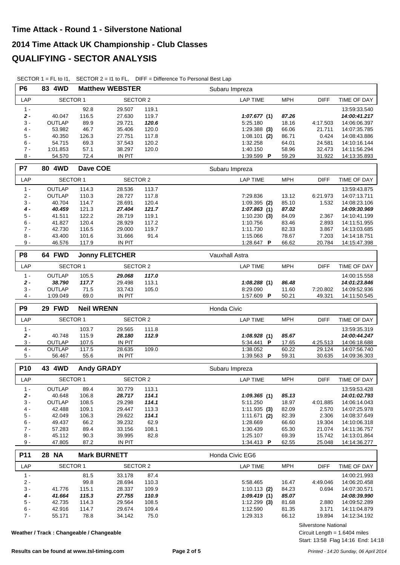|                | SECTOR $1 = FL$ to $11$ , |                   |                        |               | SECTOR $2 = 11$ to FL, DIFF = Difference To Personal Best Lap |                |                  |                              |
|----------------|---------------------------|-------------------|------------------------|---------------|---------------------------------------------------------------|----------------|------------------|------------------------------|
| <b>P6</b>      | 83 4WD                    |                   | <b>Matthew WEBSTER</b> |               | Subaru Impreza                                                |                |                  |                              |
| LAP            | <b>SECTOR 1</b>           |                   | <b>SECTOR 2</b>        |               | <b>LAP TIME</b>                                               | <b>MPH</b>     | <b>DIFF</b>      | TIME OF DAY                  |
| $1 -$          |                           | 92.8              | 29.507                 | 119.1         |                                                               |                |                  | 13:59:33.540                 |
| $2 -$          | 40.047                    | 116.5             | 27.630                 | 119.7         | 1:07.677(1)                                                   | 87.26          |                  | 14:00:41.217                 |
| $3 -$          | OUTLAP                    | 89.9              | 29.721                 | 120.6         | 5:25.180                                                      | 18.16          | 4:17.503         | 14:06:06.397                 |
| $4 -$          | 53.982                    | 46.7              | 35.406                 | 120.0         | $1:29.388$ (3)                                                | 66.06          | 21.711           | 14:07:35.785                 |
| 5 -            | 40.350                    | 126.3             | 27.751                 | 117.8         | $1:08.101$ (2)                                                | 86.71          | 0.424            | 14:08:43.886                 |
| 6 -            | 54.715                    | 69.3              | 37.543                 | 120.2         | 1:32.258                                                      | 64.01          | 24.581           | 14:10:16.144                 |
| $7 -$          | 1:01.853                  | 57.1              | 38.297                 | 120.0         | 1:40.150                                                      | 58.96          | 32.473           | 14:11:56.294                 |
| $8 -$          | 54.570                    | 72.4              | <b>IN PIT</b>          |               | 1:39.599 P                                                    | 59.29          | 31.922           | 14:13:35.893                 |
| <b>P7</b>      | 80 4WD                    | Dave COE          |                        |               | Subaru Impreza                                                |                |                  |                              |
| LAP            | <b>SECTOR 1</b>           |                   | <b>SECTOR 2</b>        |               | <b>LAP TIME</b>                                               | <b>MPH</b>     | <b>DIFF</b>      | TIME OF DAY                  |
| $1 -$          | <b>OUTLAP</b>             | 114.3             | 28.536                 | 113.7         |                                                               |                |                  | 13:59:43.875                 |
| $2 -$          | <b>OUTLAP</b>             | 110.3             | 28.727                 | 117.8         | 7:29.836                                                      | 13.12          | 6:21.973         | 14:07:13.711                 |
| $3 -$          | 40.704                    | 114.7             | 28.691                 | 120.4         | $1:09.395$ (2)                                                | 85.10          | 1.532            | 14:08:23.106                 |
| $4 -$          | 40.459                    | 121.3             | 27.404                 | 121.7         | 1:07.863(1)                                                   | 87.02          |                  | 14:09:30.969                 |
| 5 -            | 41.511                    | 122.2             | 28.719                 | 119.1         | $1:10.230$ (3)                                                | 84.09          | 2.367            | 14:10:41.199                 |
| $6 -$          | 41.827                    | 120.4             | 28.929                 | 117.2         | 1:10.756                                                      | 83.46          | 2.893            | 14:11:51.955                 |
| $7 -$          | 42.730                    | 116.5             | 29.000                 | 119.7         | 1:11.730                                                      | 82.33          | 3.867            | 14:13:03.685                 |
| 8 -            | 43.400                    | 101.6             | 31.666                 | 91.4          | 1:15.066                                                      | 78.67          | 7.203            | 14:14:18.751                 |
| $9 -$          | 46.576                    | 117.9             | IN PIT                 |               | 1:28.647 P                                                    | 66.62          | 20.784           | 14:15:47.398                 |
| P <sub>8</sub> | 64 FWD                    |                   | <b>Jonny FLETCHER</b>  |               | Vauxhall Astra                                                |                |                  |                              |
| LAP            | <b>SECTOR 1</b>           |                   | <b>SECTOR 2</b>        |               | <b>LAP TIME</b>                                               | <b>MPH</b>     | <b>DIFF</b>      | TIME OF DAY                  |
| $1 -$          | OUTLAP                    | 105.5             | 29.068                 | 117.0         |                                                               |                |                  | 14:00:15.558                 |
| $2 -$          | 38.790                    | 117.7             | 29.498                 | 113.1         | 1:08.288(1)                                                   | 86.48          |                  | 14:01:23.846                 |
| $3 -$          | <b>OUTLAP</b>             | 71.5              | 33.743                 | 105.0         | 8:29.090                                                      | 11.60          | 7:20.802         | 14:09:52.936                 |
| 4 -            | 1:09.049                  | 69.0              | <b>IN PIT</b>          |               | 1:57.609 P                                                    | 50.21          | 49.321           | 14:11:50.545                 |
|                |                           |                   |                        |               |                                                               |                |                  |                              |
| P <sub>9</sub> | 29 FWD                    | <b>Neil WRENN</b> |                        |               | Honda Civic                                                   |                |                  |                              |
| LAP            | <b>SECTOR 1</b>           |                   | <b>SECTOR 2</b>        |               | <b>LAP TIME</b>                                               | <b>MPH</b>     | <b>DIFF</b>      | TIME OF DAY                  |
| $1 -$          |                           | 103.7             | 29.565                 | 111.8         |                                                               |                |                  | 13:59:35.319                 |
| $2 -$          | 40.748                    |                   | 28.180                 |               |                                                               | 85.67          |                  | 14:00:44.247                 |
| $3 -$          | <b>OUTLAP</b>             | 115.9<br>107.5    | IN PIT                 | 112.9         | 1:08.928(1)<br>5:34.441 P                                     | 17.65          | 4:25.513         | 14:06:18.688                 |
| $4 -$          | <b>OUTLAP</b>             | 117.5             | 28.635                 | 109.0         | 1:38.052                                                      | 60.22          | 29.124           | 14:07:56.740                 |
| $5 -$          | 56.467                    | 55.6              | <b>IN PIT</b>          |               | 1:39.563 P                                                    | 59.31          | 30.635           | 14:09:36.303                 |
| P10            | 43 4WD                    | <b>Andy GRADY</b> |                        |               | Subaru Impreza                                                |                |                  |                              |
| LAP            | <b>SECTOR 1</b>           |                   | <b>SECTOR 2</b>        |               | <b>LAP TIME</b>                                               | <b>MPH</b>     | <b>DIFF</b>      | TIME OF DAY                  |
|                |                           |                   |                        |               |                                                               |                |                  |                              |
| $1 -$          | OUTLAP                    | 89.4              | 30.779                 | 113.1         |                                                               |                |                  | 13:59:53.428                 |
| $2 -$          | 40.648                    | 106.8             | 28.717                 | 114.1         | 1:09.365(1)                                                   | 85.13          |                  | 14:01:02.793                 |
| 3 -            | OUTLAP                    | 108.5             | 29.298                 | 114.1         | 5:11.250                                                      | 18.97          | 4:01.885         | 14:06:14.043                 |
| $4 -$          | 42.488<br>42.049          | 109.1             | 29.447                 | 113.3         | 1:11.935(3)                                                   | 82.09          | 2.570            | 14:07:25.978                 |
| $5-$           |                           | 106.3             | 29.622                 | 114.1         | $1:11.671$ (2)                                                | 82.39          | 2.306            | 14:08:37.649                 |
| $6 -$          | 49.437                    | 66.2              | 39.232                 | 62.9          | 1:28.669                                                      | 66.60          | 19.304           | 14:10:06.318                 |
| $7 -$          | 57.283                    | 89.4              | 33.156                 | 108.1         | 1:30.439                                                      | 65.30          | 21.074           | 14:11:36.757                 |
| $8 -$<br>9 -   | 45.112<br>47.805          | 90.3<br>87.2      | 39.995<br>IN PIT       | 82.8          | 1:25.107<br>1:34.413 P                                        | 69.39<br>62.55 | 15.742<br>25.048 | 14:13:01.864<br>14:14:36.277 |
| P11            | 28 NA                     |                   | <b>Mark BURNETT</b>    |               | Honda Civic EG6                                               |                |                  |                              |
| LAP            | <b>SECTOR 1</b>           |                   | <b>SECTOR 2</b>        |               | LAP TIME                                                      | <b>MPH</b>     | <b>DIFF</b>      | TIME OF DAY                  |
| $1 -$          |                           | 81.5              | 33.178                 | 87.4          |                                                               |                |                  | 14:00:21.993                 |
| $2 -$          |                           | 99.8              | 28.694                 | 110.3         | 5:58.465                                                      | 16.47          | 4:49.046         | 14:06:20.458                 |
| 3 -            | 41.776                    | 115.1             | 28.337                 | 109.9         | $1:10.113$ (2)                                                | 84.23          | 0.694            | 14:07:30.571                 |
| $4 -$          | 41.664                    | 115.3             | 27.755                 | 110.9         | 1:09.419(1)                                                   | 85.07          |                  | 14:08:39.990                 |
| $5-$           | 42.735                    | 114.3             | 29.564                 | 108.5         | $1:12.299$ (3)                                                | 81.68          | 2.880            | 14:09:52.289                 |
| $6 -$          | 42.916<br>55.171          | 114.7<br>78.8     | 29.674                 | 109.4<br>75.0 | 1:12.590<br>1:29.313                                          | 81.35          | 3.171<br>19.894  | 14:11:04.879                 |

**Weather / Track : Changeable / Changeable**

Silverstone National

Start: 13:58 Flag 14:16 End: 14:18 Circuit Length = 1.6404 miles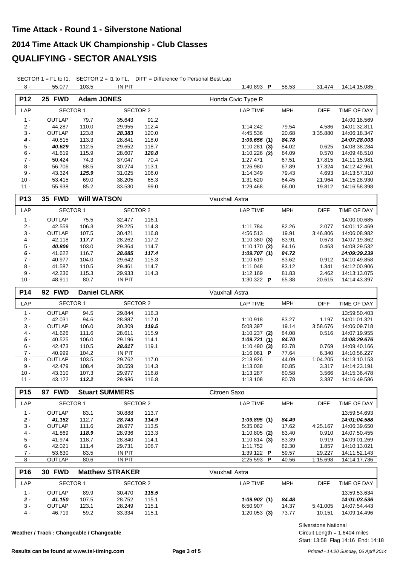SECTOR 1 = FL to I1, SECTOR 2 = I1 to FL, DIFF = Difference To Personal Best Lap

| $8 -$                  | 55.077                           | 103.5         | <b>IN PIT</b>                             |                | 1:40.893 P                        | 58.53          | 31.474             | 14:14:15.085                 |
|------------------------|----------------------------------|---------------|-------------------------------------------|----------------|-----------------------------------|----------------|--------------------|------------------------------|
| P12                    | 25 FWD                           |               | <b>Adam JONES</b>                         |                | Honda Civic Type R                |                |                    |                              |
| LAP                    | SECTOR 1                         |               | <b>SECTOR 2</b>                           |                | <b>LAP TIME</b>                   | <b>MPH</b>     | <b>DIFF</b>        | TIME OF DAY                  |
| $1 -$                  | OUTLAP                           | 79.7          | 35.643                                    | 91.2           |                                   |                |                    | 14:00:18.569                 |
| $2 -$                  | 44.287                           | 110.0         | 29.955                                    | 112.4          | 1:14.242                          | 79.54          | 4.586              | 14:01:32.811                 |
| $3 -$                  | OUTLAP                           | 123.8         | 28.383                                    | 120.0          | 4:45.536                          | 20.68          | 3:35.880           | 14:06:18.347                 |
| 4 -                    | 40.815                           | 113.3         | 28.841                                    | 118.0          | 1:09.656(1)                       | 84.78          |                    | 14:07:28.003                 |
| $5 -$                  | 40.629                           | 112.5         | 29.652                                    | 118.7          | $1:10.281$ (3)                    | 84.02          | 0.625              | 14:08:38.284                 |
| 6 -                    | 41.619                           | 115.9         | 28.607                                    | 120.8          | $1:10.226$ (2)                    | 84.09          | 0.570              | 14:09:48.510                 |
| $7 -$                  | 50.424                           | 74.3          | 37.047                                    | 70.4           | 1:27.471                          | 67.51          | 17.815             | 14:11:15.981                 |
| $8 -$                  | 56.706                           | 88.5          | 30.274                                    | 113.1          | 1:26.980                          | 67.89          | 17.324             | 14:12:42.961                 |
| $9 -$                  | 43.324                           | 125.9         | 31.025                                    | 106.0          | 1:14.349                          | 79.43          | 4.693              | 14:13:57.310                 |
| $10 -$                 | 53.415                           | 69.0          | 38.205                                    | 65.3           | 1:31.620                          | 64.45          | 21.964             | 14:15:28.930                 |
| $11 -$                 | 55.938                           | 85.2          | 33.530                                    | 99.0           | 1:29.468                          | 66.00          | 19.812             | 14:16:58.398                 |
| P <sub>13</sub>        | 35 FWD                           |               | <b>Will WATSON</b>                        |                | Vauxhall Astra                    |                |                    |                              |
| LAP                    | <b>SECTOR 1</b>                  |               | <b>SECTOR 2</b>                           |                | <b>LAP TIME</b>                   | <b>MPH</b>     | <b>DIFF</b>        | TIME OF DAY                  |
| $1 -$                  | OUTLAP                           | 75.5          | 32.477                                    | 116.1          |                                   |                |                    | 14:00:00.685                 |
| $2 -$                  | 42.559                           | 106.3         | 29.225                                    | 114.3          | 1:11.784                          | 82.26          | 2.077              | 14:01:12.469                 |
| 3 -                    | OUTLAP                           | 107.5         | 30.421                                    | 116.8          | 4:56.513                          | 19.91          | 3:46.806           | 14:06:08.982                 |
| $4 -$                  | 42.118                           | 117.7         | 28.262                                    | 117.2          | $1:10.380$ (3)                    | 83.91          | 0.673              | 14:07:19.362                 |
| 5 -                    | 40.806                           | 103.0         | 29.364                                    | 114.7          | $1:10.170$ (2)                    | 84.16          | 0.463              | 14:08:29.532                 |
| 6 -                    | 41.622                           | 116.7         | 28.085                                    | 117.4          | 1:09.707(1)                       | 84.72          |                    | 14:09:39.239                 |
| $7 -$                  | 40.977                           | 104.0         | 29.642                                    | 115.3          | 1:10.619                          | 83.62          | 0.912              | 14:10:49.858                 |
| $8 -$                  | 41.587                           | 110.5         | 29.461                                    | 114.7          | 1:11.048                          | 83.12          | 1.341              | 14:12:00.906                 |
| 9 -                    | 42.236                           | 115.3         | 29.933                                    | 114.3          | 1:12.169                          | 81.83          | 2.462              | 14:13:13.075                 |
| $10 -$                 | 48.911                           | 80.7          | <b>IN PIT</b>                             |                | 1:30.322 P                        | 65.38          | 20.615             | 14:14:43.397                 |
| P14                    | 92 FWD                           |               | <b>Daniel CLARK</b>                       |                | Vauxhall Astra                    |                |                    |                              |
| LAP                    | <b>SECTOR 1</b>                  |               | SECTOR 2                                  |                | <b>LAP TIME</b>                   | <b>MPH</b>     | <b>DIFF</b>        | TIME OF DAY                  |
|                        |                                  |               |                                           |                |                                   |                |                    |                              |
| $1 -$                  | OUTLAP                           | 94.5          | 29.844                                    | 116.3          |                                   |                |                    | 13:59:50.403                 |
| $2 -$                  | 42.031                           | 94.6          | 28.887                                    | 117.0          | 1:10.918                          | 83.27          | 1.197              | 14:01:01.321                 |
| 3 -                    | OUTLAP                           | 106.0         | 30.309                                    | 119.5          | 5:08.397                          | 19.14          | 3:58.676           | 14:06:09.718                 |
| $4 -$                  | 41.626                           | 111.6         | 28.611                                    | 115.9          | 1:10.237 (2)                      | 84.08          | 0.516              | 14:07:19.955                 |
| $5 -$                  | 40.525                           | 106.0         | 29.196                                    | 114.1          | 1:09.721(1)                       | 84.70          |                    | 14:08:29.676                 |
| $6 -$                  | 42.473                           | 110.5         | 28.017                                    | 119.1          | 1:10.490(3)                       | 83.78          | 0.769              | 14:09:40.166                 |
| $7 -$                  | 40.999                           | 104.2         | <b>IN PIT</b>                             |                | 1:16.061 $P$                      | 77.64          | 6.340              | 14:10:56.227                 |
| $8 -$                  | <b>OUTLAP</b>                    | 103.5         | 29.762                                    | 117.0          | 2:13.926                          | 44.09          | 1:04.205           | 14:13:10.153                 |
| $9 -$                  | 42.479                           | 108.4         | 30.559                                    | 114.3          | 1:13.038                          | 80.85          | 3.317              | 14:14:23.191                 |
| $10 -$                 | 43.310                           | 107.3         | 29.977                                    | 116.8          | 1:13.287                          | 80.58          | 3.566              | 14:15:36.478                 |
| $11 -$                 | 43.122                           | 112.2         | 29.986                                    | 116.8          | 1:13.108                          | 80.78          | 3.387              | 14:16:49.586                 |
| P <sub>15</sub>        | 97 FWD                           |               | <b>Stuart SUMMERS</b>                     |                | Citroen Saxo                      |                |                    |                              |
| LAP                    | <b>SECTOR 1</b>                  |               | SECTOR 2                                  |                | <b>LAP TIME</b>                   | <b>MPH</b>     | <b>DIFF</b>        | TIME OF DAY                  |
| $1 -$                  | OUTLAP                           | 83.1          | 30.888                                    | 113.7          |                                   |                |                    | 13:59:54.693                 |
| $2 -$                  | 41.152                           | 112.7         | 28.743                                    | 114.9          | 1:09.895(1)                       | 84.49          |                    | 14:01:04.588                 |
| 3 -                    | OUTLAP                           | 111.6         | 28.977                                    | 113.5          | 5:35.062                          | 17.62          | 4:25.167           | 14:06:39.650                 |
| 4 -                    | 41.869                           | 118.9         | 28.936                                    | 113.3          | $1:10.805$ (2)                    | 83.40          | 0.910              | 14:07:50.455                 |
| 5 -                    | 41.974                           | 118.7         | 28.840                                    | 114.1          | $1:10.814$ (3)                    | 83.39          | 0.919              | 14:09:01.269                 |
| 6 -                    | 42.021                           | 111.4         | 29.731                                    | 108.7          | 1:11.752                          | 82.30          | 1.857              | 14:10:13.021                 |
| $7 -$<br>$8 -$         | 53.630<br>OUTLAP                 | 83.5<br>80.6  | <b>IN PIT</b><br><b>IN PIT</b>            |                | 1:39.122 P<br>2:25.593<br>P       | 59.57<br>40.56 | 29.227<br>1:15.698 | 14:11:52.143<br>14:14:17.736 |
|                        |                                  |               |                                           |                |                                   |                |                    |                              |
| P <sub>16</sub><br>LAP | <b>30 FWD</b><br><b>SECTOR 1</b> |               | <b>Matthew STRAKER</b><br><b>SECTOR 2</b> |                | Vauxhall Astra<br><b>LAP TIME</b> | MPH            | <b>DIFF</b>        | TIME OF DAY                  |
|                        |                                  |               |                                           |                |                                   |                |                    |                              |
| $1 -$                  | OUTLAP                           | 89.9          | 30.470                                    | 115.5          |                                   |                |                    | 13:59:53.634                 |
| 2 -<br>3 -             | 41.150                           | 107.5         | 28.752                                    | 115.1          | 1:09.902(1)                       | 84.48          |                    | 14:01:03.536                 |
| $4 -$                  | OUTLAP<br>46.719                 | 123.1<br>59.2 | 28.249<br>33.334                          | 115.1<br>115.1 | 6:50.907<br>$1:20.053$ (3)        | 14.37<br>73.77 | 5:41.005<br>10.151 | 14:07:54.443<br>14:09:14.496 |

Start: 13:58 Flag 14:16 End: 14:18 Circuit Length = 1.6404 miles Silverstone National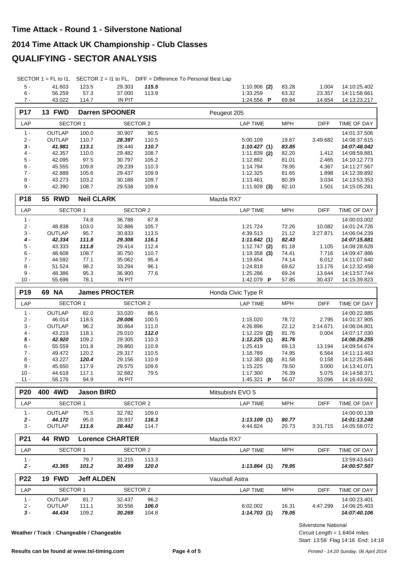#### **2014 Time Attack UK Championship - Club Classes**

## **QUALIFYING - SECTOR ANALYSIS**

SECTOR 1 = FL to I1, SECTOR 2 = I1 to FL, DIFF = Difference To Personal Best Lap

| 41.603 | 123.5 | 29.303        | 115.5 | $1:10.906$ (2)          | 83.28 | .004   | 14:10:25.402 |
|--------|-------|---------------|-------|-------------------------|-------|--------|--------------|
| 56.259 | 57.3  | 37.000        | 113.9 | 1:33.259                | 63.32 | 23.357 | 14:11:58.661 |
| 43.022 | 114.7 | <b>IN PIT</b> |       | 1:24.556 $\blacksquare$ | 69.84 | 14.654 | 14:13:23.217 |

| <b>P17</b>      | 13 FWD           |                   | <b>Darren SPOONER</b>  |                | Peugeot 205                |                |                  |                              |
|-----------------|------------------|-------------------|------------------------|----------------|----------------------------|----------------|------------------|------------------------------|
| LAP             | <b>SECTOR 1</b>  |                   | <b>SECTOR 2</b>        |                | <b>LAP TIME</b>            | <b>MPH</b>     | <b>DIFF</b>      | TIME OF DAY                  |
| $1 -$           | OUTLAP           | 100.0             | 30.907                 | 90.5           |                            |                |                  | 14:01:37.506                 |
| $2 -$           | OUTLAP           | 110.7             | 28.397                 | 110.5          | 5:00.109                   | 19.67          | 3:49.682         | 14:06:37.615                 |
| $3 -$           | 41.981           | 113.1             | 28.446                 | 110.7          | 1:10.427(1)                | 83.85          |                  | 14:07:48.042                 |
| $4 -$<br>$5 -$  | 42.357<br>42.095 | 110.0<br>97.5     | 29.482<br>30.797       | 108.7<br>105.2 | $1:11.839$ (2)<br>1:12.892 | 82.20<br>81.01 | 1.412<br>2.465   | 14:08:59.881<br>14:10:12.773 |
| $6 -$           | 45.555           | 109.8             | 29.239                 | 110.3          | 1:14.794                   | 78.95          | 4.367            | 14:11:27.567                 |
| $7 -$           | 42.888           | 105.6             | 29.437                 | 109.9          | 1:12.325                   | 81.65          | 1.898            | 14:12:39.892                 |
| $8 -$           | 43.273           | 103.2             | 30.188                 | 109.7          | 1:13.461                   | 80.39          | 3.034            | 14:13:53.353                 |
| $9 -$           | 42.390           | 108.7             | 29.538                 | 109.6          | $1:11.928$ (3)             | 82.10          | 1.501            | 14:15:05.281                 |
| P18             | <b>55 RWD</b>    | <b>Neil CLARK</b> |                        |                | Mazda RX7                  |                |                  |                              |
| LAP             | <b>SECTOR 1</b>  |                   | <b>SECTOR 2</b>        |                | <b>LAP TIME</b>            | <b>MPH</b>     | <b>DIFF</b>      | TIME OF DAY                  |
| $1 -$           |                  | 74.8              | 36.788                 | 87.8           |                            |                |                  | 14:00:03.002                 |
| $2 -$           | 48.838           | 103.0             | 32.886                 | 105.7          | 1:21.724                   | 72.26          | 10.082           | 14:01:24.726                 |
| $3 -$           | OUTLAP           | 95.7              | 30.833                 | 113.5          | 4:39.513                   | 21.12          | 3:27.871         | 14:06:04.239                 |
| $4 -$           | 42.334           | 111.8             | 29.308                 | 116.1          | 1:11.642(1)                | 82.43          |                  | 14:07:15.881                 |
| $5 -$           | 43.333           | 111.8             | 29.414                 | 112.4          | $1:12.747$ (2)             | 81.18          | 1.105            | 14:08:28.628                 |
| $6 -$           | 48.608           | 108.7             | 30.750                 | 110.7          | $1:19.358$ (3)             | 74.41          | 7.716            | 14:09:47.986                 |
| $7 -$           | 44.592           | 77.1              | 35.062                 | 95.4           | 1:19.654                   | 74.14          | 8.012            | 14:11:07.640                 |
| $8 -$<br>$9 -$  | 51.524           | 98.2              | 33.294                 | 96.1           | 1:24.818                   | 69.62          | 13.176           | 14:12:32.458                 |
| $10 -$          | 48.386<br>55.696 | 95.3<br>78.1      | 36.900<br>IN PIT       | 77.6           | 1:25.286<br>1:42.079 P     | 69.24<br>57.85 | 13.644<br>30.437 | 14:13:57.744<br>14:15:39.823 |
|                 |                  |                   |                        |                |                            |                |                  |                              |
| P <sub>19</sub> | 69 NA            |                   | <b>James PROCTER</b>   |                | Honda Civic Type R         |                |                  |                              |
| LAP             | <b>SECTOR 1</b>  |                   | <b>SECTOR 2</b>        |                | LAP TIME                   | <b>MPH</b>     | <b>DIFF</b>      | TIME OF DAY                  |
| $1 -$           | OUTLAP           | 82.0              | 33.020                 | 86.5           |                            |                |                  | 14:00:22.885                 |
| $2 -$           | 46.014           | 118.5             | 29.006                 | 100.5          | 1:15.020                   | 78.72          | 2.795            | 14:01:37.905                 |
| $3 -$           | OUTLAP           | 96.2              | 30.864                 | 111.0          | 4:26.896                   | 22.12          | 3:14.671         | 14:06:04.801                 |
| $4 -$           | 43.219           | 118.1             | 29.010                 | 112.0          | $1:12.229$ (2)             | 81.76          | 0.004            | 14:07:17.030                 |
| $5 -$<br>$6 -$  | 42.920<br>55.559 | 109.2<br>101.8    | 29.305<br>29.860       | 110.3<br>110.9 | 1:12.225(1)<br>1:25.419    | 81.76<br>69.13 | 13.194           | 14:08:29.255<br>14:09:54.674 |
| $7 -$           | 49.472           | 120.2             | 29.317                 | 110.5          | 1:18.789                   | 74.95          | 6.564            | 14:11:13.463                 |
| $8 -$           | 43.227           | 120.4             | 29.156                 | 110.9          | $1:12.383$ (3)             | 81.58          | 0.158            | 14:12:25.846                 |
| $9 -$           | 45.650           | 117.9             | 29.575                 | 109.6          | 1:15.225                   | 78.50          | 3.000            | 14:13:41.071                 |
| $10 -$          | 44.618           | 117.1             | 32.682                 | 79.5           | 1:17.300                   | 76.39          | 5.075            | 14:14:58.371                 |
| $11 -$          | 58.176           | 94.9              | <b>IN PIT</b>          |                | 1:45.321 P                 | 56.07          | 33.096           | 14:16:43.692                 |
| P20             | 400 4WD          | <b>Jason BIRD</b> |                        |                | Mitsubishi EVO 5           |                |                  |                              |
| LAP             | <b>SECTOR 1</b>  |                   | <b>SECTOR 2</b>        |                | <b>LAP TIME</b>            | <b>MPH</b>     | <b>DIFF</b>      | TIME OF DAY                  |
| $1 -$           | OUTLAP           | 75.5              | 32.782                 | 109.0          |                            |                |                  | 14:00:00.139                 |
| $2 -$           | 44.172           | 95.0              | 28.937                 | 116.3          | 1:13.109(1)                | 80.77          |                  | 14:01:13.248                 |
| $3 -$           | <b>OUTLAP</b>    | 111.6             | 28.442                 | 114.7          | 4:44.824                   | 20.73          | 3:31.715         | 14:05:58.072                 |
| P21             | <b>44 RWD</b>    |                   | <b>Lorence CHARTER</b> |                | Mazda RX7                  |                |                  |                              |
| LAP             | <b>SECTOR 1</b>  |                   | <b>SECTOR 2</b>        |                | <b>LAP TIME</b>            | <b>MPH</b>     | <b>DIFF</b>      | TIME OF DAY                  |
| $1 -$           |                  | 79.7              | 31.215                 | 113.3          |                            |                |                  | 13:59:43.643                 |
| $2 -$           | 43.365           | 101.2             | 30.499                 | 120.0          | 1:13.864(1)                | 79.95          |                  | 14:00:57.507                 |
| P22             | 19 FWD           | <b>Jeff ALDEN</b> |                        |                | Vauxhall Astra             |                |                  |                              |
| LAP             | <b>SECTOR 1</b>  |                   | <b>SECTOR 2</b>        |                | <b>LAP TIME</b>            | <b>MPH</b>     | <b>DIFF</b>      | TIME OF DAY                  |
| $1 -$           | OUTLAP           | 81.7              | 32.437                 | 96.2           |                            |                |                  | 14:00:23.401                 |
| $2 -$           | <b>OUTLAP</b>    | 111.1             | 30.556                 | 106.0          | 6:02.002                   | 16.31          | 4:47.299         | 14:06:25.403                 |
| $3 -$           | 44.434           | 109.2             | 30.269                 | 104.8          | 1:14.703(1)                | 79.05          |                  | 14:07:40.106                 |

**Weather / Track : Changeable / Changeable**

Start: 13:58 Flag 14:16 End: 14:18 Circuit Length = 1.6404 miles Silverstone National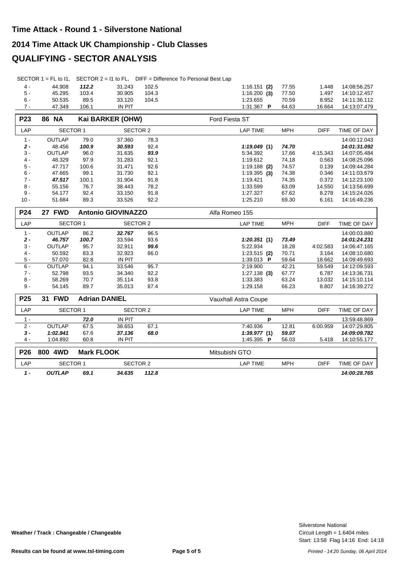#### **2014 Time Attack UK Championship - Club Classes**

## **QUALIFYING - SECTOR ANALYSIS**

|  | SECTOR $1 = FL$ to $11$ , SECTOR $2 = 11$ to FL, DIFF = Difference To Personal Best Lap |
|--|-----------------------------------------------------------------------------------------|
|  |                                                                                         |

| 4 -   | 44.908 | 112.2 | 31.243        | 102.5 | $1:16.151$ (2) 77.55    |       | 1.448  | 14:08:56.257 |
|-------|--------|-------|---------------|-------|-------------------------|-------|--------|--------------|
| $5 -$ | 45.295 | 103.4 | 30.905        | 104.3 | $1:16.200$ (3)          | 77.50 | 1.497  | 14:10:12.457 |
| $6 -$ | 50.535 | 89.5  | 33.120        | 104.5 | 1.23.655                | 70.59 | 8.952  | 14:11:36.112 |
| $7 -$ | 47.349 | 106.1 | <b>IN PIT</b> |       | 1:31.367 $\blacksquare$ | 64.63 | 16.664 | 14:13:07.479 |

| <b>P23</b>      | <b>86 NA</b>    |                   | Kai BARKER (OHW)          |       | Ford Fiesta ST       |            |             |              |
|-----------------|-----------------|-------------------|---------------------------|-------|----------------------|------------|-------------|--------------|
| LAP             | <b>SECTOR 1</b> |                   | <b>SECTOR 2</b>           |       | <b>LAP TIME</b>      | <b>MPH</b> | <b>DIFF</b> | TIME OF DAY  |
| $1 -$           | <b>OUTLAP</b>   | 79.0              | 37.360                    | 78.3  |                      |            |             | 14:00:12.043 |
| $2 -$           | 48.456          | 100.9             | 30.593                    | 92.4  | 1:19.049(1)          | 74.70      |             | 14:01:31.092 |
| $3 -$           | <b>OUTLAP</b>   | 96.0              | 31.635                    | 93.9  | 5:34.392             | 17.66      | 4:15.343    | 14:07:05.484 |
| $4 -$           | 48.329          | 97.9              | 31.283                    | 92.1  | 1:19.612             | 74.18      | 0.563       | 14:08:25.096 |
| $5 -$           | 47.717          | 100.6             | 31.471                    | 92.6  | $1:19.188$ (2)       | 74.57      | 0.139       | 14:09:44.284 |
| $6 -$           | 47.665          | 99.1              | 31.730                    | 92.1  | $1:19.395$ (3)       | 74.38      | 0.346       | 14:11:03.679 |
| $7 -$           | 47.517          | 100.1             | 31.904                    | 91.8  | 1:19.421             | 74.35      | 0.372       | 14:12:23.100 |
| $8 -$           | 55.156          | 76.7              | 38.443                    | 78.2  | 1:33.599             | 63.09      | 14.550      | 14:13:56.699 |
| $9 -$           | 54.177          | 92.4              | 33.150                    | 91.8  | 1:27.327             | 67.62      | 8.278       | 14:15:24.026 |
| $10 -$          | 51.684          | 89.3              | 33.526                    | 92.2  | 1:25.210             | 69.30      | 6.161       | 14:16:49.236 |
| P24             | 27 FWD          |                   | <b>Antonio GIOVINAZZO</b> |       | Alfa Romeo 155       |            |             |              |
| LAP             | <b>SECTOR 1</b> |                   | <b>SECTOR 2</b>           |       | <b>LAP TIME</b>      | <b>MPH</b> | <b>DIFF</b> | TIME OF DAY  |
| $1 -$           | <b>OUTLAP</b>   | 86.2              | 32.767                    | 96.5  |                      |            |             | 14:00:03.880 |
| $2 -$           | 46.757          | 100.7             | 33.594                    | 93.6  | 1:20.351(1)          | 73.49      |             | 14:01:24.231 |
| $3 -$           | <b>OUTLAP</b>   | 95.7              | 32.911                    | 99.6  | 5:22.934             | 18.28      | 4:02.583    | 14:06:47.165 |
| $4 -$           | 50.592          | 83.3              | 32.923                    | 86.0  | $1:23.515$ (2)       | 70.71      | 3.164       | 14:08:10.680 |
| $5 -$           | 57.070          | 82.8              | <b>IN PIT</b>             |       | 1:39.013 P           | 59.64      | 18.662      | 14:09:49.693 |
| $6 -$           | <b>OUTLAP</b>   | 94.1              | 33.546                    | 95.7  | 2:19.900             | 42.21      | 59.549      | 14:12:09.593 |
| $7 -$           | 52.798          | 93.5              | 34.340                    | 92.2  | $1:27.138$ (3)       | 67.77      | 6.787       | 14:13:36.731 |
| $8 -$           | 58.269          | 70.7              | 35.114                    | 93.8  | 1:33.383             | 63.24      | 13.032      | 14:15:10.114 |
| $9 -$           | 54.145          | 89.7              | 35.013                    | 87.4  | 1:29.158             | 66.23      | 8.807       | 14:16:39.272 |
| P <sub>25</sub> | <b>31 FWD</b>   |                   | <b>Adrian DANIEL</b>      |       | Vauxhall Astra Coupe |            |             |              |
| LAP             | <b>SECTOR 1</b> |                   | <b>SECTOR 2</b>           |       | <b>LAP TIME</b>      | <b>MPH</b> | <b>DIFF</b> | TIME OF DAY  |
| $1 -$           |                 | 72.0              | <b>IN PIT</b>             |       | P                    |            |             | 13:59:48.869 |
| $2 -$           | <b>OUTLAP</b>   | 67.5              | 38.653                    | 67.1  | 7:40.936             | 12.81      | 6:00.959    | 14:07:29.805 |
| $3 -$           | 1:02.841        | 67.6              | 37.136                    | 68.0  | 1:39.977(1)          | 59.07      |             | 14:09:09.782 |
| $4 -$           | 1:04.892        | 60.8              | IN PIT                    |       | 1:45.395 P           | 56.03      | 5.418       | 14:10:55.177 |
| <b>P26</b>      | 800 4WD         | <b>Mark FLOOK</b> |                           |       | Mitsubishi GTO       |            |             |              |
| LAP             | <b>SECTOR 1</b> |                   | <b>SECTOR 2</b>           |       | <b>LAP TIME</b>      | <b>MPH</b> | <b>DIFF</b> | TIME OF DAY  |
| $1 -$           | <b>OUTLAP</b>   | 69.1              | 34.635                    | 112.8 |                      |            |             | 14:00:28.765 |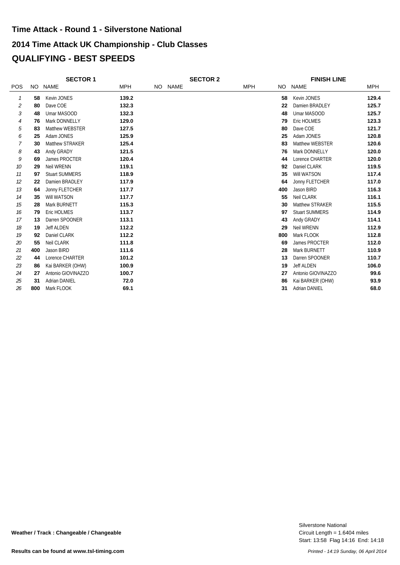## **2014 Time Attack UK Championship - Club Classes QUALIFYING - BEST SPEEDS Time Attack - Round 1 - Silverstone National**

|            |     | <b>SECTOR 1</b>        |            | <b>SECTOR 2</b> |         |  |            | <b>FINISH LINE</b> |                       |            |
|------------|-----|------------------------|------------|-----------------|---------|--|------------|--------------------|-----------------------|------------|
| <b>POS</b> |     | NO NAME                | <b>MPH</b> |                 | NO NAME |  | <b>MPH</b> |                    | NO NAME               | <b>MPH</b> |
| 1          | 58  | Kevin JONES            | 139.2      |                 |         |  |            | 58                 | Kevin JONES           | 129.4      |
| 2          | 80  | Dave COE               | 132.3      |                 |         |  |            | 22                 | Damien BRADLEY        | 125.7      |
| 3          | 48  | Umar MASOOD            | 132.3      |                 |         |  |            | 48                 | Umar MASOOD           | 125.7      |
| 4          | 76  | Mark DONNELLY          | 129.0      |                 |         |  |            | 79                 | Eric HOLMES           | 123.3      |
| 5          | 83  | <b>Matthew WEBSTER</b> | 127.5      |                 |         |  |            | 80                 | Dave COE              | 121.7      |
| 6          | 25  | Adam JONES             | 125.9      |                 |         |  |            | 25                 | Adam JONES            | 120.8      |
| 7          | 30  | Matthew STRAKER        | 125.4      |                 |         |  |            | 83                 | Matthew WEBSTER       | 120.6      |
| 8          | 43  | Andy GRADY             | 121.5      |                 |         |  |            | 76                 | Mark DONNELLY         | 120.0      |
| 9          | 69  | James PROCTER          | 120.4      |                 |         |  |            | 44                 | Lorence CHARTER       | 120.0      |
| 10         | 29  | Neil WRENN             | 119.1      |                 |         |  |            | 92                 | Daniel CLARK          | 119.5      |
| 11         | 97  | <b>Stuart SUMMERS</b>  | 118.9      |                 |         |  |            | 35                 | Will WATSON           | 117.4      |
| 12         | 22  | Damien BRADLEY         | 117.9      |                 |         |  |            | 64                 | Jonny FLETCHER        | 117.0      |
| 13         | 64  | Jonny FLETCHER         | 117.7      |                 |         |  |            | 400                | Jason BIRD            | 116.3      |
| 14         | 35  | Will WATSON            | 117.7      |                 |         |  |            | 55                 | Neil CLARK            | 116.1      |
| 15         | 28  | Mark BURNETT           | 115.3      |                 |         |  |            | 30                 | Matthew STRAKER       | 115.5      |
| 16         | 79  | <b>Eric HOLMES</b>     | 113.7      |                 |         |  |            | 97                 | <b>Stuart SUMMERS</b> | 114.9      |
| 17         | 13  | Darren SPOONER         | 113.1      |                 |         |  |            | 43                 | Andy GRADY            | 114.1      |
| 18         | 19  | <b>Jeff ALDEN</b>      | 112.2      |                 |         |  |            | 29                 | Neil WRENN            | 112.9      |
| 19         | 92  | Daniel CLARK           | 112.2      |                 |         |  |            | 800                | Mark FLOOK            | 112.8      |
| 20         | 55  | Neil CLARK             | 111.8      |                 |         |  |            | 69                 | James PROCTER         | 112.0      |
| 21         | 400 | Jason BIRD             | 111.6      |                 |         |  |            | 28                 | Mark BURNETT          | 110.9      |
| 22         | 44  | Lorence CHARTER        | 101.2      |                 |         |  |            | 13                 | Darren SPOONER        | 110.7      |
| 23         | 86  | Kai BARKER (OHW)       | 100.9      |                 |         |  |            | 19                 | <b>Jeff ALDEN</b>     | 106.0      |
| 24         | 27  | Antonio GIOVINAZZO     | 100.7      |                 |         |  |            | 27                 | Antonio GIOVINAZZO    | 99.6       |
| 25         | 31  | <b>Adrian DANIEL</b>   | 72.0       |                 |         |  |            | 86                 | Kai BARKER (OHW)      | 93.9       |
| 26         | 800 | Mark FLOOK             | 69.1       |                 |         |  |            | 31                 | <b>Adrian DANIEL</b>  | 68.0       |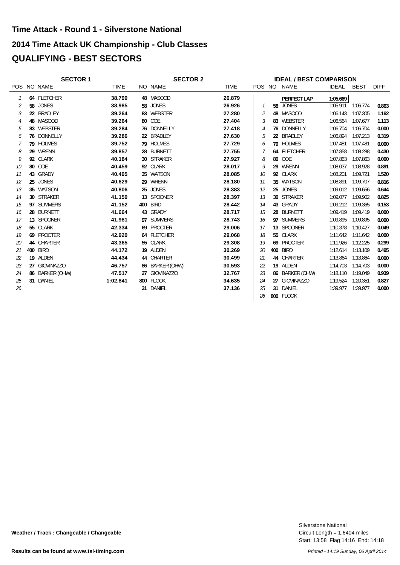# **2014 Time Attack UK Championship - Club Classes QUALIFYING - BEST SECTORS Time Attack - Round 1 - Silverstone National**

|    | <b>SECTOR 1</b> |             | <b>SECTOR 2</b> |                 |             |    | <b>IDEAL / BEST COMPARISON</b> |                 |          |             |             |  |
|----|-----------------|-------------|-----------------|-----------------|-------------|----|--------------------------------|-----------------|----------|-------------|-------------|--|
|    | POS NO NAME     | <b>TIME</b> |                 | NO NAME         | <b>TIME</b> |    |                                | POS NO NAME     | IDEAL    | <b>BEST</b> | <b>DIFF</b> |  |
| 1  | 64 FLETCHER     | 38.790      |                 | 48 MASOOD       | 26.879      |    |                                | PERFECT LAP     | 1:05.669 |             |             |  |
| 2  | 58 JONES        | 38.985      |                 | 58 JONES        | 26.926      |    |                                | 58 JONES        | 1:05.911 | 1:06.774    | 0.863       |  |
| 3  | 22 BRADLEY      | 39.264      |                 | 83 WEBSTER      | 27.280      | 2  |                                | 48 MASOOD       | 1:06.143 | 1:07.305    | 1.162       |  |
| 4  | 48 MASOOD       | 39.264      |                 | 80 COE          | 27.404      | 3  |                                | 83 WEBSTER      | 1:06.564 | 1:07.677    | 1.113       |  |
| 5  | 83 WEBSTER      | 39.284      |                 | 76 DONNELLY     | 27.418      | 4  |                                | 76 DONNELLY     | 1:06.704 | 1:06.704    | 0.000       |  |
| 6  | 76 DONNELLY     | 39.286      |                 | 22 BRADLEY      | 27.630      | 5  |                                | 22 BRADLEY      | 1:06.894 | 1:07.213    | 0.319       |  |
| 7  | 79 HOLMES       | 39.752      |                 | 79 HOLMES       | 27.729      | 6  |                                | 79 HOLMES       | 1:07.481 | 1:07.481    | 0.000       |  |
| 8  | 29 WRENN        | 39.857      |                 | 28 BURNETT      | 27.755      |    |                                | 64 FLETCHER     | 1:07.858 | 1:08.288    | 0.430       |  |
| 9  | 92 CLARK        | 40.184      |                 | 30 STRAKER      | 27.927      | 8  |                                | 80 COE          | 1:07.863 | 1:07.863    | 0.000       |  |
| 10 | 80 COE          | 40.459      |                 | 92 CLARK        | 28.017      | 9  |                                | 29 WRENN        | 1:08.037 | 1:08.928    | 0.891       |  |
| 11 | 43 GRADY        | 40.495      |                 | 35 WATSON       | 28.085      | 10 |                                | 92 CLARK        | 1:08.201 | 1:09.721    | 1.520       |  |
| 12 | 25 JONES        | 40.629      |                 | 29 WRENN        | 28.180      | 11 |                                | 35 WATSON       | 1:08.891 | 1:09.707    | 0.816       |  |
| 13 | 35 WATSON       | 40.806      |                 | 25 JONES        | 28.383      | 12 |                                | 25 JONES        | 1:09.012 | 1:09.656    | 0.644       |  |
| 14 | 30 STRAKER      | 41.150      |                 | 13 SPOONER      | 28.397      | 13 |                                | 30 STRAKER      | 1:09.077 | 1:09.902    | 0.825       |  |
| 15 | 97 SUMMERS      | 41.152      |                 | 400 BIRD        | 28.442      | 14 |                                | 43 GRADY        | 1:09.212 | 1:09.365    | 0.153       |  |
| 16 | 28 BURNETT      | 41.664      |                 | 43 GRADY        | 28.717      | 15 |                                | 28 BURNETT      | 1:09.419 | 1:09.419    | 0.000       |  |
| 17 | 13 SPOONER      | 41.981      |                 | 97 SUMMERS      | 28.743      | 16 |                                | 97 SUMMERS      | 1:09.895 | 1:09.895    | 0.000       |  |
| 18 | 55 CLARK        | 42.334      |                 | 69 PROCTER      | 29.006      | 17 |                                | 13 SPOONER      | 1:10.378 | 1:10.427    | 0.049       |  |
| 19 | 69 PROCTER      | 42.920      |                 | 64 FLETCHER     | 29.068      | 18 |                                | 55 CLARK        | 1:11.642 | 1:11.642    | 0.000       |  |
| 20 | 44 CHARTER      | 43.365      |                 | 55 CLARK        | 29.308      | 19 |                                | 69 PROCTER      | 1:11.926 | 1:12.225    | 0.299       |  |
| 21 | 400 BIRD        | 44.172      |                 | 19 ALDEN        | 30.269      | 20 |                                | 400 BIRD        | 1:12.614 | 1:13.109    | 0.495       |  |
| 22 | 19 ALDEN        | 44.434      |                 | 44 CHARTER      | 30.499      | 21 |                                | 44 CHARTER      | 1:13.864 | 1:13.864    | 0.000       |  |
| 23 | 27 GIOVINAZZO   | 46.757      |                 | 86 BARKER (OHW) | 30.593      | 22 |                                | 19 ALDEN        | 1:14.703 | 1:14.703    | 0.000       |  |
| 24 | 86 BARKER (OHW) | 47.517      |                 | 27 GIOVINAZZO   | 32.767      | 23 |                                | 86 BARKER (OHW) | 1:18.110 | 1:19.049    | 0.939       |  |
| 25 | 31 DANIEL       | 1:02.841    |                 | 800 FLOOK       | 34.635      | 24 |                                | 27 GIOVINAZZO   | 1:19.524 | 1:20.351    | 0.827       |  |
| 26 |                 |             |                 | 31 DANIEL       | 37.136      | 25 |                                | 31 DANIEL       | 1:39.977 | 1:39.977    | 0.000       |  |
|    |                 |             |                 |                 |             | 26 |                                | 800 FLOOK       |          |             |             |  |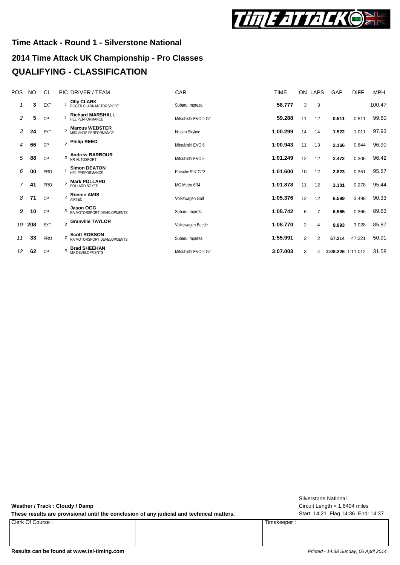

# **2014 Time Attack UK Championship - Pro Classes Time Attack - Round 1 - Silverstone National QUALIFYING - CLASSIFICATION**

| <b>POS</b> | <b>NO</b> | CL         |                | PIC DRIVER / TEAM                                 | <b>CAR</b>          | <b>TIME</b> |                | ON LAPS | GAP               | <b>DIFF</b> | MPH    |
|------------|-----------|------------|----------------|---------------------------------------------------|---------------------|-------------|----------------|---------|-------------------|-------------|--------|
| 1          | 3         | EXT        |                | <b>Olly CLARK</b><br>ROGER CLARK MOTORSPORT       | Subaru Impreza      | 58.777      | 3              | 3       |                   |             | 100.47 |
| 2          | 5         | CP         |                | <b>Richard MARSHALL</b><br>HFI PERFORMANCE        | Mitsubishi EVO 9 GT | 59.288      | 11             | 12      | 0.511             | 0.511       | 99.60  |
| 3          | 24        | EXT        |                | <b>Marcus WEBSTER</b><br>MIDI ANDS PERFORMANCE    | Nissan Skyline      | 1:00.299    | 14             | 14      | 1.522             | 1.011       | 97.93  |
| 4          | 66        | CP         |                | $_2$ Philip REED                                  | Mitsubishi EVO 6    | 1:00.943    | 11             | 13      | 2.166             | 0.644       | 96.90  |
| 5          | 88        | CP         | 3              | <b>Andrew BARBOUR</b><br>NR AUTOSPORT             | Mitsubishi EVO 5    | 1:01.249    | 12             | 12      | 2.472             | 0.306       | 96.42  |
| 6          | 00        | <b>PRO</b> |                | <b>Simon DEATON</b><br>HEL PERFORMANCE            | Porsche 997 GT3     | 1:01.600    | 10             | 12      | 2.823             | 0.351       | 95.87  |
| 7          | 41        | <b>PRO</b> | $\overline{c}$ | <b>Mark POLLARD</b><br>POLLARD BOXES              | MG Metro 6R4        | 1:01.878    | 11             | 12      | 3.101             | 0.278       | 95.44  |
| 8          | 71        | CP         | $\overline{4}$ | <b>Ronnie AMIS</b><br><b>AIRTEC</b>               | Volkswagen Golf     | 1:05.376    | 12             | 12      | 6.599             | 3.498       | 90.33  |
| 9          | 10        | CP         |                | Jason OGG<br>RA MOTORSPORT DEVELOPMENTS           | Subaru Impreza      | 1:05.742    | 6              | 7       | 6.965             | 0.366       | 89.83  |
| 10         | 208       | EXT        |                | $_3$ Granville TAYLOR                             | Volkswagen Beetle   | 1:08.770    | $\overline{2}$ | 4       | 9.993             | 3.028       | 85.87  |
| 11         | 33        | <b>PRO</b> | 3              | <b>Scott ROBSON</b><br>RA MOTORSPORT DEVELOPMENTS | Subaru Impreza      | 1:55.991    | 2              | 2       | 57.214            | 47.221      | 50.91  |
| 12         | 62        | CP         | 6              | <b>Brad SHEEHAN</b><br>MA DEVELOPMENTS            | Mitsubishi EVO 9 GT | 3:07.003    | 3              | 4       | 2:08.226 1:11.012 |             | 31.58  |

**Weather / Track : Cloudy / Damp**

These results are provisional until the conclusion of any judicial and technical matters. Start: 14:21 Flag 14:36 End: 14:37

Clerk Of Course : Timekeeper :

Circuit Length = 1.6404 miles Silverstone National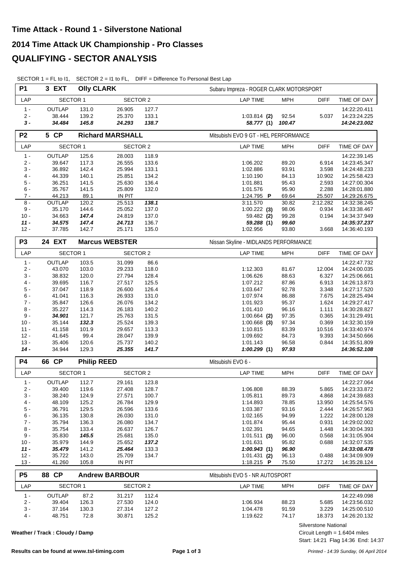| <b>P1</b>      | 3 EXT                          | <b>Olly CLARK</b> |                         |       | Subaru Impreza - ROGER CLARK MOTORSPORT      |              |  |  |  |  |  |  |
|----------------|--------------------------------|-------------------|-------------------------|-------|----------------------------------------------|--------------|--|--|--|--|--|--|
| LAP            | SECTOR 1                       |                   | <b>SECTOR 2</b>         |       | <b>LAP TIME</b><br><b>MPH</b><br><b>DIFF</b> | TIME OF DAY  |  |  |  |  |  |  |
| $1 -$          | <b>OUTLAP</b>                  | 131.0             | 26.905                  | 127.7 |                                              | 14:22:20.411 |  |  |  |  |  |  |
| $2 -$          | 38.444                         | 139.2             | 25.370                  | 133.1 | 92.54<br>5.037<br>$1:03.814$ (2)             | 14:23:24.225 |  |  |  |  |  |  |
| $3 -$          | 34.484                         | 145.8             | 24.293                  | 138.7 | 58.777 (1)<br>100.47                         | 14:24:23.002 |  |  |  |  |  |  |
| P <sub>2</sub> | 5 CP                           |                   | <b>Richard MARSHALL</b> |       | Mitsubishi EVO 9 GT - HEL PERFORMANCE        |              |  |  |  |  |  |  |
| LAP            | <b>SECTOR 1</b>                |                   | SECTOR 2                |       | <b>MPH</b><br><b>LAP TIME</b><br><b>DIFF</b> | TIME OF DAY  |  |  |  |  |  |  |
| $1 -$          | <b>OUTLAP</b>                  | 125.6             | 28.003                  | 118.9 |                                              | 14:22:39.145 |  |  |  |  |  |  |
| $2 -$          | 39.647                         | 117.3             | 26.555                  | 133.6 | 1:06.202<br>89.20<br>6.914                   | 14:23:45.347 |  |  |  |  |  |  |
| $3 -$          | 36.892                         | 142.4             | 25.994                  | 133.1 | 3.598<br>1:02.886<br>93.91                   | 14:24:48.233 |  |  |  |  |  |  |
| $4 -$          | 44.339                         | 140.1             | 25.851                  | 134.2 | 1:10.190<br>84.13<br>10.902                  | 14:25:58.423 |  |  |  |  |  |  |
| $5 -$          | 36.251                         | 141.5             | 25.630                  | 136.4 | 2.593<br>1:01.881<br>95.43                   | 14:27:00.304 |  |  |  |  |  |  |
| $6 -$          | 35.767                         | 141.5             | 25.809                  | 132.0 | 1:01.576<br>2.288<br>95.90                   | 14:28:01.880 |  |  |  |  |  |  |
| $7 -$          | 44.213                         | 89.1              | <b>IN PIT</b>           |       | 1:24.795 P<br>69.64<br>25.507                | 14:29:26.675 |  |  |  |  |  |  |
| $8 -$          | <b>OUTLAP</b>                  | 120.2             | 25.513                  | 138.1 | 3:11.570<br>30.82<br>2:12.282                | 14:32:38.245 |  |  |  |  |  |  |
| $9 -$          | 35.170                         | 144.6             | 25.052                  | 137.0 | 98.06<br>$1:00.222$ (3)<br>0.934             | 14:33:38.467 |  |  |  |  |  |  |
| $10 -$         | 34.663                         | 147.4             | 24.819                  | 137.0 | 99.28<br>0.194<br>59.482 (2)                 | 14:34:37.949 |  |  |  |  |  |  |
| $11 -$         | 34.575                         | 147.4             | 24.713                  | 136.7 | 99.60<br>59.288 (1)                          | 14:35:37.237 |  |  |  |  |  |  |
| $12 -$         | 37.785                         | 142.7             | 25.171                  | 135.0 | 1:02.956<br>93.80<br>3.668                   | 14:36:40.193 |  |  |  |  |  |  |
| P <sub>3</sub> | <b>24 EXT</b>                  |                   | <b>Marcus WEBSTER</b>   |       | Nissan Skyline - MIDLANDS PERFORMANCE        |              |  |  |  |  |  |  |
| LAP            | SECTOR 1                       |                   | <b>SECTOR 2</b>         |       | <b>LAP TIME</b><br><b>MPH</b><br><b>DIFF</b> | TIME OF DAY  |  |  |  |  |  |  |
| $1 -$          | OUTLAP                         | 103.5             | 31.099                  | 86.6  |                                              | 14:22:47.732 |  |  |  |  |  |  |
| $2 -$          | 43.070                         | 103.0             | 29.233                  | 118.0 | 1:12.303<br>81.67<br>12.004                  | 14:24:00.035 |  |  |  |  |  |  |
| $3 -$          | 38.832                         | 120.0             | 27.794                  | 128.4 | 88.63<br>1:06.626<br>6.327                   | 14:25:06.661 |  |  |  |  |  |  |
| 4 -            | 39.695                         | 116.7             | 27.517                  | 125.5 | 1:07.212<br>87.86<br>6.913                   | 14:26:13.873 |  |  |  |  |  |  |
| $5$ - $\,$     | 37.047                         | 118.9             | 26.600                  | 126.4 | 1:03.647<br>92.78<br>3.348                   | 14:27:17.520 |  |  |  |  |  |  |
| $6 -$          | 41.041                         | 116.3             | 26.933                  | 131.0 | 86.88<br>1:07.974<br>7.675                   | 14:28:25.494 |  |  |  |  |  |  |
| $7 -$          | 35.847                         | 126.6             | 26.076                  | 134.2 | 95.37<br>1.624<br>1:01.923                   | 14:29:27.417 |  |  |  |  |  |  |
| $8 -$          | 35.227                         | 114.3             | 26.183                  | 140.2 | 1:01.410<br>96.16<br>1.111                   | 14:30:28.827 |  |  |  |  |  |  |
| $9 -$          | 34.901                         | 121.7             | 25.763                  | 131.5 | 97.35<br>0.365<br>$1:00.664$ (2)             | 14:31:29.491 |  |  |  |  |  |  |
| $10 -$         | 35.144                         | 132.3             | 25.524                  | 139.3 | 97.34<br>$1:00.668$ (3)<br>0.369             | 14:32:30.159 |  |  |  |  |  |  |
| $11 -$         | 41.158                         | 101.9             | 29.657                  | 113.3 | 83.39<br>10.516<br>1:10.815                  | 14:33:40.974 |  |  |  |  |  |  |
| $12 -$         | 41.645                         | 99.4              | 28.047                  | 139.9 | 84.73<br>9.393<br>1:09.692                   | 14:34:50.666 |  |  |  |  |  |  |
| $13 -$         | 35.406                         | 120.6             | 25.737                  | 140.2 | 96.58<br>1:01.143<br>0.844                   | 14:35:51.809 |  |  |  |  |  |  |
| $14 -$         | 34.944                         | 129.3             | 25.355                  | 141.7 | 1:00.299(1)<br>97.93                         | 14:36:52.108 |  |  |  |  |  |  |
| <b>P4</b>      | 66 CP                          |                   | <b>Philip REED</b>      |       | Mitsubishi EVO 6 -                           |              |  |  |  |  |  |  |
| LAP            | SECTOR 1                       |                   | <b>SECTOR 2</b>         |       | <b>MPH</b><br><b>DIFF</b><br>LAP TIME        | TIME OF DAY  |  |  |  |  |  |  |
| $1 -$          | OUTLAP                         | 112.7             | 29.161                  | 123.8 |                                              | 14:22:27.064 |  |  |  |  |  |  |
| $2 -$          | 39.400                         | 119.6             | 27.408                  | 128.7 | 88.39<br>1:06.808<br>5.865                   | 14:23:33.872 |  |  |  |  |  |  |
| 3 -            | 38.240                         | 124.9             | 27.571                  | 100.7 | 1:05.811<br>89.73<br>4.868                   | 14:24:39.683 |  |  |  |  |  |  |
| $4 -$          | 48.109                         | 125.2             | 26.784                  | 129.9 | 1:14.893<br>13.950<br>78.85                  | 14:25:54.576 |  |  |  |  |  |  |
| 5 -            | 36.791                         | 129.5             | 26.596                  | 133.6 | 1:03.387<br>93.16<br>2.444                   | 14:26:57.963 |  |  |  |  |  |  |
| $6 -$          | 36.135                         | 130.8             | 26.030                  | 131.0 | 1:02.165<br>94.99<br>1.222                   | 14:28:00.128 |  |  |  |  |  |  |
| $7 -$          | 35.794                         | 136.3             | 26.080                  | 134.7 | 95.44<br>1:01.874<br>0.931                   | 14:29:02.002 |  |  |  |  |  |  |
| 8 -            | 35.754                         | 133.4             | 26.637                  | 126.7 | 1:02.391<br>94.65<br>1.448                   | 14:30:04.393 |  |  |  |  |  |  |
| $9 -$          | 35.830                         | 145.5             | 25.681                  | 135.0 | 96.00<br>0.568<br>1:01.511(3)                | 14:31:05.904 |  |  |  |  |  |  |
| $10 -$         | 35.979                         | 144.9             | 25.652                  | 137.2 | 95.82<br>1:01.631<br>0.688                   | 14:32:07.535 |  |  |  |  |  |  |
| $11 -$         | 35.479                         | 141.2             | 25.464                  | 133.3 | 96.90<br>1:00.943(1)                         | 14:33:08.478 |  |  |  |  |  |  |
| $12 -$         | 35.722                         | 143.0             | 25.709                  | 134.7 | 96.13<br>0.488<br>$1:01.431$ (2)             | 14:34:09.909 |  |  |  |  |  |  |
| $13 -$         | 41.260                         | 105.8             | IN PIT                  |       | 1:18.215 <b>P</b><br>75.50<br>17.272         | 14:35:28.124 |  |  |  |  |  |  |
| <b>P5</b>      | 88 CP<br><b>Andrew BARBOUR</b> |                   |                         |       | Mitsubishi EVO 5 - NR AUTOSPORT              |              |  |  |  |  |  |  |
| LAP            | <b>SECTOR 1</b>                |                   | <b>SECTOR 2</b>         |       | <b>MPH</b><br><b>LAP TIME</b><br><b>DIFF</b> | TIME OF DAY  |  |  |  |  |  |  |
| $1 -$          | OUTLAP                         | 87.2              | 31.217                  | 112.4 |                                              | 14:22:49.098 |  |  |  |  |  |  |
| $2 -$          | 39.404                         | 126.3             | 27.530                  | 124.0 | 88.23<br>1:06.934<br>5.685                   | 14:23:56.032 |  |  |  |  |  |  |
| $3 -$          | 37.164                         | 130.3             | 27.314                  | 127.2 | 1:04.478<br>91.59<br>3.229                   | 14:25:00.510 |  |  |  |  |  |  |
| $4 -$          | 48.751                         | 72.8              | 30.871                  | 125.2 | 74.17<br>18.373<br>1:19.622                  | 14:26:20.132 |  |  |  |  |  |  |
|                |                                |                   |                         |       | Silverstone National                         |              |  |  |  |  |  |  |

SECTOR 1 = FL to I1, SECTOR 2 = I1 to FL, DIFF = Difference To Personal Best Lap

**Weather / Track : Cloudy / Damp**

Start: 14:21 Flag 14:36 End: 14:37 Circuit Length = 1.6404 miles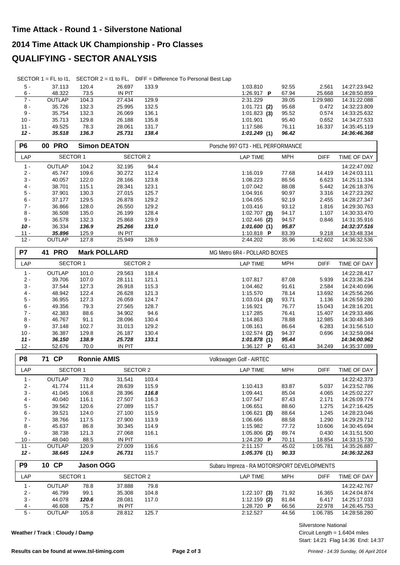## **2014 Time Attack UK Championship - Pro Classes**

## **QUALIFYING - SECTOR ANALYSIS**

|  |  | SECTOR $1 = FL$ to $11$ , SECTOR $2 = 11$ to FL, DIFF = Difference To Personal Best Lap |
|--|--|-----------------------------------------------------------------------------------------|
|--|--|-----------------------------------------------------------------------------------------|

| $5 -$  | 37.113 | 120.4 | 26.697        | 133.9 | 1:03.810          |     | 92.55 | 2.561    | 14:27:23.942 |
|--------|--------|-------|---------------|-------|-------------------|-----|-------|----------|--------------|
| $6 -$  | 48.322 | 73.5  | <b>IN PIT</b> |       | 1:26.917 <b>P</b> |     | 67.94 | 25.668   | 14:28:50.859 |
| $7 -$  | OUTLAP | 104.3 | 27.434        | 129.9 | 2:31.229          |     | 39.05 | 1:29.980 | 14:31:22.088 |
| $8 -$  | 35.726 | 132.3 | 25.995        | 132.5 | 1:01.721          | (2) | 95.68 | 0.472    | 14:32:23.809 |
| 9 -    | 35.754 | 132.3 | 26.069        | 136.1 | $1:01.823$ (3)    |     | 95.52 | 0.574    | 14:33:25.632 |
| $10 -$ | 35.713 | 129.8 | 26.188        | 135.8 | 1:01.901          |     | 95.40 | 0.652    | 14:34:27.533 |
| $11 -$ | 49.525 | 78.3  | 28.061        | 131.7 | 1:17.586          |     | 76.11 | 16.337   | 14:35:45.119 |
| $12 -$ | 35.518 | 136.3 | 25.731        | 138.4 | 1:01.249(1)       |     | 96.42 |          | 14:36:46.368 |

| P <sub>6</sub> | <b>PRO</b><br>00 |       | <b>Simon DEATON</b> |       | Porsche 997 GT3 - HEL PERFORMANCE |            |             |              |
|----------------|------------------|-------|---------------------|-------|-----------------------------------|------------|-------------|--------------|
| LAP            | <b>SECTOR 1</b>  |       | SECTOR 2            |       | LAP TIME                          | <b>MPH</b> | <b>DIFF</b> | TIME OF DAY  |
| $1 -$          | <b>OUTLAP</b>    | 104.2 | 32.195              | 94.4  |                                   |            |             | 14:22:47.092 |
| $2 -$          | 45.747           | 109.6 | 30.272              | 112.4 | 1:16.019                          | 77.68      | 14.419      | 14:24:03.111 |
| $3 -$          | 40.057           | 122.0 | 28.166              | 123.8 | 1:08.223                          | 86.56      | 6.623       | 14:25:11.334 |
| $4 -$          | 38.701           | 115.1 | 28.341              | 123.1 | 1:07.042                          | 88.08      | 5.442       | 14:26:18.376 |
| $5 -$          | 37.901           | 130.3 | 27.015              | 125.7 | 1:04.916                          | 90.97      | 3.316       | 14:27:23.292 |
| $6 -$          | 37.177           | 129.5 | 26.878              | 129.2 | 1:04.055                          | 92.19      | 2.455       | 14:28:27.347 |
| $7 -$          | 36.866           | 128.0 | 26.550              | 129.2 | 1:03.416                          | 93.12      | 1.816       | 14:29:30.763 |
| 8 -            | 36.508           | 135.0 | 26.199              | 128.4 | $1:02.707$ (3)                    | 94.17      | 1.107       | 14:30:33.470 |
| 9 -            | 36.578           | 132.3 | 25.868              | 129.9 | $1:02.446$ (2)                    | 94.57      | 0.846       | 14:31:35.916 |
| $10 -$         | 36.334           | 136.9 | 25.266              | 131.0 | 1:01.600(1)                       | 95.87      |             | 14:32:37.516 |
| $11 -$         | 35.896           | 125.9 | <b>IN PIT</b>       |       | 1:10.818 <b>P</b>                 | 83.39      | 9.218       | 14:33:48.334 |
| $12 -$         | <b>OUTLAP</b>    | 127.8 | 25.949              | 126.9 | 2:44.202                          | 35.96      | 1:42.602    | 14:36:32.536 |

| P7     | <b>PRO</b><br>41 |       | <b>Mark POLLARD</b> |       | MG Metro 6R4 - POLLARD BOXES |            |             |              |  |  |  |
|--------|------------------|-------|---------------------|-------|------------------------------|------------|-------------|--------------|--|--|--|
| LAP    | <b>SECTOR 1</b>  |       | <b>SECTOR 2</b>     |       | <b>LAP TIME</b>              | <b>MPH</b> | <b>DIFF</b> | TIME OF DAY  |  |  |  |
| $1 -$  | <b>OUTLAP</b>    | 101.0 | 29.563              | 118.4 |                              |            |             | 14:22:28.417 |  |  |  |
| $2 -$  | 39.706           | 107.0 | 28.111              | 121.1 | 1:07.817                     | 87.08      | 5.939       | 14:23:36.234 |  |  |  |
| $3 -$  | 37.544           | 127.3 | 26.918              | 115.3 | 1:04.462                     | 91.61      | 2.584       | 14:24:40.696 |  |  |  |
| $4 -$  | 48.942           | 122.4 | 26.628              | 121.3 | 1:15.570                     | 78.14      | 13.692      | 14:25:56.266 |  |  |  |
| $5 -$  | 36.955           | 127.3 | 26.059              | 124.7 | $1:03.014$ (3)               | 93.71      | 1.136       | 14:26:59.280 |  |  |  |
| $6 -$  | 49.356           | 79.3  | 27.565              | 128.7 | 1:16.921                     | 76.77      | 15.043      | 14:28:16.201 |  |  |  |
| $7 -$  | 42.383           | 88.6  | 34.902              | 94.6  | 1:17.285                     | 76.41      | 15.407      | 14:29:33.486 |  |  |  |
| 8 -    | 46.767           | 91.1  | 28.096              | 130.4 | 1:14.863                     | 78.88      | 12.985      | 14:30:48.349 |  |  |  |
| 9 -    | 37.148           | 102.7 | 31.013              | 129.2 | 1:08.161                     | 86.64      | 6.283       | 14:31:56.510 |  |  |  |
| $10 -$ | 36.387           | 129.8 | 26.187              | 130.4 | $1:02.574$ (2)               | 94.37      | 0.696       | 14:32:59.084 |  |  |  |
| $11 -$ | 36.150           | 138.9 | 25.728              | 133.1 | 1:01.878(1)                  | 95.44      |             | 14:34:00.962 |  |  |  |
| $12 -$ | 52.676           | 70.0  | IN PIT              |       | 1:36.127 $\bm{P}$            | 61.43      | 34.249      | 14:35:37.089 |  |  |  |

| P <sub>8</sub> | 71 CP           | <b>Ronnie AMIS</b> |          |       | Volkswagen Golf - AIRTEC |            |             |              |  |  |
|----------------|-----------------|--------------------|----------|-------|--------------------------|------------|-------------|--------------|--|--|
| LAP            | <b>SECTOR 1</b> |                    | SECTOR 2 |       | <b>LAP TIME</b>          | <b>MPH</b> | <b>DIFF</b> | TIME OF DAY  |  |  |
| $1 -$          | <b>OUTLAP</b>   | 78.0               | 31.541   | 103.4 |                          |            |             | 14:22:42.373 |  |  |
| $2 -$          | 41.774          | 111.4              | 28.639   | 115.9 | 1:10.413                 | 83.87      | 5.037       | 14:23:52.786 |  |  |
| $3 -$          | 41.045          | 106.8              | 28.396   | 116.8 | 1:09.441                 | 85.04      | 4.065       | 14:25:02.227 |  |  |
| $4 -$          | 40.040          | 116.1              | 27.507   | 116.3 | 1:07.547                 | 87.43      | 2.171       | 14:26:09.774 |  |  |
| $5 -$          | 39.562          | 120.6              | 27.089   | 115.7 | 1:06.651                 | 88.60      | 1.275       | 14:27:16.425 |  |  |
| $6 -$          | 39.521          | 124.0              | 27.100   | 115.9 | $1:06.621$ (3)           | 88.64      | 1.245       | 14:28:23.046 |  |  |
| $7 -$          | 38.766          | 117.5              | 27,900   | 113.9 | 1:06.666                 | 88.58      | 1.290       | 14:29:29.712 |  |  |
| 8 -            | 45.637          | 86.8               | 30.345   | 114.9 | 1:15.982                 | 77.72      | 10.606      | 14:30:45.694 |  |  |
| 9 -            | 38.738          | 121.3              | 27.068   | 116.1 | $1:05.806$ (2)           | 89.74      | 0.430       | 14:31:51.500 |  |  |
| $10 -$         | 48.040          | 88.5               | IN PIT   |       | 1:24.230 $\blacksquare$  | 70.11      | 18.854      | 14:33:15.730 |  |  |
| $11 -$         | <b>OUTLAP</b>   | 120.9              | 27,009   | 116.6 | 2:11.157                 | 45.02      | 1:05.781    | 14:35:26.887 |  |  |
| $12 -$         | 38.645          | 124.9              | 26.731   | 115.7 | 1:05.376(1)              | 90.33      |             | 14:36:32.263 |  |  |

| P <sub>9</sub> | 10 CP         | <b>Jason OGG</b> |        |          | Subaru Impreza - RA MOTORSPORT DEVELOPMENTS |                    |  |  |  |  |  |
|----------------|---------------|------------------|--------|----------|---------------------------------------------|--------------------|--|--|--|--|--|
| LAP            |               | SECTOR 1         |        | SECTOR 2 | <b>MPH</b><br><b>DIFF</b><br>LAP TIME       | <b>TIME OF DAY</b> |  |  |  |  |  |
| $1 -$          | <b>OUTLAP</b> | 78.8             | 37.888 | 79.8     |                                             | 14:22:42.767       |  |  |  |  |  |
| $2 -$          | 46.799        | 99.1             | 35.308 | 104.8    | 71.92<br>$1:22.107$ (3)<br>16.365           | 14:24:04.874       |  |  |  |  |  |
| $3 -$          | 44.078        | 120.6            | 28.081 | 117.0    | $1:12.159$ (2)<br>81.84<br>6.417            | 14:25:17.033       |  |  |  |  |  |
| $4 -$          | 46.608        | 75.7             | IN PIT |          | 1:28.720<br>22.978<br>66.56<br>P            | 14:26:45.753       |  |  |  |  |  |
| $5 -$          | <b>OUTLAP</b> | 105.8            | 28.812 | 125.7    | 44.56<br>2:12.527<br>1:06.785               | 14:28:58.280       |  |  |  |  |  |

**Weather / Track : Cloudy / Damp**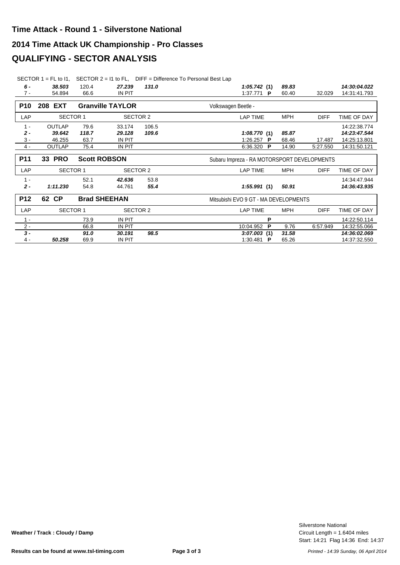#### **2014 Time Attack UK Championship - Pro Classes**

#### **QUALIFYING - SECTOR ANALYSIS**

SECTOR 1 = FL to I1, SECTOR 2 = I1 to FL, DIFF = Difference To Personal Best Lap

| 6 -        | 38.503        | 120.4           | 27.239                  | 131.0 | 89.83<br>1:05.742(1)                         | 14:30:04.022 |
|------------|---------------|-----------------|-------------------------|-------|----------------------------------------------|--------------|
| $7 -$      | 54.894        | 66.6            | <b>IN PIT</b>           |       | 1:37.771 P<br>60.40<br>32.029                | 14:31:41.793 |
|            |               |                 |                         |       |                                              |              |
| <b>P10</b> | 208 EXT       |                 | <b>Granville TAYLOR</b> |       | Volkswagen Beetle -                          |              |
| LAP        |               | <b>SECTOR 1</b> | SECTOR 2                |       | MPH<br><b>LAP TIME</b><br><b>DIFF</b>        | TIME OF DAY  |
| $1 -$      | <b>OUTLAP</b> | 79.6            | 33.174                  | 106.5 |                                              | 14:22:38.774 |
| $2 -$      | 39.642        | 118.7           | 29.128                  | 109.6 | 1:08.770(1)<br>85.87                         | 14:23:47.544 |
| $3 -$      | 46.255        | 63.7            | IN PIT                  |       | 1:26.257 P<br>68.46<br>17.487                | 14:25:13.801 |
| $4 -$      | OUTLAP        | 75.4            | IN PIT                  |       | 6:36.320<br>14.90<br>5:27.550<br>- P         | 14:31:50.121 |
|            |               |                 |                         |       |                                              |              |
| <b>P11</b> | <b>33 PRO</b> |                 | <b>Scott ROBSON</b>     |       | Subaru Impreza - RA MOTORSPORT DEVELOPMENTS  |              |
| LAP        |               | <b>SECTOR 1</b> | SECTOR 2                |       | <b>LAP TIME</b><br><b>MPH</b><br><b>DIFF</b> | TIME OF DAY  |
| $1 -$      |               | 52.1            | 42.636                  | 53.8  |                                              | 14:34:47.944 |
| $2 -$      | 1:11.230      | 54.8            | 44.761                  | 55.4  | 1:55.991(1)<br>50.91                         | 14:36:43.935 |
| <b>P12</b> | 62 CP         |                 | <b>Brad SHEEHAN</b>     |       | Mitsubishi EVO 9 GT - MA DEVELOPMENTS        |              |
| LAP        |               | <b>SECTOR 1</b> | <b>SECTOR 2</b>         |       | <b>LAP TIME</b><br>MPH<br><b>DIFF</b>        | TIME OF DAY  |
| $1 -$      |               | 73.9            | IN PIT                  |       | P                                            | 14:22:50.114 |
|            |               | 66.8            | IN PIT                  |       | 10:04.952<br>P<br>9.76<br>6:57.949           | 14:32:55.066 |
| $3 -$      |               | 91.0            | 30.191                  | 98.5  | 31.58                                        | 14:36:02.069 |
| 4 -        | 50.258        | 69.9            | IN PIT                  |       | 1:30.481 <b>P</b><br>65.26                   | 14:37:32.550 |
| $2 -$      |               |                 |                         |       | 3:07.003(1)                                  |              |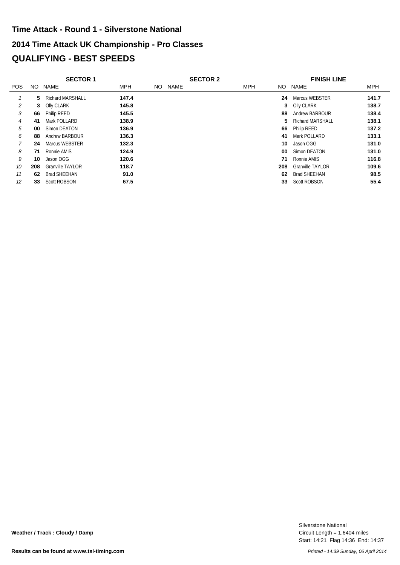# **2014 Time Attack UK Championship - Pro Classes QUALIFYING - BEST SPEEDS Time Attack - Round 1 - Silverstone National**

|            | <b>SECTOR 1</b> |                         |            | <b>SECTOR 2</b> | <b>FINISH LINE</b> |                         |       |
|------------|-----------------|-------------------------|------------|-----------------|--------------------|-------------------------|-------|
| <b>POS</b> | NO.             | <b>NAME</b>             | <b>MPH</b> | NAME<br>NO.     | <b>MPH</b><br>NO.  | NAME                    | MPH   |
|            | 5               | <b>Richard MARSHALL</b> | 147.4      |                 | 24                 | Marcus WEBSTER          | 141.7 |
| 2          | 3               | Olly CLARK              | 145.8      |                 | 3                  | Olly CLARK              | 138.7 |
| 3          | 66              | <b>Philip REED</b>      | 145.5      |                 | 88                 | Andrew BARBOUR          | 138.4 |
| 4          | 41              | Mark POLLARD            | 138.9      |                 | 5.                 | Richard MARSHALL        | 138.1 |
| 5          | 00              | Simon DEATON            | 136.9      |                 | 66                 | Philip REED             | 137.2 |
| 6          | 88              | Andrew BARBOUR          | 136.3      |                 | 41                 | Mark POLLARD            | 133.1 |
| 7          | 24              | Marcus WEBSTER          | 132.3      |                 | 10                 | Jason OGG               | 131.0 |
| 8          | 71              | Ronnie AMIS             | 124.9      |                 | 00                 | Simon DEATON            | 131.0 |
| 9          | 10              | Jason OGG               | 120.6      |                 | 71                 | Ronnie AMIS             | 116.8 |
| 10         | 208             | <b>Granville TAYLOR</b> | 118.7      |                 | 208                | <b>Granville TAYLOR</b> | 109.6 |
| 11         | 62              | <b>Brad SHEEHAN</b>     | 91.0       |                 | 62                 | <b>Brad SHEEHAN</b>     | 98.5  |
| 12         | 33              | <b>Scott ROBSON</b>     | 67.5       |                 | 33                 | <b>Scott ROBSON</b>     | 55.4  |

Start: 14:21 Flag 14:36 End: 14:37 Circuit Length = 1.6404 miles Silverstone National

**Weather / Track : Cloudy / Damp**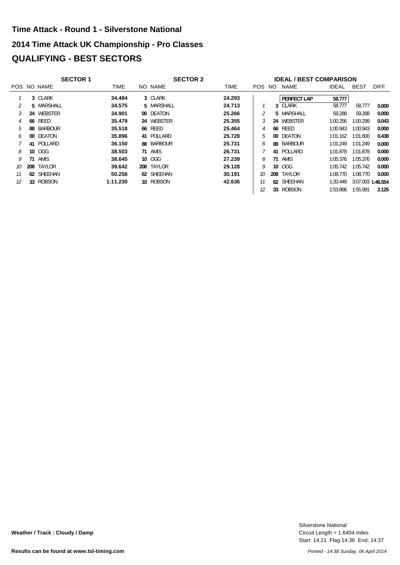# **2014 Time Attack UK Championship - Pro Classes QUALIFYING - BEST SECTORS Time Attack - Round 1 - Silverstone National**

|    | <b>SECTOR 1</b> |             |             |  | <b>SECTOR 2</b> | <b>IDEAL / BEST COMPARISON</b> |        |  |                    |              |                   |             |  |
|----|-----------------|-------------|-------------|--|-----------------|--------------------------------|--------|--|--------------------|--------------|-------------------|-------------|--|
|    |                 | POS NO NAME | <b>TIME</b> |  | NO NAME         | <b>TIME</b>                    | POS NO |  | NAME               | <b>IDEAL</b> | <b>BEST</b>       | <b>DIFF</b> |  |
|    |                 | 3 CLARK     | 34.484      |  | 3 CLARK         | 24.293                         |        |  | <b>PERFECT LAP</b> | 58.777       |                   |             |  |
|    |                 | 5 MARSHALL  | 34.575      |  | 5 MARSHALL      | 24.713                         |        |  | 3 CLARK            | 58.777       | 58.777            | 0.000       |  |
|    |                 | 24 WEBSTER  | 34.901      |  | 00 DEATON       | 25.266                         |        |  | 5 MARSHALL         | 59.288       | 59.288            | 0.000       |  |
| 4  | 66              | REED        | 35.479      |  | 24 WEBSTER      | 25.355                         |        |  | 24 WEBSTER         | 1:00.256     | 1:00.299          | 0.043       |  |
| 5  | 88              | BARBOUR     | 35.518      |  | <b>66 REED</b>  | 25.464                         |        |  | <b>66 REED</b>     | 1:00.943     | 1:00.943          | 0.000       |  |
| 6  |                 | 00 DEATON   | 35,896      |  | 41 POLLARD      | 25.728                         | 5      |  | 00 DEATON          | 1:01.162     | 1:01.600          | 0.438       |  |
|    |                 | 41 POLLARD  | 36.150      |  | 88 BARBOUR      | 25.731                         | 6      |  | 88 BARBOUR         | 1:01.249     | 1:01.249          | 0.000       |  |
| 8  |                 | 10 OGG      | 38.503      |  | 71 AMIS         | 26.731                         |        |  | 41 POLLARD         | 1:01.878     | 1:01.878          | 0.000       |  |
| 9  | 71              | AMIS        | 38.645      |  | 10 OGG          | 27.239                         | 8      |  | 71 AMIS            | 1:05.376     | 1:05.376          | 0.000       |  |
| 10 | 208             | TAYLOR      | 39.642      |  | 208 TAYLOR      | 29.128                         | Q      |  | 10 OGG             | 1:05.742     | 1:05.742          | 0.000       |  |
| 11 | 62              | SHEEHAN     | 50.258      |  | 62 SHEEHAN      | 30.191                         | 10     |  | 208 TAYLOR         | 1:08.770     | 1:08.770          | 0.000       |  |
| 12 |                 | 33 ROBSON   | 1:11.230    |  | 33 ROBSON       | 42.636                         |        |  | 62 SHEEHAN         | 1:20.449     | 3:07.003 1:46.554 |             |  |
|    |                 |             |             |  |                 |                                | 12     |  | 33 ROBSON          | 1:53.866     | 1:55.991          | 2.125       |  |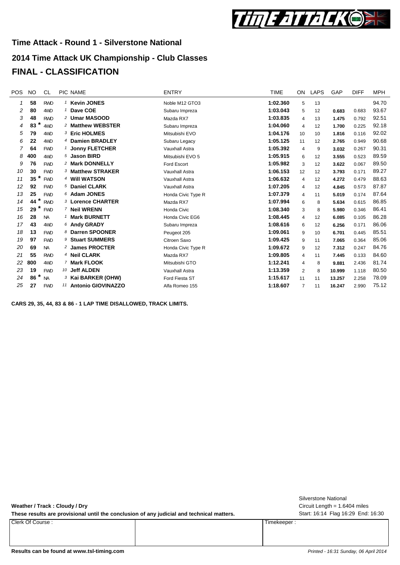

## **2014 Time Attack UK Championship - Club Classes FINAL - CLASSIFICATION**

| <b>POS</b>     | <b>NO</b> | CL.        | <b>PIC NAME</b>             | <b>ENTRY</b>       | <b>TIME</b> | ON.             | LAPS | GAP    | <b>DIFF</b> | <b>MPH</b> |
|----------------|-----------|------------|-----------------------------|--------------------|-------------|-----------------|------|--------|-------------|------------|
| 1              | 58        | <b>RWD</b> | <sup>1</sup> Kevin JONES    | Noble M12 GTO3     | 1:02.360    | 5               | 13   |        |             | 94.70      |
| 2              | 80        | 4WD        | <sup>1</sup> Dave COE       | Subaru Impreza     | 1:03.043    | 5               | 12   | 0.683  | 0.683       | 93.67      |
| 3              | 48        | <b>RWD</b> | 2 Umar MASOOD               | Mazda RX7          | 1:03.835    | 4               | 13   | 1.475  | 0.792       | 92.51      |
| 4              | *<br>83   | 4WD        | 2 Matthew WEBSTER           | Subaru Impreza     | 1:04.060    | 4               | 12   | 1.700  | 0.225       | 92.18      |
| 5              | 79        | 4WD        | 3 Eric HOLMES               | Mitsubishi EVO     | 1:04.176    | 10 <sup>1</sup> | 10   | 1.816  | 0.116       | 92.02      |
| 6              | 22        | 4WD        | 4 Damien BRADLEY            | Subaru Legacy      | 1:05.125    | 11              | 12   | 2.765  | 0.949       | 90.68      |
| $\overline{7}$ | 64        | <b>FWD</b> | <sup>1</sup> Jonny FLETCHER | Vauxhall Astra     | 1:05.392    | 4               | 9    | 3.032  | 0.267       | 90.31      |
| 8              | 400       | 4WD        | 5 Jason BIRD                | Mitsubishi EVO 5   | 1:05.915    | 6               | 12   | 3.555  | 0.523       | 89.59      |
| 9              | 76        | <b>FWD</b> | 2 Mark DONNELLY             | Ford Escort        | 1:05.982    | 3               | 12   | 3.622  | 0.067       | 89.50      |
| 10             | 30        | <b>FWD</b> | 3 Matthew STRAKER           | Vauxhall Astra     | 1:06.153    | 12              | 12   | 3.793  | 0.171       | 89.27      |
| 11             | 35        | <b>FWD</b> | 4 Will WATSON               | Vauxhall Astra     | 1:06.632    | $\overline{4}$  | 12   | 4.272  | 0.479       | 88.63      |
| 12             | 92        | <b>FWD</b> | 5 Daniel CLARK              | Vauxhall Astra     | 1:07.205    | $\overline{4}$  | 12   | 4.845  | 0.573       | 87.87      |
| 13             | 25        | <b>FWD</b> | 6 Adam JONES                | Honda Civic Type R | 1:07.379    | 4               | 11   | 5.019  | 0.174       | 87.64      |
| 14             | *<br>44   | <b>RWD</b> | 3 Lorence CHARTER           | Mazda RX7          | 1:07.994    | 6               | 8    | 5.634  | 0.615       | 86.85      |
| 15             | *<br>29   | <b>FWD</b> | 7 Neil WRENN                | Honda Civic        | 1:08.340    | 3               | 8    | 5.980  | 0.346       | 86.41      |
| 16             | 28        | <b>NA</b>  | <b>Mark BURNETT</b>         | Honda Civic EG6    | 1:08.445    | $\overline{4}$  | 12   | 6.085  | 0.105       | 86.28      |
| 17             | 43        | 4WD        | 6 Andy GRADY                | Subaru Impreza     | 1:08.616    | 6               | 12   | 6.256  | 0.171       | 86.06      |
| 18             | 13        | <b>FWD</b> | 8 Darren SPOONER            | Peugeot 205        | 1:09.061    | 9               | 10   | 6.701  | 0.445       | 85.51      |
| 19             | 97        | <b>FWD</b> | 9 Stuart SUMMERS            | Citroen Saxo       | 1:09.425    | 9               | 11   | 7.065  | 0.364       | 85.06      |
| 20             | 69        | <b>NA</b>  | 2 James PROCTER             | Honda Civic Type R | 1:09.672    | 9               | 12   | 7.312  | 0.247       | 84.76      |
| 21             | 55        | <b>RWD</b> | <sup>4</sup> Neil CLARK     | Mazda RX7          | 1:09.805    | 4               | 11   | 7.445  | 0.133       | 84.60      |
| 22             | 800       | 4WD        | 7 Mark FLOOK                | Mitsubishi GTO     | 1:12.241    | 4               | 8    | 9.881  | 2.436       | 81.74      |
| 23             | 19        | <b>FWD</b> | 10 Jeff ALDEN               | Vauxhall Astra     | 1:13.359    | 2               | 8    | 10.999 | 1.118       | 80.50      |
| 24             | *<br>86   | <b>NA</b>  | 3 Kai BARKER (OHW)          | Ford Fiesta ST     | 1:15.617    | 11              | 11   | 13.257 | 2.258       | 78.09      |
| 25             | 27        | <b>FWD</b> | 11 Antonio GIOVINAZZO       | Alfa Romeo 155     | 1:18.607    | $\overline{7}$  | 11   | 16.247 | 2.990       | 75.12      |

**CARS 29, 35, 44, 83 & 86 - 1 LAP TIME DISALLOWED, TRACK LIMITS.**

**Weather / Track : Cloudy / Dry**

These results are provisional until the conclusion of any judicial and technical matters. Start: 16:14 Flag 16:29 End: 16:30

Clerk Of Course : Timekeeper :

Circuit Length = 1.6404 miles Silverstone National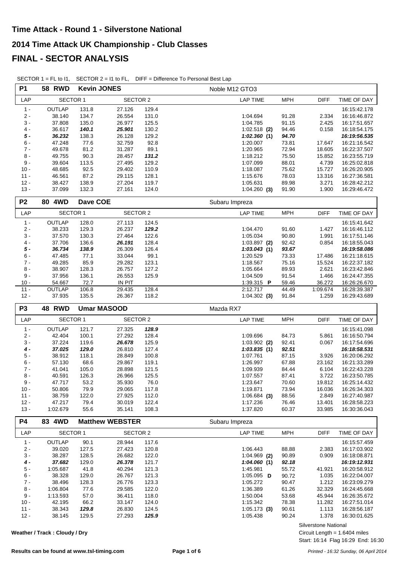| <b>P1</b>        | <b>58 RWD</b>      | <b>Kevin JONES</b> |                        |                | Noble M12 GTO3             |                |                  |                              |
|------------------|--------------------|--------------------|------------------------|----------------|----------------------------|----------------|------------------|------------------------------|
| LAP              | SECTOR 1           |                    | <b>SECTOR 2</b>        |                | <b>LAP TIME</b>            | <b>MPH</b>     | <b>DIFF</b>      | TIME OF DAY                  |
| $1 -$            | <b>OUTLAP</b>      | 131.8              | 27.126                 | 129.4          |                            |                |                  | 16:15:42.178                 |
| $2 -$            | 38.140             | 134.7              | 26.554                 | 131.0          | 1:04.694                   | 91.28          | 2.334            | 16:16:46.872                 |
| $3 -$            | 37.808             | 135.0              | 26.977                 | 125.5          | 1:04.785                   | 91.15          | 2.425            | 16:17:51.657                 |
| 4 -              | 36.617             | 140.1              | 25.901                 | 130.2          | $1:02.518$ (2)             | 94.46          | 0.158            | 16:18:54.175                 |
| $5 -$            | 36.232             | 138.3              | 26.128                 | 129.2          | 1:02.360(1)                | 94.70          |                  | 16:19:56.535                 |
| $6 -$            | 47.248             | 77.6               | 32.759                 | 92.8           | 1:20.007                   | 73.81          | 17.647           | 16:21:16.542                 |
| $7 -$<br>$8 -$   | 49.678<br>49.755   | 81.2<br>90.3       | 31.287<br>28.457       | 89.1<br>131.2  | 1:20.965<br>1:18.212       | 72.94<br>75.50 | 18.605<br>15.852 | 16:22:37.507<br>16:23:55.719 |
| $9 -$            | 39.604             | 113.5              | 27.495                 | 129.2          | 1:07.099                   | 88.01          | 4.739            | 16:25:02.818                 |
| $10 -$           | 48.685             | 92.5               | 29.402                 | 110.9          | 1:18.087                   | 75.62          | 15.727           | 16:26:20.905                 |
| $11 -$           | 46.561             | 87.2               | 29.115                 | 128.1          | 1:15.676                   | 78.03          | 13.316           | 16:27:36.581                 |
| $12 -$           | 38.427             | 138.9              | 27.204                 | 119.7          | 1:05.631                   | 89.98          | 3.271            | 16:28:42.212                 |
| $13 -$           | 37.099             | 132.3              | 27.161                 | 124.0          | $1:04.260$ (3)             | 91.90          | 1.900            | 16:29:46.472                 |
| P <sub>2</sub>   | 80 4WD             | Dave COE           |                        |                | Subaru Impreza             |                |                  |                              |
| LAP              | <b>SECTOR 1</b>    |                    | <b>SECTOR 2</b>        |                | <b>LAP TIME</b>            | <b>MPH</b>     | <b>DIFF</b>      | TIME OF DAY                  |
| $1 -$            | OUTLAP             | 128.0              | 27.113                 | 124.5          |                            |                |                  | 16:15:41.642                 |
| $2 -$            | 38.233             | 129.3              | 26.237                 | 129.2          | 1:04.470                   | 91.60          | 1.427            | 16:16:46.112                 |
| $3 -$            | 37.570             | 130.3              | 27.464                 | 122.6          | 1:05.034                   | 90.80          | 1.991            | 16:17:51.146                 |
| 4 -              | 37.706             | 136.6              | 26.191                 | 128.4          | $1:03.897$ (2)             | 92.42          | 0.854            | 16:18:55.043                 |
| $5 -$            | 36.734             | 138.9              | 26.309                 | 126.4          | 1:03.043(1)                | 93.67          |                  | 16:19:58.086                 |
| $6 -$            | 47.485             | 77.1               | 33.044                 | 99.1           | 1:20.529                   | 73.33          | 17.486           | 16:21:18.615                 |
| $7 -$<br>$8 -$   | 49.285<br>38.907   | 85.9<br>128.3      | 29.282<br>26.757       | 123.1<br>127.2 | 1:18.567<br>1:05.664       | 75.16<br>89.93 | 15.524<br>2.621  | 16:22:37.182<br>16:23:42.846 |
| $9 -$            | 37.956             | 136.1              | 26.553                 | 125.9          | 1:04.509                   | 91.54          | 1.466            | 16:24:47.355                 |
| $10 -$           | 54.667             | 72.7               | <b>IN PIT</b>          |                | 1:39.315 P                 | 59.46          | 36.272           | 16:26:26.670                 |
| $11 -$           | <b>OUTLAP</b>      | 106.8              | 29.435                 | 128.4          | 2:12.717                   | 44.49          | 1:09.674         | 16:28:39.387                 |
| $12 -$           | 37.935             | 135.5              | 26.367                 | 118.2          | $1:04.302$ (3)             | 91.84          | 1.259            | 16:29:43.689                 |
|                  |                    |                    |                        |                |                            |                |                  |                              |
| P <sub>3</sub>   | 48 RWD             |                    | <b>Umar MASOOD</b>     |                | Mazda RX7                  |                |                  |                              |
| LAP              | <b>SECTOR 1</b>    |                    | <b>SECTOR 2</b>        |                | <b>LAP TIME</b>            | <b>MPH</b>     | <b>DIFF</b>      | TIME OF DAY                  |
| $1 -$            | <b>OUTLAP</b>      |                    |                        | 128.9          |                            |                |                  |                              |
| $2 -$            | 42.404             | 121.7<br>100.1     | 27.325<br>27.292       | 128.4          | 1:09.696                   | 84.73          | 5.861            | 16:15:41.098<br>16:16:50.794 |
| $3 -$            | 37.224             | 119.6              | 26.678                 | 125.9          | $1:03.902$ (2)             | 92.41          | 0.067            | 16:17:54.696                 |
| $4 -$            | 37.025             | 129.0              | 26.810                 | 127.4          | 1:03.835(1)                | 92.51          |                  | 16:18:58.531                 |
| $5 -$            | 38.912             | 118.1              | 28.849                 | 100.8          | 1:07.761                   | 87.15          | 3.926            | 16:20:06.292                 |
| $6 -$            | 57.130             | 68.6               | 29.867                 | 119.1          | 1:26.997                   | 67.88          | 23.162           | 16:21:33.289                 |
| $7 -$            | 41.041             | 105.0              | 28.898                 | 121.5          | 1:09.939                   | 84.44          | 6.104            | 16:22:43.228                 |
| 8 -              | 40.591             | 126.3              | 26.966                 | 125.5          | 1:07.557                   | 87.41          | 3.722            | 16:23:50.785                 |
| 9 -              | 47.717             | 53.2               | 35.930                 | 76.0           | 1:23.647                   | 70.60          | 19.812           | 16:25:14.432                 |
| $10 -$           | 50.806             | 79.9               | 29.065                 | 117.8          | 1:19.871                   | 73.94          | 16.036           | 16:26:34.303                 |
| $11 -$           | 38.759             | 122.0              | 27.925                 | 112.0          | $1:06.684$ (3)             | 88.56          | 2.849            | 16:27:40.987                 |
| $12 -$<br>$13 -$ | 47.217<br>1:02.679 | 79.4<br>55.6       | 30.019<br>35.141       | 122.4<br>108.3 | 1:17.236<br>1:37.820       | 76.46<br>60.37 | 13.401<br>33.985 | 16:28:58.223<br>16:30:36.043 |
| <b>P4</b>        | 83 4WD             |                    | <b>Matthew WEBSTER</b> |                | Subaru Impreza             |                |                  |                              |
| LAP              | <b>SECTOR 1</b>    |                    | <b>SECTOR 2</b>        |                | <b>LAP TIME</b>            | <b>MPH</b>     | <b>DIFF</b>      | TIME OF DAY                  |
|                  |                    |                    |                        |                |                            |                |                  |                              |
| $1 -$            | <b>OUTLAP</b>      | 90.1               | 28.944                 | 117.6          |                            |                |                  | 16:15:57.459                 |
| $2 -$<br>$3 -$   | 39.020             | 127.5              | 27.423                 | 120.8          | 1:06.443<br>$1:04.969$ (2) | 88.88          | 2.383<br>0.909   | 16:17:03.902<br>16:18:08.871 |
| 4 -              | 38.287<br>37.682   | 128.5<br>129.0     | 26.682<br>26.378       | 122.0<br>121.7 | 1:04.060(1)                | 90.89<br>92.18 |                  | 16:19:12.931                 |
| $5 -$            | 1:05.687           | 41.8               | 40.294                 | 121.3          | 1:45.981                   | 55.72          | 41.921           | 16:20:58.912                 |
| $6 -$            | 38.328             | 129.0              | 26.767                 | 121.3          | 1:05.095 $D$               | 90.72          | 1.035            | 16:22:04.007                 |
| $7 -$            | 38.496             | 128.3              | 26.776                 | 123.3          | 1:05.272                   | 90.47          | 1.212            | 16:23:09.279                 |
| $8 -$            | 1:06.804           | 77.6               | 29.585                 | 122.0          | 1:36.389                   | 61.26          | 32.329           | 16:24:45.668                 |
| 9 -              | 1:13.593           | 57.0               | 36.411                 | 118.0          | 1:50.004                   | 53.68          | 45.944           | 16:26:35.672                 |
| $10 -$<br>$11 -$ | 42.195<br>38.343   | 66.2<br>129.8      | 33.147<br>26.830       | 124.0<br>124.5 | 1:15.342<br>$1:05.173$ (3) | 78.38<br>90.61 | 11.282<br>1.113  | 16:27:51.014<br>16:28:56.187 |

#### SECTOR 1 = FL to I1, SECTOR 2 = I1 to FL, DIFF = Difference To Personal Best Lap

Silverstone National

Start: 16:14 Flag 16:29 End: 16:30 Circuit Length = 1.6404 miles

**Weather / Track : Cloudy / Dry**

12 - 38.145 129.5 27.293 *125.9* 1:05.438 1.378 16:30:01.625 90.24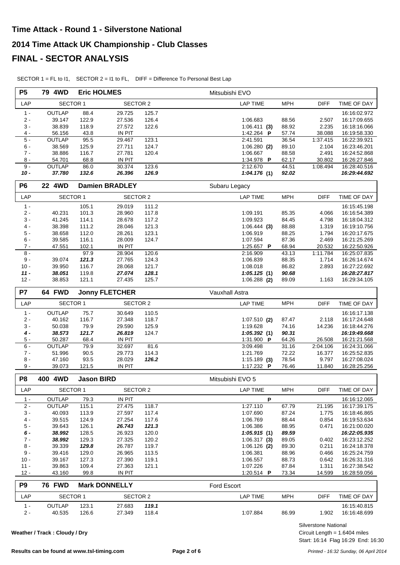| <b>P5</b>      | 79 4WD           |                   | <b>Eric HOLMES</b>      |                | Mitsubishi EVO                |                |                    |                              |
|----------------|------------------|-------------------|-------------------------|----------------|-------------------------------|----------------|--------------------|------------------------------|
| LAP            | <b>SECTOR 1</b>  |                   | <b>SECTOR 2</b>         |                | <b>LAP TIME</b>               | <b>MPH</b>     | <b>DIFF</b>        | TIME OF DAY                  |
| $1 -$          | <b>OUTLAP</b>    | 88.4              | 29.725                  | 125.7          |                               |                |                    | 16:16:02.972                 |
| $2 -$          | 39.147           | 122.9             | 27.536                  | 126.4          | 1:06.683                      | 88.56          | 2.507              | 16:17:09.655                 |
| $3 -$          | 38.839           | 118.9             | 27.572                  | 122.6          | $1:06.411$ (3)                | 88.92          | 2.235              | 16:18:16.066                 |
| 4 -            | 56.156           | 43.8              | IN PIT                  |                | 1:42.264 P                    | 57.74          | 38.088             | 16:19:58.330                 |
| $5 -$          | <b>OUTLAP</b>    | 95.5              | 29.467                  | 123.1          | 2:41.591                      | 36.54          | 1:37.415           | 16:22:39.921                 |
| $6 -$          | 38.569           | 125.9             | 27.711                  | 124.7          | $1:06.280$ (2)                | 89.10          | 2.104              | 16:23:46.201                 |
| $7 -$          | 38.886           | 116.7             | 27.781                  | 120.4          | 1:06.667                      | 88.58          | 2.491              | 16:24:52.868                 |
| $8 -$          | 54.701           | 68.8              | IN PIT                  |                | 1:34.978 P                    | 62.17          | 30.802             | 16:26:27.846                 |
| $9 -$          | <b>OUTLAP</b>    | 86.0              | 30.374                  | 123.6          | 2:12.670                      | 44.51          | 1:08.494           | 16:28:40.516                 |
| $10 -$         | 37.780           | 132.6             | 26.396                  | 126.9          | 1:04.176(1)                   | 92.02          |                    | 16:29:44.692                 |
| P <sub>6</sub> | 22 4WD           |                   | <b>Damien BRADLEY</b>   |                | Subaru Legacy                 |                |                    |                              |
| LAP            | <b>SECTOR 1</b>  |                   | <b>SECTOR 2</b>         |                | <b>LAP TIME</b>               | <b>MPH</b>     | <b>DIFF</b>        | TIME OF DAY                  |
| $1 -$          |                  | 105.1             | 29.019                  | 111.2          |                               |                |                    | 16:15:45.198                 |
| $2 -$          | 40.231           | 101.3             | 28.960                  | 117.8          | 1:09.191                      | 85.35          | 4.066              | 16:16:54.389                 |
| $3 -$          | 41.245           | 114.1             | 28.678                  | 117.2          | 1:09.923                      | 84.45          | 4.798              | 16:18:04.312                 |
| $4 -$          | 38.398           | 111.2             | 28.046                  | 121.3          | 1:06.444(3)                   | 88.88          | 1.319              | 16:19:10.756                 |
| $5 -$          | 38.658           | 112.0             | 28.261                  | 123.1          | 1:06.919                      | 88.25          | 1.794              | 16:20:17.675                 |
| $6 -$          | 39.585           | 116.1             | 28.009                  | 124.7          | 1:07.594                      | 87.36          | 2.469              | 16:21:25.269                 |
| $7 -$<br>$8 -$ | 47.551           | 102.1<br>97.9     | <b>IN PIT</b><br>28.904 | 120.6          | 1:25.657 <b>P</b><br>2:16.909 | 68.94<br>43.13 | 20.532<br>1:11.784 | 16:22:50.926<br>16:25:07.835 |
| $9 -$          | 39.074           | 121.3             | 27.765                  | 124.3          | 1:06.839                      | 88.35          | 1.714              | 16:26:14.674                 |
| $10 -$         | 39.950           | 116.7             | 28.068                  | 121.7          | 1:08.018                      | 86.82          | 2.893              | 16:27:22.692                 |
| $11 -$         | 38.051           | 119.8             | 27.074                  | 128.1          | 1:05.125(1)                   | 90.68          |                    | 16:28:27.817                 |
| $12 -$         | 38.853           | 121.1             | 27.435                  | 125.7          | $1:06.288$ (2)                | 89.09          | 1.163              | 16:29:34.105                 |
| P7             | 64 FWD           |                   | <b>Jonny FLETCHER</b>   |                | Vauxhall Astra                |                |                    |                              |
| LAP            | <b>SECTOR 1</b>  |                   | <b>SECTOR 2</b>         |                | <b>LAP TIME</b>               | <b>MPH</b>     | <b>DIFF</b>        | TIME OF DAY                  |
| $1 -$          | <b>OUTLAP</b>    | 75.7              | 30.649                  | 110.5          |                               |                |                    | 16:16:17.138                 |
| $2 -$          | 40.162           | 116.7             | 27.348                  | 118.7          | $1:07.510$ (2)                | 87.47          | 2.118              | 16:17:24.648                 |
| $3 -$          | 50.038           | 79.9              | 29.590                  | 125.9          | 1:19.628                      | 74.16          | 14.236             | 16:18:44.276                 |
| $4 -$          | 38.573           | 121.7             | 26.819                  | 124.7          | 1:05.392(1)                   | 90.31          |                    | 16:19:49.668                 |
| $5 -$          | 50.287           | 68.4              | <b>IN PIT</b>           |                | 1:31.900 P                    | 64.26          | 26.508             | 16:21:21.568                 |
| $6 -$          | <b>OUTLAP</b>    | 79.9              | 32.697                  | 81.6           | 3:09.498                      | 31.16          | 2:04.106           | 16:24:31.066                 |
| $7 -$          | 51.996           | 90.5              | 29.773                  | 114.3          | 1:21.769                      | 72.22          | 16.377             | 16:25:52.835                 |
| $8 -$          | 47.160           | 93.5              | 28.029                  | 126.2          | $1:15.189$ (3)                | 78.54          | 9.797              | 16:27:08.024                 |
| $9 -$          | 39.073           | 121.5             | <b>IN PIT</b>           |                | 1:17.232 P                    | 76.46          | 11.840             | 16:28:25.256                 |
| P <sub>8</sub> | 400 4WD          | <b>Jason BIRD</b> |                         |                | Mitsubishi EVO 5              |                |                    |                              |
| LAP            | <b>SECTOR 1</b>  |                   | <b>SECTOR 2</b>         |                | <b>LAP TIME</b>               | <b>MPH</b>     | <b>DIFF</b>        | TIME OF DAY                  |
| $1 -$          | OUTLAP           | 79.3              | IN PIT                  |                | P                             |                |                    | 16:16:12.065                 |
| $2 -$          | <b>OUTLAP</b>    | 115.1             | 27.475                  | 118.7          | 1:27.110                      | 67.79          | 21.195             | 16:17:39.175                 |
| $3 -$          | 40.093           | 113.9             | 27.597                  | 117.4          | 1:07.690                      | 87.24          | 1.775              | 16:18:46.865                 |
| 4 -<br>$5 -$   | 39.515           | 124.9             | 27.254                  | 117.6          | 1:06.769                      | 88.44          | 0.854              | 16:19:53.634                 |
| 6 -            | 39.643<br>38.992 | 126.1<br>128.5    | 26.743<br>26.923        | 121.3<br>120.0 | 1:06.386<br>1:05.915(1)       | 88.95<br>89.59 | 0.471              | 16:21:00.020<br>16:22:05.935 |
| $7 -$          | 38.992           | 129.3             | 27.325                  | 120.2          | 1:06.317(3)                   | 89.05          | 0.402              | 16:23:12.252                 |
| $8 -$          | 39.339           | 129.8             | 26.787                  | 119.7          | $1:06.126$ (2)                | 89.30          | 0.211              | 16:24:18.378                 |
| $9 -$          | 39.416           | 129.0             | 26.965                  | 113.5          | 1:06.381                      | 88.96          | 0.466              | 16:25:24.759                 |
| $10 -$         | 39.167           | 127.3             | 27.390                  | 119.1          | 1:06.557                      | 88.73          | 0.642              | 16:26:31.316                 |
| $11 -$         | 39.863           | 109.4             | 27.363                  | 121.1          | 1:07.226                      | 87.84          | 1.311              | 16:27:38.542                 |
| $12 -$         | 43.160           | 99.8              | IN PIT                  |                | 1:20.514 <b>P</b>             | 73.34          | 14.599             | 16:28:59.056                 |
| P <sub>9</sub> | <b>76 FWD</b>    |                   | <b>Mark DONNELLY</b>    |                | Ford Escort                   |                |                    |                              |

SECTOR 1 = FL to I1, SECTOR 2 = I1 to FL, DIFF = Difference To Personal Best Lap

LAP SECTOR 1 SECTOR 2 LAP TIME DIFF TIME OF DAY MPH 1 - OUTLAP 123.1 27.683 *119.1* 16:15:40.815 2 - 40.535 126.6 27.349 118.4 86.99 1:07.884 1.902 16:16:48.699

**Weather / Track : Cloudy / Dry**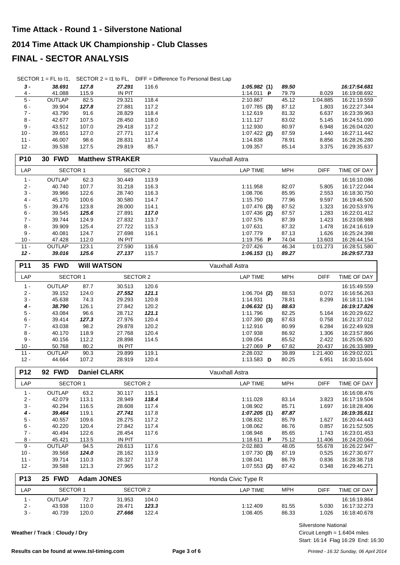SECTOR 1 = FL to I1, SECTOR 2 = I1 to FL, DIFF = Difference To Personal Best Lap

| $3 -$      | 38.691          | 127.8 | 27.291                 | 116.6 | 1:05.982(1)       | 89.50      |             | 16:17:54.681 |
|------------|-----------------|-------|------------------------|-------|-------------------|------------|-------------|--------------|
| 4 -        | 41.088          | 115.9 | <b>IN PIT</b>          |       | 1:14.011 <b>P</b> | 79.79      | 8.029       | 16:19:08.692 |
| $5 -$      | <b>OUTLAP</b>   | 82.5  | 29.321                 | 118.4 | 2:10.867          | 45.12      | 1:04.885    | 16:21:19.559 |
| $6 -$      | 39.904          | 127.8 | 27.881                 | 117.2 | $1:07.785$ (3)    | 87.12      | 1.803       | 16:22:27.344 |
| $7 -$      | 43.790          | 91.6  | 28.829                 | 118.4 | 1:12.619          | 81.32      | 6.637       | 16:23:39.963 |
| $8 -$      | 42.677          | 107.5 | 28.450                 | 118.0 | 1:11.127          | 83.02      | 5.145       | 16:24:51.090 |
| $9 -$      | 43.512          | 107.0 | 29.418                 | 117.2 | 1:12.930          | 80.97      | 6.948       | 16:26:04.020 |
| $10 -$     | 39.651          | 127.0 | 27.771                 | 117.4 | $1:07.422$ (2)    | 87.59      | 1.440       | 16:27:11.442 |
| $11 -$     | 46.007          | 98.6  | 28.831                 | 117.4 | 1:14.838          | 78.91      | 8.856       | 16:28:26.280 |
| $12 -$     | 39.538          | 127.5 | 29.819                 | 85.7  | 1:09.357          | 85.14      | 3.375       | 16:29:35.637 |
| <b>P10</b> | <b>30 FWD</b>   |       | <b>Matthew STRAKER</b> |       | Vauxhall Astra    |            |             |              |
| LAP        | <b>SECTOR 1</b> |       | SECTOR 2               |       | LAP TIME          | <b>MPH</b> | <b>DIFF</b> | TIME OF DAY  |
|            | ------          |       |                        |       |                   |            |             |              |

| 1 -    | <b>OUTLAP</b> | 62.3  | 30.449 | 113.9 |                   |       |          | 16:16:10.086 |
|--------|---------------|-------|--------|-------|-------------------|-------|----------|--------------|
| $2 -$  | 40.740        | 107.7 | 31.218 | 116.3 | 1:11.958          | 82.07 | 5.805    | 16:17:22.044 |
| $3 -$  | 39.966        | 122.6 | 28.740 | 116.3 | 1:08.706          | 85.95 | 2.553    | 16:18:30.750 |
| 4 -    | 45.170        | 100.6 | 30.580 | 114.7 | 1:15.750          | 77.96 | 9.597    | 16:19:46.500 |
| $5 -$  | 39.476        | 123.8 | 28,000 | 114.1 | $1:07.476$ (3)    | 87.52 | 1.323    | 16:20:53.976 |
| $6 -$  | 39.545        | 125.6 | 27.891 | 117.0 | $1:07.436$ (2)    | 87.57 | 1.283    | 16:22:01.412 |
| $7 -$  | 39.744        | 124.9 | 27.832 | 113.7 | 1:07.576          | 87.39 | 1.423    | 16:23:08.988 |
| 8 -    | 39.909        | 125.4 | 27.722 | 115.3 | 1:07.631          | 87.32 | 1.478    | 16:24:16.619 |
| 9 -    | 40.081        | 124.7 | 27.698 | 116.1 | 1:07.779          | 87.13 | 1.626    | 16:25:24.398 |
| $10 -$ | 47.428        | 112.0 | IN PIT |       | 1:19.756 <b>P</b> | 74.04 | 13.603   | 16:26:44.154 |
| $11 -$ | <b>OUTLAP</b> | 123.1 | 27.590 | 116.6 | 2:07.426          | 46.34 | 1:01.273 | 16:28:51.580 |
| 12 -   | 39.016        | 125.6 | 27.137 | 115.7 | 1:06.153(1)       | 89.27 |          | 16:29:57.733 |

| <b>P11</b> | <b>35 FWD</b>   |       | <b>WIII WATSON</b> |       | Vauxhall Astra          |            |             |              |
|------------|-----------------|-------|--------------------|-------|-------------------------|------------|-------------|--------------|
| LAP        | <b>SECTOR 1</b> |       | <b>SECTOR 2</b>    |       | <b>LAP TIME</b>         | <b>MPH</b> | <b>DIFF</b> | TIME OF DAY  |
| $1 -$      | OUTLAP          | 87.7  | 30.513             | 120.6 |                         |            |             | 16:15:49.559 |
| $2 -$      | 39.152          | 124.0 | 27.552             | 121.1 | $1:06.704$ (2)          | 88.53      | 0.072       | 16:16:56.263 |
| $3 -$      | 45.638          | 74.3  | 29.293             | 120.8 | 1:14.931                | 78.81      | 8.299       | 16:18:11.194 |
| $4 -$      | 38.790          | 126.1 | 27.842             | 120.2 | 1:06.632(1)             | 88.63      |             | 16:19:17.826 |
| $5 -$      | 43.084          | 96.6  | 28.712             | 121.1 | 1:11.796                | 82.25      | 5.164       | 16:20:29.622 |
| 6 -        | 39.414          | 127.3 | 27.976             | 120.4 | $1:07.390$ (3)          | 87.63      | 0.758       | 16:21:37.012 |
| $7 -$      | 43.038          | 98.2  | 29.878             | 120.2 | 1:12.916                | 80.99      | 6.284       | 16:22:49.928 |
| 8 -        | 40.170          | 118.9 | 27.768             | 120.4 | 1:07.938                | 86.92      | 1.306       | 16:23:57.866 |
| 9 -        | 40.156          | 112.2 | 28.898             | 114.5 | 1:09.054                | 85.52      | 2.422       | 16:25:06.920 |
| $10 -$     | 50.768          | 80.2  | IN PIT             |       | 1:27.069 P              | 67.82      | 20.437      | 16:26:33.989 |
| $11 -$     | OUTLAP          | 90.3  | 29.899             | 119.1 | 2:28.032                | 39.89      | 1:21.400    | 16:29:02.021 |
| $12 -$     | 44.664          | 107.2 | 28.919             | 120.4 | 1:13.583 $\overline{D}$ | 80.25      | 6.951       | 16:30:15.604 |

| <b>P12</b>      | <b>92 FWD</b>   |                   | <b>Daniel CLARK</b> |       | Vauxhall Astra     |            |             |              |
|-----------------|-----------------|-------------------|---------------------|-------|--------------------|------------|-------------|--------------|
| LAP             | <b>SECTOR 1</b> |                   | SECTOR 2            |       | <b>LAP TIME</b>    | <b>MPH</b> | <b>DIFF</b> | TIME OF DAY  |
| $1 -$           | <b>OUTLAP</b>   | 63.2              | 30.117              | 115.1 |                    |            |             | 16:16:08.476 |
| $2 -$           | 42.079          | 113.1             | 28.949              | 118.4 | 1:11.028           | 83.14      | 3.823       | 16:17:19.504 |
| $3 -$           | 40.294          | 116.5             | 28.608              | 117.4 | 1:08.902           | 85.71      | 1.697       | 16:18:28.406 |
| $4 -$           | 39.464          | 119.1             | 27.741              | 117.8 | 1:07.205(1)        | 87.87      |             | 16:19:35.611 |
| $5 -$           | 40.557          | 109.6             | 28.275              | 117.2 | 1:08.832           | 85.79      | 1.627       | 16:20:44.443 |
| $6 -$           | 40.220          | 120.4             | 27.842              | 117.4 | 1:08.062           | 86.76      | 0.857       | 16:21:52.505 |
| $7 -$           | 40.494          | 122.6             | 28.454              | 117.6 | 1:08.948           | 85.65      | 1.743       | 16:23:01.453 |
| $8 -$           | 45.421          | 113.5             | <b>IN PIT</b>       |       | 1:18.611 <b>P</b>  | 75.12      | 11.406      | 16:24:20.064 |
| $9 -$           | <b>OUTLAP</b>   | 94.5              | 28.613              | 117.6 | 2:02.883           | 48.05      | 55.678      | 16:26:22.947 |
| $10 -$          | 39.568          | 124.0             | 28.162              | 113.9 | $1:07.730$ (3)     | 87.19      | 0.525       | 16:27:30.677 |
| $11 -$          | 39.714          | 110.3             | 28.327              | 117.8 | 1:08.041           | 86.79      | 0.836       | 16:28:38.718 |
| $12 -$          | 39.588          | 121.3             | 27.965              | 117.2 | $1:07.553$ (2)     | 87.42      | 0.348       | 16:29:46.271 |
| P <sub>13</sub> | 25 FWD          | <b>Adam JONES</b> |                     |       | Honda Civic Type R |            |             |              |

| .                        | <u>LV IIID</u>  | AGUIL VUITLU |          |       | <b>I</b> IVIIVA VIVIU I YPU IN |            |       |              |
|--------------------------|-----------------|--------------|----------|-------|--------------------------------|------------|-------|--------------|
| ∟AP                      | <b>SECTOR 1</b> |              | SECTOR 2 |       | LAP TIME                       | <b>MPH</b> | DIFF  | TIME OF DAY  |
| $\overline{\phantom{a}}$ | OUTLAP          | 72.7         | 31.953   | 104.0 |                                |            |       | 16:16:19.864 |
| $2 -$                    | 43.938          | 110.0        | 28.471   | 123.3 | 1:12.409                       | 81.55      | 5.030 | 16:17:32.273 |
| 3 -                      | 40.739          | 120.0        | 27.666   | 122.4 | 1:08.405                       | 86.33      | 1.026 | 16:18:40.678 |

**Weather / Track : Cloudy / Dry**

Circuit Length = 1.6404 miles Silverstone National

Start: 16:14 Flag 16:29 End: 16:30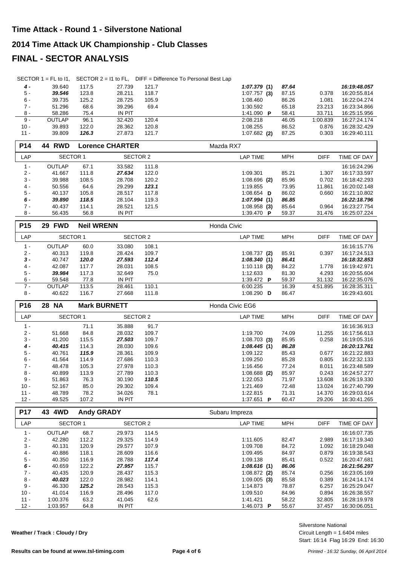|                  | SECTOR $1 = FL$ to $11$ , |                   |                        |                | SECTOR 2 = 11 to FL, DIFF = Difference To Personal Best Lap |                |                  |                              |
|------------------|---------------------------|-------------------|------------------------|----------------|-------------------------------------------------------------|----------------|------------------|------------------------------|
| $4 -$            | 39.640                    | 117.5             | 27.739                 | 121.7          | 1:07.379(1)                                                 | 87.64          |                  | 16:19:48.057                 |
| $5 -$            | 39.546                    | 123.8             | 28.211                 | 118.7          | $1:07.757$ (3)                                              | 87.15          | 0.378            | 16:20:55.814                 |
| 6 -              | 39.735                    | 125.2             | 28.725                 | 105.9          | 1:08.460                                                    | 86.26          | 1.081            | 16:22:04.274                 |
| $7 -$            | 51.296                    | 68.6              | 39.296                 | 69.4           | 1:30.592                                                    | 65.18          | 23.213           | 16:23:34.866                 |
| 8 -              | 58.286                    | 75.4              | <b>IN PIT</b>          |                | 1:41.090 P                                                  | 58.41          | 33.711           | 16:25:15.956                 |
| 9 -              | OUTLAP                    | 96.1              | 32.420                 | 120.4          | 2:08.218                                                    | 46.05          | 1:00.839         | 16:27:24.174                 |
| $10 -$           | 39.893                    | 122.0             | 28.362                 | 120.8          | 1:08.255                                                    | 86.52          | 0.876            | 16:28:32.429                 |
| $11 -$           | 39.809                    | 126.3             | 27.873                 | 121.7          | $1:07.682$ (2)                                              | 87.25          | 0.303            | 16:29:40.111                 |
| P14              | <b>44 RWD</b>             |                   | <b>Lorence CHARTER</b> |                | Mazda RX7                                                   |                |                  |                              |
| LAP              | <b>SECTOR 1</b>           |                   | <b>SECTOR 2</b>        |                | <b>LAP TIME</b>                                             | <b>MPH</b>     | <b>DIFF</b>      | TIME OF DAY                  |
| $1 -$            | OUTLAP                    | 67.1              | 33.582                 | 111.8          |                                                             |                |                  | 16:16:24.296                 |
| $2 -$            | 41.667                    | 111.8             | 27.634                 | 122.0          | 1:09.301                                                    | 85.21          | 1.307            | 16:17:33.597                 |
| 3 -              | 39.988                    | 108.5             | 28.708                 | 120.2          | $1:08.696$ (2)                                              | 85.96          | 0.702            | 16:18:42.293                 |
| $4 -$            | 50.556                    | 64.6              | 29.299                 | 123.1          | 1:19.855                                                    | 73.95          | 11.861           | 16:20:02.148                 |
| 5 -              | 40.137                    | 105.8             | 28.517                 | 117.8          | 1:08.654 $\overline{D}$                                     | 86.02          | 0.660            | 16:21:10.802                 |
| 6 -              | 39.890                    | 118.5             | 28.104                 | 119.3          | 1:07.994(1)                                                 | 86.85          |                  | 16:22:18.796                 |
| $7 -$            | 40.437                    | 114.1             | 28.521                 | 121.5          | $1:08.958$ (3)                                              | 85.64          | 0.964            | 16:23:27.754                 |
| $8 -$            | 56.435                    | 56.8              | <b>IN PIT</b>          |                | 1:39.470 P                                                  | 59.37          | 31.476           | 16:25:07.224                 |
| P <sub>15</sub>  | 29 FWD                    | <b>Neil WRENN</b> |                        |                | Honda Civic                                                 |                |                  |                              |
| LAP              | <b>SECTOR 1</b>           |                   | <b>SECTOR 2</b>        |                | <b>LAP TIME</b>                                             | <b>MPH</b>     | <b>DIFF</b>      | TIME OF DAY                  |
| $1 -$            | OUTLAP                    | 60.0              | 33.080                 | 108.1          |                                                             |                |                  | 16:16:15.776                 |
| $2 -$            | 40.313                    | 119.8             | 28.424                 | 109.7          | $1:08.737$ (2)                                              | 85.91          | 0.397            | 16:17:24.513                 |
| $3 -$            | 40.747                    | 120.0             | 27.593                 | 112.4          | 1:08.340(1)                                                 | 86.41          |                  | 16:18:32.853                 |
| $4 -$            | 42.087                    | 117.7             | 28.031                 | 108.5          | $1:10.118$ (3)                                              | 84.22          | 1.778            | 16:19:42.971                 |
| $5 -$            | 39.984                    | 117.3             | 32.649                 | 75.0           | 1:12.633                                                    | 81.30          | 4.293            | 16:20:55.604                 |
| $6 -$            | 59.548                    | 77.8              | <b>IN PIT</b>          |                | 1:39.472 P                                                  | 59.37          | 31.132           | 16:22:35.076                 |
| $7 -$            | <b>OUTLAP</b>             | 113.5             | 28.461                 | 110.1          | 6:00.235                                                    | 16.39          | 4:51.895         | 16:28:35.311                 |
|                  |                           |                   |                        |                |                                                             |                |                  |                              |
| 8 -              | 40.622                    | 116.7             | 27.668                 | 111.8          | 1:08.290 D                                                  | 86.47          |                  | 16:29:43.601                 |
| P16              | <b>28 NA</b>              |                   | <b>Mark BURNETT</b>    |                | Honda Civic EG6                                             |                |                  |                              |
| LAP              | <b>SECTOR 1</b>           |                   | <b>SECTOR 2</b>        |                | <b>LAP TIME</b>                                             | <b>MPH</b>     | <b>DIFF</b>      | TIME OF DAY                  |
| $1 -$            |                           | 71.1              | 35.888                 | 91.7           |                                                             |                |                  | 16:16:36.913                 |
| 2 -              | 51.668                    | 84.8              | 28.032                 | 109.7          | 1:19.700                                                    | 74.09          | 11.255           | 16:17:56.613                 |
| $3 -$            | 41.200                    | 115.5             | 27.503                 | 109.7          | $1:08.703$ (3)                                              | 85.95          | 0.258            | 16:19:05.316                 |
| 4 -              | 40.415                    | 114.3             | 28.030                 | 109.6          | 1:08.445(1)                                                 | 86.28          |                  | 16:20:13.761                 |
| 5 -              | 40.761                    | 115.9             | 28.361                 | 109.9          | 1:09.122                                                    | 85.43          | 0.677            | 16:21:22.883                 |
| $6 -$            | 41.564                    | 114.9             | 27.686                 | 110.3          | 1:09.250                                                    | 85.28          | 0.805            | 16:22:32.133                 |
| $7 -$            | 48.478                    | 105.3             | 27.978                 | 110.3          | 1:16.456                                                    | 77.24          | 8.011            | 16:23:48.589                 |
| 8 -              | 40.899                    | 113.9             | 27.789                 | 110.3          | $1:08.688$ (2)                                              | 85.97          | 0.243            | 16:24:57.277                 |
| $9 -$            | 51.863                    | 76.3              | 30.190                 | 110.5          | 1:22.053                                                    | 71.97          | 13.608           | 16:26:19.330                 |
| $10 -$           | 52.167                    | 85.0              | 29.302                 | 109.4          | 1:21.469                                                    | 72.48          | 13.024           | 16:27:40.799                 |
| $11 -$           | 48.789<br>49.525          | 78.2<br>107.2     | 34.026<br>IN PIT       | 78.1           | 1:22.815<br>1:37.651 <b>P</b>                               | 71.31<br>60.47 | 14.370<br>29.206 | 16:29:03.614<br>16:30:41.265 |
| $12 -$           |                           |                   |                        |                |                                                             |                |                  |                              |
| P17<br>LAP       | 43 4WD                    | <b>Andy GRADY</b> |                        |                | Subaru Impreza<br><b>LAP TIME</b>                           | <b>MPH</b>     | <b>DIFF</b>      |                              |
|                  | SECTOR 1                  |                   | SECTOR 2               |                |                                                             |                |                  | TIME OF DAY                  |
| $1 -$            | OUTLAP                    | 68.7              | 29.973                 | 114.5          |                                                             |                |                  | 16:16:07.735                 |
| $2 -$            | 42.280                    | 112.2             | 29.325                 | 114.9          | 1:11.605                                                    | 82.47          | 2.989            | 16:17:19.340                 |
| $3 -$            | 40.131                    | 120.9             | 29.577                 | 107.9          | 1:09.708                                                    | 84.72          | 1.092            | 16:18:29.048                 |
| $4 -$            | 40.886                    | 118.1             | 28.609                 | 116.6          | 1:09.495                                                    | 84.97          | 0.879            | 16:19:38.543                 |
| $5 -$<br>6 -     | 40.350                    | 116.9             | 28.788                 | 117.4          | 1:09.138                                                    | 85.41          | 0.522            | 16:20:47.681                 |
| $7 -$            | 40.659<br>40.435          | 122.2             | 27.957<br>28.437       | 115.7          | 1:08.616(1)                                                 | 86.06          | 0.256            | 16:21:56.297<br>16:23:05.169 |
| $8 -$            | 40.023                    | 120.9<br>122.0    | 28.982                 | 115.3<br>114.1 | $1:08.872$ (2)<br>$1:09.005$ (3)                            | 85.74<br>85.58 | 0.389            | 16:24:14.174                 |
| 9 -              | 46.330                    | 125.2             | 28.543                 | 115.3          | 1:14.873                                                    | 78.87          | 6.257            | 16:25:29.047                 |
| $10 -$           | 41.014                    | 116.9             | 28.496                 | 117.0          | 1:09.510                                                    | 84.96          | 0.894            | 16:26:38.557                 |
| $11 -$<br>$12 -$ | 1:00.376<br>1:03.957      | 63.2<br>64.8      | 41.045<br>IN PIT       | 62.6           | 1:41.421<br>1:46.073 P                                      | 58.22          | 32.805<br>37.457 | 16:28:19.978<br>16:30:06.051 |

**Weather / Track : Cloudy / Dry**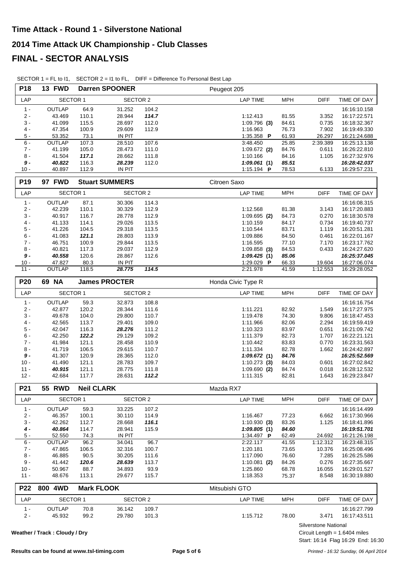| P18             | 13 FWD                        |                   | <b>Darren SPOONER</b> |                | Peugeot 205                         |                                 |                              |
|-----------------|-------------------------------|-------------------|-----------------------|----------------|-------------------------------------|---------------------------------|------------------------------|
| LAP             | <b>SECTOR 1</b>               |                   | <b>SECTOR 2</b>       |                | <b>LAP TIME</b><br><b>MPH</b>       | <b>DIFF</b>                     | TIME OF DAY                  |
| $1 -$           | OUTLAP                        | 64.9              | 31.252                | 104.2          |                                     |                                 | 16:16:10.158                 |
| $2 -$           | 43.469                        | 110.1             | 28.944                | 114.7          | 81.55<br>1:12.413                   | 3.352                           | 16:17:22.571                 |
| $3 -$           | 41.099                        | 115.5             | 28.697                | 112.0          | $1:09.796$ (3)<br>84.61             | 0.735                           | 16:18:32.367                 |
| $4 -$           | 47.354                        | 100.9             | 29.609                | 112.9          | 76.73<br>1:16.963                   | 7.902                           | 16:19:49.330                 |
| $5 -$           | 53.352                        | 73.1              | IN PIT                |                | 1:35.358 P<br>61.93                 | 26.297                          | 16:21:24.688                 |
| $6 -$           | <b>OUTLAP</b>                 | 107.3             | 28.510                | 107.6          | 25.85<br>3:48.450                   | 2:39.389                        | 16:25:13.138                 |
| $7 -$           | 41.199                        | 105.0             | 28.473                | 111.0          | 84.76<br>$1:09.672$ (2)             | 0.611                           | 16:26:22.810                 |
| $8 -$           | 41.504                        | 117.1             | 28.662                | 111.8          | 84.16<br>1:10.166                   | 1.105                           | 16:27:32.976                 |
| $9 -$           | 40.822                        | 116.3             | 28.239                | 112.0          | 85.51<br>1:09.061(1)                |                                 | 16:28:42.037                 |
| $10 -$          | 40.897                        | 112.9             | <b>IN PIT</b>         |                | 1:15.194 P<br>78.53                 | 6.133                           | 16:29:57.231                 |
| P <sub>19</sub> | 97 FWD                        |                   | <b>Stuart SUMMERS</b> |                | Citroen Saxo                        |                                 |                              |
| LAP             | SECTOR 1                      |                   | <b>SECTOR 2</b>       |                | <b>LAP TIME</b><br><b>MPH</b>       | <b>DIFF</b>                     | TIME OF DAY                  |
| $1 -$           | OUTLAP                        | 87.1              | 30.306                | 114.3          |                                     |                                 | 16:16:08.315                 |
| $2 -$           | 42.239                        | 110.1             | 30.329                | 112.9          | 1:12.568<br>81.38                   | 3.143                           | 16:17:20.883                 |
| $3 -$           | 40.917                        | 116.7             | 28.778                | 112.9          | 84.73<br>$1:09.695$ (2)             | 0.270                           | 16:18:30.578                 |
| $4 -$           | 41.133                        | 114.1             | 29.026                | 113.5          | 1:10.159<br>84.17                   | 0.734                           | 16:19:40.737                 |
| $5$ - $\,$      | 41.226                        | 104.5             | 29.318                | 113.5          | 83.71<br>1:10.544                   | 1.119                           | 16:20:51.281                 |
| $6\,$ -         | 41.083                        | 121.1             | 28.803                | 113.9          | 84.50<br>1:09.886                   | 0.461                           | 16:22:01.167                 |
| $7 -$           | 46.751                        | 100.9             | 29.844                | 113.5          | 77.10<br>1:16.595                   | 7.170                           | 16:23:17.762                 |
| $8 -$           | 40.821                        | 117.3             | 29.037                | 112.9          | $1:09.858$ (3)<br>84.53             | 0.433                           | 16:24:27.620                 |
| $9 -$           | 40.558                        | 120.6             | 28.867                | 112.6          | 1:09.425(1)<br>85.06                |                                 | 16:25:37.045                 |
| $10 -$          | 47.827                        | 80.3              | <b>IN PIT</b>         |                | 1:29.029 P<br>66.33                 | 19.604                          | 16:27:06.074                 |
| $11 -$          | OUTLAP                        | 118.5             | 28.775                | 114.5          | 2:21.978<br>41.59                   | 1:12.553                        | 16:29:28.052                 |
| P20             | 69 NA                         |                   | <b>James PROCTER</b>  |                | Honda Civic Type R                  |                                 |                              |
| LAP             | <b>SECTOR 1</b>               |                   | <b>SECTOR 2</b>       |                | <b>LAP TIME</b><br><b>MPH</b>       | <b>DIFF</b>                     | TIME OF DAY                  |
| $1 -$           | OUTLAP                        | 59.3              | 32.873                | 108.8          |                                     |                                 | 16:16:16.754                 |
| $2 -$           | 42.877                        | 120.2             | 28.344                | 111.6          | 1:11.221<br>82.92                   | 1.549                           | 16:17:27.975                 |
| $3 -$           | 49.678                        | 104.0             | 29.800                | 110.7          | 74.30<br>1:19.478                   | 9.806                           | 16:18:47.453                 |
| $4 -$           | 42.565                        | 113.7             | 29.401                | 109.0          | 82.06<br>1:11.966                   | 2.294                           | 16:19:59.419                 |
| $5$ - $\,$      | 42.047                        | 116.3             | 28.276                | 111.2          | 83.97<br>1:10.323                   | 0.651                           | 16:21:09.742                 |
| $6\,$ -         | 42.250                        | 122.2             |                       |                | 82.73                               | 1.707                           |                              |
| $7 -$           | 41.984                        | 121.1             | 29.129<br>28.458      | 109.2<br>110.9 | 1:11.379<br>83.83<br>1:10.442       | 0.770                           | 16:22:21.121<br>16:23:31.563 |
| $8 -$           | 41.719                        | 106.5             | 29.615                | 110.7          | 82.78<br>1:11.334                   | 1.662                           | 16:24:42.897                 |
| $9 -$           | 41.307                        | 120.9             | 28.365                | 112.0          | 84.76<br>1:09.672(1)                |                                 | 16:25:52.569                 |
| $10 -$          | 41.490                        | 121.1             | 28.783                | 109.7          |                                     | 0.601                           | 16:27:02.842                 |
| $11 -$          | 40.915                        | 121.1             | 28.775                | 111.8          | $1:10.273$ (3)<br>84.03<br>84.74    | 0.018                           | 16:28:12.532                 |
| $12 -$          | 42.684                        | 117.7             | 28.631                | 112.2          | $1:09.690$ (2)<br>1:11.315<br>82.81 | 1.643                           | 16:29:23.847                 |
|                 |                               |                   |                       |                |                                     |                                 |                              |
| P21             | <b>55 RWD</b>                 | <b>Neil CLARK</b> |                       |                | Mazda RX7                           |                                 |                              |
| LAP             | <b>SECTOR 1</b>               |                   | <b>SECTOR 2</b>       |                | <b>LAP TIME</b><br><b>MPH</b>       | <b>DIFF</b>                     | TIME OF DAY                  |
| $1 -$           | OUTLAP                        | 59.3              | 33.225                | 107.2          |                                     |                                 | 16:16:14.499                 |
| $2 -$           | 46.357                        | 100.1             | 30.110                | 114.9          | 1:16.467<br>77.23                   | 6.662                           | 16:17:30.966                 |
| $3 -$           | 42.262                        | 112.7             | 28.668                | 116.1          | 83.26<br>1:10.930(3)                | 1.125                           | 16:18:41.896                 |
| 4 -             | 40.864                        | 114.7             | 28.941                | 115.9          | 84.60<br>1:09.805(1)                |                                 | 16:19:51.701                 |
| $5 -$           | 52.550                        | 74.3              | <b>IN PIT</b>         |                | 1:34.497 P<br>62.49                 | 24.692                          | 16:21:26.198                 |
| $6 -$           | <b>OUTLAP</b>                 | 96.2              | 34.041                | 96.7           | 2:22.117<br>41.55                   | 1:12.312                        | 16:23:48.315                 |
| $7 -$           | 47.865                        | 106.5             | 32.316                | 100.7          | 1:20.181<br>73.65                   | 10.376                          | 16:25:08.496                 |
| $8 -$           | 46.885                        | 90.5              | 30.205                | 111.6          | 1:17.090<br>76.60                   | 7.285                           | 16:26:25.586                 |
| $9 -$           | 41.442                        | 120.6             | 28.639                | 113.7          | 84.26<br>$1:10.081$ (2)             | 0.276                           | 16:27:35.667                 |
| $10 -$          | 50.967                        | 88.7              | 34.893                | 93.9           | 68.78<br>1:25.860                   | 16.055                          | 16:29:01.527                 |
| $11 -$          | 48.676                        | 113.1             | 29.677                | 115.7          | 1:18.353<br>75.37                   | 8.548                           | 16:30:19.880                 |
| <b>P22</b>      | 800 4WD                       |                   | <b>Mark FLOOK</b>     |                | Mitsubishi GTO                      |                                 |                              |
| LAP             | <b>SECTOR 1</b>               |                   | <b>SECTOR 2</b>       |                | <b>LAP TIME</b><br>MPH              | <b>DIFF</b>                     | TIME OF DAY                  |
| $1 -$<br>$2 -$  | OUTLAP<br>45.932              | 70.8<br>99.2      | 36.142<br>29.780      | 109.7<br>101.3 | 1:15.712<br>78.00                   | 3.471                           | 16:16:27.799<br>16:17:43.511 |
|                 |                               |                   |                       |                |                                     | <b>Silverstone National</b>     |                              |
|                 | Weather / Track: Cloudy / Dry |                   |                       |                |                                     | Circuit Length = $1.6404$ miles |                              |

SECTOR 1 = FL to I1, SECTOR 2 = I1 to FL, DIFF = Difference To Personal Best Lap

Start: 16:14 Flag 16:29 End: 16:30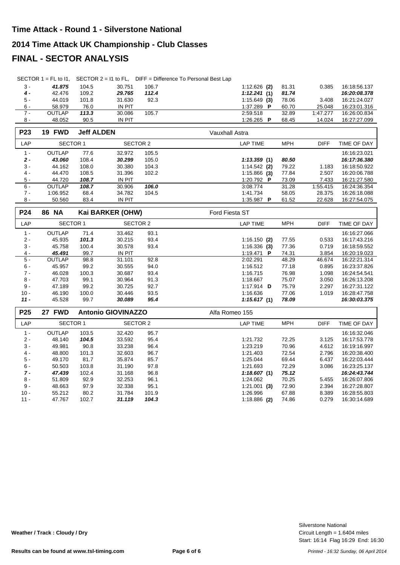#### **2014 Time Attack UK Championship - Club Classes**

## **FINAL - SECTOR ANALYSIS**

|  | SECTOR $1 = FL$ to $11$ , SECTOR $2 = 11$ to FL, DIFF = Difference To Personal Best Lap |
|--|-----------------------------------------------------------------------------------------|
|  |                                                                                         |

| 3 -   | 41.875        | 104.5 | 30.751 | 106.7 | $1:12.626$ (2)          | 81.31 | 0.385    | 16:18:56.137 |
|-------|---------------|-------|--------|-------|-------------------------|-------|----------|--------------|
| 4 -   | 42.476        | 109.2 | 29.765 | 112.4 | 1:12.241(1)             | 81.74 |          | 16:20:08.378 |
| $5 -$ | 44.019        | 101.8 | 31.630 | 92.3  | $1:15.649$ (3)          | 78.06 | 3.408    | 16:21:24.027 |
| $6 -$ | 58.979        | 76.0  | IN PIT |       | 1:37.289 $\blacksquare$ | 60.70 | 25.048   | 16:23:01.316 |
| $7 -$ | <b>OUTLAP</b> | 113.3 | 30.086 | 105.7 | 2:59.518                | 32.89 | 1:47.277 | 16:26:00.834 |
| 8 -   | 48.052        | 90.5  | IN PIT |       | 1:26.265<br>Ð           | 68.45 | 14.024   | 16:27:27.099 |

| <b>P23</b> | <b>19 FWD</b> | <b>Jeff ALDEN</b> |               |       | Vauxhall Astra          |            |             |              |
|------------|---------------|-------------------|---------------|-------|-------------------------|------------|-------------|--------------|
| LAP        | SECTOR 1      |                   | SECTOR 2      |       | LAP TIME                | <b>MPH</b> | <b>DIFF</b> | TIME OF DAY  |
| $1 -$      | <b>OUTLAP</b> | 77.6              | 32.972        | 105.5 |                         |            |             | 16:16:23.021 |
| $2 -$      | 43.060        | 108.4             | 30.299        | 105.0 | 1:13.359(1)             | 80.50      |             | 16:17:36.380 |
| $3 -$      | 44.162        | 108.0             | 30.380        | 104.3 | $1:14.542$ (2)          | 79.22      | 1.183       | 16:18:50.922 |
| $4 -$      | 44.470        | 108.5             | 31.396        | 102.2 | $1:15.866$ (3)          | 77.84      | 2.507       | 16:20:06.788 |
| $5 -$      | 44.720        | 108.7             | <b>IN PIT</b> |       | 1:20.792 $\blacksquare$ | 73.09      | 7.433       | 16:21:27.580 |
| $6 -$      | <b>OUTLAP</b> | 108.7             | 30.906        | 106.0 | 3:08.774                | 31.28      | 1:55.415    | 16:24:36.354 |
| $7 -$      | 1:06.952      | 68.4              | 34.782        | 104.5 | 1:41.734                | 58.05      | 28.375      | 16:26:18.088 |
| $8 -$      | 50.560        | 83.4              | <b>IN PIT</b> |       | 1:35.987<br>Р           | 61.52      | 22.628      | 16:27:54.075 |

| <b>P24</b> | <b>86 NA</b>    |       | Kai BARKER (OHW) |      | Ford Fiesta ST          |            |             |              |
|------------|-----------------|-------|------------------|------|-------------------------|------------|-------------|--------------|
| LAP        | <b>SECTOR 1</b> |       | SECTOR 2         |      | <b>LAP TIME</b>         | <b>MPH</b> | <b>DIFF</b> | TIME OF DAY  |
| $1 -$      | <b>OUTLAP</b>   | 71.4  | 33.462           | 93.1 |                         |            |             | 16:16:27.066 |
| $2 -$      | 45.935          | 101.3 | 30.215           | 93.4 | $1:16.150$ (2)          | 77.55      | 0.533       | 16:17:43.216 |
| $3 -$      | 45.758          | 100.4 | 30.578           | 93.4 | $1:16.336$ (3)          | 77.36      | 0.719       | 16:18:59.552 |
| $4 -$      | 45.491          | 99.7  | <b>IN PIT</b>    |      | 1:19.471 <b>P</b>       | 74.31      | 3.854       | 16:20:19.023 |
| $5 -$      | <b>OUTLAP</b>   | 98.8  | 31.101           | 92.8 | 2:02.291                | 48.29      | 46.674      | 16:22:21.314 |
| $6 -$      | 45.957          | 99.2  | 30.555           | 94.0 | 1:16.512                | 77.18      | 0.895       | 16:23:37.826 |
| $7 -$      | 46.028          | 100.3 | 30.687           | 93.4 | 1:16.715                | 76.98      | 1.098       | 16:24:54.541 |
| $8 -$      | 47.703          | 99.1  | 30.964           | 91.3 | 1:18.667                | 75.07      | 3.050       | 16:26:13.208 |
| $9 -$      | 47.189          | 99.2  | 30.725           | 92.7 | 1:17.914 $\blacksquare$ | 75.79      | 2.297       | 16:27:31.122 |
| $10 -$     | 46.190          | 100.0 | 30.446           | 93.5 | 1:16.636                | 77.06      | 1.019       | 16:28:47.758 |
| $11 -$     | 45.528          | 99.7  | 30.089           | 95.4 | 1:15.617(1)             | 78.09      |             | 16:30:03.375 |

| P <sub>25</sub> | <b>FWD</b><br>27 |       | <b>Antonio GIOVINAZZO</b> |       | Alfa Romeo 155  |            |             |              |
|-----------------|------------------|-------|---------------------------|-------|-----------------|------------|-------------|--------------|
| LAP             | <b>SECTOR 1</b>  |       | SECTOR 2                  |       | <b>LAP TIME</b> | <b>MPH</b> | <b>DIFF</b> | TIME OF DAY  |
| $1 -$           | <b>OUTLAP</b>    | 103.5 | 32.420                    | 95.7  |                 |            |             | 16:16:32.046 |
| $2 -$           | 48.140           | 104.5 | 33.592                    | 95.4  | 1:21.732        | 72.25      | 3.125       | 16:17:53.778 |
| $3 -$           | 49.981           | 90.8  | 33.238                    | 96.4  | 1:23.219        | 70.96      | 4.612       | 16:19:16.997 |
| $4 -$           | 48.800           | 101.3 | 32.603                    | 96.7  | 1:21.403        | 72.54      | 2.796       | 16:20:38.400 |
| 5 -             | 49.170           | 81.7  | 35.874                    | 85.7  | 1:25.044        | 69.44      | 6.437       | 16:22:03.444 |
| $6 -$           | 50.503           | 103.8 | 31.190                    | 97.8  | 1:21.693        | 72.29      | 3.086       | 16:23:25.137 |
| $7 -$           | 47.439           | 102.4 | 31.168                    | 96.8  | 1:18.607(1)     | 75.12      |             | 16:24:43.744 |
| $8 -$           | 51.809           | 92.9  | 32.253                    | 96.1  | 1:24.062        | 70.25      | 5.455       | 16:26:07.806 |
| $9 -$           | 48.663           | 97.9  | 32.338                    | 95.1  | $1:21.001$ (3)  | 72.90      | 2.394       | 16:27:28.807 |
| $10 -$          | 55.212           | 80.2  | 31.784                    | 101.9 | 1:26.996        | 67.88      | 8.389       | 16:28:55.803 |
| $11 -$          | 47.767           | 102.7 | 31.119                    | 104.3 | $1:18.886$ (2)  | 74.86      | 0.279       | 16:30:14.689 |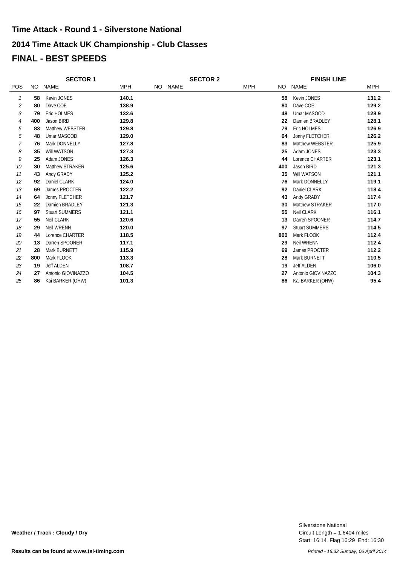|                | <b>SECTOR 1</b> |                       |            | <b>SECTOR 2</b> |         |  | <b>FINISH LINE</b> |     |                       |            |
|----------------|-----------------|-----------------------|------------|-----------------|---------|--|--------------------|-----|-----------------------|------------|
| <b>POS</b>     |                 | NO NAME               | <b>MPH</b> |                 | NO NAME |  | <b>MPH</b>         | NO. | <b>NAME</b>           | <b>MPH</b> |
| 1              | 58              | Kevin JONES           | 140.1      |                 |         |  |                    | 58  | Kevin JONES           | 131.2      |
| 2              | 80              | Dave COE              | 138.9      |                 |         |  |                    | 80  | Dave COE              | 129.2      |
| 3              | 79              | Eric HOLMES           | 132.6      |                 |         |  |                    | 48  | Umar MASOOD           | 128.9      |
| $\overline{4}$ | 400             | Jason BIRD            | 129.8      |                 |         |  |                    | 22  | Damien BRADLEY        | 128.1      |
| 5              | 83              | Matthew WEBSTER       | 129.8      |                 |         |  |                    | 79  | Eric HOLMES           | 126.9      |
| 6              | 48              | Umar MASOOD           | 129.0      |                 |         |  |                    | 64  | Jonny FLETCHER        | 126.2      |
| 7              | 76              | Mark DONNELLY         | 127.8      |                 |         |  |                    | 83  | Matthew WEBSTER       | 125.9      |
| 8              | 35              | Will WATSON           | 127.3      |                 |         |  |                    | 25  | Adam JONES            | 123.3      |
| 9              | 25              | Adam JONES            | 126.3      |                 |         |  |                    | 44  | Lorence CHARTER       | 123.1      |
| 10             | 30              | Matthew STRAKER       | 125.6      |                 |         |  |                    | 400 | Jason BIRD            | 121.3      |
| 11             | 43              | Andy GRADY            | 125.2      |                 |         |  |                    | 35  | Will WATSON           | 121.1      |
| 12             | 92              | Daniel CLARK          | 124.0      |                 |         |  |                    | 76  | Mark DONNELLY         | 119.1      |
| 13             | 69              | James PROCTER         | 122.2      |                 |         |  |                    | 92  | Daniel CLARK          | 118.4      |
| 14             | 64              | Jonny FLETCHER        | 121.7      |                 |         |  |                    | 43  | Andy GRADY            | 117.4      |
| 15             | 22              | Damien BRADLEY        | 121.3      |                 |         |  |                    | 30  | Matthew STRAKER       | 117.0      |
| 16             | 97              | <b>Stuart SUMMERS</b> | 121.1      |                 |         |  |                    | 55  | <b>Neil CLARK</b>     | 116.1      |
| 17             | 55              | Neil CLARK            | 120.6      |                 |         |  |                    | 13  | Darren SPOONER        | 114.7      |
| 18             | 29              | Neil WRENN            | 120.0      |                 |         |  |                    | 97  | <b>Stuart SUMMERS</b> | 114.5      |
| 19             | 44              | Lorence CHARTER       | 118.5      |                 |         |  |                    | 800 | Mark FLOOK            | 112.4      |
| 20             | 13              | Darren SPOONER        | 117.1      |                 |         |  |                    | 29  | <b>Neil WRENN</b>     | 112.4      |
| 21             | 28              | Mark BURNETT          | 115.9      |                 |         |  |                    | 69  | James PROCTER         | 112.2      |
| 22             | 800             | Mark FLOOK            | 113.3      |                 |         |  |                    | 28  | Mark BURNETT          | 110.5      |
| 23             | 19              | <b>Jeff ALDEN</b>     | 108.7      |                 |         |  |                    | 19  | <b>Jeff ALDEN</b>     | 106.0      |
| 24             | 27              | Antonio GIOVINAZZO    | 104.5      |                 |         |  |                    | 27  | Antonio GIOVINAZZO    | 104.3      |
| 25             | 86              | Kai BARKER (OHW)      | 101.3      |                 |         |  |                    | 86  | Kai BARKER (OHW)      | 95.4       |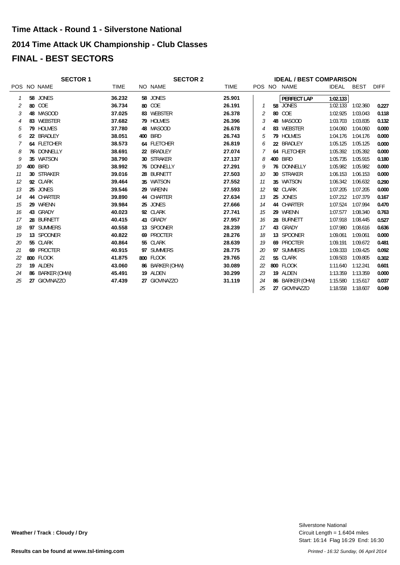#### **2014 Time Attack UK Championship - Club Classes**

## **FINAL - BEST SECTORS**

| <b>SECTOR 1</b> |                                                                                                                                                                                                                                                                                                                                                                       | <b>SECTOR 2</b> |  |                                                                                                                                                                                                                                                                                                                                                         | <b>IDEAL / BEST COMPARISON</b> |         |                    |                                                                                                                                                                                                                                                                                                                                                        |             |             |  |
|-----------------|-----------------------------------------------------------------------------------------------------------------------------------------------------------------------------------------------------------------------------------------------------------------------------------------------------------------------------------------------------------------------|-----------------|--|---------------------------------------------------------------------------------------------------------------------------------------------------------------------------------------------------------------------------------------------------------------------------------------------------------------------------------------------------------|--------------------------------|---------|--------------------|--------------------------------------------------------------------------------------------------------------------------------------------------------------------------------------------------------------------------------------------------------------------------------------------------------------------------------------------------------|-------------|-------------|--|
|                 | <b>TIME</b>                                                                                                                                                                                                                                                                                                                                                           |                 |  | <b>TIME</b>                                                                                                                                                                                                                                                                                                                                             |                                |         |                    | <b>IDEAL</b>                                                                                                                                                                                                                                                                                                                                           | <b>BEST</b> | <b>DIFF</b> |  |
|                 | 36.232                                                                                                                                                                                                                                                                                                                                                                |                 |  | 25.901                                                                                                                                                                                                                                                                                                                                                  |                                |         | <b>PERFECT LAP</b> | 1:02.133                                                                                                                                                                                                                                                                                                                                               |             |             |  |
|                 | 36.734                                                                                                                                                                                                                                                                                                                                                                |                 |  | 26.191                                                                                                                                                                                                                                                                                                                                                  |                                |         |                    | 1:02.133                                                                                                                                                                                                                                                                                                                                               | 1:02.360    | 0.227       |  |
|                 | 37.025                                                                                                                                                                                                                                                                                                                                                                |                 |  | 26.378                                                                                                                                                                                                                                                                                                                                                  | 2                              |         |                    | 1:02.925                                                                                                                                                                                                                                                                                                                                               | 1:03.043    | 0.118       |  |
|                 | 37.682                                                                                                                                                                                                                                                                                                                                                                |                 |  | 26.396                                                                                                                                                                                                                                                                                                                                                  |                                |         |                    | 1:03.703                                                                                                                                                                                                                                                                                                                                               | 1:03.835    | 0.132       |  |
|                 | 37.780                                                                                                                                                                                                                                                                                                                                                                |                 |  | 26.678                                                                                                                                                                                                                                                                                                                                                  |                                |         |                    | 1:04.060                                                                                                                                                                                                                                                                                                                                               | 1:04.060    | 0.000       |  |
|                 | 38.051                                                                                                                                                                                                                                                                                                                                                                |                 |  | 26.743                                                                                                                                                                                                                                                                                                                                                  | 5                              |         |                    | 1:04.176                                                                                                                                                                                                                                                                                                                                               | 1:04.176    | 0.000       |  |
|                 | 38.573                                                                                                                                                                                                                                                                                                                                                                |                 |  | 26.819                                                                                                                                                                                                                                                                                                                                                  | 6                              |         |                    | 1:05.125                                                                                                                                                                                                                                                                                                                                               | 1:05.125    | 0.000       |  |
|                 | 38.691                                                                                                                                                                                                                                                                                                                                                                |                 |  | 27.074                                                                                                                                                                                                                                                                                                                                                  |                                |         |                    | 1:05.392                                                                                                                                                                                                                                                                                                                                               | 1:05.392    | 0.000       |  |
|                 | 38.790                                                                                                                                                                                                                                                                                                                                                                |                 |  | 27.137                                                                                                                                                                                                                                                                                                                                                  | 8                              |         | BIRD               | 1:05.735                                                                                                                                                                                                                                                                                                                                               | 1:05.915    | 0.180       |  |
|                 | 38.992                                                                                                                                                                                                                                                                                                                                                                |                 |  | 27.291                                                                                                                                                                                                                                                                                                                                                  |                                |         |                    | 1:05.982                                                                                                                                                                                                                                                                                                                                               | 1:05.982    | 0.000       |  |
|                 | 39.016                                                                                                                                                                                                                                                                                                                                                                |                 |  | 27.503                                                                                                                                                                                                                                                                                                                                                  | 10                             |         |                    | 1:06.153                                                                                                                                                                                                                                                                                                                                               | 1:06.153    | 0.000       |  |
|                 | 39.464                                                                                                                                                                                                                                                                                                                                                                |                 |  | 27.552                                                                                                                                                                                                                                                                                                                                                  | 11                             |         |                    | 1:06.342                                                                                                                                                                                                                                                                                                                                               | 1:06.632    | 0.290       |  |
|                 | 39.546                                                                                                                                                                                                                                                                                                                                                                |                 |  | 27.593                                                                                                                                                                                                                                                                                                                                                  | 12                             |         |                    | 1:07.205                                                                                                                                                                                                                                                                                                                                               | 1:07.205    | 0.000       |  |
|                 | 39.890                                                                                                                                                                                                                                                                                                                                                                |                 |  | 27.634                                                                                                                                                                                                                                                                                                                                                  | 13                             |         |                    | 1:07.212                                                                                                                                                                                                                                                                                                                                               | 1:07.379    | 0.167       |  |
|                 | 39.984                                                                                                                                                                                                                                                                                                                                                                |                 |  | 27.666                                                                                                                                                                                                                                                                                                                                                  | 14                             |         |                    | 1:07.524                                                                                                                                                                                                                                                                                                                                               | 1:07.994    | 0.470       |  |
|                 | 40.023                                                                                                                                                                                                                                                                                                                                                                |                 |  | 27.741                                                                                                                                                                                                                                                                                                                                                  | 15                             |         |                    | 1:07.577                                                                                                                                                                                                                                                                                                                                               | 1:08.340    | 0.763       |  |
|                 | 40.415                                                                                                                                                                                                                                                                                                                                                                |                 |  | 27.957                                                                                                                                                                                                                                                                                                                                                  | 16                             |         |                    | 1:07.918                                                                                                                                                                                                                                                                                                                                               | 1:08.445    | 0.527       |  |
|                 | 40.558                                                                                                                                                                                                                                                                                                                                                                |                 |  | 28.239                                                                                                                                                                                                                                                                                                                                                  | 17                             |         |                    | 1:07.980                                                                                                                                                                                                                                                                                                                                               | 1:08.616    | 0.636       |  |
|                 | 40.822                                                                                                                                                                                                                                                                                                                                                                |                 |  | 28.276                                                                                                                                                                                                                                                                                                                                                  | 18                             |         |                    | 1:09.061                                                                                                                                                                                                                                                                                                                                               | 1:09.061    | 0.000       |  |
|                 | 40.864                                                                                                                                                                                                                                                                                                                                                                |                 |  | 28.639                                                                                                                                                                                                                                                                                                                                                  |                                |         |                    | 1:09.191                                                                                                                                                                                                                                                                                                                                               | 1:09.672    | 0.481       |  |
|                 | 40.915                                                                                                                                                                                                                                                                                                                                                                |                 |  | 28.775                                                                                                                                                                                                                                                                                                                                                  | 20                             |         |                    | 1:09.333                                                                                                                                                                                                                                                                                                                                               | 1:09.425    | 0.092       |  |
|                 | 41.875                                                                                                                                                                                                                                                                                                                                                                |                 |  | 29.765                                                                                                                                                                                                                                                                                                                                                  | 21                             |         |                    | 1:09.503                                                                                                                                                                                                                                                                                                                                               | 1:09.805    | 0.302       |  |
|                 | 43.060                                                                                                                                                                                                                                                                                                                                                                |                 |  | 30.089                                                                                                                                                                                                                                                                                                                                                  | 22                             |         |                    | 1:11.640                                                                                                                                                                                                                                                                                                                                               | 1:12.241    | 0.601       |  |
|                 | 45.491                                                                                                                                                                                                                                                                                                                                                                |                 |  | 30.299                                                                                                                                                                                                                                                                                                                                                  | 23                             |         |                    | 1:13.359                                                                                                                                                                                                                                                                                                                                               | 1:13.359    | 0.000       |  |
|                 | 47.439                                                                                                                                                                                                                                                                                                                                                                |                 |  | 31.119                                                                                                                                                                                                                                                                                                                                                  | 24                             |         |                    | 1:15.580                                                                                                                                                                                                                                                                                                                                               | 1:15.617    | 0.037       |  |
|                 |                                                                                                                                                                                                                                                                                                                                                                       |                 |  |                                                                                                                                                                                                                                                                                                                                                         | 25                             |         |                    | 1:18.558                                                                                                                                                                                                                                                                                                                                               | 1:18.607    | 0.049       |  |
|                 | POS NO NAME<br>58 JONES<br>80 COE<br>48 MASOOD<br>83 WEBSTER<br>79 HOLMES<br>22 BRADLEY<br>64 FLETCHER<br>76 DONNELLY<br>35 WATSON<br><b>BIRD</b><br>400<br>30 STRAKER<br>92 CLARK<br>25 JONES<br>44 CHARTER<br>29 WRENN<br>43 GRADY<br>28 BURNETT<br>97 SUMMERS<br>13 SPOONER<br>55 CLARK<br>69 PROCTER<br>800 FLOOK<br>19 ALDEN<br>86 BARKER (OHW)<br>27 GIOVINAZZO |                 |  | NO NAME<br>58 JONES<br>80 COE<br>83 WEBSTER<br>79 HOLMES<br>48 MASOOD<br>400 BIRD<br>64 FLETCHER<br>22 BRADLEY<br>30 STRAKER<br>76 DONNELLY<br>28 BURNETT<br>35 WATSON<br>29 WRENN<br>44 CHARTER<br>25 JONES<br>92 CLARK<br>43 GRADY<br>13 SPOONER<br>69 PROCTER<br>55 CLARK<br>97 SUMMERS<br>800 FLOOK<br>86 BARKER (OHW)<br>19 ALDEN<br>27 GIOVINAZZO |                                | 3<br>19 |                    | POS NO NAME<br>58 JONES<br>80 COE<br>48 MASOOD<br>83 WEBSTER<br>79 HOLMES<br>22 BRADLEY<br>64 FLETCHER<br>400<br>76 DONNELLY<br>30 STRAKER<br>35 WATSON<br>92 CLARK<br>25 JONES<br>44 CHARTER<br>29 WRENN<br>28 BURNETT<br>43 GRADY<br>13 SPOONER<br>69 PROCTER<br>97 SUMMERS<br>55 CLARK<br>800 FLOOK<br>19 ALDEN<br>86 BARKER (OHW)<br>27 GIOVINAZZO |             |             |  |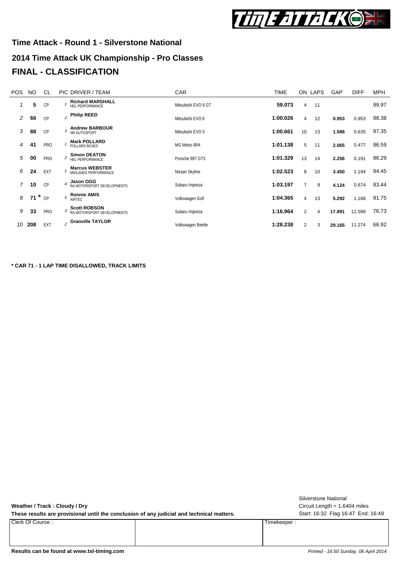

# **2014 Time Attack UK Championship - Pro Classes Time Attack - Round 1 - Silverstone National FINAL - CLASSIFICATION**

| POS. | <b>NO</b> | <b>CL</b>  |   | PIC DRIVER / TEAM                                 | <b>CAR</b>          | <b>TIME</b> |                | ON LAPS | GAP    | <b>DIFF</b> | <b>MPH</b> |
|------|-----------|------------|---|---------------------------------------------------|---------------------|-------------|----------------|---------|--------|-------------|------------|
|      | 5         | CP         |   | <b>Richard MARSHALL</b><br>HEL PERFORMANCE        | Mitsubishi EVO 9 GT | 59.073      | 4              | 11      |        |             | 99.97      |
| 2    | 66        | CP         |   | $_2$ Philip REED                                  | Mitsubishi EVO 6    | 1:00.026    | 4              | 12      | 0.953  | 0.953       | 98.38      |
| 3    | 88        | CP         | 3 | <b>Andrew BARBOUR</b><br>NR AUTOSPORT             | Mitsubishi EVO 5    | 1:00.661    | 10             | 13      | 1.588  | 0.635       | 97.35      |
| 4    | 41        | <b>PRO</b> |   | <b>Mark POLLARD</b><br>POLLARD BOXES              | MG Metro 6R4        | 1:01.138    | 5              | 11      | 2.065  | 0.477       | 96.59      |
| 5    | 00        | <b>PRO</b> |   | <b>Simon DEATON</b><br>HEL PERFORMANCE            | Porsche 997 GT3     | 1:01.329    | 13             | 14      | 2.256  | 0.191       | 96.29      |
| 6    | 24        | EXT        |   | <b>Marcus WEBSTER</b><br>MIDLANDS PERFORMANCE     | Nissan Skyline      | 1:02.523    | 8              | 10      | 3.450  | 1.194       | 94.45      |
|      | 10        | <b>CP</b>  |   | <b>Jason OGG</b><br>RA MOTORSPORT DEVELOPMENTS    | Subaru Impreza      | 1:03.197    | $\overline{7}$ | 9       | 4.124  | 0.674       | 93.44      |
| 8    | 71        | $r^*$ CP   |   | <b>Ronnie AMIS</b><br>AIRTEC                      | Volkswagen Golf     | 1:04.365    | $\overline{4}$ | 13      | 5.292  | 1.168       | 91.75      |
| 9    | 33        | PRO        |   | <b>Scott ROBSON</b><br>RA MOTORSPORT DEVELOPMENTS | Subaru Impreza      | 1:16.964    | 2              | 4       | 17.891 | 12.599      | 76.73      |
| 10   | 208       | <b>EXT</b> |   | 2 Granville TAYLOR                                | Volkswagen Beetle   | 1:28.238    | 2              | 3       | 29.165 | 11.274      | 66.92      |

**\* CAR 71 - 1 LAP TIME DISALLOWED, TRACK LIMITS**

| Weather / Track: Cloudy / Dry<br>These results are provisional until the conclusion of any judicial and technical matters. | <b>Silverstone National</b><br>Circuit Length = $1.6404$ miles<br>Start: 16:32 Flag 16:47 End: 16:49 |
|----------------------------------------------------------------------------------------------------------------------------|------------------------------------------------------------------------------------------------------|
| Clerk Of Course:                                                                                                           | Timekeeper:                                                                                          |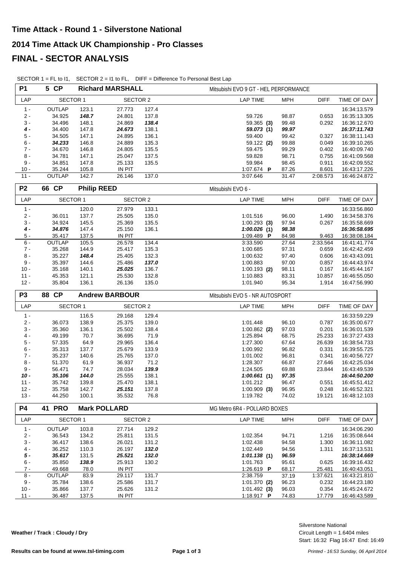| <b>P1</b>          | 5 CP<br><b>Richard MARSHALL</b> |                    |                       |               | Mitsubishi EVO 9 GT - HEL PERFORMANCE |                                   |                              |  |  |  |
|--------------------|---------------------------------|--------------------|-----------------------|---------------|---------------------------------------|-----------------------------------|------------------------------|--|--|--|
| LAP                | <b>SECTOR 1</b>                 |                    | <b>SECTOR 2</b>       |               | <b>LAP TIME</b>                       | <b>MPH</b><br><b>DIFF</b>         | TIME OF DAY                  |  |  |  |
| $1 -$              | OUTLAP                          | 123.1              | 27.773                | 127.4         |                                       |                                   | 16:34:13.579                 |  |  |  |
| $2 -$              | 34.925                          | 148.7              | 24.801                | 137.8         | 59.726                                | 98.87<br>0.653                    | 16:35:13.305                 |  |  |  |
| $3 -$              | 34.496                          | 148.1              | 24.869                | 138.4         | 59.365(3)                             | 99.48<br>0.292                    | 16:36:12.670                 |  |  |  |
| $4 -$              | 34.400                          | 147.8              | 24.673                | 138.1         | 59.073 (1)                            | 99.97                             | 16:37:11.743                 |  |  |  |
| $5 -$              | 34.505                          | 147.1              | 24.895                | 136.1         | 59.400                                | 99.42<br>0.327                    | 16:38:11.143                 |  |  |  |
| $6 -$              | 34.233                          | 146.8              | 24.889                | 135.3         | 59.122 (2)                            | 99.88<br>0.049                    | 16:39:10.265                 |  |  |  |
| $7 -$              | 34.670                          | 146.8              | 24.805                | 135.5         | 59.475                                | 99.29<br>0.402                    | 16:40:09.740                 |  |  |  |
| $8 -$              | 34.781                          | 147.1              | 25.047                | 137.5         | 59.828                                | 98.71<br>0.755                    | 16:41:09.568                 |  |  |  |
| $9 -$              | 34.851                          | 147.8              | 25.133                | 135.5         | 59.984                                | 98.45<br>0.911                    | 16:42:09.552                 |  |  |  |
| $10 -$             | 35.244                          | 105.8              | IN PIT                |               | 1:07.674 P                            | 87.26<br>8.601                    | 16:43:17.226                 |  |  |  |
| $11 -$             | OUTLAP                          | 142.7              | 26.146                | 137.0         | 3:07.646                              | 31.47<br>2:08.573                 | 16:46:24.872                 |  |  |  |
| P <sub>2</sub>     | 66 CP                           | <b>Philip REED</b> |                       |               | Mitsubishi EVO 6 -                    |                                   |                              |  |  |  |
| LAP                | <b>SECTOR 1</b>                 |                    | <b>SECTOR 2</b>       |               | <b>LAP TIME</b>                       | <b>MPH</b><br><b>DIFF</b>         | TIME OF DAY                  |  |  |  |
| $1 -$              |                                 | 120.0              | 27.979                | 133.1         |                                       |                                   | 16:33:56.860                 |  |  |  |
| $2 -$              | 36.011                          | 137.7              | 25.505                | 135.0         | 1:01.516                              | 96.00<br>1.490                    | 16:34:58.376                 |  |  |  |
| $3 -$              | 34.924                          | 145.5              | 25.369                | 135.5         | $1:00.293$ (3)                        | 97.94<br>0.267                    | 16:35:58.669                 |  |  |  |
| $\boldsymbol{4}$ - | 34.876                          | 147.4              | 25.150                | 136.1         | 1:00.026(1)                           | 98.38                             | 16:36:58.695                 |  |  |  |
| $5 -$              | 35.417                          | 137.5              | IN PIT                |               | 1:09.489 P                            | 84.98<br>9.463                    | 16:38:08.184                 |  |  |  |
| $6 -$              | OUTLAP                          | 105.5              | 26.578                | 134.4         | 3:33.590                              | 27.64<br>2:33.564                 | 16:41:41.774                 |  |  |  |
| $7 -$              | 35.268                          | 144.9              | 25.417                | 135.3         | 1:00.685                              | 97.31<br>0.659                    | 16:42:42.459                 |  |  |  |
| $8 -$              | 35.227                          | 148.4              | 25.405                | 132.3         | 1:00.632                              | 97.40<br>0.606                    | 16:43:43.091                 |  |  |  |
| $9 -$              | 35.397                          | 144.6              | 25.486                | 137.0         | 1:00.883                              | 97.00<br>0.857                    | 16:44:43.974                 |  |  |  |
| $10 -$             | 35.168                          | 140.1              | 25.025                | 136.7         | $1:00.193$ (2)                        | 98.11<br>0.167                    | 16:45:44.167                 |  |  |  |
| $11 -$             | 45.353                          | 121.1              | 25.530                | 132.8         | 1:10.883                              | 83.31<br>10.857                   | 16:46:55.050                 |  |  |  |
| $12 -$             | 35.804                          | 136.1              | 26.136                | 135.0         | 1:01.940                              | 95.34<br>1.914                    | 16:47:56.990                 |  |  |  |
|                    |                                 |                    |                       |               |                                       |                                   |                              |  |  |  |
| P <sub>3</sub>     | 88 CP                           |                    | <b>Andrew BARBOUR</b> |               | Mitsubishi EVO 5 - NR AUTOSPORT       |                                   |                              |  |  |  |
| LAP                | <b>SECTOR 1</b>                 |                    | <b>SECTOR 2</b>       |               | <b>LAP TIME</b>                       | <b>MPH</b><br><b>DIFF</b>         | TIME OF DAY                  |  |  |  |
| $1 -$              |                                 |                    |                       |               |                                       |                                   |                              |  |  |  |
|                    |                                 | 116.5              | 29.168                | 129.4         |                                       |                                   | 16:33:59.229                 |  |  |  |
| $2 -$              | 36.073                          | 138.9              | 25.375                | 139.0         | 1:01.448                              | 96.10<br>0.787                    | 16:35:00.677                 |  |  |  |
| $3 -$              | 35.360                          | 136.1              | 25.502                | 138.4         | $1:00.862$ (2)                        | 97.03<br>0.201                    | 16:36:01.539                 |  |  |  |
| $4 -$              | 49.199                          | 70.7               | 36.695                | 71.9          | 1:25.894                              | 25.233<br>68.75                   | 16:37:27.433                 |  |  |  |
| $5$ -              | 57.335                          | 64.9               | 29.965                | 136.4         | 1:27.300                              | 67.64<br>26.639                   | 16:38:54.733                 |  |  |  |
| $6 -$              | 35.313                          | 137.7              | 25.679                | 133.9         | 1:00.992                              | 96.82<br>0.331                    | 16:39:55.725                 |  |  |  |
| $7 -$              | 35.237                          | 140.6              | 25.765                | 137.0         | 1:01.002                              | 0.341<br>96.81                    | 16:40:56.727                 |  |  |  |
| $8 -$              | 51.370                          | 61.9               | 36.937                | 71.2          | 1:28.307                              | 66.87<br>27.646                   | 16:42:25.034                 |  |  |  |
| $9 -$              | 56.471                          | 74.7               | 28.034                | 139.9         | 1:24.505                              | 69.88<br>23.844                   | 16:43:49.539                 |  |  |  |
| $10 -$             | 35.106                          | 144.0              | 25.555                | 138.1         | 1:00.661(1)                           | 97.35                             | 16:44:50.200                 |  |  |  |
| $11 -$             | 35.742                          | 139.8              | 25.470                | 138.1         | 1:01.212                              | 96.47<br>0.551                    | 16:45:51.412                 |  |  |  |
| $12 -$<br>$13 -$   | 35.758<br>44.250                | 142.7<br>100.1     | 25.151<br>35.532      | 137.8<br>76.8 | $1:00.909$ (3)<br>1:19.782            | 96.95<br>0.248<br>74.02<br>19.121 | 16:46:52.321<br>16:48:12.103 |  |  |  |
| P4                 | <b>41 PRO</b>                   |                    | <b>Mark POLLARD</b>   |               | MG Metro 6R4 - POLLARD BOXES          |                                   |                              |  |  |  |
| LAP                | SECTOR 1                        |                    | <b>SECTOR 2</b>       |               | LAP TIME                              | MPH<br><b>DIFF</b>                | TIME OF DAY                  |  |  |  |
| $1 -$              | OUTLAP                          | 103.8              | 27.714                | 129.2         |                                       |                                   | 16:34:06.290                 |  |  |  |
| $2 -$              | 36.543                          | 134.2              | 25.811                | 131.5         | 1:02.354                              | 94.71<br>1.216                    | 16:35:08.644                 |  |  |  |
| $3 -$              | 36.417                          | 138.6              | 26.021                | 131.2         | 1:02.438                              | 94.58<br>1.300                    | 16:36:11.082                 |  |  |  |
| 4 -                | 36.252                          | 110.3              | 26.197                | 132.0         | 1:02.449                              | 94.56<br>1.311                    | 16:37:13.531                 |  |  |  |
| 5 -                | 35.617                          | 131.5              | 25.521                | 132.0         | 1:01.138(1)                           | 96.59                             | 16:38:14.669                 |  |  |  |
| $6 -$              | 35.850                          | 138.9              | 25.913                | 130.2         | 1:01.763                              | 95.61<br>0.625                    | 16:39:16.432                 |  |  |  |
| $7 -$              | 49.668                          | 78.0               | IN PIT                |               | 1:26.619 $P$                          | 68.17<br>25.481                   | 16:40:43.051                 |  |  |  |
| $8 -$              | OUTLAP                          |                    | 29.117                | 131.7         | 2:38.759                              | 37.19<br>1:37.621                 | 16:43:21.810                 |  |  |  |
| $9 -$              | 35.784                          | 83.9<br>138.6      | 25.586                | 131.7         |                                       | 96.23<br>0.232                    | 16:44:23.180                 |  |  |  |
| $10 -$             | 35.866                          | 137.7              | 25.626                | 131.2         | $1:01.370$ (2)<br>$1:01.492$ (3)      | 96.03<br>0.354                    | 16:45:24.672                 |  |  |  |

SECTOR 1 = FL to I1, SECTOR 2 = I1 to FL, DIFF = Difference To Personal Best Lap

**Weather / Track : Cloudy / Dry**

Start: 16:32 Flag 16:47 End: 16:49 Circuit Length = 1.6404 miles Silverstone National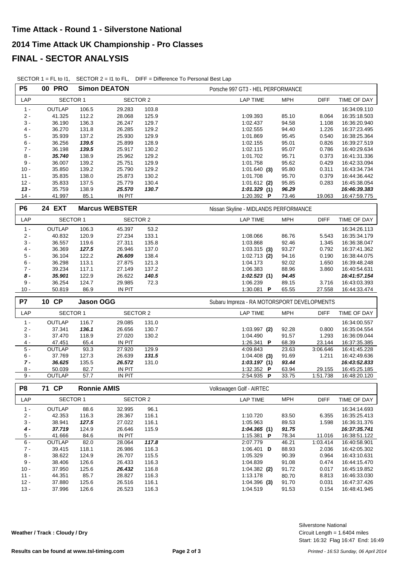| <b>P5</b>        | <b>00 PRO</b>           |                    | <b>Simon DEATON</b>   |                | Porsche 997 GT3 - HEL PERFORMANCE           |                   |                              |  |  |  |
|------------------|-------------------------|--------------------|-----------------------|----------------|---------------------------------------------|-------------------|------------------------------|--|--|--|
| LAP              | SECTOR 1                |                    | <b>SECTOR 2</b>       |                | <b>LAP TIME</b><br><b>MPH</b>               | <b>DIFF</b>       | TIME OF DAY                  |  |  |  |
| $1 -$            | OUTLAP                  | 106.5              | 29.283                | 103.8          |                                             |                   | 16:34:09.110                 |  |  |  |
| $2 -$            | 41.325                  | 112.2              | 28.068                | 125.9          | 85.10<br>1:09.393                           | 8.064             | 16:35:18.503                 |  |  |  |
| $3 -$            | 36.190                  | 136.3              | 26.247                | 129.7          | 1:02.437<br>94.58                           | 1.108             | 16:36:20.940                 |  |  |  |
| $4 -$            | 36.270                  | 131.8              | 26.285                | 129.2          | 94.40<br>1:02.555                           | 1.226             | 16:37:23.495                 |  |  |  |
| $5 -$            | 35.939                  | 137.2              | 25.930                | 129.9          | 1:01.869<br>95.45                           | 0.540             | 16:38:25.364                 |  |  |  |
| $6 -$            | 36.256                  | 139.5              | 25.899                | 128.9          | 1:02.155<br>95.01                           | 0.826             | 16:39:27.519                 |  |  |  |
| $7 -$            | 36.198                  | 139.5              | 25.917                | 130.2          | 95.07<br>1:02.115                           | 0.786             | 16:40:29.634                 |  |  |  |
| $8 -$            | 35.740                  | 138.9              | 25.962                | 129.2          | 95.71<br>1:01.702                           | 0.373             | 16:41:31.336                 |  |  |  |
| $9 -$            | 36.007                  | 139.2              | 25.751                | 129.9          | 95.62<br>1:01.758                           | 0.429             | 16:42:33.094                 |  |  |  |
| $10 -$           | 35.850                  | 139.2              | 25.790                | 129.2          | 95.80<br>$1:01.640$ (3)                     | 0.311             | 16:43:34.734                 |  |  |  |
| $11 -$<br>$12 -$ | 35.835<br>35.833        | 138.0<br>137.5     | 25.873<br>25.779      | 130.2<br>130.4 | 95.70<br>1:01.708<br>95.85                  | 0.379<br>0.283    | 16:44:36.442                 |  |  |  |
| $13 -$           | 35.759                  | 138.9              | 25.570                | 130.7          | $1:01.612$ (2)<br>1:01.329(1)<br>96.29      |                   | 16:45:38.054<br>16:46:39.383 |  |  |  |
| $14 -$           | 41.997                  | 85.1               | IN PIT                |                | 1:20.392 P<br>73.46                         | 19.063            | 16:47:59.775                 |  |  |  |
|                  |                         |                    |                       |                |                                             |                   |                              |  |  |  |
| P <sub>6</sub>   | <b>24 EXT</b>           |                    | <b>Marcus WEBSTER</b> |                | Nissan Skyline - MIDLANDS PERFORMANCE       |                   |                              |  |  |  |
| LAP              | SECTOR 1                |                    | <b>SECTOR 2</b>       |                | <b>LAP TIME</b><br><b>MPH</b>               | <b>DIFF</b>       | TIME OF DAY                  |  |  |  |
| $1 -$            | OUTLAP                  | 106.3              | 45.397                | 53.2           |                                             |                   | 16:34:26.113                 |  |  |  |
| $2 -$            | 40.832                  | 120.9              | 27.234                | 133.1          | 1:08.066<br>86.76                           | 5.543             | 16:35:34.179                 |  |  |  |
| $3 -$            | 36.557                  | 119.6              | 27.311                | 135.8          | 92.46<br>1:03.868                           | 1.345             | 16:36:38.047                 |  |  |  |
| $4 -$            | 36.369                  | 127.5              | 26.946                | 137.0          | 93.27<br>$1:03.315$ (3)                     | 0.792             | 16:37:41.362                 |  |  |  |
| $5 -$            | 36.104                  | 122.2              | 26.609                | 138.4          | 94.16<br>$1:02.713$ (2)                     | 0.190             | 16:38:44.075                 |  |  |  |
| $6 -$            | 36.298                  | 113.1              | 27.875                | 121.3          | 92.02<br>1:04.173                           | 1.650             | 16:39:48.248                 |  |  |  |
| $7 -$            | 39.234                  | 117.1              | 27.149                | 137.2          | 1:06.383<br>88.96                           | 3.860             | 16:40:54.631                 |  |  |  |
| $8 -$            | 35.901                  | 122.9              | 26.622                | 140.5          | 1:02.523(1)<br>94.45                        |                   | 16:41:57.154                 |  |  |  |
| $9 -$            | 36.254                  | 124.7              | 29.985                | 72.3           | 89.15<br>1:06.239                           | 3.716             | 16:43:03.393                 |  |  |  |
| $10 -$           | 50.819                  | 86.9               | <b>IN PIT</b>         |                | 1:30.081 $\blacksquare$<br>65.55            | 27.558            | 16:44:33.474                 |  |  |  |
| P7               | 10 CP                   | Jason OGG          |                       |                | Subaru Impreza - RA MOTORSPORT DEVELOPMENTS |                   |                              |  |  |  |
| LAP              | SECTOR 1                |                    | SECTOR 2              |                | <b>MPH</b><br><b>LAP TIME</b>               | <b>DIFF</b>       | TIME OF DAY                  |  |  |  |
|                  |                         |                    |                       |                |                                             |                   |                              |  |  |  |
| $1 -$            | OUTLAP                  | 116.7              | 29.085                | 131.0          |                                             |                   | 16:34:00.557                 |  |  |  |
| $2 -$            | 37.341                  | 136.1              | 26.656                | 130.7          | 92.28<br>$1:03.997$ (2)                     | 0.800             | 16:35:04.554                 |  |  |  |
| $3 -$            | 37.470                  | 118.9<br>65.4      | 27.020                | 130.2          | 1:04.490<br>91.57<br>68.39                  | 1.293<br>23.144   | 16:36:09.044                 |  |  |  |
| $4 -$<br>$5 -$   | 47.451<br><b>OUTLAP</b> |                    | IN PIT<br>27.920      | 129.9          | 1:26.341 P<br>4:09.843<br>23.63             |                   | 16:37:35.385<br>16:41:45.228 |  |  |  |
| $6 -$            | 37.769                  | 93.3<br>127.3      | 26.639                | 131.5          | $1:04.408$ (3)<br>91.69                     | 3:06.646<br>1.211 | 16:42:49.636                 |  |  |  |
| $7 -$            | 36.625                  | 135.5              | 26.572                | 131.0          | 93.44<br>1:03.197(1)                        |                   | 16:43:52.833                 |  |  |  |
| 8 -              | 50.039                  | 82.7               | IN PIT                |                | 1:32.352 P<br>63.94                         | 29.155            | 16:45:25.185                 |  |  |  |
| $9 -$            | OUTLAP                  | 57.7               | <b>IN PIT</b>         |                | 2:54.935 P<br>33.75                         | 1:51.738          | 16:48:20.120                 |  |  |  |
|                  |                         |                    |                       |                |                                             |                   |                              |  |  |  |
| P <sub>8</sub>   | 71 CP                   | <b>Ronnie AMIS</b> |                       |                | Volkswagen Golf - AIRTEC                    |                   |                              |  |  |  |
| LAP              | SECTOR 1                |                    | <b>SECTOR 2</b>       |                | <b>LAP TIME</b><br><b>MPH</b>               | <b>DIFF</b>       | TIME OF DAY                  |  |  |  |
| $1 -$            | <b>OUTLAP</b>           | 88.6               | 32.995                | 96.1           |                                             |                   | 16:34:14.693                 |  |  |  |
| $2 -$            | 42.353                  | 116.3              | 28.367                | 116.1          | 1:10.720<br>83.50                           | 6.355             | 16:35:25.413                 |  |  |  |
| $3 -$            | 38.941                  | 127.5              | 27.022                | 116.1          | 89.53<br>1:05.963                           | 1.598             | 16:36:31.376                 |  |  |  |
| 4 -              | 37.719                  | 124.9              | 26.646                | 115.9          | 1:04.365(1)<br>91.75                        |                   | 16:37:35.741                 |  |  |  |
| $5 -$            | 41.666                  | 84.6               | IN PIT                |                | 1:15.381 P<br>78.34                         | 11.016            | 16:38:51.122                 |  |  |  |
| $6 -$            | OUTLAP                  | 82.0               | 28.064                | 117.8          | 2:07.779<br>46.21                           | 1:03.414          | 16:40:58.901                 |  |  |  |
| $7 -$            | 39.415                  | 118.1              | 26.986                | 116.3          | 1:06.401 $\overline{D}$<br>88.93            | 2.036             | 16:42:05.302                 |  |  |  |
| $8 -$            | 38.622                  | 124.9              | 26.707                | 115.5          | 90.39<br>1:05.329                           | 0.964             | 16:43:10.631                 |  |  |  |
| 9 -              | 38.406                  | 126.6              | 26.433                | 116.3          | 1:04.839<br>91.08                           | 0.474             | 16:44:15.470                 |  |  |  |
| $10 -$           | 37.950                  | 125.6              | 26.432                | 116.8          | $1:04.382$ (2)<br>91.72                     | 0.017             | 16:45:19.852                 |  |  |  |
| $11 -$           | 44.351                  | 85.7               | 28.827                | 116.3          | 1:13.178<br>80.70                           | 8.813             | 16:46:33.030                 |  |  |  |
| $12 -$           | 37.880                  | 125.6              | 26.516                | 116.1          | $1:04.396$ (3)<br>91.70                     | 0.031             | 16:47:37.426                 |  |  |  |
| $13 -$           | 37.996                  | 126.6              | 26.523                | 116.3          | 1:04.519<br>91.53                           | 0.154             | 16:48:41.945                 |  |  |  |

SECTOR 1 = FL to I1, SECTOR 2 = I1 to FL, DIFF = Difference To Personal Best Lap

**Weather / Track : Cloudy / Dry**

Start: 16:32 Flag 16:47 End: 16:49 Circuit Length = 1.6404 miles Silverstone National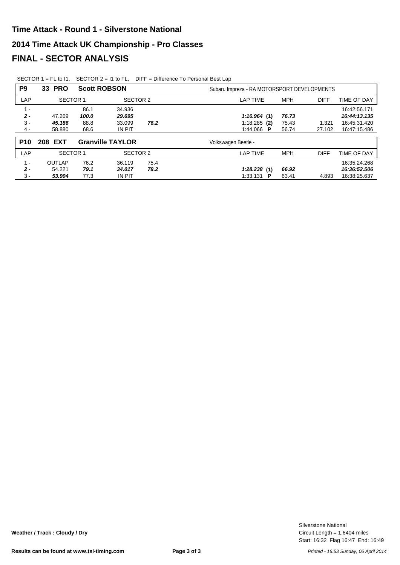|  | SECTOR 1 = FL to 11, SECTOR $2 = 11$ to FL, DIFF = Difference To Personal Best Lap |
|--|------------------------------------------------------------------------------------|
|  |                                                                                    |

| P <sub>9</sub>                   | 33 PRO                     | <b>Scott ROBSON</b>           |                                      |              | Subaru Impreza - RA MOTORSPORT DEVELOPMENTS                                                            |                                                              |
|----------------------------------|----------------------------|-------------------------------|--------------------------------------|--------------|--------------------------------------------------------------------------------------------------------|--------------------------------------------------------------|
| LAP                              | SECTOR <sub>1</sub>        |                               | SECTOR 2                             |              | <b>MPH</b><br><b>DIFF</b><br><b>LAP TIME</b>                                                           | TIME OF DAY                                                  |
| $1 -$<br>$2 -$<br>$3 -$<br>$4 -$ | 47.269<br>45.186<br>58.880 | 86.1<br>100.0<br>88.8<br>68.6 | 34.936<br>29.695<br>33.099<br>IN PIT | 76.2         | 1:16.964(1)<br>76.73<br>$1:18.285$ (2)<br>75.43<br>1.321<br>1:44.066 $\blacksquare$<br>56.74<br>27.102 | 16:42:56.171<br>16:44:13.135<br>16:45:31.420<br>16:47:15.486 |
| <b>P10</b>                       | 208 EXT                    |                               | <b>Granville TAYLOR</b>              |              | Volkswagen Beetle -                                                                                    |                                                              |
| LAP                              | <b>SECTOR 1</b>            |                               | <b>SECTOR 2</b>                      |              | <b>MPH</b><br><b>LAP TIME</b><br><b>DIFF</b>                                                           | TIME OF DAY                                                  |
| $1 -$<br>$2 -$<br>$3 -$          | OUTLAP<br>54.221<br>53.904 | 76.2<br>79.1<br>77.3          | 36.119<br>34.017<br>IN PIT           | 75.4<br>78.2 | 1:28.238(1)<br>66.92<br>1:33.131<br>63.41<br>4.893<br>P                                                | 16:35:24.268<br>16:36:52.506<br>16:38:25.637                 |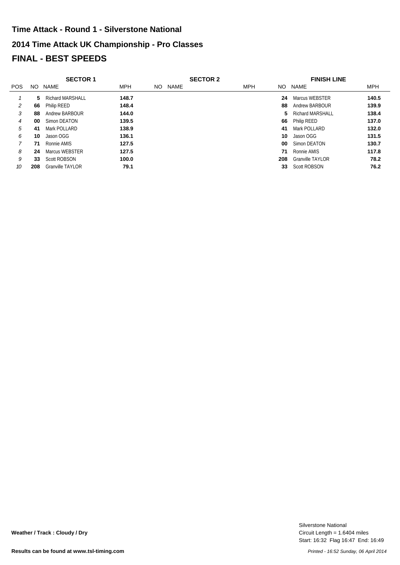# **2014 Time Attack UK Championship - Pro Classes FINAL - BEST SPEEDS Time Attack - Round 1 - Silverstone National**

|            |     | <b>SECTOR 1</b>         |            |     |      | <b>SECTOR 2</b> |            |     | <b>FINISH LINE</b>      |            |
|------------|-----|-------------------------|------------|-----|------|-----------------|------------|-----|-------------------------|------------|
| <b>POS</b> | NO. | NAME                    | <b>MPH</b> | NO. | NAME |                 | <b>MPH</b> |     | NO NAME                 | <b>MPH</b> |
|            | 5.  | <b>Richard MARSHALL</b> | 148.7      |     |      |                 |            | 24  | Marcus WEBSTER          | 140.5      |
| 2          | 66  | Philip REED             | 148.4      |     |      |                 |            | 88  | Andrew BARBOUR          | 139.9      |
| 3          | 88  | Andrew BARBOUR          | 144.0      |     |      |                 |            | 5.  | Richard MARSHALL        | 138.4      |
| 4          | 00  | Simon DEATON            | 139.5      |     |      |                 |            | 66  | Philip REED             | 137.0      |
| 5          | 41  | Mark POLLARD            | 138.9      |     |      |                 |            | 41  | Mark POLLARD            | 132.0      |
| 6          | 10  | Jason OGG               | 136.1      |     |      |                 |            | 10  | Jason OGG               | 131.5      |
|            | 71  | Ronnie AMIS             | 127.5      |     |      |                 |            | 00  | Simon DEATON            | 130.7      |
| 8          | 24  | Marcus WEBSTER          | 127.5      |     |      |                 |            | 71  | Ronnie AMIS             | 117.8      |
| 9          | 33  | Scott ROBSON            | 100.0      |     |      |                 |            | 208 | <b>Granville TAYLOR</b> | 78.2       |
| 10         | 208 | <b>Granville TAYLOR</b> | 79.1       |     |      |                 |            | 33  | <b>Scott ROBSON</b>     | 76.2       |

Start: 16:32 Flag 16:47 End: 16:49 Circuit Length = 1.6404 miles Silverstone National

**Weather / Track : Cloudy / Dry**